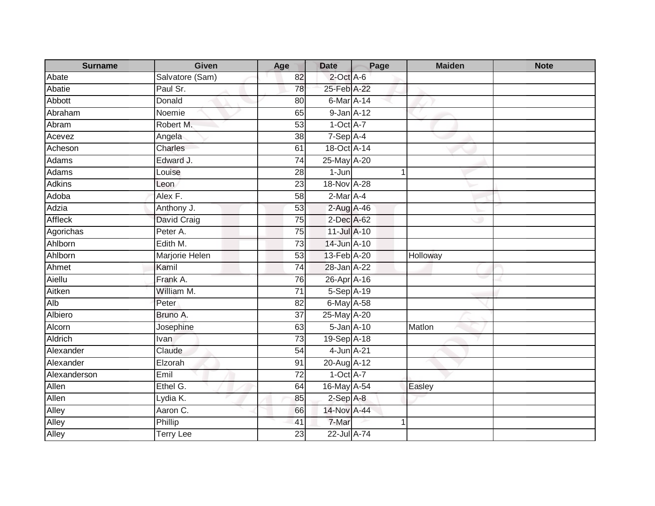| <b>Surname</b> | <b>Given</b>     | Age             | <b>Date</b>      | Page | <b>Maiden</b> | <b>Note</b> |
|----------------|------------------|-----------------|------------------|------|---------------|-------------|
| Abate          | Salvatore (Sam)  | 82              | $2$ -Oct A-6     |      |               |             |
| Abatie         | Paul Sr.         | 78              | 25-Feb A-22      |      |               |             |
| Abbott         | Donald           | 80              | 6-Mar A-14       |      |               |             |
| Abraham        | Noemie           | 65              | 9-Jan A-12       |      |               |             |
| Abram          | Robert M.        | 53              | $1-Oct$ A-7      |      |               |             |
| Acevez         | Angela           | 38              | $7-Sep$ A-4      |      |               |             |
| Acheson        | Charles          | 61              | 18-Oct A-14      |      |               |             |
| Adams          | Edward J.        | $\overline{74}$ | 25-May A-20      |      |               |             |
| <b>Adams</b>   | Louise           | $\overline{28}$ | $1-Jun$          |      | $\mathbf 1$   |             |
| <b>Adkins</b>  | Leon             | 23              | 18-Nov A-28      |      |               |             |
| Adoba          | Alex F.          | $\overline{58}$ | 2-Mar A-4        |      |               |             |
| Adzia          | Anthony J.       | 53              | 2-Aug A-46       |      |               |             |
| <b>Affleck</b> | David Craig      | 75              | 2-Dec A-62       |      |               |             |
| Agorichas      | Peter A.         | 75              | 11-Jul A-10      |      |               |             |
| Ahlborn        | Edith M.         | 73              | 14-Jun A-10      |      |               |             |
| Ahlborn        | Marjorie Helen   | 53              | 13-Feb A-20      |      | Holloway      |             |
| Ahmet          | Kamil            | 74              | 28-Jan A-22      |      |               |             |
| Aiellu         | Frank A.         | 76              | 26-Apr A-16      |      |               |             |
| Aitken         | William M.       | $\overline{71}$ | 5-Sep A-19       |      |               |             |
| Alb            | Peter            | $\overline{82}$ | 6-May A-58       |      |               |             |
| Albiero        | Bruno A.         | 37              | 25-May A-20      |      |               |             |
| Alcorn         | Josephine        | 63              | $5$ -Jan $A$ -10 |      | Matlon        |             |
| Aldrich        | Ivan             | 73              | 19-Sep A-18      |      |               |             |
| Alexander      | Claude           | 54              | 4-Jun A-21       |      |               |             |
| Alexander      | Elzorah          | 91              | 20-Aug A-12      |      |               |             |
| Alexanderson   | Emil             | $\overline{72}$ | $1-Oct$ A-7      |      |               |             |
| Allen          | Ethel G.         | 64              | 16-May A-54      |      | Easley        |             |
| Allen          | Lydia K.         | 85              | $2-$ Sep $A-8$   |      |               |             |
| Alley          | Aaron C.         | 66              | 14-Nov A-44      |      |               |             |
| Alley          | Phillip          | 41              | 7-Mar            |      |               |             |
| Alley          | <b>Terry Lee</b> | $\overline{23}$ | 22-Jul A-74      |      |               |             |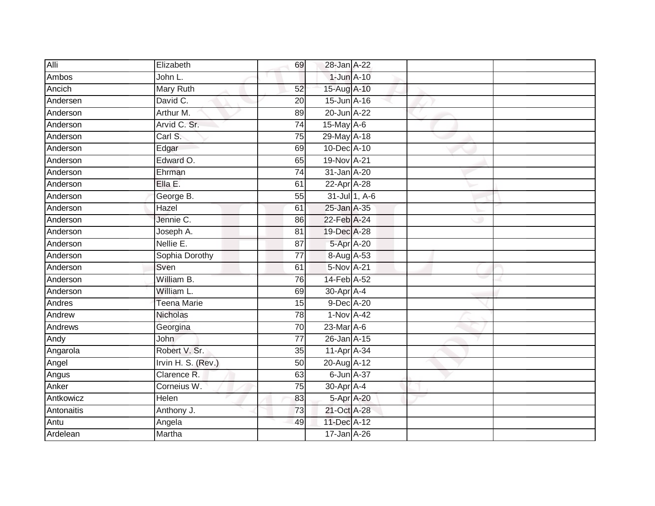| Alli       | Elizabeth          | 69              | 28-Jan A-22      |               |  |
|------------|--------------------|-----------------|------------------|---------------|--|
| Ambos      | John L.            |                 | 1-Jun A-10       |               |  |
| Ancich     | <b>Mary Ruth</b>   | 52              | 15-Aug A-10      |               |  |
| Andersen   | David C.           | 20              | 15-Jun A-16      |               |  |
| Anderson   | Arthur M.          | 89              | 20-Jun A-22      |               |  |
| Anderson   | Arvid C. Sr.       | $\overline{74}$ | 15-May A-6       |               |  |
| Anderson   | Carl S.            | 75              | 29-May A-18      |               |  |
| Anderson   | Edgar              | 69              | 10-Dec A-10      |               |  |
| Anderson   | Edward O.          | 65              | 19-Nov A-21      |               |  |
| Anderson   | Ehrman             | $\overline{74}$ | 31-Jan A-20      |               |  |
| Anderson   | Ella E.            | 61              | 22-Apr A-28      |               |  |
| Anderson   | George B.          | 55              |                  | 31-Jul 1, A-6 |  |
| Anderson   | Hazel              | 61              | 25-Jan A-35      |               |  |
| Anderson   | Jennie C.          | 86              | 22-Feb A-24      |               |  |
| Anderson   | Joseph A.          | $\overline{81}$ | 19-Dec A-28      |               |  |
| Anderson   | Nellie E.          | 87              |                  | 5-Apr A-20    |  |
| Anderson   | Sophia Dorothy     | $\overline{77}$ | 8-Aug A-53       |               |  |
| Anderson   | Sven               | 61              | 5-Nov A-21       |               |  |
| Anderson   | William B.         | 76              | 14-Feb A-52      |               |  |
| Anderson   | William L.         | 69              | 30-Apr A-4       |               |  |
| Andres     | <b>Teena Marie</b> | 15              | 9-Dec A-20       |               |  |
| Andrew     | Nicholas           | 78              | 1-Nov A-42       |               |  |
| Andrews    | Georgina           | 70              | 23-Mar A-6       |               |  |
| Andy       | <b>John</b>        | $\overline{77}$ | 26-Jan A-15      |               |  |
| Angarola   | Robert V. Sr.      | 35              | 11-Apr A-34      |               |  |
| Angel      | Irvin H. S. (Rev.) | 50              | 20-Aug A-12      |               |  |
| Angus      | Clarence R.        | 63              | $6$ -Jun $A$ -37 |               |  |
| Anker      | Corneius W.        | 75              | 30-Apr A-4       |               |  |
| Antkowicz  | Helen              | 83              | 5-Apr A-20       |               |  |
| Antonaitis | Anthony J.         | 73              | 21-Oct A-28      |               |  |
| Antu       | Angela             | 49              | 11-Dec A-12      |               |  |
| Ardelean   | Martha             |                 | 17-Jan A-26      |               |  |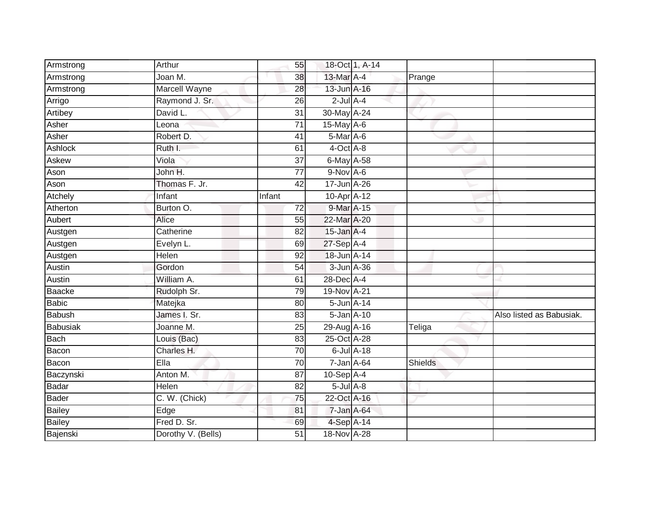| Armstrong       | Arthur             | 55              |                 | 18-Oct 1, A-14  |                |                          |
|-----------------|--------------------|-----------------|-----------------|-----------------|----------------|--------------------------|
| Armstrong       | Joan M.            | 38              | 13-Mar A-4      |                 | Prange         |                          |
| Armstrong       | Marcell Wayne      | $\overline{28}$ | 13-Jun A-16     |                 |                |                          |
| Arrigo          | Raymond J. Sr.     | 26              | $2$ -Jul $A-4$  |                 |                |                          |
| Artibey         | David L.           | $\overline{31}$ | 30-May A-24     |                 |                |                          |
| Asher           | Leona              | $\overline{71}$ | 15-May A-6      |                 |                |                          |
| Asher           | Robert D.          | 41              | 5-Mar A-6       |                 |                |                          |
| Ashlock         | Ruth I.            | 61              | $4$ -Oct $A$ -8 |                 |                |                          |
| Askew           | Viola              | 37              | 6-May A-58      |                 |                |                          |
| Ason            | John H.            | $\overline{77}$ | 9-Nov A-6       |                 |                |                          |
| Ason            | Thomas F. Jr.      | 42              | 17-Jun A-26     |                 |                |                          |
| Atchely         | Infant             | Infant          | 10-Apr A-12     |                 |                |                          |
| Atherton        | Burton O.          | 72              | 9-Mar A-15      |                 |                |                          |
| Aubert          | Alice              | 55              | 22-Mar A-20     |                 |                |                          |
| Austgen         | Catherine          | $\overline{82}$ | 15-Jan A-4      |                 |                |                          |
| Austgen         | Evelyn L.          | 69              | 27-Sep A-4      |                 |                |                          |
| Austgen         | Helen              | 92              | 18-Jun A-14     |                 |                |                          |
| Austin          | Gordon             | 54              |                 | 3-Jun A-36      |                |                          |
| Austin          | William A.         | 61              | 28-Dec A-4      |                 |                |                          |
| <b>Baacke</b>   | Rudolph Sr.        | 79              | 19-Nov A-21     |                 |                |                          |
| <b>Babic</b>    | Matejka            | 80              |                 | 5-Jun A-14      |                |                          |
| <b>Babush</b>   | James I. Sr.       | 83              |                 | 5-Jan A-10      |                | Also listed as Babusiak. |
| <b>Babusiak</b> | Joanne M.          | 25              | 29-Aug A-16     |                 | Teliga         |                          |
| Bach            | Louis (Bac)        | 83              | 25-Oct A-28     |                 |                |                          |
| Bacon           | Charles H.         | 70              |                 | $6$ -Jul $A-18$ |                |                          |
| Bacon           | Ella               | $\overline{70}$ |                 | 7-Jan A-64      | <b>Shields</b> |                          |
| Baczynski       | Anton M.           | $\overline{87}$ | $10-Sep$ A-4    |                 |                |                          |
| Badar           | Helen              | 82              | $5$ -Jul $A$ -8 |                 |                |                          |
| <b>Bader</b>    | C. W. (Chick)      | 75              | 22-Oct A-16     |                 |                |                          |
| <b>Bailey</b>   | Edge               | 81              | 7-Jan A-64      |                 |                |                          |
| <b>Bailey</b>   | Fred D. Sr.        | 69              | 4-Sep A-14      |                 |                |                          |
| Bajenski        | Dorothy V. (Bells) | 51              | 18-Nov A-28     |                 |                |                          |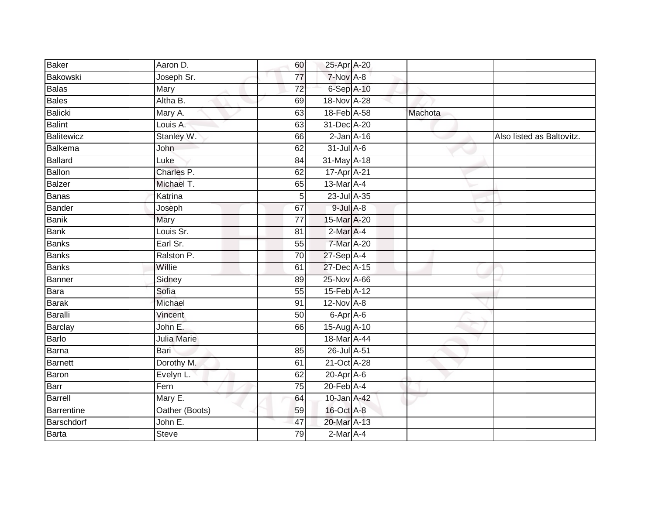| Baker          | Aaron D.       | 60              | 25-Apr A-20      |         |                           |
|----------------|----------------|-----------------|------------------|---------|---------------------------|
| Bakowski       | Joseph Sr.     | 77              | 7-Nov A-8        |         |                           |
| <b>Balas</b>   | Mary           | $\overline{72}$ | 6-Sep A-10       |         |                           |
| <b>Bales</b>   | Altha B.       | 69              | 18-Nov A-28      |         |                           |
| Balicki        | Mary A.        | 63              | 18-Feb A-58      | Machota |                           |
| <b>Balint</b>  | Louis A.       | 63              | 31-Dec A-20      |         |                           |
| Balitewicz     | Stanley W.     | 66              | $2$ -Jan $A-16$  |         | Also listed as Baltovitz. |
| Balkema        | John           | 62              | $31$ -Jul A-6    |         |                           |
| Ballard        | Luke           | 84              | 31-May A-18      |         |                           |
| Ballon         | Charles P.     | 62              | 17-Apr A-21      |         |                           |
| Balzer         | Michael T.     | 65              | 13-Mar A-4       |         |                           |
| <b>Banas</b>   | Katrina        | 5               | $23$ -Jul $A-35$ |         |                           |
| <b>Bander</b>  | Joseph         | 67              | $9$ -Jul $A$ -8  |         |                           |
| <b>Banik</b>   | Mary           | 77              | 15-Mar A-20      |         |                           |
| <b>Bank</b>    | Louis Sr.      | 81              | 2-Mar A-4        |         |                           |
| Banks          | Earl Sr.       | 55              | 7-Mar A-20       |         |                           |
| <b>Banks</b>   | Ralston P.     | $\overline{70}$ | 27-Sep A-4       |         |                           |
| <b>Banks</b>   | Willie         | 61              | 27-Dec A-15      |         |                           |
| Banner         | Sidney         | 89              | 25-Nov A-66      |         |                           |
| Bara           | Sofia          | 55              | 15-Feb A-12      |         |                           |
| <b>Barak</b>   | Michael        | 91              | $12$ -Nov $A-8$  |         |                           |
| Baralli        | Vincent        | 50              | 6-Apr A-6        |         |                           |
| Barclay        | John E.        | 66              | 15-Aug A-10      |         |                           |
| Barlo          | Julia Marie    |                 | 18-Mar A-44      |         |                           |
| Barna          | Bari           | 85              | 26-Jul A-51      |         |                           |
| <b>Barnett</b> | Dorothy M.     | 61              | 21-Oct A-28      |         |                           |
| Baron          | Evelyn L.      | 62              | 20-Apr A-6       |         |                           |
| Barr           | Fern           | 75              | $20$ -Feb $A$ -4 |         |                           |
| Barrell        | Mary E.        | 64              | 10-Jan A-42      |         |                           |
| Barrentine     | Oather (Boots) | 59              | 16-Oct A-8       |         |                           |
| Barschdorf     | John E.        | 47              | 20-Mar A-13      |         |                           |
| <b>Barta</b>   | <b>Steve</b>   | 79              | 2-Mar A-4        |         |                           |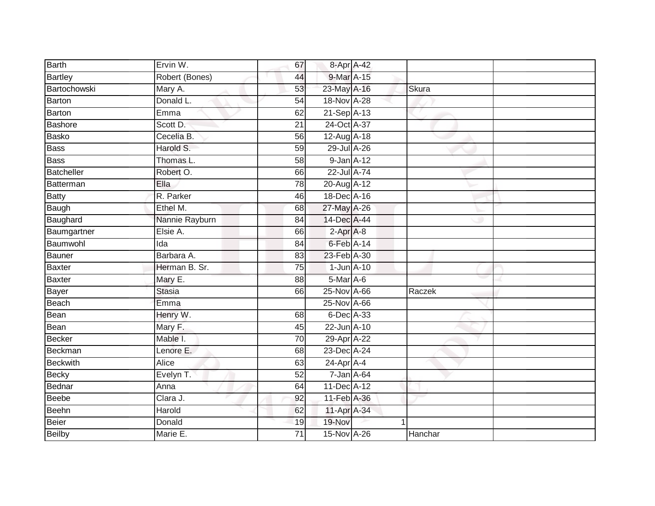| Barth           | Ervin W.       | 67              | 8-Apr A-42       |         |  |
|-----------------|----------------|-----------------|------------------|---------|--|
| <b>Bartley</b>  | Robert (Bones) | 44              | 9-Mar A-15       |         |  |
| Bartochowski    | Mary A.        | 53              | 23-May A-16      | Skura   |  |
| <b>Barton</b>   | Donald L.      | 54              | 18-Nov A-28      |         |  |
| Barton          | Emma           | 62              | 21-Sep A-13      |         |  |
| Bashore         | Scott D.       | 21              | 24-Oct A-37      |         |  |
| Basko           | Cecelia B.     | 56              | 12-Aug A-18      |         |  |
| <b>Bass</b>     | Harold S.      | 59              | 29-Jul A-26      |         |  |
| <b>Bass</b>     | Thomas L.      | 58              | 9-Jan A-12       |         |  |
| Batcheller      | Robert O.      | 66              | 22-Jul A-74      |         |  |
| Batterman       | Ella           | 78              | 20-Aug A-12      |         |  |
| <b>Batty</b>    | R. Parker      | 46              | 18-Dec A-16      |         |  |
| Baugh           | Ethel M.       | 68              | 27-May A-26      |         |  |
| Baughard        | Nannie Rayburn | 84              | 14-Dec A-44      |         |  |
| Baumgartner     | Elsie A.       | 66              | 2-Apr A-8        |         |  |
| Baumwohl        | Ida            | 84              | 6-Feb A-14       |         |  |
| <b>Bauner</b>   | Barbara A.     | 83              | 23-Feb A-30      |         |  |
| <b>Baxter</b>   | Herman B. Sr.  | $\overline{75}$ | $1$ -Jun $A-10$  |         |  |
| <b>Baxter</b>   | Mary E.        | 88              | 5-Mar A-6        |         |  |
| <b>Bayer</b>    | <b>Stasia</b>  | 66              | 25-Nov A-66      | Raczek  |  |
| Beach           | Emma           |                 | 25-Nov A-66      |         |  |
| Bean            | Henry W.       | 68              | 6-Dec A-33       |         |  |
| Bean            | Mary F.        | 45              | 22-Jun A-10      |         |  |
| <b>Becker</b>   | Mable I.       | 70              | 29-Apr A-22      |         |  |
| Beckman         | Lenore E.      | 68              | 23-Dec A-24      |         |  |
| <b>Beckwith</b> | Alice          | 63              | $24$ -Apr $A$ -4 |         |  |
| <b>Becky</b>    | Evelyn T.      | 52              | 7-Jan A-64       |         |  |
| Bednar          | Anna           | 64              | 11-Dec A-12      |         |  |
| Beebe           | Clara J.       | 92              | 11-Feb A-36      |         |  |
| <b>Beehn</b>    | Harold         | 62              | 11-Apr A-34      |         |  |
| Beier           | Donald         | 19              | 19-Nov           |         |  |
| <b>Beilby</b>   | Marie E.       | $\overline{71}$ | 15-Nov A-26      | Hanchar |  |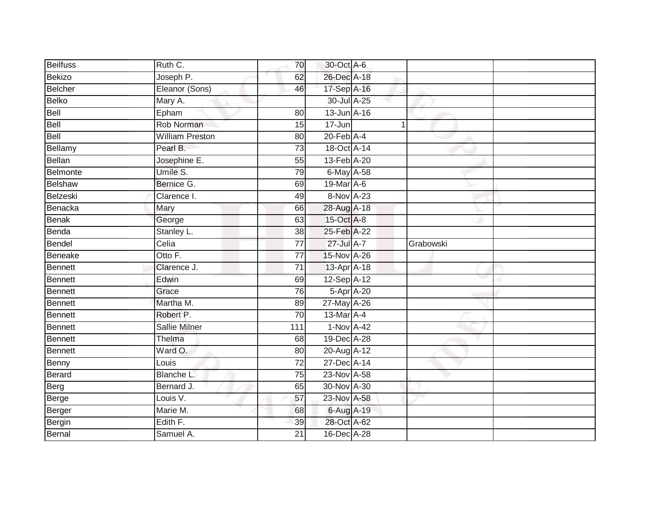| <b>Beilfuss</b> | Ruth C.                | 70              | 30-Oct A-6       |             |           |  |
|-----------------|------------------------|-----------------|------------------|-------------|-----------|--|
| <b>Bekizo</b>   | Joseph P.              | 62              | 26-Dec A-18      |             |           |  |
| <b>Belcher</b>  | Eleanor (Sons)         | 46              | 17-Sep A-16      |             |           |  |
| <b>Belko</b>    | Mary A.                |                 | 30-Jul A-25      |             |           |  |
| Bell            | Epham                  | 80              | 13-Jun A-16      |             |           |  |
| Bell            | Rob Norman             | 15              | 17-Jun           | $\mathbf 1$ |           |  |
| Bell            | <b>William Preston</b> | 80              | $20$ -Feb $A$ -4 |             |           |  |
| Bellamy         | Pearl B.               | 73              | 18-Oct A-14      |             |           |  |
| <b>Bellan</b>   | Josephine E.           | 55              | 13-Feb A-20      |             |           |  |
| Belmonte        | Umile S.               | 79              | 6-May A-58       |             |           |  |
| Belshaw         | Bernice G.             | 69              | 19-Mar A-6       |             |           |  |
| Belzeski        | Clarence I.            | 49              | 8-Nov A-23       |             |           |  |
| Benacka         | Mary                   | 66              | 28-Aug A-18      |             |           |  |
| <b>Benak</b>    | George                 | 63              | 15-Oct A-8       |             |           |  |
| Benda           | Stanley L.             | $\overline{38}$ | 25-Feb A-22      |             |           |  |
| <b>Bendel</b>   | Celia                  | $\overline{77}$ | 27-Jul A-7       |             | Grabowski |  |
| Beneake         | Otto F.                | $\overline{77}$ | 15-Nov A-26      |             |           |  |
| <b>Bennett</b>  | Clarence J.            | $\overline{71}$ | 13-Apr A-18      |             |           |  |
| <b>Bennett</b>  | Edwin                  | 69              | 12-Sep A-12      |             |           |  |
| <b>Bennett</b>  | Grace                  | $\overline{76}$ | 5-Apr A-20       |             |           |  |
| <b>Bennett</b>  | Martha M.              | 89              | 27-May A-26      |             |           |  |
| <b>Bennett</b>  | Robert P.              | 70              | 13-Mar A-4       |             |           |  |
| <b>Bennett</b>  | Sallie Milner          | 111             | $1-Nov A-42$     |             |           |  |
| <b>Bennett</b>  | Thelma                 | 68              | 19-Dec A-28      |             |           |  |
| <b>Bennett</b>  | Ward O.                | 80              | 20-Aug A-12      |             |           |  |
| Benny           | Louis                  | 72              | 27-Dec A-14      |             |           |  |
| Berard          | Blanche L.             | $\overline{75}$ | 23-Nov A-58      |             |           |  |
| Berg            | Bernard J.             | 65              | 30-Nov A-30      |             |           |  |
| Berge           | Louis V.               | 57              | 23-Nov A-58      |             |           |  |
| Berger          | Marie M.               | 68              | 6-Aug A-19       |             |           |  |
| Bergin          | Edith F.               | 39              | 28-Oct A-62      |             |           |  |
| <b>Bernal</b>   | Samuel A.              | $\overline{21}$ | 16-Dec A-28      |             |           |  |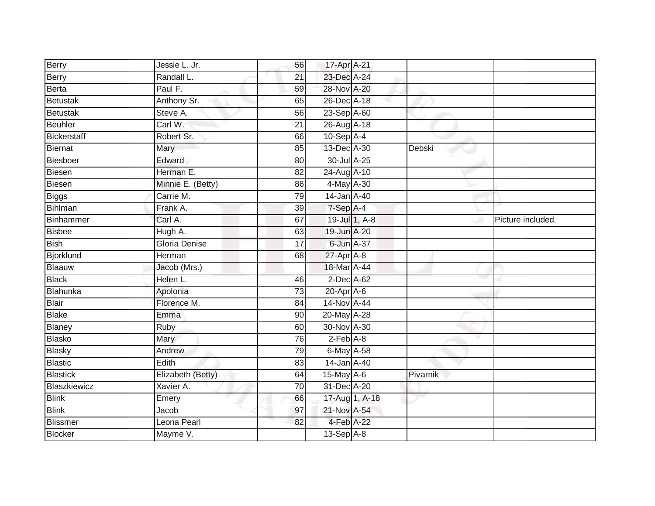| Berry            | Jessie L. Jr.     | 56              | 17-Apr A-21      |          |                   |
|------------------|-------------------|-----------------|------------------|----------|-------------------|
| Berry            | Randall L.        | 21              | 23-Dec A-24      |          |                   |
| Berta            | Paul F.           | 59              | 28-Nov A-20      |          |                   |
| Betustak         | Anthony Sr.       | 65              | 26-Dec A-18      |          |                   |
| Betustak         | Steve A.          | 56              | 23-Sep A-60      |          |                   |
| Beuhler          | Carl W.           | $\overline{21}$ | 26-Aug A-18      |          |                   |
| Bickerstaff      | Robert Sr.        | 66              | $10-Sep$ A-4     |          |                   |
| Biernat          | Mary              | 85              | 13-Dec A-30      | Debski   |                   |
| Biesboer         | Edward            | 80              | 30-Jul A-25      |          |                   |
| Biesen           | Herman E.         | 82              | 24-Aug A-10      |          |                   |
| Biesen           | Minnie E. (Betty) | 86              | 4-May A-30       |          |                   |
| <b>Biggs</b>     | Carrie M.         | 79              | 14-Jan A-40      |          |                   |
| Bihlman          | Frank A.          | 39              | $7-Sep$ A-4      |          |                   |
| Binhammer        | Carl A.           | 67              | 19-Jul 1, A-8    |          | Picture included. |
| <b>Bisbee</b>    | Hugh A.           | 63              | 19-Jun A-20      |          |                   |
| <b>Bish</b>      | Gloria Denise     | 17              | 6-Jun A-37       |          |                   |
| <b>Bjorklund</b> | <b>Herman</b>     | 68              | $27$ -Apr $A$ -8 |          |                   |
| Blaauw           | Jacob (Mrs.)      |                 | 18-Mar A-44      |          |                   |
| <b>Black</b>     | Helen L.          | 46              | $2$ -Dec $A$ -62 |          |                   |
| Blahunka         | Apolonia          | 73              | $20$ -Apr $A$ -6 |          |                   |
| Blair            | Florence M.       | 84              | 14-Nov A-44      |          |                   |
| <b>Blake</b>     | Emma              | $\overline{90}$ | 20-May A-28      |          |                   |
| Blaney           | Ruby              | 60              | 30-Nov A-30      |          |                   |
| Blasko           | Mary              | 76              | $2-Feb$ $A-8$    |          |                   |
| Blasky           | Andrew            | 79              | $6$ -May A-58    |          |                   |
| <b>Blastic</b>   | Edith             | 83              | 14-Jan A-40      |          |                   |
| <b>Blastick</b>  | Elizabeth (Betty) | 64              | 15-May A-6       | Pivarnik |                   |
| Blaszkiewicz     | Xavier A.         | 70              | 31-Dec A-20      |          |                   |
| <b>Blink</b>     | Emery             | 66              | 17-Aug 1, A-18   |          |                   |
| <b>Blink</b>     | Jacob             | 97              | 21-Nov A-54      |          |                   |
| Blissmer         | Leona Pearl       | 82              | 4-Feb A-22       |          |                   |
| Blocker          | Mayme V.          |                 | $13-Sep$ A-8     |          |                   |
|                  |                   |                 |                  |          |                   |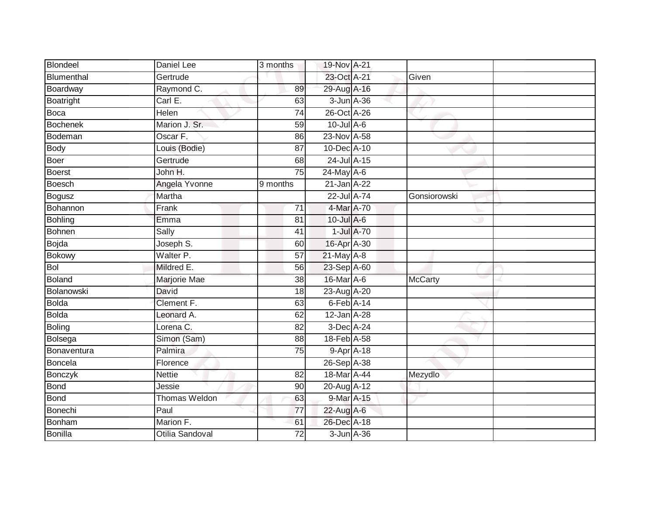| Blondeel        | Daniel Lee              | 3 months        | 19-Nov A-21        |            |                |  |
|-----------------|-------------------------|-----------------|--------------------|------------|----------------|--|
| Blumenthal      | Gertrude                |                 | 23-Oct A-21        |            | Given          |  |
| Boardway        | Raymond C.              | 89              | 29-Aug A-16        |            |                |  |
| Boatright       | Carl E.                 | 63              | $3$ -Jun $A$ -36   |            |                |  |
| Boca            | Helen                   | $\overline{74}$ | 26-Oct A-26        |            |                |  |
| <b>Bochenek</b> | Marion J. Sr.           | 59              | $10$ -Jul $A-6$    |            |                |  |
| Bodeman         | Oscar F.                | 86              | 23-Nov A-58        |            |                |  |
| <b>Body</b>     | Louis (Bodie)           | 87              | 10-Dec A-10        |            |                |  |
| <b>Boer</b>     | Gertrude                | 68              | 24-Jul A-15        |            |                |  |
| <b>Boerst</b>   | John H.                 | 75              | 24-May A-6         |            |                |  |
| <b>Boesch</b>   | Angela Yvonne           | 9 months        | 21-Jan A-22        |            |                |  |
| <b>Bogusz</b>   | Martha                  |                 | 22-Jul A-74        |            | Gonsiorowski   |  |
| Bohannon        | Frank                   | 71              | 4-Mar A-70         |            |                |  |
| <b>Bohling</b>  | Emma                    | 81              | $10$ -Jul A-6      |            |                |  |
| <b>Bohnen</b>   | Sally                   | 41              |                    | 1-Jul A-70 |                |  |
| <b>Bojda</b>    | Joseph $\overline{S}$ . | 60              | 16-Apr A-30        |            |                |  |
| <b>Bokowy</b>   | Walter P.               | $\overline{57}$ | $21$ -May $A-8$    |            |                |  |
| <b>Bol</b>      | Mildred E.              | 56              | 23-Sep A-60        |            |                |  |
| <b>Boland</b>   | Marjorie Mae            | 38              | 16-Mar A-6         |            | <b>McCarty</b> |  |
| Bolanowski      | David                   | $\overline{18}$ | 23-Aug A-20        |            |                |  |
| <b>Bolda</b>    | Clement F.              | 63              | $6$ -Feb $A$ -14   |            |                |  |
| <b>Bolda</b>    | Leonard A.              | 62              | 12-Jan A-28        |            |                |  |
| <b>Boling</b>   | Lorena C.               | 82              | $3$ -Dec A-24      |            |                |  |
| Bolsega         | Simon (Sam)             | 88              | 18-Feb A-58        |            |                |  |
| Bonaventura     | Palmira                 | 75              | $9 - Apr$ $A - 18$ |            |                |  |
| <b>Boncela</b>  | Florence                |                 | 26-Sep A-38        |            |                |  |
| Bonczyk         | <b>Nettie</b>           | $\overline{82}$ | 18-Mar A-44        |            | Mezydlo        |  |
| <b>Bond</b>     | Jessie                  | 90              | 20-Aug A-12        |            |                |  |
| <b>Bond</b>     | <b>Thomas Weldon</b>    | 63              | 9-Mar A-15         |            |                |  |
| Bonechi         | Paul                    | 77              | 22-Aug A-6         |            |                |  |
| <b>Bonham</b>   | Marion F.               | 61              | 26-Dec A-18        |            |                |  |
| <b>Bonilla</b>  | Otilia Sandoval         | 72              | $3 - Jun$ $A - 36$ |            |                |  |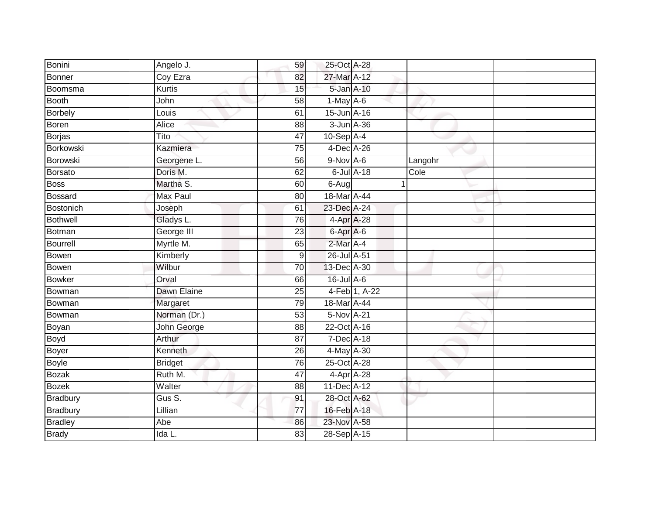| Bonini          | Angelo J.       | 59               | 25-Oct A-28     |               |         |  |
|-----------------|-----------------|------------------|-----------------|---------------|---------|--|
| <b>Bonner</b>   | Coy Ezra        | 82               | 27-Mar A-12     |               |         |  |
| Boomsma         | <b>Kurtis</b>   | 15               | 5-Jan A-10      |               |         |  |
| <b>Booth</b>    | John            | 58               | $1-May$ A-6     |               |         |  |
| <b>Borbely</b>  | Louis           | 61               | 15-Jun A-16     |               |         |  |
| <b>Boren</b>    | Alice           | 88               | 3-Jun A-36      |               |         |  |
| <b>Borjas</b>   | Tito            | 47               | $10-Sep$ A-4    |               |         |  |
| Borkowski       | Kazmiera        | 75               | 4-Dec A-26      |               |         |  |
| Borowski        | Georgene L.     | 56               | 9-Nov A-6       |               | Langohr |  |
| <b>Borsato</b>  | Doris M.        | 62               | $6$ -Jul $A-18$ |               | Cole    |  |
| <b>Boss</b>     | Martha S.       | 60               | 6-Aug           |               |         |  |
| <b>Bossard</b>  | <b>Max Paul</b> | 80               | 18-Mar A-44     |               |         |  |
| Bostonich       | Joseph          | 61               | 23-Dec A-24     |               |         |  |
| <b>Bothwell</b> | Gladys L.       | 76               | 4-Apr A-28      |               |         |  |
| <b>Botman</b>   | George III      | 23               | 6-Apr A-6       |               |         |  |
| Bourrell        | Myrtle M.       | 65               | 2-Mar A-4       |               |         |  |
| Bowen           | Kimberly        | $\boldsymbol{9}$ | 26-Jul A-51     |               |         |  |
| <b>Bowen</b>    | Wilbur          | 70               | 13-Dec A-30     |               |         |  |
| <b>Bowker</b>   | Orval           | 66               | 16-Jul A-6      |               |         |  |
| Bowman          | Dawn Elaine     | 25               |                 | 4-Feb 1, A-22 |         |  |
| Bowman          | Margaret        | 79               | 18-Mar A-44     |               |         |  |
| Bowman          | Norman (Dr.)    | 53               | 5-Nov A-21      |               |         |  |
| Boyan           | John George     | 88               | 22-Oct A-16     |               |         |  |
| Boyd            | Arthur          | 87               | 7-Dec A-18      |               |         |  |
| Boyer           | Kenneth         | 26               | 4-May A-30      |               |         |  |
| <b>Boyle</b>    | <b>Bridget</b>  | 76               | 25-Oct A-28     |               |         |  |
| <b>Bozak</b>    | Ruth M.         | 47               | 4-Apr A-28      |               |         |  |
| <b>Bozek</b>    | Walter          | 88               | 11-Dec A-12     |               |         |  |
| <b>Bradbury</b> | Gus S.          | 91               | 28-Oct A-62     |               |         |  |
| <b>Bradbury</b> | Lillian         | 77               | 16-Feb A-18     |               |         |  |
| <b>Bradley</b>  | Abe             | 86               | 23-Nov A-58     |               |         |  |
| <b>Brady</b>    | Ida L.          | $\overline{83}$  | $28-SepA-15$    |               |         |  |
|                 |                 |                  |                 |               |         |  |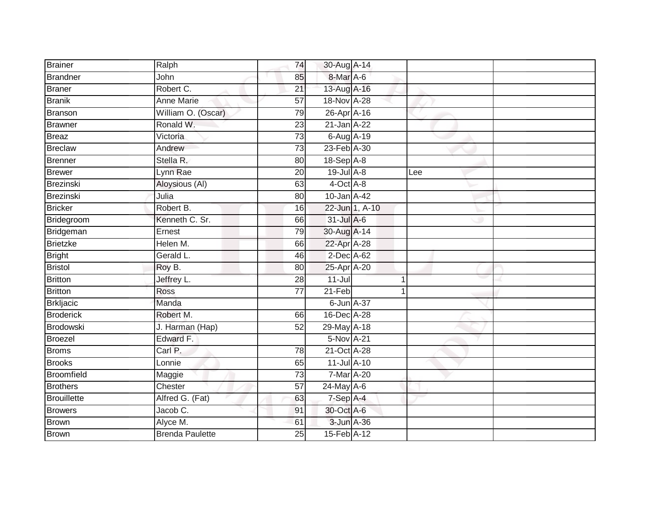| <b>Brainer</b>     | Ralph                  | 74              | 30-Aug A-14     |                |     |  |
|--------------------|------------------------|-----------------|-----------------|----------------|-----|--|
| Brandner           | John                   | 85              | 8-Mar A-6       |                |     |  |
| Braner             | Robert C.              | $\overline{21}$ | 13-Aug A-16     |                |     |  |
| <b>Branik</b>      | <b>Anne Marie</b>      | 57              | 18-Nov A-28     |                |     |  |
| Branson            | William O. (Oscar)     | 79              | 26-Apr A-16     |                |     |  |
| <b>Brawner</b>     | Ronald W.              | 23              | 21-Jan A-22     |                |     |  |
| Breaz              | Victoria               | 73              | 6-Aug A-19      |                |     |  |
| <b>Breclaw</b>     | Andrew                 | 73              | 23-Feb A-30     |                |     |  |
| Brenner            | Stella R.              | 80              | $18-SepA-8$     |                |     |  |
| <b>Brewer</b>      | Lynn Rae               | $\overline{20}$ | 19-Jul A-8      |                | Lee |  |
| Brezinski          | Aloysious (AI)         | 63              | 4-Oct A-8       |                |     |  |
| Brezinski          | Julia                  | 80              | 10-Jan A-42     |                |     |  |
| <b>Bricker</b>     | Robert B.              | 16              |                 | 22-Jun 1, A-10 |     |  |
| Bridegroom         | Kenneth C. Sr.         | 66              | $31$ -Jul A-6   |                |     |  |
| Bridgeman          | Ernest                 | 79              | 30-Aug A-14     |                |     |  |
| Brietzke           | Helen M.               | 66              | 22-Apr A-28     |                |     |  |
| <b>Bright</b>      | Gerald L.              | 46              | 2-Dec A-62      |                |     |  |
| <b>Bristol</b>     | Roy B.                 | 80              | 25-Apr A-20     |                |     |  |
| <b>Britton</b>     | Jeffrey L.             | 28              | $11 -$ Jul      | 1              |     |  |
| Britton            | <b>Ross</b>            | $\overline{77}$ | $21-Feb$        |                |     |  |
| Brkljacic          | Manda                  |                 | 6-Jun A-37      |                |     |  |
| <b>Broderick</b>   | Robert M.              | 66              | 16-Dec A-28     |                |     |  |
| Brodowski          | J. Harman (Hap)        | 52              | 29-May A-18     |                |     |  |
| Broezel            | Edward F.              |                 | 5-Nov A-21      |                |     |  |
| <b>Broms</b>       | Carl P.                | 78              | 21-Oct A-28     |                |     |  |
| <b>Brooks</b>      | Lonnie                 | 65              | 11-Jul A-10     |                |     |  |
| <b>Broomfield</b>  | Maggie                 | 73              | 7-Mar A-20      |                |     |  |
| <b>Brothers</b>    | Chester                | 57              | $24$ -May $A-6$ |                |     |  |
| <b>Brouillette</b> | Alfred G. (Fat)        | 63              | $7-Sep$ A-4     |                |     |  |
| <b>Browers</b>     | Jacob C.               | 91              | 30-Oct A-6      |                |     |  |
| <b>Brown</b>       | Alyce M.               | 61              | 3-Jun A-36      |                |     |  |
| <b>Brown</b>       | <b>Brenda Paulette</b> | 25              | 15-Feb A-12     |                |     |  |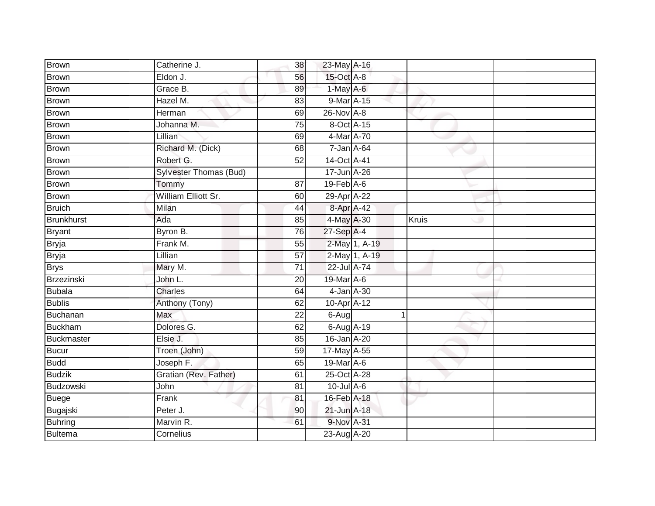| Brown             | Catherine J.           | 38              | 23-May A-16                 |               |       |  |
|-------------------|------------------------|-----------------|-----------------------------|---------------|-------|--|
| <b>Brown</b>      | Eldon J.               | 56              | 15-Oct A-8                  |               |       |  |
| <b>Brown</b>      | Grace B.               | 89              | 1-May A-6                   |               |       |  |
| <b>Brown</b>      | Hazel M.               | 83              | 9-Mar A-15                  |               |       |  |
| <b>Brown</b>      | Herman                 | 69              | 26-Nov A-8                  |               |       |  |
| <b>Brown</b>      | Johanna M.             | $\overline{75}$ | 8-Oct A-15                  |               |       |  |
| <b>Brown</b>      | Lillian                | 69              | 4-Mar A-70                  |               |       |  |
| Brown             | Richard M. (Dick)      | 68              | 7-Jan A-64                  |               |       |  |
| <b>Brown</b>      | Robert G.              | 52              | 14-Oct A-41                 |               |       |  |
| <b>Brown</b>      | Sylvester Thomas (Bud) |                 | 17-Jun A-26                 |               |       |  |
| <b>Brown</b>      | Tommy                  | 87              | $19$ -Feb $\overline{A}$ -6 |               |       |  |
| <b>Brown</b>      | William Elliott Sr.    | 60              | 29-Apr A-22                 |               |       |  |
| <b>Bruich</b>     | Milan                  | 44              | 8-Apr A-42                  |               |       |  |
| <b>Brunkhurst</b> | Ada                    | 85              | 4-May A-30                  |               | Kruis |  |
| <b>Bryant</b>     | Byron B.               | 76              | 27-Sep A-4                  |               |       |  |
| <b>Bryja</b>      | Frank M.               | 55              |                             | 2-May 1, A-19 |       |  |
| <b>Bryja</b>      | Lillian                | $\overline{57}$ |                             | 2-May 1, A-19 |       |  |
| <b>Brys</b>       | Mary M.                | $\overline{71}$ | 22-Jul A-74                 |               |       |  |
| Brzezinski        | John L.                | 20              | 19-Mar A-6                  |               |       |  |
| <b>Bubala</b>     | <b>Charles</b>         | 64              | 4-Jan A-30                  |               |       |  |
| <b>Bublis</b>     | Anthony (Tony)         | 62              | 10-Apr A-12                 |               |       |  |
| Buchanan          | Max                    | $\overline{22}$ | 6-Aug                       | 1             |       |  |
| <b>Buckham</b>    | Dolores G.             | 62              | 6-Aug A-19                  |               |       |  |
| Buckmaster        | Elsie J.               | 85              | 16-Jan A-20                 |               |       |  |
| <b>Bucur</b>      | Troen (John)           | 59              | 17-May A-55                 |               |       |  |
| <b>Budd</b>       | Joseph F.              | 65              | 19-Mar A-6                  |               |       |  |
| <b>Budzik</b>     | Gratian (Rev. Father)  | 61              | 25-Oct A-28                 |               |       |  |
| Budzowski         | John                   | 81              | $10$ -Jul $A$ -6            |               |       |  |
| <b>Buege</b>      | Frank                  | 81              | 16-Feb A-18                 |               |       |  |
| Bugajski          | Peter J.               | 90              | 21-Jun A-18                 |               |       |  |
| <b>Buhring</b>    | Marvin R.              | 61              | 9-Nov A-31                  |               |       |  |
| <b>Bultema</b>    | Cornelius              |                 | 23-Aug A-20                 |               |       |  |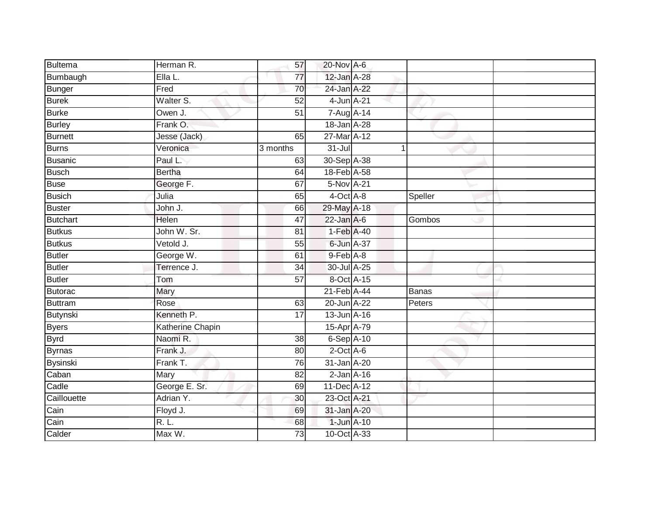| Bultema         | Herman R.        | 57              | 20-Nov A-6      |             |              |  |
|-----------------|------------------|-----------------|-----------------|-------------|--------------|--|
| Bumbaugh        | Ella L.          | 77              | 12-Jan A-28     |             |              |  |
| <b>Bunger</b>   | Fred             | 70              | 24-Jan A-22     |             |              |  |
| <b>Burek</b>    | Walter S.        | 52              | 4-Jun A-21      |             |              |  |
| <b>Burke</b>    | Owen J.          | $\overline{51}$ | 7-Aug A-14      |             |              |  |
| <b>Burley</b>   | Frank O.         |                 | 18-Jan A-28     |             |              |  |
| <b>Burnett</b>  | Jesse (Jack)     | 65              | 27-Mar A-12     |             |              |  |
| Burns           | Veronica         | 3 months        | $31 -$ Jul      | $\mathbf 1$ |              |  |
| <b>Busanic</b>  | Paul L.          | 63              | 30-Sep A-38     |             |              |  |
| <b>Busch</b>    | <b>Bertha</b>    | 64              | 18-Feb A-58     |             |              |  |
| <b>Buse</b>     | George F.        | 67              | $5-Nov$ A-21    |             |              |  |
| Busich          | Julia            | 65              | 4-Oct A-8       |             | Speller      |  |
| Buster          | John J.          | 66              | 29-May A-18     |             |              |  |
| <b>Butchart</b> | Helen            | 47              | $22$ -Jan A-6   |             | Gombos       |  |
| <b>Butkus</b>   | John W. Sr.      | 81              | 1-Feb A-40      |             |              |  |
| <b>Butkus</b>   | Vetold J.        | 55              | 6-Jun A-37      |             |              |  |
| <b>Butler</b>   | George W.        | 61              | $9$ -Feb $A$ -8 |             |              |  |
| Butler          | Terrence J.      | $\overline{34}$ | 30-Jul A-25     |             |              |  |
| Butler          | Tom              | 57              | 8-Oct A-15      |             |              |  |
| Butorac         | Mary             |                 | 21-Feb A-44     |             | <b>Banas</b> |  |
| <b>Buttram</b>  | Rose             | 63              | 20-Jun A-22     |             | Peters       |  |
| <b>Butynski</b> | Kenneth P.       | 17              | 13-Jun A-16     |             |              |  |
| <b>Byers</b>    | Katherine Chapin |                 | 15-Apr A-79     |             |              |  |
| <b>Byrd</b>     | Naomi R.         | 38              | 6-Sep A-10      |             |              |  |
| Byrnas          | Frank J.         | 80              | $2$ -Oct $A$ -6 |             |              |  |
| Bysinski        | Frank T.         | 76              | 31-Jan A-20     |             |              |  |
| Caban           | Mary             | 82              | $2$ -Jan $A-16$ |             |              |  |
| Cadle           | George E. Sr.    | 69              | 11-Dec A-12     |             |              |  |
| Caillouette     | Adrian Y.        | 30              | 23-Oct A-21     |             |              |  |
| Cain            | Floyd J.         | 69              | 31-Jan A-20     |             |              |  |
| Cain            | R. L.            | 68              | 1-Jun A-10      |             |              |  |
| Calder          | Max W.           | $\overline{73}$ | 10-Oct A-33     |             |              |  |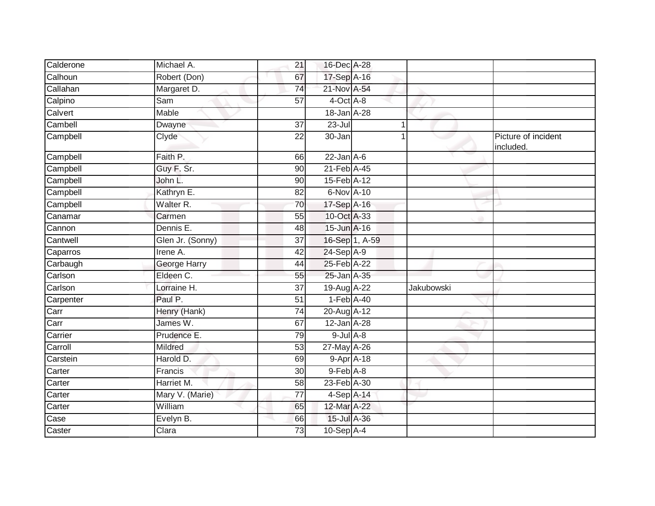| Calderone                | Michael A.       | 21              | 16-Dec A-28                  |                |            |                                  |
|--------------------------|------------------|-----------------|------------------------------|----------------|------------|----------------------------------|
| Calhoun                  | Robert (Don)     | 67              | 17-Sep A-16                  |                |            |                                  |
| Callahan                 | Margaret D.      | 74              | 21-Nov A-54                  |                |            |                                  |
| Calpino                  | Sam              | 57              | 4-Oct A-8                    |                |            |                                  |
| Calvert                  | Mable            |                 | 18-Jan A-28                  |                |            |                                  |
| Cambell                  | Dwayne           | $\overline{37}$ | $23 -$ Jul                   | 1              |            |                                  |
| Campbell                 | Clyde            | 22              | 30-Jan                       |                |            | Picture of incident<br>included. |
| Campbell                 | Faith P.         | 66              | $22$ -Jan $A-6$              |                |            |                                  |
| Campbell                 | Guy F. Sr.       | 90              | $21$ -Feb $\overline{A}$ -45 |                |            |                                  |
| Campbell                 | John L.          | 90              | 15-Feb A-12                  |                |            |                                  |
| Campbell                 | Kathryn E.       | 82              | 6-Nov A-10                   |                |            |                                  |
| Campbell                 | Walter R.        | 70              | 17-Sep A-16                  |                |            |                                  |
| Canamar                  | Carmen           | $\overline{55}$ | 10-Oct A-33                  |                |            |                                  |
| Cannon                   | Dennis E.        | 48              | 15-Jun A-16                  |                |            |                                  |
| Cantwell                 | Glen Jr. (Sonny) | $\overline{37}$ |                              | 16-Sep 1, A-59 |            |                                  |
| Caparros                 | Irene A.         | 42              | 24-Sep A-9                   |                |            |                                  |
| Carbaugh                 | George Harry     | 44              | 25-Feb A-22                  |                |            |                                  |
| Carlson                  | Eldeen C.        | 55              | 25-Jan A-35                  |                |            |                                  |
| Carlson                  | Lorraine H.      | 37              | 19-Aug A-22                  |                | Jakubowski |                                  |
| Carpenter                | Paul P.          | 51              | $1-Feb$ A-40                 |                |            |                                  |
| $\overline{\text{Carr}}$ | Henry (Hank)     | 74              | 20-Aug A-12                  |                |            |                                  |
| Carr                     | James W.         | 67              | $12$ -Jan A-28               |                |            |                                  |
| Carrier                  | Prudence E.      | 79              | $9$ -Jul $A$ -8              |                |            |                                  |
| Carroll                  | Mildred          | 53              | 27-May A-26                  |                |            |                                  |
| Carstein                 | Harold D.        | 69              | 9-Apr A-18                   |                |            |                                  |
| Carter                   | Francis          | 30              | 9-Feb A-8                    |                |            |                                  |
| Carter                   | Harriet M.       | 58              | 23-Feb A-30                  |                |            |                                  |
| Carter                   | Mary V. (Marie)  | 77              | 4-Sep A-14                   |                |            |                                  |
| Carter                   | William          | 65              | 12-Mar A-22                  |                |            |                                  |
| Case                     | Evelyn B.        | 66              | 15-Jul A-36                  |                |            |                                  |
| Caster                   | Clara            | 73              | 10-Sep A-4                   |                |            |                                  |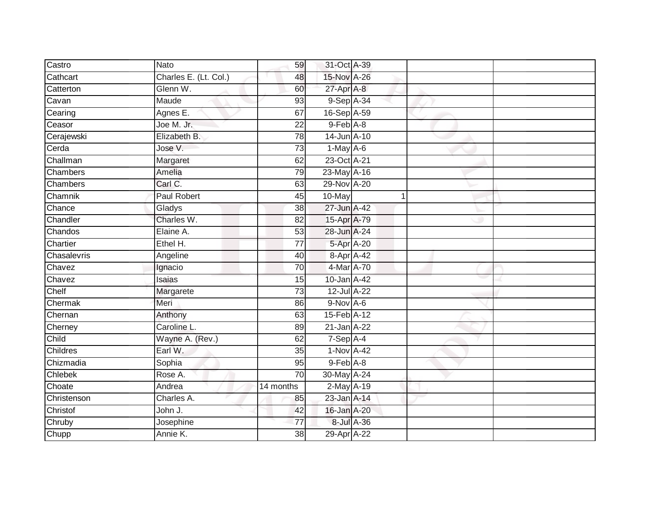| Castro      | Nato                  | 59              | 31-Oct A-39     |            |   |  |
|-------------|-----------------------|-----------------|-----------------|------------|---|--|
| Cathcart    | Charles E. (Lt. Col.) | 48              | 15-Nov A-26     |            |   |  |
| Catterton   | Glenn W.              | 60              | 27-Apr A-8      |            |   |  |
| Cavan       | Maude                 | 93              | 9-Sep A-34      |            |   |  |
| Cearing     | Agnes E.              | 67              | 16-Sep A-59     |            |   |  |
| Ceasor      | Joe M. Jr.            | 22              | $9$ -Feb $A$ -8 |            |   |  |
| Cerajewski  | Elizabeth B.          | 78              | 14-Jun A-10     |            |   |  |
| Cerda       | Jose V.               | 73              | $1-May$ A-6     |            |   |  |
| Challman    | Margaret              | 62              | 23-Oct A-21     |            |   |  |
| Chambers    | Amelia                | 79              | 23-May A-16     |            |   |  |
| Chambers    | Carl C.               | 63              | 29-Nov A-20     |            |   |  |
| Chamnik     | <b>Paul Robert</b>    | 45              | 10-May          |            | 1 |  |
| Chance      | Gladys                | 38              | 27-Jun A-42     |            |   |  |
| Chandler    | Charles W.            | 82              | 15-Apr A-79     |            |   |  |
| Chandos     | Elaine A.             | 53              | 28-Jun A-24     |            |   |  |
| Chartier    | Ethel H.              | $\overline{77}$ | 5-Apr A-20      |            |   |  |
| Chasalevris | Angeline              | 40              | 8-Apr A-42      |            |   |  |
| Chavez      | Ignacio               | 70              | 4-Mar A-70      |            |   |  |
| Chavez      | Isaias                | 15              | 10-Jan A-42     |            |   |  |
| Chelf       | Margarete             | 73              | 12-Jul A-22     |            |   |  |
| Chermak     | Meri                  | 86              | $9-Nov$ A-6     |            |   |  |
| Chernan     | Anthony               | 63              | 15-Feb A-12     |            |   |  |
| Cherney     | Caroline L.           | 89              | 21-Jan A-22     |            |   |  |
| Child       | Wayne A. (Rev.)       | 62              | $7-Sep$ A-4     |            |   |  |
| Childres    | Earl W.               | 35              | 1-Nov A-42      |            |   |  |
| Chizmadia   | Sophia                | 95              | $9$ -Feb $A$ -8 |            |   |  |
| Chlebek     | Rose A.               | $\overline{70}$ | 30-May A-24     |            |   |  |
| Choate      | Andrea                | 14 months       | $2$ -May $A-19$ |            |   |  |
| Christenson | Charles A.            | 85              | 23-Jan A-14     |            |   |  |
| Christof    | John J.               | 42              | 16-Jan A-20     |            |   |  |
| Chruby      | Josephine             | 77              |                 | 8-Jul A-36 |   |  |
| Chupp       | Annie K.              | $\overline{38}$ | 29-Apr A-22     |            |   |  |
|             |                       |                 |                 |            |   |  |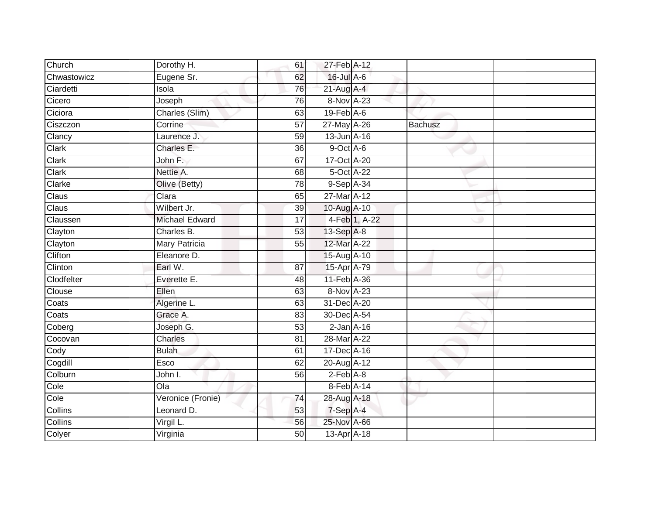| Church      | Dorothy H.            | 61 | 27-Feb A-12                 |               |                |  |
|-------------|-----------------------|----|-----------------------------|---------------|----------------|--|
| Chwastowicz | Eugene Sr.            | 62 | 16-Jul A-6                  |               |                |  |
| Ciardetti   | Isola                 | 76 | $21$ -Aug A-4               |               |                |  |
| Cicero      | Joseph                | 76 | 8-Nov A-23                  |               |                |  |
| Ciciora     | Charles (Slim)        | 63 | $19$ -Feb $\overline{A}$ -6 |               |                |  |
| Ciszczon    | Corrine               | 57 | 27-May A-26                 |               | <b>Bachusz</b> |  |
| Clancy      | Laurence J.           | 59 | 13-Jun A-16                 |               |                |  |
| Clark       | Charles E.            | 36 | 9-Oct A-6                   |               |                |  |
| Clark       | John F.               | 67 | 17-Oct A-20                 |               |                |  |
| Clark       | Nettie A.             | 68 | 5-Oct A-22                  |               |                |  |
| Clarke      | Olive (Betty)         | 78 | 9-Sep A-34                  |               |                |  |
| Claus       | Clara                 | 65 | 27-Mar A-12                 |               |                |  |
| Claus       | Wilbert Jr.           | 39 | 10-Aug A-10                 |               |                |  |
| Claussen    | <b>Michael Edward</b> | 17 |                             | 4-Feb 1, A-22 |                |  |
| Clayton     | Charles B.            | 53 | 13-Sep A-8                  |               |                |  |
| Clayton     | <b>Mary Patricia</b>  | 55 | 12-Mar A-22                 |               |                |  |
| Clifton     | Eleanore D.           |    | 15-Aug A-10                 |               |                |  |
| Clinton     | Earl W.               | 87 | 15-Apr A-79                 |               |                |  |
| Clodfelter  | Everette E.           | 48 | 11-Feb A-36                 |               |                |  |
| Clouse      | Ellen                 | 63 | 8-Nov A-23                  |               |                |  |
| Coats       | Algerine L.           | 63 | 31-Dec A-20                 |               |                |  |
| Coats       | Grace A.              | 83 | 30-Dec A-54                 |               |                |  |
| Coberg      | Joseph G.             | 53 | $2$ -Jan $A-16$             |               |                |  |
| Cocovan     | Charles               | 81 | 28-Mar A-22                 |               |                |  |
| Cody        | <b>Bulah</b>          | 61 | 17-Dec A-16                 |               |                |  |
| Cogdill     | Esco                  | 62 | 20-Aug A-12                 |               |                |  |
| Colburn     | John I.               | 56 | $2-Feb$ $A-8$               |               |                |  |
| Cole        | $\overline{O}$ la     |    | 8-Feb A-14                  |               |                |  |
| Cole        | Veronice (Fronie)     | 74 | 28-Aug A-18                 |               |                |  |
| Collins     | Leonard D.            | 53 | 7-Sep A-4                   |               |                |  |
| Collins     | Virgil L.             | 56 | 25-Nov A-66                 |               |                |  |
| Colyer      | Virginia              | 50 | 13-Apr A-18                 |               |                |  |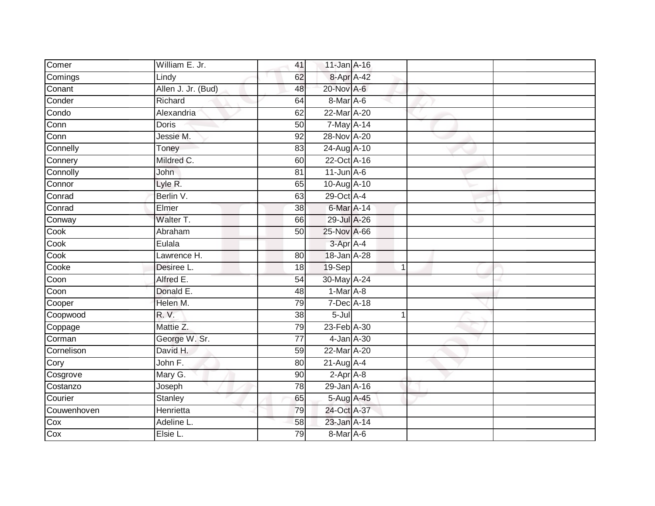| Comer                    |                    |                 |                  |  |  |
|--------------------------|--------------------|-----------------|------------------|--|--|
|                          | William E. Jr.     | 41              | $11$ -Jan $A-16$ |  |  |
| Comings                  | Lindy              | 62              | 8-Apr A-42       |  |  |
| Conant                   | Allen J. Jr. (Bud) | 48              | 20-Nov A-6       |  |  |
| Conder                   | Richard            | 64              | 8-Mar A-6        |  |  |
| Condo                    | Alexandria         | 62              | 22-Mar A-20      |  |  |
| $\overline{\text{Conn}}$ | Doris              | 50              | 7-May A-14       |  |  |
| $\overline{\text{Conn}}$ | Jessie M.          | 92              | 28-Nov A-20      |  |  |
| Connelly                 | Toney              | 83              | 24-Aug A-10      |  |  |
| Connery                  | Mildred C.         | 60              | 22-Oct A-16      |  |  |
| Connolly                 | <b>John</b>        | 81              | $11$ -Jun $A$ -6 |  |  |
| Connor                   | Lyle R.            | 65              | 10-Aug A-10      |  |  |
| Conrad                   | Berlin V.          | 63              | 29-Oct A-4       |  |  |
| Conrad                   | Elmer              | 38              | 6-Mar A-14       |  |  |
| Conway                   | Walter T.          | 66              | 29-Jul A-26      |  |  |
| Cook                     | Abraham            | 50              | 25-Nov A-66      |  |  |
| Cook                     | Eulala             |                 | $3$ -Apr $A$ -4  |  |  |
| Cook                     | Lawrence H.        | 80              | 18-Jan A-28      |  |  |
| Cooke                    | Desiree L.         | 18              | 19-Sep           |  |  |
| Coon                     | Alfred E.          | 54              | 30-May A-24      |  |  |
| Coon                     | Donald E.          | $\overline{48}$ | $1-Mar A-8$      |  |  |
| Cooper                   | Helen M.           | 79              | 7-Dec A-18       |  |  |
| Coopwood                 | R. V.              | $\overline{38}$ | $5 -$ Jul        |  |  |
| Coppage                  | Mattie Z.          | 79              | 23-Feb A-30      |  |  |
| Corman                   | George W. Sr.      | $\overline{77}$ | 4-Jan A-30       |  |  |
| Cornelison               | David H.           | 59              | 22-Mar A-20      |  |  |
| Cory                     | John F.            | 80              | $21$ -Aug A-4    |  |  |
| Cosgrove                 | Mary G.            | 90              | $2-AprA-8$       |  |  |
| Costanzo                 | Joseph             | 78              | 29-Jan A-16      |  |  |
| Courier                  | Stanley            | 65              | 5-Aug A-45       |  |  |
| Couwenhoven              | Henrietta          | 79              | 24-Oct A-37      |  |  |
| Cox                      | Adeline L.         | 58              | 23-Jan A-14      |  |  |
| Cox                      | Elsie L.           | 79              | 8-Mar A-6        |  |  |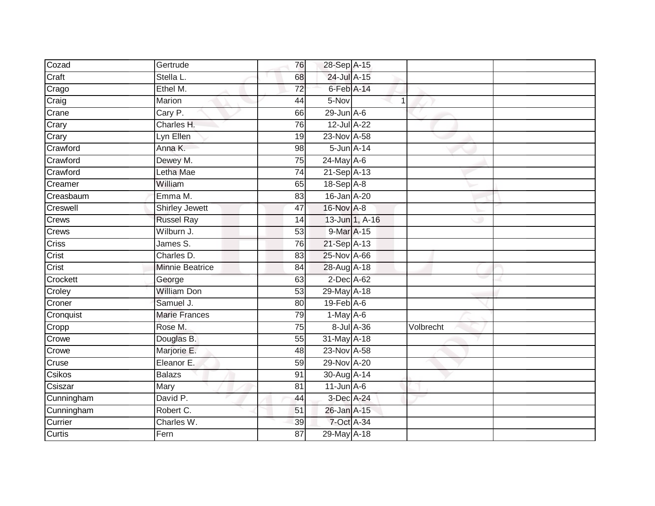| Cozad         | Gertrude               | 76              | 28-Sep A-15      |                |           |  |
|---------------|------------------------|-----------------|------------------|----------------|-----------|--|
| Craft         | Stella L.              | 68              | 24-Jul A-15      |                |           |  |
| Crago         | Ethel M.               | $\overline{72}$ | 6-Feb A-14       |                |           |  |
| Craig         | Marion                 | 44              | 5-Nov            | 1              |           |  |
| Crane         | Cary P.                | 66              | $29$ -Jun $A-6$  |                |           |  |
| Crary         | Charles H.             | 76              | 12-Jul A-22      |                |           |  |
| Crary         | Lyn Ellen              | 19              | 23-Nov A-58      |                |           |  |
| Crawford      | Anna K.                | 98              | 5-Jun A-14       |                |           |  |
| Crawford      | Dewey M.               | $\overline{75}$ | 24-May A-6       |                |           |  |
| Crawford      | Letha Mae              | 74              | 21-Sep A-13      |                |           |  |
| Creamer       | William                | 65              | 18-Sep A-8       |                |           |  |
| Creasbaum     | Emma M.                | 83              | 16-Jan A-20      |                |           |  |
| Creswell      | <b>Shirley Jewett</b>  | 47              | 16-Nov A-8       |                |           |  |
| Crews         | <b>Russel Ray</b>      | 14              |                  | 13-Jun 1, A-16 |           |  |
| Crews         | Wilburn J.             | 53              | 9-Mar A-15       |                |           |  |
| Criss         | James S.               | 76              | 21-Sep A-13      |                |           |  |
| Crist         | Charles D.             | 83              | 25-Nov A-66      |                |           |  |
| Crist         | <b>Minnie Beatrice</b> | 84              | 28-Aug A-18      |                |           |  |
| Crockett      | George                 | 63              | 2-Dec A-62       |                |           |  |
| Croley        | <b>William Don</b>     | $\overline{53}$ | 29-May A-18      |                |           |  |
| Croner        | Samuel J.              | 80              | $19$ -Feb $A$ -6 |                |           |  |
| Cronquist     | <b>Marie Frances</b>   | 79              | $1-May$ A-6      |                |           |  |
| Cropp         | Rose M.                | 75              | 8-Jul A-36       |                | Volbrecht |  |
| Crowe         | Douglas B.             | 55              | 31-May A-18      |                |           |  |
| Crowe         | Marjorie E.            | 48              | 23-Nov A-58      |                |           |  |
| Cruse         | Eleanor E.             | 59              | 29-Nov A-20      |                |           |  |
| Csikos        | <b>Balazs</b>          | 91              | 30-Aug A-14      |                |           |  |
| Csiszar       | Mary                   | 81              | $11$ -Jun $A$ -6 |                |           |  |
| Cunningham    | David P.               | 44              | $3$ -Dec A-24    |                |           |  |
| Cunningham    | Robert C.              | 51              | 26-Jan A-15      |                |           |  |
| Currier       | Charles W.             | 39              | 7-Oct A-34       |                |           |  |
| <b>Curtis</b> | Fern                   | $\overline{87}$ | 29-May A-18      |                |           |  |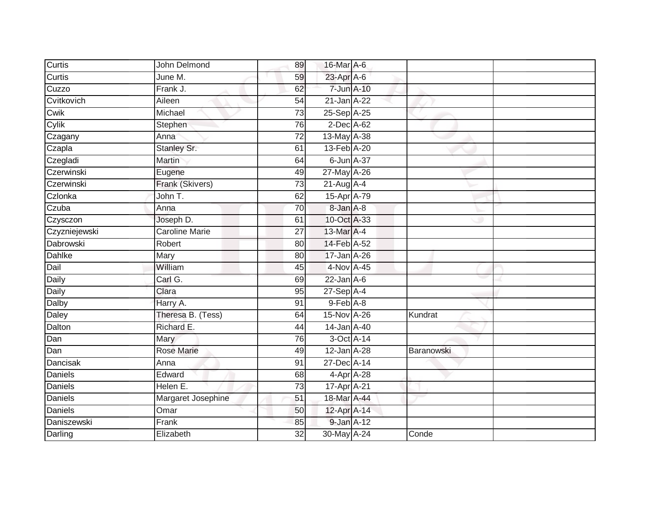| Curtis         | John Delmond          | 89              | 16-Mar A-6       |            |  |
|----------------|-----------------------|-----------------|------------------|------------|--|
| Curtis         | June M.               | 59              | 23-Apr A-6       |            |  |
| Cuzzo          | Frank J.              | 62              | 7-Jun A-10       |            |  |
| Cvitkovich     | Aileen                | $\overline{54}$ | 21-Jan A-22      |            |  |
| Cwik           | Michael               | 73              | 25-Sep A-25      |            |  |
| Cylik          | Stephen               | 76              | 2-Dec A-62       |            |  |
| Czagany        | Anna                  | $\overline{72}$ | 13-May A-38      |            |  |
| Czapla         | Stanley Sr.           | 61              | 13-Feb A-20      |            |  |
| Czegladi       | <b>Martin</b>         | 64              | 6-Jun A-37       |            |  |
| Czerwinski     | Eugene                | 49              | 27-May A-26      |            |  |
| Czerwinski     | Frank (Skivers)       | $\overline{73}$ | $21$ -Aug $A$ -4 |            |  |
| Czlonka        | John T.               | 62              | 15-Apr A-79      |            |  |
| Czuba          | Anna                  | 70              | 8-Jan A-8        |            |  |
| Czysczon       | Joseph D.             | 61              | 10-Oct A-33      |            |  |
| Czyzniejewski  | <b>Caroline Marie</b> | $\overline{27}$ | 13-Mar A-4       |            |  |
| Dabrowski      | Robert                | 80              | 14-Feb A-52      |            |  |
| Dahlke         | Mary                  | 80              | 17-Jan A-26      |            |  |
| Dail           | William               | 45              | 4-Nov A-45       |            |  |
| Daily          | Carl G.               | 69              | $22$ -Jan $A-6$  |            |  |
| Daily          | Clara                 | 95              | 27-Sep A-4       |            |  |
| Dalby          | Harry A.              | 91              | 9-Feb A-8        |            |  |
| Daley          | Theresa B. (Tess)     | 64              | 15-Nov A-26      | Kundrat    |  |
| Dalton         | Richard E.            | 44              | 14-Jan A-40      |            |  |
| Dan            | Mary                  | 76              | 3-Oct A-14       |            |  |
| Dan            | <b>Rose Marie</b>     | 49              | 12-Jan A-28      | Baranowski |  |
| Dancisak       | Anna                  | 91              | 27-Dec A-14      |            |  |
| Daniels        | Edward                | 68              | 4-Apr A-28       |            |  |
| Daniels        | Helen E.              | 73              | 17-Apr A-21      |            |  |
| Daniels        | Margaret Josephine    | 51              | 18-Mar A-44      |            |  |
| <b>Daniels</b> | Omar                  | 50              | 12-Apr A-14      |            |  |
| Daniszewski    | Frank                 | 85              | 9-Jan A-12       |            |  |
| Darling        | Elizabeth             | 32              | 30-May A-24      | Conde      |  |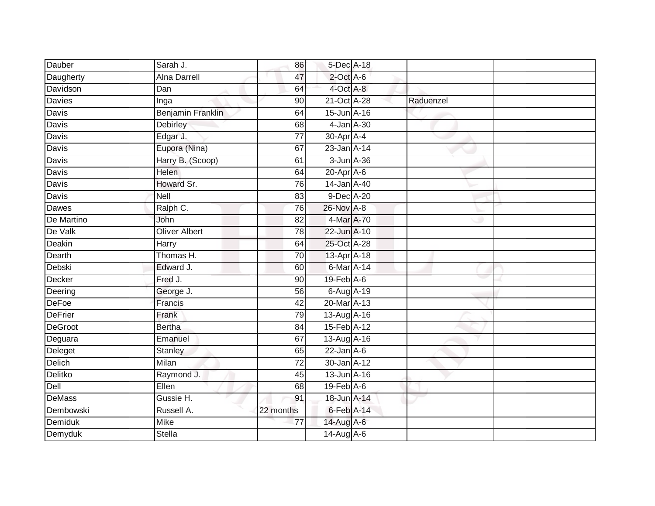| Dauber         | Sarah J.             | 86              | 5-Dec A-18        |           |  |
|----------------|----------------------|-----------------|-------------------|-----------|--|
| Daugherty      | <b>Alna Darrell</b>  | 47              | $2$ -Oct A-6      |           |  |
| Davidson       | Dan                  | 64              | 4-Oct A-8         |           |  |
| Davies         | Inga                 | 90              | $21$ -Oct $A$ -28 | Raduenzel |  |
| Davis          | Benjamin Franklin    | 64              | 15-Jun A-16       |           |  |
| Davis          | <b>Debirley</b>      | 68              | 4-Jan A-30        |           |  |
| Davis          | Edgar J.             | $\overline{77}$ | 30-Apr A-4        |           |  |
| Davis          | Eupora (Nina)        | 67              | 23-Jan A-14       |           |  |
| Davis          | Harry B. (Scoop)     | 61              | 3-Jun A-36        |           |  |
| Davis          | <b>Helen</b>         | 64              | $20$ -Apr $A$ -6  |           |  |
| Davis          | Howard Sr.           | 76              | 14-Jan A-40       |           |  |
| Davis          | Nell                 | 83              | $9$ -Dec $A$ -20  |           |  |
| Dawes          | Ralph C.             | 76              | 26-Nov A-8        |           |  |
| De Martino     | John                 | 82              | 4-Mar A-70        |           |  |
| De Valk        | <b>Oliver Albert</b> | 78              | 22-Jun A-10       |           |  |
| Deakin         | Harry                | 64              | 25-Oct A-28       |           |  |
| Dearth         | Thomas H.            | $\overline{70}$ | 13-Apr A-18       |           |  |
| Debski         | Edward J.            | 60              | 6-Mar A-14        |           |  |
| Decker         | Fred J.              | 90              | $19$ -Feb $A$ -6  |           |  |
| Deering        | George J.            | 56              | 6-Aug A-19        |           |  |
| DeFoe          | Francis              | 42              | 20-Mar A-13       |           |  |
| <b>DeFrier</b> | Frank                | 79              | 13-Aug A-16       |           |  |
| DeGroot        | <b>Bertha</b>        | 84              | 15-Feb A-12       |           |  |
| Deguara        | Emanuel              | 67              | 13-Aug A-16       |           |  |
| Deleget        | Stanley              | 65              | $22$ -Jan A-6     |           |  |
| <b>Delich</b>  | Milan                | 72              | 30-Jan A-12       |           |  |
| Delitko        | Raymond J.           | 45              | 13-Jun A-16       |           |  |
| Dell           | Ellen                | 68              | $19$ -Feb $A$ -6  |           |  |
| <b>DeMass</b>  | Gussie H.            | 91              | 18-Jun A-14       |           |  |
| Dembowski      | Russell A.           | 22 months       | 6-Feb A-14        |           |  |
| <b>Demiduk</b> | <b>Mike</b>          | $\overline{77}$ | 14-Aug A-6        |           |  |
| Demyduk        | <b>Stella</b>        |                 | 14-Aug A-6        |           |  |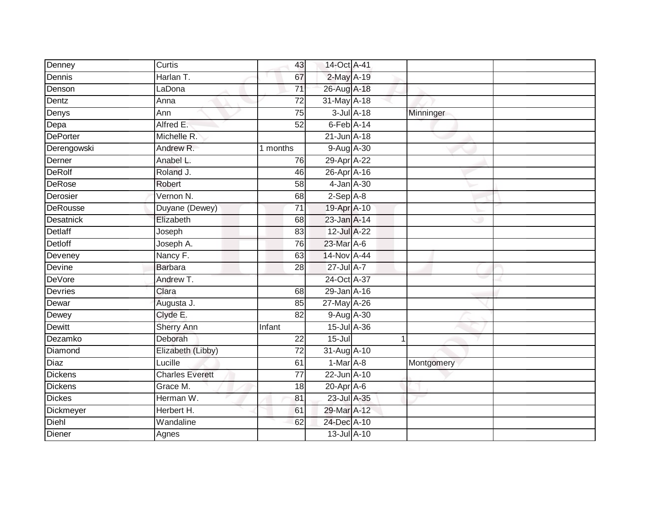| Denney         | Curtis                 | 43              | 14-Oct A-41     |                 |            |  |
|----------------|------------------------|-----------------|-----------------|-----------------|------------|--|
| Dennis         | Harlan T.              | 67              | 2-May A-19      |                 |            |  |
| Denson         | LaDona                 | $\overline{71}$ | 26-Aug A-18     |                 |            |  |
| Dentz          | Anna                   | 72              | 31-May A-18     |                 |            |  |
| Denys          | Ann                    | $\overline{75}$ |                 | $3$ -Jul $A-18$ | Minninger  |  |
| Depa           | Alfred E.              | 52              | $6$ -Feb $A-14$ |                 |            |  |
| DePorter       | Michelle R.            |                 | $21$ -Jun A-18  |                 |            |  |
| Derengowski    | Andrew R.              | 1 months        | 9-Aug A-30      |                 |            |  |
| Derner         | Anabel L.              | 76              | 29-Apr A-22     |                 |            |  |
| DeRolf         | Roland J.              | 46              | 26-Apr A-16     |                 |            |  |
| DeRose         | Robert                 | 58              |                 | 4-Jan A-30      |            |  |
| Derosier       | Vernon N.              | $\overline{68}$ | $2-Sep$ A-8     |                 |            |  |
| DeRousse       | Duyane (Dewey)         | $\overline{71}$ | 19-Apr A-10     |                 |            |  |
| Desatnick      | Elizabeth              | 68              | 23-Jan A-14     |                 |            |  |
| <b>Detlaff</b> | Joseph                 | 83              | 12-Jul A-22     |                 |            |  |
| Detloff        | Joseph A.              | 76              | 23-Mar A-6      |                 |            |  |
| Deveney        | Nancy F.               | 63              | 14-Nov A-44     |                 |            |  |
| Devine         | Barbara                | 28              | 27-Jul A-7      |                 |            |  |
| DeVore         | Andrew T.              |                 | 24-Oct A-37     |                 |            |  |
| Devries        | Clara                  | 68              | 29-Jan A-16     |                 |            |  |
| Dewar          | Augusta J.             | 85              | 27-May A-26     |                 |            |  |
| Dewey          | Clyde E.               | 82              | 9-Aug A-30      |                 |            |  |
| Dewitt         | <b>Sherry Ann</b>      | Infant          | 15-Jul A-36     |                 |            |  |
| Dezamko        | Deborah                | 22              | $15 -$ Jul      |                 |            |  |
| Diamond        | Elizabeth (Libby)      | $\overline{72}$ | 31-Aug A-10     |                 |            |  |
| Diaz           | Lucille                | 61              | $1-Mar A-8$     |                 | Montgomery |  |
| Dickens        | <b>Charles Everett</b> | $\overline{77}$ | 22-Jun A-10     |                 |            |  |
| Dickens        | Grace M.               | 18              | 20-Apr A-6      |                 |            |  |
| <b>Dickes</b>  | Herman W.              | 81              | 23-Jul A-35     |                 |            |  |
| Dickmeyer      | Herbert H.             | 61              | 29-Mar A-12     |                 |            |  |
| Diehl          | Wandaline              | 62              | 24-Dec A-10     |                 |            |  |
| Diener         | Agnes                  |                 | 13-Jul A-10     |                 |            |  |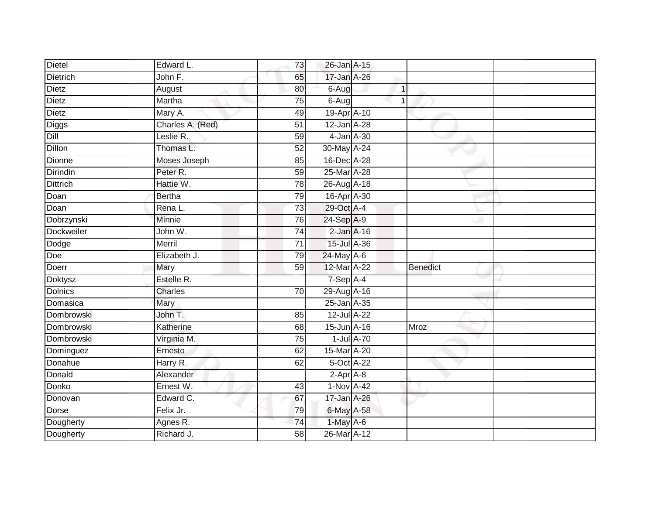| <b>Dietel</b>   | Edward L.        | 73              | 26-Jan A-15      |                      |                 |  |
|-----------------|------------------|-----------------|------------------|----------------------|-----------------|--|
| <b>Dietrich</b> | John F.          | 65              | 17-Jan A-26      |                      |                 |  |
| Dietz           | August           | 80              | 6-Aug            | $\mathbf{1}$         |                 |  |
| Dietz           | Martha           | 75              | $6-Aug$          | $\blacktriangleleft$ |                 |  |
| Dietz           | Mary A.          | 49              | 19-Apr A-10      |                      |                 |  |
| Diggs           | Charles A. (Red) | 51              | 12-Jan A-28      |                      |                 |  |
| Dill            | Leslie R.        | 59              | 4-Jan A-30       |                      |                 |  |
| Dillon          | Thomas L.        | 52              | 30-May A-24      |                      |                 |  |
| Dionne          | Moses Joseph     | 85              | 16-Dec A-28      |                      |                 |  |
| Dirindin        | Peter R.         | 59              | 25-Mar A-28      |                      |                 |  |
| <b>Dittrich</b> | Hattie W.        | 78              | 26-Aug A-18      |                      |                 |  |
| Doan            | <b>Bertha</b>    | 79              | 16-Apr A-30      |                      |                 |  |
| Doan            | Rena L.          | 73              | 29-Oct A-4       |                      |                 |  |
| Dobrzynski      | Minnie           | 76              | 24-Sep A-9       |                      |                 |  |
| Dockweiler      | John W.          | $\overline{74}$ | $2$ -Jan $A-16$  |                      |                 |  |
| Dodge           | Merril           | $\overline{71}$ | 15-Jul A-36      |                      |                 |  |
| Doe             | Elizabeth J.     | 79              | 24-May A-6       |                      |                 |  |
| Doerr           | Mary             | 59              | 12-Mar A-22      |                      | <b>Benedict</b> |  |
| <b>Doktysz</b>  | Estelle R.       |                 | 7-Sep A-4        |                      |                 |  |
| <b>Dolnics</b>  | <b>Charles</b>   | 70              | 29-Aug A-16      |                      |                 |  |
| Domasica        | Mary             |                 | 25-Jan A-35      |                      |                 |  |
| Dombrowski      | John T.          | 85              | 12-Jul A-22      |                      |                 |  |
| Dombrowski      | Katherine        | 68              | 15-Jun A-16      |                      | <b>Mroz</b>     |  |
| Dombrowski      | Virginia M.      | 75              | $1$ -Jul $A$ -70 |                      |                 |  |
| Dominguez       | Ernesto          | 62              | 15-Mar A-20      |                      |                 |  |
| Donahue         | Harry R.         | 62              | 5-Oct A-22       |                      |                 |  |
| Donald          | Alexander        |                 | $2-Apr$ A-8      |                      |                 |  |
| Donko           | Ernest W.        | 43              | 1-Nov A-42       |                      |                 |  |
| Donovan         | Edward C.        | 67              | 17-Jan A-26      |                      |                 |  |
| Dorse           | Felix Jr.        | 79              | 6-May A-58       |                      |                 |  |
| Dougherty       | Agnes R.         | 74              | 1-May A-6        |                      |                 |  |
| Dougherty       | Richard J.       | $\overline{58}$ | 26-Mar A-12      |                      |                 |  |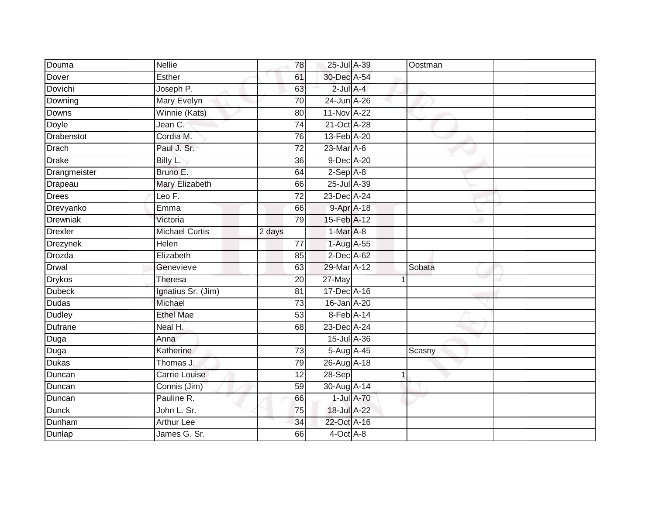| Douma          | Nellie                | 78              | 25-Jul A-39      |            | Oostman |  |
|----------------|-----------------------|-----------------|------------------|------------|---------|--|
| Dover          | Esther                | 61              | 30-Dec A-54      |            |         |  |
| Dovichi        | Joseph P.             | 63              | $2$ -Jul $A-4$   |            |         |  |
| Downing        | Mary Evelyn           | 70              | 24-Jun A-26      |            |         |  |
| <b>Downs</b>   | Winnie (Kats)         | 80              | 11-Nov A-22      |            |         |  |
| Doyle          | Jean C.               | 74              | 21-Oct A-28      |            |         |  |
| Drabenstot     | Cordia M.             | 76              | 13-Feb A-20      |            |         |  |
| <b>Drach</b>   | Paul J. Sr.           | $\overline{72}$ | $23$ -Mar $A$ -6 |            |         |  |
| <b>Drake</b>   | Billy L.              | 36              | 9-Dec A-20       |            |         |  |
| Drangmeister   | Bruno E.              | 64              | $2-Sep$ $A-8$    |            |         |  |
| Drapeau        | Mary Elizabeth        | 66              | 25-Jul A-39      |            |         |  |
| Drees          | Leo F.                | $\overline{72}$ | 23-Dec A-24      |            |         |  |
| Drevyanko      | Emma                  | 66              |                  | 9-Apr A-18 |         |  |
| Drewniak       | Victoria              | 79              | 15-Feb A-12      |            |         |  |
| <b>Drexler</b> | <b>Michael Curtis</b> | 2 days          | 1-Mar A-8        |            |         |  |
| Drezynek       | Helen                 | 77              | 1-Aug A-55       |            |         |  |
| Drozda         | Elizabeth             | 85              | $2$ -Dec $A$ -62 |            |         |  |
| <b>Drwal</b>   | Genevieve             | 63              | 29-Mar A-12      |            | Sobata  |  |
| <b>Drykos</b>  | Theresa               | 20              | 27-May           |            |         |  |
| <b>Dubeck</b>  | Ignatius Sr. (Jim)    | $\overline{81}$ | 17-Dec A-16      |            |         |  |
| <b>Dudas</b>   | Michael               | $\overline{73}$ | 16-Jan A-20      |            |         |  |
| <b>Dudley</b>  | <b>Ethel Mae</b>      | 53              | 8-Feb A-14       |            |         |  |
| <b>Dufrane</b> | Neal H.               | 68              | 23-Dec A-24      |            |         |  |
| Duga           | Anna                  |                 | 15-Jul A-36      |            |         |  |
| Duga           | Katherine             | 73              | 5-Aug A-45       |            | Scasny  |  |
| Dukas          | Thomas J.             | 79              | 26-Aug A-18      |            |         |  |
| Duncan         | Carrie Louise         | 12              | 28-Sep           |            |         |  |
| Duncan         | Connis (Jim)          | 59              | 30-Aug A-14      |            |         |  |
| Duncan         | Pauline R.            | 66              |                  | 1-Jul A-70 |         |  |
| <b>Dunck</b>   | John L. Sr.           | 75              | 18-Jul A-22      |            |         |  |
| Dunham         | <b>Arthur Lee</b>     | 34              | 22-Oct A-16      |            |         |  |
| Dunlap         | James G. Sr.          | 66              | 4-Oct A-8        |            |         |  |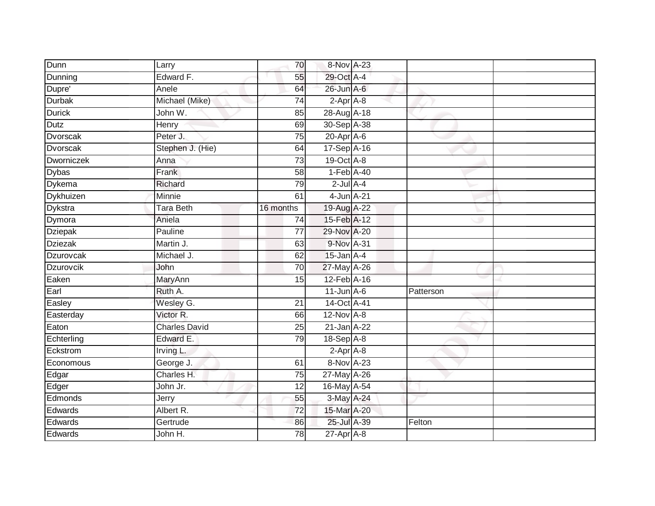| Dunn              | Larry                | 70              | 8-Nov A-23       |           |  |
|-------------------|----------------------|-----------------|------------------|-----------|--|
|                   |                      |                 |                  |           |  |
| Dunning           | Edward F.            | 55              | 29-Oct A-4       |           |  |
| Dupre'            | Anele                | 64              | 26-Jun A-6       |           |  |
| <b>Durbak</b>     | Michael (Mike)       | 74              | 2-Apr A-8        |           |  |
| <b>Durick</b>     | John W.              | 85              | 28-Aug A-18      |           |  |
| Dutz              | Henry                | 69              | 30-Sep A-38      |           |  |
| Dvorscak          | Peter J.             | 75              | $20$ -Apr $A$ -6 |           |  |
| Dvorscak          | Stephen J. (Hie)     | 64              | 17-Sep A-16      |           |  |
| <b>Dworniczek</b> | Anna                 | 73              | 19-Oct A-8       |           |  |
| <b>Dybas</b>      | Frank                | $\overline{58}$ | 1-Feb A-40       |           |  |
| Dykema            | Richard              | 79              | $2$ -Jul $A-4$   |           |  |
| Dykhuizen         | Minnie               | 61              | 4-Jun A-21       |           |  |
| <b>Dykstra</b>    | <b>Tara Beth</b>     | 16 months       | 19-Aug A-22      |           |  |
| Dymora            | Aniela               | 74              | 15-Feb A-12      |           |  |
| Dziepak           | Pauline              | $\overline{77}$ | 29-Nov A-20      |           |  |
| <b>Dziezak</b>    | Martin J.            | 63              | 9-Nov A-31       |           |  |
| Dzurovcak         | Michael J.           | 62              | $15$ -Jan $A-4$  |           |  |
| <b>Dzurovcik</b>  | John                 | 70              | 27-May A-26      |           |  |
| Eaken             | MaryAnn              | 15              | 12-Feb A-16      |           |  |
| Earl              | Ruth A.              |                 | $11$ -Jun $A-6$  | Patterson |  |
| Easley            | Wesley G.            | 21              | 14-Oct A-41      |           |  |
| Easterday         | Victor R.            | 66              | 12-Nov A-8       |           |  |
| Eaton             | <b>Charles David</b> | 25              | 21-Jan A-22      |           |  |
| Echterling        | Edward E.            | 79              | 18-Sep A-8       |           |  |
| Eckstrom          | Irving L.            |                 | $2-Apr$ A-8      |           |  |
| Economous         | George J.            | 61              | 8-Nov A-23       |           |  |
| Edgar             | Charles H.           | 75              | 27-May A-26      |           |  |
| Edger             | John Jr.             | 12              | 16-May A-54      |           |  |
| Edmonds           | Jerry                | 55              | 3-May A-24       |           |  |
| Edwards           | Albert R.            | 72              | 15-Mar A-20      |           |  |
| Edwards           | Gertrude             | 86              | 25-Jul A-39      | Felton    |  |
| Edwards           | John H.              | $\overline{78}$ | $27$ -Apr $A$ -8 |           |  |
|                   |                      |                 |                  |           |  |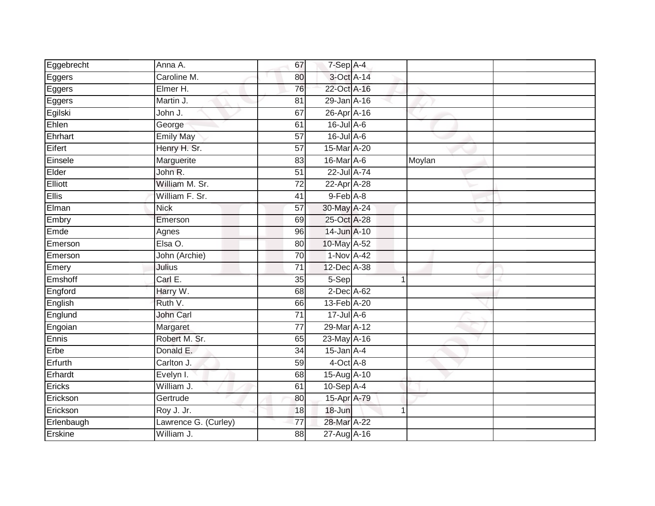| Eggebrecht   | Anna A.              | 67              | 7-Sep A-4        |              |        |  |
|--------------|----------------------|-----------------|------------------|--------------|--------|--|
| Eggers       | Caroline M.          | 80              | 3-Oct A-14       |              |        |  |
| Eggers       | Elmer H.             | 76              | 22-Oct A-16      |              |        |  |
| Eggers       | Martin J.            | 81              | 29-Jan A-16      |              |        |  |
| Egilski      | John J.              | 67              | 26-Apr A-16      |              |        |  |
| Ehlen        | George               | 61              | $16$ -Jul $A-6$  |              |        |  |
| Ehrhart      | <b>Emily May</b>     | 57              | $16$ -Jul $A$ -6 |              |        |  |
| Eifert       | Henry H. Sr.         | 57              | 15-Mar A-20      |              |        |  |
| Einsele      | Marguerite           | 83              | 16-Mar A-6       |              | Moylan |  |
| Elder        | John R.              | $\overline{51}$ | 22-Jul A-74      |              |        |  |
| Elliott      | William M. Sr.       | 72              | 22-Apr A-28      |              |        |  |
| <b>Ellis</b> | William F. Sr.       | 41              | $9$ -Feb $A$ -8  |              |        |  |
| Elman        | <b>Nick</b>          | 57              | 30-May A-24      |              |        |  |
| Embry        | Emerson              | 69              | 25-Oct A-28      |              |        |  |
| Emde         | Agnes                | 96              | 14-Jun A-10      |              |        |  |
| Emerson      | Elsa O.              | 80              | 10-May A-52      |              |        |  |
| Emerson      | John (Archie)        | $\overline{70}$ | 1-Nov A-42       |              |        |  |
| Emery        | Julius               | $\overline{71}$ | 12-Dec A-38      |              |        |  |
| Emshoff      | Carl E.              | 35              | 5-Sep            |              |        |  |
| Engford      | Harry W.             | 68              | 2-Dec A-62       |              |        |  |
| English      | Ruth V.              | 66              | 13-Feb A-20      |              |        |  |
| Englund      | John Carl            | $\overline{71}$ | $17$ -Jul $A$ -6 |              |        |  |
| Engoian      | Margaret             | 77              | 29-Mar A-12      |              |        |  |
| Ennis        | Robert M. Sr.        | 65              | 23-May A-16      |              |        |  |
| Erbe         | Donald E.            | 34              | $15$ -Jan $A-4$  |              |        |  |
| Erfurth      | Carlton J.           | 59              | $4$ -Oct $A$ -8  |              |        |  |
| Erhardt      | Evelyn I.            | 68              | 15-Aug A-10      |              |        |  |
| Ericks       | William J.           | 61              | 10-Sep A-4       |              |        |  |
| Erickson     | Gertrude             | 80              | 15-Apr A-79      |              |        |  |
| Erickson     | Roy J. Jr.           | 18              | 18-Jun           | $\mathbf{1}$ |        |  |
| Erlenbaugh   | Lawrence G. (Curley) | 77              | 28-Mar A-22      |              |        |  |
| Erskine      | William J.           | 88              | 27-Aug A-16      |              |        |  |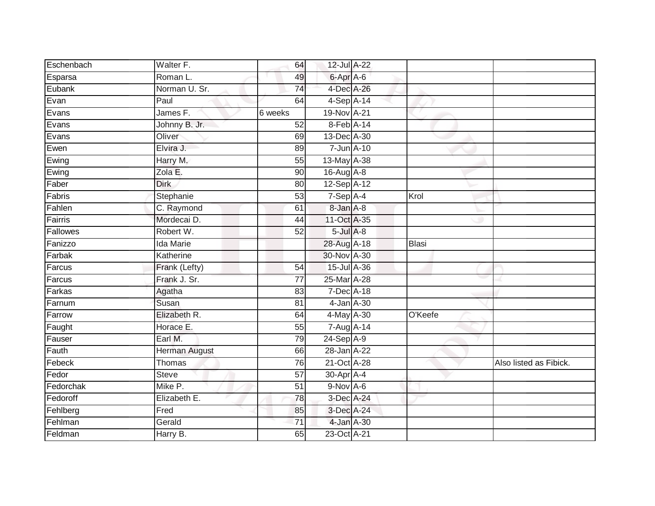| Eschenbach | Walter F.            | 64              | 12-Jul A-22    |            |         |                        |
|------------|----------------------|-----------------|----------------|------------|---------|------------------------|
| Esparsa    | Roman L.             | 49              | 6-Apr A-6      |            |         |                        |
| Eubank     | Norman U. Sr.        | $\overline{74}$ | 4-Dec A-26     |            |         |                        |
| Evan       | Paul                 | 64              | $4-Sep$ A-14   |            |         |                        |
| Evans      | James F.             | 6 weeks         | 19-Nov A-21    |            |         |                        |
| Evans      | Johnny B. Jr.        | 52              | 8-Feb A-14     |            |         |                        |
| Evans      | Oliver               | 69              | 13-Dec A-30    |            |         |                        |
| Ewen       | Elvira J.            | 89              |                | 7-Jun A-10 |         |                        |
| Ewing      | Harry M.             | 55              | 13-May A-38    |            |         |                        |
| Ewing      | Zola E.              | 90              | 16-Aug A-8     |            |         |                        |
| Faber      | <b>Dirk</b>          | 80              | 12-Sep A-12    |            |         |                        |
| Fabris     | Stephanie            | 53              | $7-Sep$ A-4    |            | Krol    |                        |
| Fahlen     | C. Raymond           | 61              | 8-Jan A-8      |            |         |                        |
| Fairris    | Mordecai D.          | 44              | 11-Oct A-35    |            |         |                        |
| Fallowes   | Robert W.            | $\overline{52}$ | $5$ -Jul $A-8$ |            |         |                        |
| Fanizzo    | <b>Ida Marie</b>     |                 | 28-Aug A-18    |            | Blasi   |                        |
| Farbak     | Katherine            |                 | 30-Nov A-30    |            |         |                        |
| Farcus     | Frank (Lefty)        | 54              | 15-Jul A-36    |            |         |                        |
| Farcus     | Frank J. Sr.         | $\overline{77}$ | 25-Mar A-28    |            |         |                        |
| Farkas     | Agatha               | 83              | 7-Dec A-18     |            |         |                        |
| Farnum     | Susan                | 81              |                | 4-Jan A-30 |         |                        |
| Farrow     | Elizabeth R.         | 64              | 4-May A-30     |            | O'Keefe |                        |
| Faught     | Horace E.            | 55              | 7-Aug A-14     |            |         |                        |
| Fauser     | Earl M.              | 79              | $24-Sep$ A-9   |            |         |                        |
| Fauth      | <b>Herman August</b> | 66              | 28-Jan A-22    |            |         |                        |
| Febeck     | Thomas               | 76              | 21-Oct A-28    |            |         | Also listed as Fibick. |
| Fedor      | <b>Steve</b>         | $\overline{57}$ | 30-Apr A-4     |            |         |                        |
| Fedorchak  | Mike P.              | $\overline{51}$ | 9-Nov A-6      |            |         |                        |
| Fedoroff   | Elizabeth E.         | 78              | 3-Dec A-24     |            |         |                        |
| Fehlberg   | Fred                 | 85              | 3-Dec A-24     |            |         |                        |
| Fehlman    | Gerald               | 71              | 4-Jan A-30     |            |         |                        |
| Feldman    | Harry B.             | 65              | 23-Oct A-21    |            |         |                        |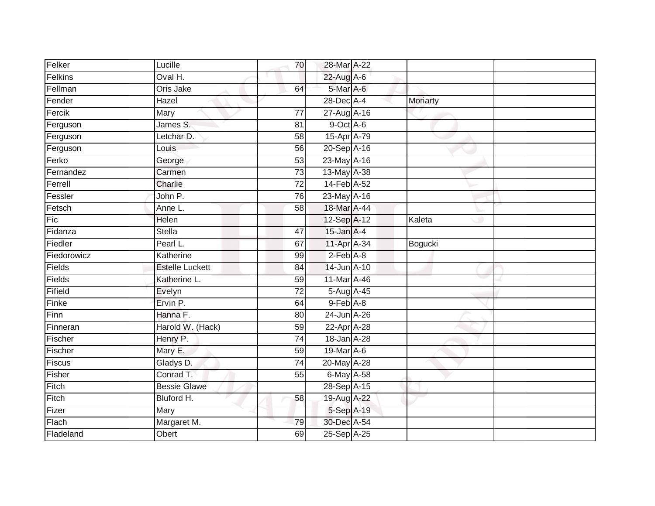| Felker      | Lucille                | 70              | 28-Mar A-22                 |          |  |
|-------------|------------------------|-----------------|-----------------------------|----------|--|
| Felkins     | Oval H.                |                 | $22$ -Aug A-6               |          |  |
| Fellman     | Oris Jake              | 64              | 5-Mar A-6                   |          |  |
| Fender      | Hazel                  |                 | 28-Dec A-4                  | Moriarty |  |
| Fercik      | Mary                   | 77              | 27-Aug A-16                 |          |  |
| Ferguson    | James S.               | 81              | 9-Oct A-6                   |          |  |
| Ferguson    | Letchar D.             | 58              | 15-Apr A-79                 |          |  |
| Ferguson    | Louis                  | 56              | 20-Sep A-16                 |          |  |
| Ferko       | George                 | 53              | 23-May A-16                 |          |  |
| Fernandez   | Carmen                 | 73              | 13-May A-38                 |          |  |
| Ferrell     | Charlie                | $\overline{72}$ | 14-Feb A-52                 |          |  |
| Fessler     | John P.                | 76              | 23-May A-16                 |          |  |
| Fetsch      | Anne L.                | 58              | 18-Mar A-44                 |          |  |
| Fic         | Helen                  |                 | 12-Sep A-12                 | Kaleta   |  |
| Fidanza     | <b>Stella</b>          | $\overline{47}$ | 15-Jan A-4                  |          |  |
| Fiedler     | Pearl L.               | 67              | 11-Apr A-34                 | Bogucki  |  |
| Fiedorowicz | Katherine              | 99              | $2-Feb$ $A-8$               |          |  |
| Fields      | <b>Estelle Luckett</b> | 84              | 14-Jun A-10                 |          |  |
| Fields      | Katherine L.           | 59              | 11-Mar A-46                 |          |  |
| Fifield     | Evelyn                 | $\overline{72}$ | 5-Aug A-45                  |          |  |
| Finke       | Ervin P.               | 64              | 9-Feb A-8                   |          |  |
| Finn        | Hanna F.               | 80              | 24-Jun A-26                 |          |  |
| Finneran    | Harold W. (Hack)       | 59              | 22-Apr A-28                 |          |  |
| Fischer     | Henry P.               | 74              | 18-Jan A-28                 |          |  |
| Fischer     | Mary E.                | 59              | $19$ -Mar $\overline{A}$ -6 |          |  |
| Fiscus      | Gladys D.              | 74              | 20-May A-28                 |          |  |
| Fisher      | Conrad T.              | 55              | 6-May A-58                  |          |  |
| Fitch       | <b>Bessie Glawe</b>    |                 | 28-Sep A-15                 |          |  |
| Fitch       | Bluford H.             | 58              | 19-Aug A-22                 |          |  |
| Fizer       | Mary                   |                 | 5-Sep A-19                  |          |  |
| Flach       | Margaret M.            | 79              | 30-Dec A-54                 |          |  |
| Fladeland   | Obert                  | 69              | 25-Sep A-25                 |          |  |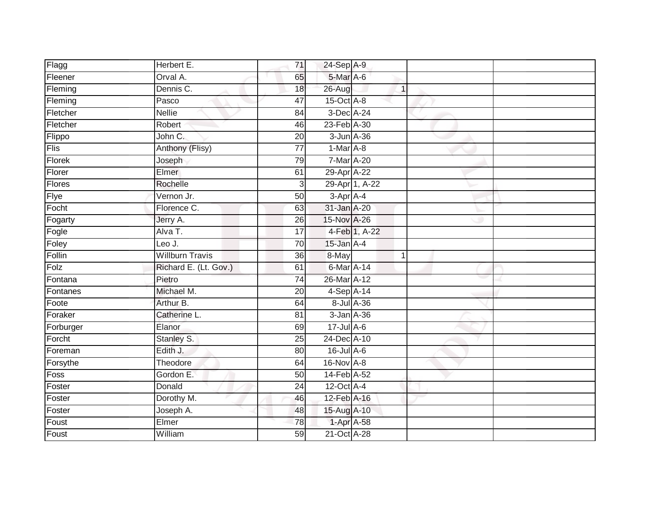| Flagg     | Herbert E.             | 71              | 24-Sep A-9       |               |  |
|-----------|------------------------|-----------------|------------------|---------------|--|
| Fleener   | Orval A.               | 65              | 5-Mar A-6        |               |  |
| Fleming   | Dennis C.              | 18              | 26-Aug           | $\mathbf{1}$  |  |
| Fleming   | Pasco                  | 47              | 15-Oct A-8       |               |  |
| Fletcher  | <b>Nellie</b>          | 84              | 3-Dec A-24       |               |  |
| Fletcher  | Robert                 | 46              | 23-Feb A-30      |               |  |
| Flippo    | John C.                | 20              | 3-Jun A-36       |               |  |
| Flis      | Anthony (Flisy)        | 77              | $1-Mar$ A-8      |               |  |
| Florek    | Joseph                 | 79              | 7-Mar A-20       |               |  |
| Florer    | Elmer                  | 61              | 29-Apr A-22      |               |  |
| Flores    | Rochelle               | 3               | 29-Apr 1, A-22   |               |  |
| Flye      | Vernon Jr.             | 50              | 3-Apr A-4        |               |  |
| Focht     | Florence C.            | 63              | 31-Jan A-20      |               |  |
| Fogarty   | Jerry A.               | 26              | 15-Nov A-26      |               |  |
| Fogle     | Alva T.                | $\overline{17}$ |                  | 4-Feb 1, A-22 |  |
| Foley     | Leo J.                 | 70              | $15$ -Jan $A-4$  |               |  |
| Follin    | <b>Willburn Travis</b> | $\overline{36}$ | 8-May            | $\mathbf{1}$  |  |
| Folz      | Richard E. (Lt. Gov.)  | 61              | 6-Mar A-14       |               |  |
| Fontana   | Pietro                 | $\overline{74}$ | 26-Mar A-12      |               |  |
| Fontanes  | Michael M.             | $\overline{20}$ | 4-Sep A-14       |               |  |
| Foote     | Arthur B.              | 64              | 8-Jul A-36       |               |  |
| Foraker   | Catherine L.           | 81              | 3-Jan A-36       |               |  |
| Forburger | Elanor                 | 69              | $17 -$ Jul A-6   |               |  |
| Forcht    | Stanley S.             | 25              | 24-Dec A-10      |               |  |
| Foreman   | Edith J.               | 80              | 16-Jul A-6       |               |  |
| Forsythe  | Theodore               | 64              | 16-Nov A-8       |               |  |
| Foss      | Gordon E.              | 50              | 14-Feb A-52      |               |  |
| Foster    | Donald                 | 24              | $12$ -Oct $A$ -4 |               |  |
| Foster    | Dorothy M.             | 46              | 12-Feb A-16      |               |  |
| Foster    | Joseph A.              | 48              | 15-Aug A-10      |               |  |
| Foust     | Elmer                  | 78              | 1-Apr A-58       |               |  |
| Foust     | William                | 59              | 21-Oct A-28      |               |  |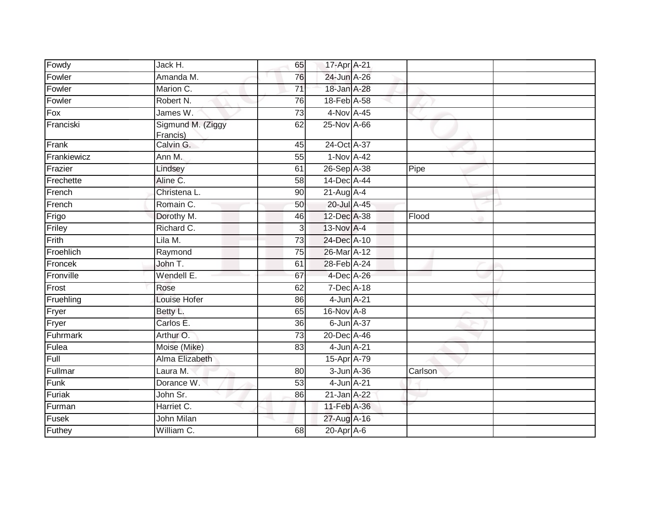| Fowdy       | Jack H.                        | 65              | 17-Apr A-21      |         |  |
|-------------|--------------------------------|-----------------|------------------|---------|--|
| Fowler      | Amanda M.                      | 76              | 24-Jun A-26      |         |  |
| Fowler      | Marion C.                      | 71              | 18-Jan A-28      |         |  |
| Fowler      | Robert N.                      | 76              | 18-Feb A-58      |         |  |
| Fox         | James W.                       | 73              | 4-Nov A-45       |         |  |
| Franciski   | Sigmund M. (Ziggy<br>Francis)  | 62              | 25-Nov A-66      |         |  |
| Frank       | Calvin G.                      | 45              | 24-Oct A-37      |         |  |
| Frankiewicz | Ann M.                         | 55              | 1-Nov A-42       |         |  |
| Frazier     | Lindsey                        | 61              | 26-Sep A-38      | Pipe    |  |
| Frechette   | Aline C.                       | 58              | 14-Dec A-44      |         |  |
| French      | Christena L.                   | 90              | $21-Aug$ A-4     |         |  |
| French      | Romain C.                      | 50              | 20-Jul A-45      |         |  |
| Frigo       | Dorothy M.                     | 46              | 12-Dec A-38      | Flood   |  |
| Friley      | Richard C.                     | $\overline{3}$  | 13-Nov A-4       |         |  |
| Frith       | Lila M.                        | 73              | 24-Dec A-10      |         |  |
| Froehlich   | Raymond                        | 75              | 26-Mar A-12      |         |  |
| Froncek     | John T.                        | 61              | 28-Feb A-24      |         |  |
| Fronville   | Wendell E.                     | 67              | 4-Dec A-26       |         |  |
| Frost       | Rose                           | 62              | $7$ -Dec $A$ -18 |         |  |
| Fruehling   | <b>Louise Hofer</b>            | 86              | 4-Jun A-21       |         |  |
| Fryer       | Betty L.                       | 65              | 16-Nov A-8       |         |  |
| Fryer       | Carlos E.                      | 36              | $6$ -Jun $A$ -37 |         |  |
| Fuhrmark    | Arthur O.                      | $\overline{73}$ | 20-Dec A-46      |         |  |
| Fulea       | Moise (Mike)                   | 83              | 4-Jun A-21       |         |  |
| Full        | Alma Elizabeth                 |                 | 15-Apr A-79      |         |  |
| Fullmar     | Laura M.                       | 80              | 3-Jun A-36       | Carlson |  |
| Funk        | Dorance W.                     | 53              | 4-Jun A-21       |         |  |
| Furiak      | John Sr.                       | 86              | 21-Jan A-22      |         |  |
| Furman      | Harriet C.                     |                 | 11-Feb A-36      |         |  |
| Fusek       | John Milan                     | a.              | 27-Aug A-16      |         |  |
| Futhey      | $\overline{\text{William}}$ C. | 68              | 20-Apr A-6       |         |  |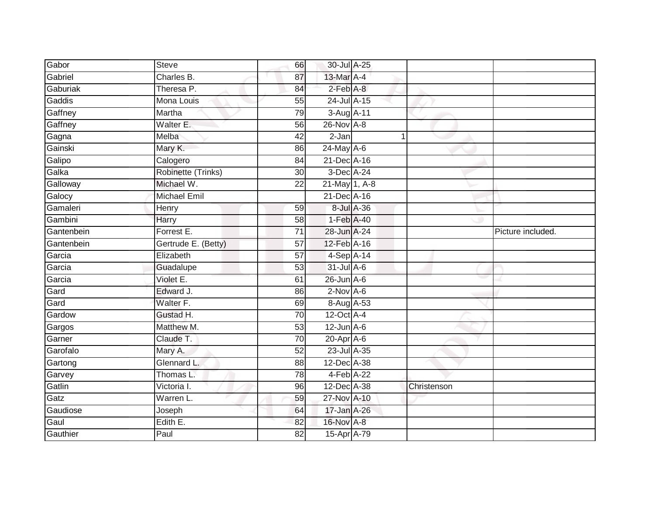| Gabor      | <b>Steve</b>        | 66              | 30-Jul A-25     |   |             |                   |
|------------|---------------------|-----------------|-----------------|---|-------------|-------------------|
| Gabriel    | Charles B.          | 87              | 13-Mar A-4      |   |             |                   |
| Gaburiak   | Theresa P.          | 84              | $2$ -Feb $A-8$  |   |             |                   |
| Gaddis     | Mona Louis          | 55              | 24-Jul A-15     |   |             |                   |
| Gaffney    | Martha              | 79              | 3-Aug A-11      |   |             |                   |
| Gaffney    | Walter E.           | 56              | 26-Nov A-8      |   |             |                   |
| Gagna      | Melba               | 42              | 2-Jan           | 1 |             |                   |
| Gainski    | Mary K.             | 86              | 24-May A-6      |   |             |                   |
| Galipo     | Calogero            | 84              | 21-Dec A-16     |   |             |                   |
| Galka      | Robinette (Trinks)  | $\overline{30}$ | 3-Dec A-24      |   |             |                   |
| Galloway   | Michael W.          | $\overline{22}$ | 21-May 1, A-8   |   |             |                   |
| Galocy     | <b>Michael Emil</b> |                 | 21-Dec A-16     |   |             |                   |
| Gamaleri   | Henry               | 59              | 8-Jul A-36      |   |             |                   |
| Gambini    | Harry               | 58              | 1-Feb A-40      |   |             |                   |
| Gantenbein | Forrest E.          | $\overline{71}$ | 28-Jun A-24     |   |             | Picture included. |
| Gantenbein | Gertrude E. (Betty) | 57              | 12-Feb A-16     |   |             |                   |
| Garcia     | Elizabeth           | $\overline{57}$ | $4-Sep$ A-14    |   |             |                   |
| Garcia     | Guadalupe           | 53              | 31-Jul A-6      |   |             |                   |
| Garcia     | Violet E.           | 61              | 26-Jun A-6      |   |             |                   |
| Gard       | Edward J.           | 86              | $2$ -Nov A-6    |   |             |                   |
| Gard       | Walter F.           | 69              | 8-Aug A-53      |   |             |                   |
| Gardow     | Gustad H.           | $\overline{70}$ | 12-Oct A-4      |   |             |                   |
| Gargos     | Matthew M.          | 53              | $12$ -Jun $A-6$ |   |             |                   |
| Garner     | Claude T.           | 70              | 20-Apr A-6      |   |             |                   |
| Garofalo   | Mary A.             | $\overline{52}$ | 23-Jul A-35     |   |             |                   |
| Gartong    | Glennard L.         | 88              | 12-Dec A-38     |   |             |                   |
| Garvey     | Thomas L.           | 78              | 4-Feb A-22      |   |             |                   |
| Gatlin     | Victoria I.         | 96              | 12-Dec A-38     |   | Christenson |                   |
| Gatz       | Warren L.           | 59              | 27-Nov A-10     |   |             |                   |
| Gaudiose   | Joseph              | 64              | 17-Jan A-26     |   |             |                   |
| Gaul       | Edith E.            | 82              | 16-Nov A-8      |   |             |                   |
| Gauthier   | Paul                | 82              | 15-Apr A-79     |   |             |                   |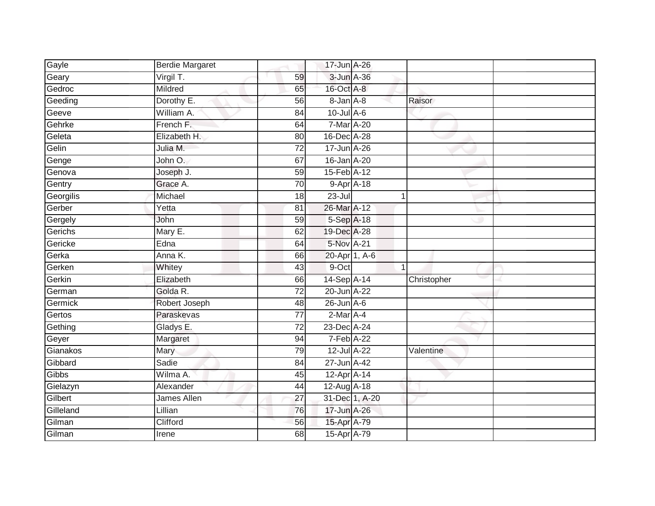| Gayle     | <b>Berdie Margaret</b> |                 | 17-Jun A-26     |                |             |
|-----------|------------------------|-----------------|-----------------|----------------|-------------|
| Geary     | Virgil T.              | 59              | 3-Jun A-36      |                |             |
| Gedroc    | Mildred                | 65              | 16-Oct A-8      |                |             |
| Geeding   | Dorothy E.             | 56              | 8-Jan A-8       |                | Raisor      |
| Geeve     | William A.             | $\overline{84}$ | $10$ -Jul A-6   |                |             |
| Gehrke    | French F.              | 64              | 7-Mar A-20      |                |             |
| Geleta    | Elizabeth H.           | 80              | 16-Dec A-28     |                |             |
| Gelin     | Julia M.               | 72              | 17-Jun A-26     |                |             |
| Genge     | John O.                | 67              | 16-Jan A-20     |                |             |
| Genova    | Joseph J.              | 59              | 15-Feb A-12     |                |             |
| Gentry    | Grace A.               | 70              | 9-Apr A-18      |                |             |
| Georgilis | Michael                | 18              | $23 -$ Jul      | $\mathbf 1$    |             |
| Gerber    | Yetta                  | 81              | 26-Mar A-12     |                |             |
| Gergely   | John                   | 59              | 5-Sep A-18      |                |             |
| Gerichs   | Mary E.                | 62              | 19-Dec A-28     |                |             |
| Gericke   | Edna                   | 64              | 5-Nov A-21      |                |             |
| Gerka     | Anna K.                | 66              | 20-Apr 1, A-6   |                |             |
| Gerken    | Whitey                 | 43              | 9-Oct           | $\mathbf{1}$   |             |
| Gerkin    | Elizabeth              | 66              | 14-Sep A-14     |                | Christopher |
| German    | Golda R.               | $\overline{72}$ | 20-Jun A-22     |                |             |
| Germick   | Robert Joseph          | 48              | $26$ -Jun $A-6$ |                |             |
| Gertos    | Paraskevas             | 77              | $2$ -Mar $A$ -4 |                |             |
| Gething   | Gladys E.              | 72              | 23-Dec A-24     |                |             |
| Geyer     | Margaret               | 94              | 7-Feb A-22      |                |             |
| Gianakos  | Mary                   | 79              | 12-Jul A-22     |                | Valentine   |
| Gibbard   | Sadie                  | 84              | 27-Jun A-42     |                |             |
| Gibbs     | Wilma A.               | 45              | 12-Apr A-14     |                |             |
| Gielazyn  | Alexander              | 44              | 12-Aug A-18     |                |             |
| Gilbert   | James Allen            | 27              |                 | 31-Dec 1, A-20 |             |
| Gilleland | Lillian                | 76              | 17-Jun A-26     |                |             |
| Gilman    | Clifford               | 56              | 15-Apr A-79     |                |             |
| Gilman    | Irene                  | 68              | 15-Apr A-79     |                |             |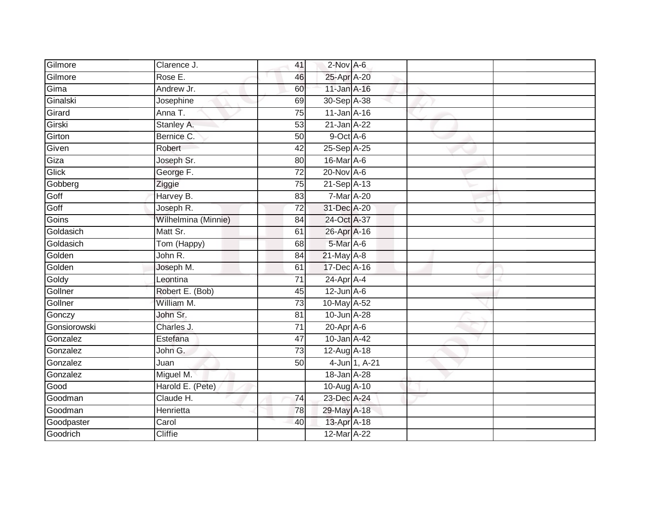| Gilmore      | Clarence J.         | 41              | 2-Nov A-6         |               |  |
|--------------|---------------------|-----------------|-------------------|---------------|--|
| Gilmore      | Rose E.             | 46              | 25-Apr A-20       |               |  |
| Gima         | Andrew Jr.          | 60              | 11-Jan A-16       |               |  |
| Ginalski     | Josephine           | 69              | 30-Sep A-38       |               |  |
| Girard       | Anna T.             | $\overline{75}$ | $11$ -Jan $A-16$  |               |  |
| Girski       | Stanley A.          | 53              | 21-Jan A-22       |               |  |
| Girton       | Bernice C.          | 50              | $9$ -Oct $A$ -6   |               |  |
| Given        | Robert              | 42              | 25-Sep A-25       |               |  |
| Giza         | Joseph Sr.          | 80              | 16-Mar A-6        |               |  |
| Glick        | George F.           | $\overline{72}$ | 20-Nov A-6        |               |  |
| Gobberg      | Ziggie              | 75              | 21-Sep A-13       |               |  |
| Goff         | Harvey B.           | 83              | 7-Mar A-20        |               |  |
| Goff         | Joseph R.           | 72              | 31-Dec A-20       |               |  |
| Goins        | Wilhelmina (Minnie) | 84              | 24-Oct A-37       |               |  |
| Goldasich    | Matt Sr.            | 61              | 26-Apr A-16       |               |  |
| Goldasich    | Tom (Happy)         | 68              | 5-Mar A-6         |               |  |
| Golden       | John R.             | 84              | 21-May A-8        |               |  |
| Golden       | Joseph M.           | 61              | 17-Dec A-16       |               |  |
| Goldy        | Leontina            | $\overline{71}$ | 24-Apr A-4        |               |  |
| Gollner      | Robert E. (Bob)     | 45              | $12$ -Jun $A-6$   |               |  |
| Gollner      | William M.          | $\overline{73}$ | 10-May A-52       |               |  |
| Gonczy       | John Sr.            | 81              | 10-Jun A-28       |               |  |
| Gonsiorowski | Charles J.          | 71              | $20$ -Apr $A$ -6  |               |  |
| Gonzalez     | Estefana            | 47              | 10-Jan A-42       |               |  |
| Gonzalez     | John G.             | 73              | $12$ -Aug $A$ -18 |               |  |
| Gonzalez     | Juan                | 50              |                   | 4-Jun 1, A-21 |  |
| Gonzalez     | Miguel M.           |                 | 18-Jan A-28       |               |  |
| Good         | Harold E. (Pete)    |                 | 10-Aug A-10       |               |  |
| Goodman      | Claude H.           | 74              | 23-Dec A-24       |               |  |
| Goodman      | Henrietta           | 78              | 29-May A-18       |               |  |
| Goodpaster   | Carol               | 40              | 13-Apr A-18       |               |  |
| Goodrich     | <b>Cliffie</b>      |                 | 12-Mar A-22       |               |  |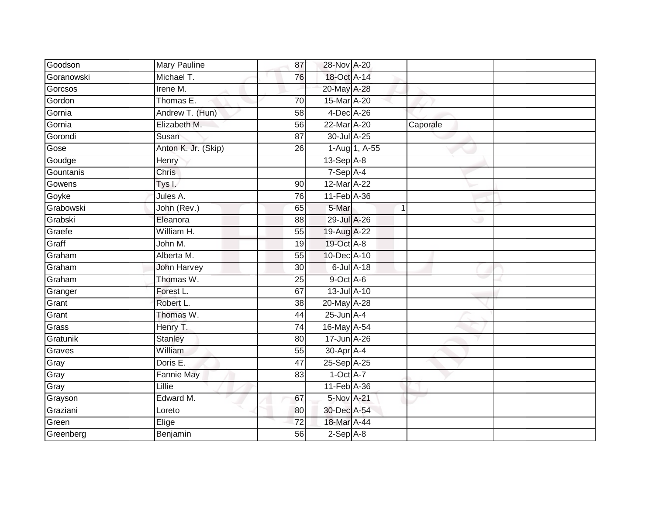| Goodson    | Mary Pauline        | 87              | 28-Nov A-20      |               |             |  |
|------------|---------------------|-----------------|------------------|---------------|-------------|--|
| Goranowski | Michael T.          | 76              | 18-Oct A-14      |               |             |  |
| Gorcsos    | Irene M.            |                 | 20-May A-28      |               |             |  |
| Gordon     | Thomas E.           | 70              | 15-Mar A-20      |               |             |  |
| Gornia     | Andrew T. (Hun)     | $\overline{58}$ | 4-Dec A-26       |               |             |  |
| Gornia     | Elizabeth M.        | 56              | 22-Mar A-20      |               | Caporale    |  |
| Gorondi    | Susan               | 87              | 30-Jul A-25      |               |             |  |
| Gose       | Anton K. Jr. (Skip) | 26              |                  | 1-Aug 1, A-55 |             |  |
| Goudge     | Henry               |                 | $13-Sep$ A-8     |               |             |  |
| Gountanis  | <b>Chris</b>        |                 | $7-Sep$ A-4      |               |             |  |
| Gowens     | Tys I.              | 90              | 12-Mar A-22      |               |             |  |
| Goyke      | Jules A.            | 76              | 11-Feb A-36      |               |             |  |
| Grabowski  | John (Rev.)         | 65              | 5-Mar            |               | $\mathbf 1$ |  |
| Grabski    | Eleanora            | 88              | 29-Jul A-26      |               |             |  |
| Graefe     | William H.          | 55              | 19-Aug A-22      |               |             |  |
| Graff      | John M.             | 19              | 19-Oct A-8       |               |             |  |
| Graham     | Alberta M.          | 55              | 10-Dec A-10      |               |             |  |
| Graham     | <b>John Harvey</b>  | 30              | $6$ -Jul $A$ -18 |               |             |  |
| Graham     | Thomas W.           | 25              | 9-Oct A-6        |               |             |  |
| Granger    | Forest L.           | 67              | 13-Jul A-10      |               |             |  |
| Grant      | Robert L.           | 38              | 20-May A-28      |               |             |  |
| Grant      | Thomas W.           | 44              | $25$ -Jun $A-4$  |               |             |  |
| Grass      | Henry T.            | 74              | 16-May A-54      |               |             |  |
| Gratunik   | <b>Stanley</b>      | 80              | 17-Jun A-26      |               |             |  |
| Graves     | William             | 55              | 30-Apr A-4       |               |             |  |
| Gray       | Doris E.            | 47              | 25-Sep A-25      |               |             |  |
| Gray       | <b>Fannie May</b>   | 83              | $1-Oct$ A-7      |               |             |  |
| Gray       | Lillie              |                 | 11-Feb A-36      |               |             |  |
| Grayson    | Edward M.           | 67              | 5-Nov A-21       |               |             |  |
| Graziani   | Loreto              | 80              | 30-Dec A-54      |               |             |  |
| Green      | Elige               | 72              | 18-Mar A-44      |               |             |  |
| Greenberg  | Benjamin            | 56              | $2-Sep$ $A-8$    |               |             |  |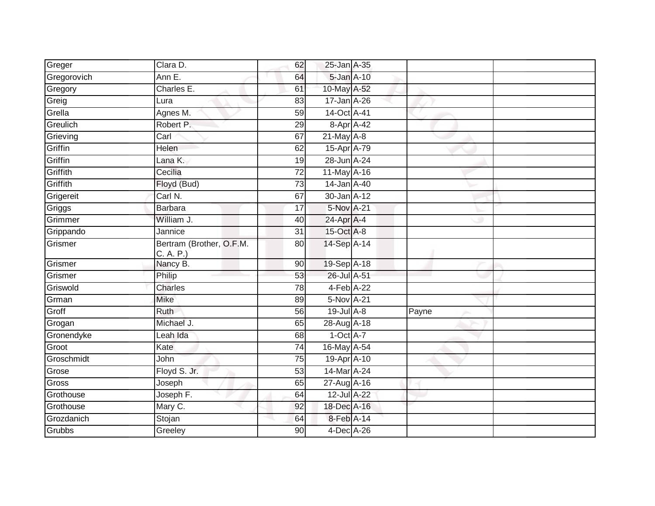| Greger      | Clara D.                              | 62              | 25-Jan A-35     |       |  |
|-------------|---------------------------------------|-----------------|-----------------|-------|--|
| Gregorovich | Ann E.                                | 64              | 5-Jan A-10      |       |  |
| Gregory     | Charles E.                            | 61              | 10-May A-52     |       |  |
| Greig       | Lura                                  | 83              | $17 - Jan$ A-26 |       |  |
| Grella      | Agnes M.                              | $\overline{59}$ | 14-Oct A-41     |       |  |
| Greulich    | Robert P.                             | 29              | 8-Apr A-42      |       |  |
| Grieving    | Carl                                  | 67              | $21$ -May $A-8$ |       |  |
| Griffin     | Helen                                 | 62              | 15-Apr A-79     |       |  |
| Griffin     | Lana K.                               | 19              | 28-Jun A-24     |       |  |
| Griffith    | Cecilia                               | $\overline{72}$ | 11-May A-16     |       |  |
| Griffith    | Floyd (Bud)                           | $\overline{73}$ | 14-Jan A-40     |       |  |
| Grigereit   | Carl N.                               | 67              | 30-Jan A-12     |       |  |
| Griggs      | <b>Barbara</b>                        | 17              | 5-Nov A-21      |       |  |
| Grimmer     | William J.                            | 40              | 24-Apr A-4      |       |  |
| Grippando   | Jannice                               | $\overline{31}$ | 15-Oct A-8      |       |  |
| Grismer     | Bertram (Brother, O.F.M.<br>C. A. P.) | 80              | 14-Sep A-14     |       |  |
| Grismer     | Nancy B.                              | 90              | 19-Sep A-18     |       |  |
| Grismer     | Philip                                | 53              | 26-Jul A-51     |       |  |
| Griswold    | Charles                               | 78              | 4-Feb A-22      |       |  |
| Grman       | <b>Mike</b>                           | 89              | 5-Nov A-21      |       |  |
| Groff       | <b>Ruth</b>                           | 56              | $19$ -Jul $A-8$ | Payne |  |
| Grogan      | Michael J.                            | 65              | 28-Aug A-18     |       |  |
| Gronendyke  | Leah Ida                              | 68              | $1-Oct$ $A-7$   |       |  |
| Groot       | Kate                                  | 74              | 16-May A-54     |       |  |
| Groschmidt  | John                                  | $\overline{75}$ | 19-Apr A-10     |       |  |
| Grose       | Floyd S. Jr.                          | 53              | 14-Mar A-24     |       |  |
| Gross       | Joseph                                | 65              | 27-Aug A-16     |       |  |
| Grothouse   | Joseph F.                             | 64              | 12-Jul A-22     |       |  |
| Grothouse   | Mary C.                               | 92              | 18-Dec A-16     |       |  |
| Grozdanich  | Stojan                                | 64              | 8-Feb A-14      |       |  |
| Grubbs      | Greeley                               | 90              | 4-Dec A-26      |       |  |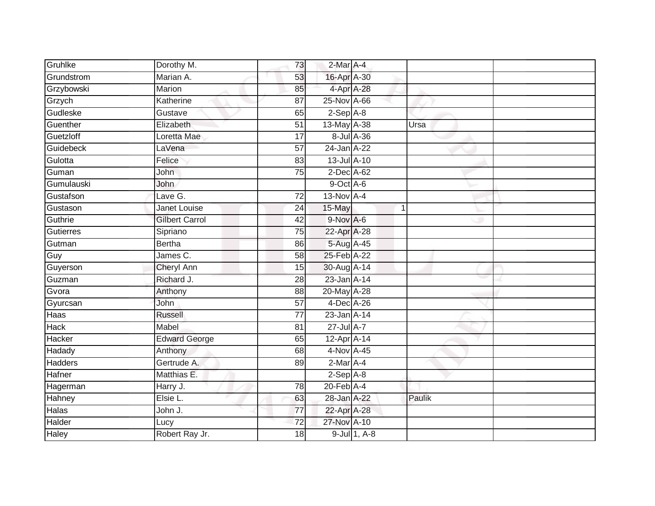|                       | 73              |        |   |                                                                                                                                                                                                                                                                                                                                                                                                                                                                                                      |
|-----------------------|-----------------|--------|---|------------------------------------------------------------------------------------------------------------------------------------------------------------------------------------------------------------------------------------------------------------------------------------------------------------------------------------------------------------------------------------------------------------------------------------------------------------------------------------------------------|
| Marian A.             | 53              |        |   |                                                                                                                                                                                                                                                                                                                                                                                                                                                                                                      |
| Marion                | 85              |        |   |                                                                                                                                                                                                                                                                                                                                                                                                                                                                                                      |
| Katherine             | 87              |        |   |                                                                                                                                                                                                                                                                                                                                                                                                                                                                                                      |
| Gustave               | 65              |        |   |                                                                                                                                                                                                                                                                                                                                                                                                                                                                                                      |
| Elizabeth             | 51              |        |   | Ursa                                                                                                                                                                                                                                                                                                                                                                                                                                                                                                 |
| Loretta Mae           | 17              |        |   |                                                                                                                                                                                                                                                                                                                                                                                                                                                                                                      |
| LaVena                | 57              |        |   |                                                                                                                                                                                                                                                                                                                                                                                                                                                                                                      |
| Felice                | 83              |        |   |                                                                                                                                                                                                                                                                                                                                                                                                                                                                                                      |
| John                  | $\overline{75}$ |        |   |                                                                                                                                                                                                                                                                                                                                                                                                                                                                                                      |
| John                  |                 |        |   |                                                                                                                                                                                                                                                                                                                                                                                                                                                                                                      |
| Lave $\overline{G}$ . | $\overline{72}$ |        |   |                                                                                                                                                                                                                                                                                                                                                                                                                                                                                                      |
| <b>Janet Louise</b>   | 24              | 15-May | 1 |                                                                                                                                                                                                                                                                                                                                                                                                                                                                                                      |
| <b>Gilbert Carrol</b> | 42              |        |   |                                                                                                                                                                                                                                                                                                                                                                                                                                                                                                      |
| Sipriano              | $\overline{75}$ |        |   |                                                                                                                                                                                                                                                                                                                                                                                                                                                                                                      |
| <b>Bertha</b>         | 86              |        |   |                                                                                                                                                                                                                                                                                                                                                                                                                                                                                                      |
| James C.              | $\overline{58}$ |        |   |                                                                                                                                                                                                                                                                                                                                                                                                                                                                                                      |
| <b>Cheryl Ann</b>     | 15              |        |   |                                                                                                                                                                                                                                                                                                                                                                                                                                                                                                      |
| Richard J.            | 28              |        |   |                                                                                                                                                                                                                                                                                                                                                                                                                                                                                                      |
| Anthony               | 88              |        |   |                                                                                                                                                                                                                                                                                                                                                                                                                                                                                                      |
| John                  | 57              |        |   |                                                                                                                                                                                                                                                                                                                                                                                                                                                                                                      |
| <b>Russell</b>        | $\overline{77}$ |        |   |                                                                                                                                                                                                                                                                                                                                                                                                                                                                                                      |
| Mabel                 | 81              |        |   |                                                                                                                                                                                                                                                                                                                                                                                                                                                                                                      |
| <b>Edward George</b>  | 65              |        |   |                                                                                                                                                                                                                                                                                                                                                                                                                                                                                                      |
| Anthony               | 68              |        |   |                                                                                                                                                                                                                                                                                                                                                                                                                                                                                                      |
| Gertrude A.           | 89              |        |   |                                                                                                                                                                                                                                                                                                                                                                                                                                                                                                      |
| Matthias E.           |                 |        |   |                                                                                                                                                                                                                                                                                                                                                                                                                                                                                                      |
| Harry J.              | 78              |        |   |                                                                                                                                                                                                                                                                                                                                                                                                                                                                                                      |
| Elsie L.              | 63              |        |   | Paulik                                                                                                                                                                                                                                                                                                                                                                                                                                                                                               |
| John J.               | 77              |        |   |                                                                                                                                                                                                                                                                                                                                                                                                                                                                                                      |
| Lucy                  | 72              |        |   |                                                                                                                                                                                                                                                                                                                                                                                                                                                                                                      |
| Robert Ray Jr.        | $\overline{18}$ |        |   |                                                                                                                                                                                                                                                                                                                                                                                                                                                                                                      |
|                       | Dorothy M.      |        |   | 2-Mar A-4<br>16-Apr A-30<br>4-Apr A-28<br>25-Nov A-66<br>$2-Sep$ $A-8$<br>13-May A-38<br>8-Jul A-36<br>24-Jan A-22<br>13-Jul A-10<br>$2$ -Dec $A$ -62<br>9-Oct A-6<br>13-Nov A-4<br>$9-Nov$ A-6<br>22-Apr A-28<br>5-Aug A-45<br>25-Feb A-22<br>30-Aug A-14<br>23-Jan A-14<br>20-May A-28<br>4-Dec A-26<br>23-Jan A-14<br>27-Jul A-7<br>$12-Apr\overline{A-14}$<br>4-Nov A-45<br>$2$ -Mar $A$ -4<br>$2-Sep$ $A-8$<br>$20$ -Feb $A$ -4<br>28-Jan A-22<br>22-Apr A-28<br>27-Nov A-10<br>$9$ -Jul 1, A-8 |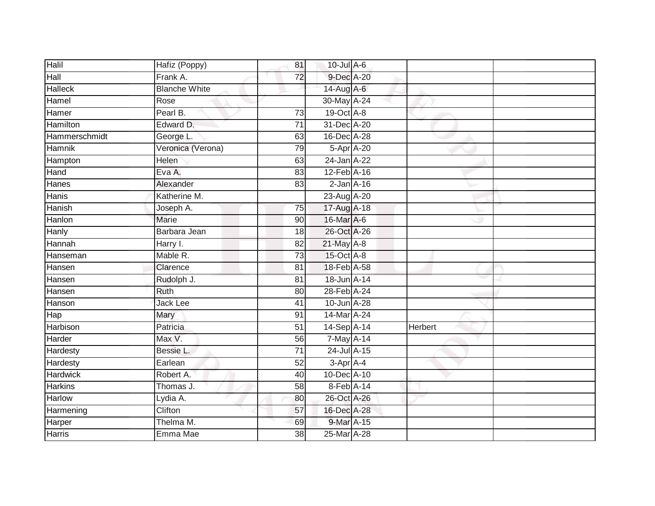| Halil           | Hafiz (Poppy)        | 81              | $10$ -Jul A-6   |                |  |
|-----------------|----------------------|-----------------|-----------------|----------------|--|
| Hall            | Frank A.             | 72              | 9-Dec A-20      |                |  |
| <b>Halleck</b>  | <b>Blanche White</b> |                 | 14-Aug A-6      |                |  |
| Hamel           | Rose                 |                 | 30-May A-24     |                |  |
| Hamer           | Pearl B.             | $\overline{73}$ | 19-Oct A-8      |                |  |
| Hamilton        | Edward D.            | $\overline{71}$ | 31-Dec A-20     |                |  |
| Hammerschmidt   | George L.            | 63              | 16-Dec A-28     |                |  |
| <b>Hamnik</b>   | Veronica (Verona)    | 79              | 5-Apr A-20      |                |  |
| Hampton         | Helen                | 63              | 24-Jan A-22     |                |  |
| Hand            | Eva A.               | 83              | 12-Feb A-16     |                |  |
| Hanes           | Alexander            | 83              | $2$ -Jan $A-16$ |                |  |
| Hanis           | Katherine M.         |                 | 23-Aug A-20     |                |  |
| Hanish          | Joseph A.            | 75              | 17-Aug A-18     |                |  |
| Hanlon          | <b>Marie</b>         | 90              | 16-Mar A-6      |                |  |
| Hanly           | Barbara Jean         | 18              | 26-Oct A-26     |                |  |
| Hannah          | Harry I.             | 82              | 21-May A-8      |                |  |
| Hanseman        | Mable R.             | $\overline{73}$ | 15-Oct A-8      |                |  |
| Hansen          | Clarence             | 81              | 18-Feb A-58     |                |  |
| Hansen          | Rudolph J.           | 81              | 18-Jun A-14     |                |  |
| Hansen          | <b>Ruth</b>          | $\overline{80}$ | 28-Feb A-24     |                |  |
| Hanson          | Jack Lee             | 41              | 10-Jun A-28     |                |  |
| Hap             | Mary                 | 91              | 14-Mar A-24     |                |  |
| <b>Harbison</b> | Patricia             | 51              | 14-Sep A-14     | <b>Herbert</b> |  |
| Harder          | Max V.               | 56              | 7-May A-14      |                |  |
| Hardesty        | Bessie L.            | 71              | 24-Jul A-15     |                |  |
| Hardesty        | Earlean              | 52              | 3-Apr A-4       |                |  |
| <b>Hardwick</b> | Robert A.            | 40              | 10-Dec A-10     |                |  |
| <b>Harkins</b>  | Thomas J.            | 58              | 8-Feb A-14      |                |  |
| Harlow          | Lydia A.             | 80              | 26-Oct A-26     |                |  |
| Harmening       | <b>Clifton</b>       | 57              | 16-Dec A-28     |                |  |
| Harper          | Thelma M.            | 69              | 9-Mar A-15      |                |  |
| <b>Harris</b>   | Emma Mae             | $\overline{38}$ | 25-Mar A-28     |                |  |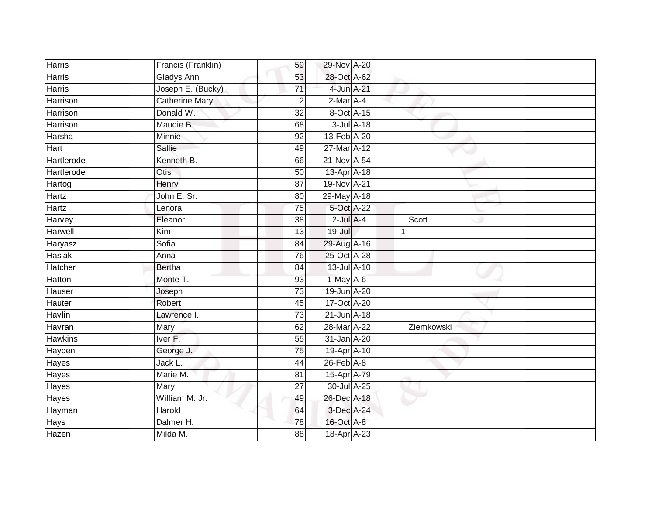| <b>Harris</b>  | Francis (Franklin)    | 59              | 29-Nov A-20     |              |  |
|----------------|-----------------------|-----------------|-----------------|--------------|--|
| Harris         | Gladys Ann            | 53              | 28-Oct A-62     |              |  |
| <b>Harris</b>  | Joseph E. (Bucky)     | $\overline{71}$ | 4-Jun A-21      |              |  |
| Harrison       | <b>Catherine Mary</b> | 2               | 2-Mar A-4       |              |  |
| Harrison       | Donald W.             | $\overline{32}$ | 8-Oct A-15      |              |  |
| Harrison       | Maudie B.             | 68              | 3-Jul A-18      |              |  |
| Harsha         | Minnie                | 92              | 13-Feb A-20     |              |  |
| Hart           | <b>Sallie</b>         | 49              | 27-Mar A-12     |              |  |
| Hartlerode     | Kenneth B.            | 66              | 21-Nov A-54     |              |  |
| Hartlerode     | Otis                  | 50              | 13-Apr A-18     |              |  |
| Hartog         | Henry                 | 87              | 19-Nov A-21     |              |  |
| Hartz          | John E. Sr.           | 80              | 29-May A-18     |              |  |
| Hartz          | Lenora                | $\overline{75}$ | 5-Oct A-22      |              |  |
| Harvey         | Eleanor               | 38              | $2$ -Jul $A$ -4 | Scott        |  |
| Harwell        | Kim                   | $\overline{13}$ | $19 -$ Jul      | $\mathbf{1}$ |  |
| Haryasz        | Sofia                 | 84              | 29-Aug A-16     |              |  |
| <b>Hasiak</b>  | Anna                  | 76              | 25-Oct A-28     |              |  |
| Hatcher        | Bertha                | 84              | 13-Jul A-10     |              |  |
| <b>Hatton</b>  | Monte T.              | 93              | $1-May$ A-6     |              |  |
| Hauser         | Joseph                | 73              | 19-Jun A-20     |              |  |
| Hauter         | Robert                | 45              | 17-Oct A-20     |              |  |
| Havlin         | Lawrence I.           | $\overline{73}$ | 21-Jun A-18     |              |  |
| Havran         | <b>Mary</b>           | 62              | 28-Mar A-22     | Ziemkowski   |  |
| <b>Hawkins</b> | Iver <sub>F.</sub>    | 55              | 31-Jan A-20     |              |  |
| Hayden         | George J.             | 75              | 19-Apr A-10     |              |  |
| Hayes          | Jack L.               | 44              | $26$ -Feb $A-8$ |              |  |
| Hayes          | Marie M.              | 81              | 15-Apr A-79     |              |  |
| Hayes          | Mary                  | 27              | 30-Jul A-25     |              |  |
| Hayes          | William M. Jr.        | 49              | 26-Dec A-18     |              |  |
| Hayman         | Harold                | 64              | 3-Dec A-24      |              |  |
| Hays           | Dalmer H.             | 78              | 16-Oct A-8      |              |  |
| Hazen          | Milda M.              | 88              | 18-Apr A-23     |              |  |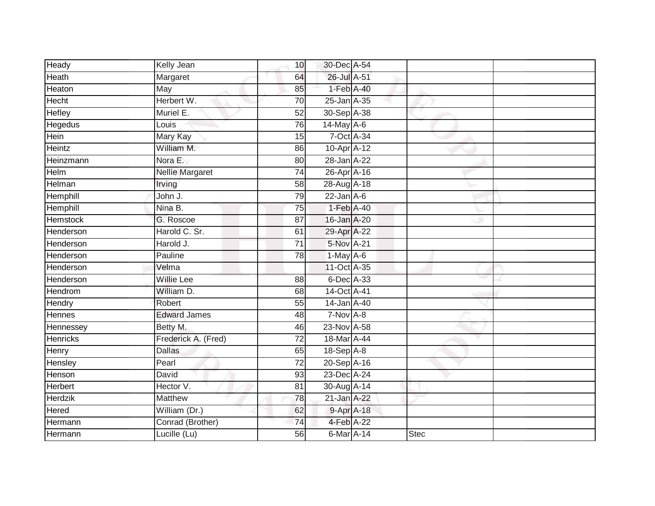| Heady           | Kelly Jean             | 10              | 30-Dec A-54     |             |  |
|-----------------|------------------------|-----------------|-----------------|-------------|--|
| Heath           | Margaret               | 64              | 26-Jul A-51     |             |  |
| Heaton          | May                    | 85              | 1-Feb A-40      |             |  |
| <b>Hecht</b>    | Herbert W.             | 70              | 25-Jan A-35     |             |  |
| <b>Hefley</b>   | Muriel E.              | $\overline{52}$ | 30-Sep A-38     |             |  |
| <b>Hegedus</b>  | Louis                  | 76              | $14$ -May $A-6$ |             |  |
| Hein            | Mary Kay               | 15              | 7-Oct A-34      |             |  |
| Heintz          | William M.             | 86              | 10-Apr A-12     |             |  |
| Heinzmann       | Nora E.                | 80              | 28-Jan A-22     |             |  |
| <b>Helm</b>     | <b>Nellie Margaret</b> | $\overline{74}$ | 26-Apr A-16     |             |  |
| Helman          | Irving                 | 58              | 28-Aug A-18     |             |  |
| Hemphill        | John J.                | 79              | $22$ -Jan $A-6$ |             |  |
| Hemphill        | Nina B.                | 75              | 1-Feb A-40      |             |  |
| Hemstock        | G. Roscoe              | 87              | 16-Jan A-20     |             |  |
| Henderson       | Harold C. Sr.          | 61              | 29-Apr A-22     |             |  |
| Henderson       | Harold J.              | $\overline{71}$ | 5-Nov A-21      |             |  |
| Henderson       | Pauline                | 78              | 1-May A-6       |             |  |
| Henderson       | Velma                  |                 | 11-Oct A-35     |             |  |
| Henderson       | <b>Willie Lee</b>      | 88              | 6-Dec A-33      |             |  |
| <b>Hendrom</b>  | William D.             | 68              | 14-Oct A-41     |             |  |
| Hendry          | Robert                 | 55              | 14-Jan A-40     |             |  |
| <b>Hennes</b>   | <b>Edward James</b>    | 48              | 7-Nov A-8       |             |  |
| Hennessey       | Betty M.               | 46              | 23-Nov A-58     |             |  |
| <b>Henricks</b> | Frederick A. (Fred)    | $\overline{72}$ | 18-Mar A-44     |             |  |
| Henry           | <b>Dallas</b>          | 65              | 18-Sep A-8      |             |  |
| Hensley         | Pearl                  | $\overline{72}$ | 20-Sep A-16     |             |  |
| Henson          | David                  | 93              | 23-Dec A-24     |             |  |
| Herbert         | Hector V.              | 81              | 30-Aug A-14     |             |  |
| Herdzik         | <b>Matthew</b>         | 78              | 21-Jan A-22     |             |  |
| Hered           | William (Dr.)          | 62              | 9-Apr A-18      |             |  |
| Hermann         | Conrad (Brother)       | 74              | 4-Feb A-22      |             |  |
| Hermann         | Lucille (Lu)           | 56              | 6-Mar A-14      | <b>Stec</b> |  |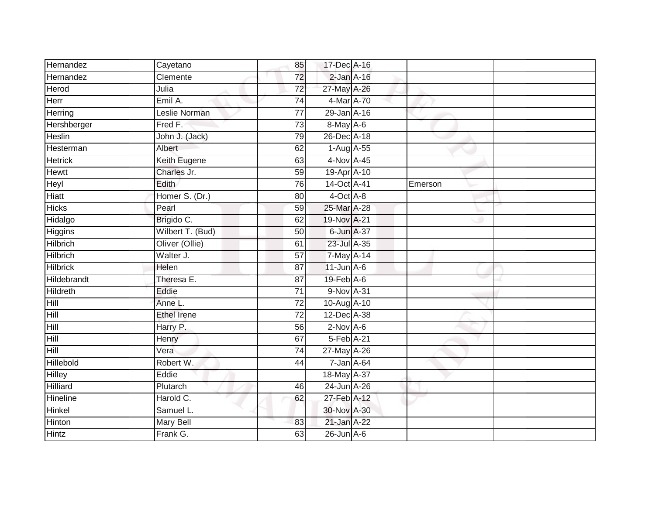| Hernandez       | Cayetano         | 85              | 17-Dec A-16      |         |  |
|-----------------|------------------|-----------------|------------------|---------|--|
| Hernandez       | Clemente         | 72              | $2$ -Jan $A-16$  |         |  |
| <b>Herod</b>    | Julia            | 72              | 27-May A-26      |         |  |
| Herr            | Emil A.          | 74              | 4-Mar A-70       |         |  |
| Herring         | Leslie Norman    | $\overline{77}$ | 29-Jan A-16      |         |  |
| Hershberger     | Fred F.          | $\overline{73}$ | 8-May A-6        |         |  |
| Heslin          | John J. (Jack)   | 79              | 26-Dec A-18      |         |  |
| Hesterman       | Albert           | 62              | 1-Aug A-55       |         |  |
| <b>Hetrick</b>  | Keith Eugene     | 63              | 4-Nov A-45       |         |  |
| <b>Hewtt</b>    | Charles Jr.      | 59              | 19-Apr A-10      |         |  |
| Heyl            | Edith            | 76              | 14-Oct A-41      | Emerson |  |
| Hiatt           | Homer S. (Dr.)   | 80              | $4$ -Oct $A$ -8  |         |  |
| <b>Hicks</b>    | Pearl            | 59              | 25-Mar A-28      |         |  |
| Hidalgo         | Brigido C.       | 62              | 19-Nov A-21      |         |  |
| <b>Higgins</b>  | Wilbert T. (Bud) | $\overline{50}$ | 6-Jun A-37       |         |  |
| Hilbrich        | Oliver (Ollie)   | 61              | 23-Jul A-35      |         |  |
| <b>Hilbrich</b> | Walter J.        | $\overline{57}$ | 7-May A-14       |         |  |
| <b>Hilbrick</b> | Helen            | 87              | $11$ -Jun $A$ -6 |         |  |
| Hildebrandt     | Theresa E.       | 87              | 19-Feb A-6       |         |  |
| <b>Hildreth</b> | Eddie            | $\overline{71}$ | 9-Nov A-31       |         |  |
| Hill            | Anne L.          | 72              | 10-Aug A-10      |         |  |
| Hill            | Ethel Irene      | $\overline{72}$ | 12-Dec A-38      |         |  |
| Hill            | Harry P.         | 56              | $2-Nov$ A-6      |         |  |
| Hill            | Henry            | 67              | 5-Feb A-21       |         |  |
| Hill            | Vera             | 74              | 27-May A-26      |         |  |
| Hillebold       | Robert W.        | 44              | $7 - Jan A - 64$ |         |  |
| <b>Hilley</b>   | Eddie            |                 | 18-May A-37      |         |  |
| <b>Hilliard</b> | Plutarch         | 46              | 24-Jun A-26      |         |  |
| Hineline        | Harold C.        | 62              | 27-Feb A-12      |         |  |
| Hinkel          | Samuel L.        |                 | 30-Nov A-30      |         |  |
| Hinton          | Mary Bell        | 83              | 21-Jan A-22      |         |  |
| <b>Hintz</b>    | Frank G.         | 63              | $26$ -Jun $A$ -6 |         |  |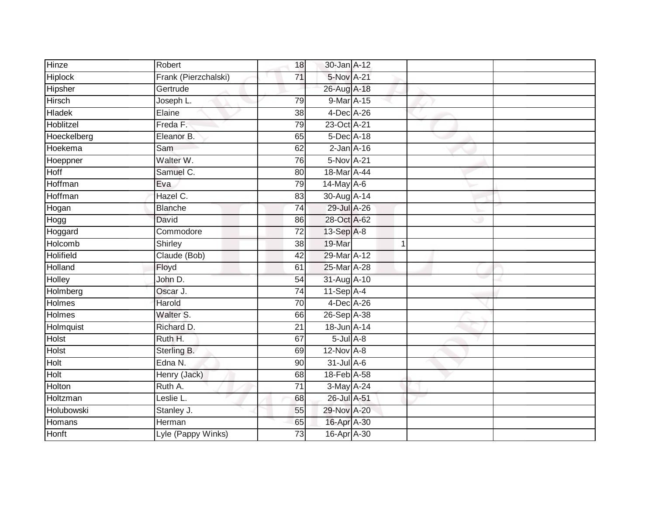| Hinze            | Robert               | 18              | 30-Jan A-12     |    |  |
|------------------|----------------------|-----------------|-----------------|----|--|
| <b>Hiplock</b>   | Frank (Pierzchalski) | 71              | 5-Nov A-21      |    |  |
| Hipsher          | Gertrude             |                 | 26-Aug A-18     |    |  |
| <b>Hirsch</b>    | Joseph L.            | 79              | 9-Mar A-15      |    |  |
| <b>Hladek</b>    | Elaine               | $\overline{38}$ | 4-Dec A-26      |    |  |
| Hoblitzel        | Freda F.             | 79              | 23-Oct A-21     |    |  |
| Hoeckelberg      | Eleanor B.           | 65              | 5-Dec A-18      |    |  |
| Hoekema          | Sam                  | 62              | $2$ -Jan $A-16$ |    |  |
| Hoeppner         | Walter W.            | 76              | 5-Nov A-21      |    |  |
| Hoff             | Samuel C.            | 80              | 18-Mar A-44     |    |  |
| Hoffman          | Eva                  | 79              | 14-May A-6      |    |  |
| Hoffman          | Hazel C.             | 83              | 30-Aug A-14     |    |  |
| Hogan            | <b>Blanche</b>       | $\overline{74}$ | 29-Jul A-26     |    |  |
| Hogg             | David                | 86              | 28-Oct A-62     |    |  |
| Hoggard          | Commodore            | $\overline{72}$ | 13-Sep A-8      |    |  |
| Holcomb          | Shirley              | 38              | 19-Mar          | -1 |  |
| <b>Holifield</b> | Claude (Bob)         | 42              | 29-Mar A-12     |    |  |
| Holland          | Floyd                | 61              | 25-Mar A-28     |    |  |
| Holley           | John D.              | 54              | 31-Aug A-10     |    |  |
| Holmberg         | Oscar J.             | 74              | $11-Sep$ A-4    |    |  |
| <b>Holmes</b>    | Harold               | 70              | 4-Dec A-26      |    |  |
| Holmes           | Walter S.            | 66              | 26-Sep A-38     |    |  |
| Holmquist        | Richard D.           | 21              | 18-Jun A-14     |    |  |
| <b>Holst</b>     | Ruth H.              | 67              | $5$ -Jul $A$ -8 |    |  |
| <b>Holst</b>     | Sterling B.          | 69              | 12-Nov A-8      |    |  |
| Holt             | Edna N.              | 90              | 31-Jul A-6      |    |  |
| Holt             | Henry (Jack)         | 68              | 18-Feb A-58     |    |  |
| Holton           | Ruth A.              | 71              | 3-May A-24      |    |  |
| Holtzman         | Leslie L.            | 68              | 26-Jul A-51     |    |  |
| Holubowski       | Stanley J.           | 55              | 29-Nov A-20     |    |  |
| Homans           | Herman               | 65              | 16-Apr A-30     |    |  |
| <b>Honft</b>     | Lyle (Pappy Winks)   | $\overline{73}$ | 16-Apr A-30     |    |  |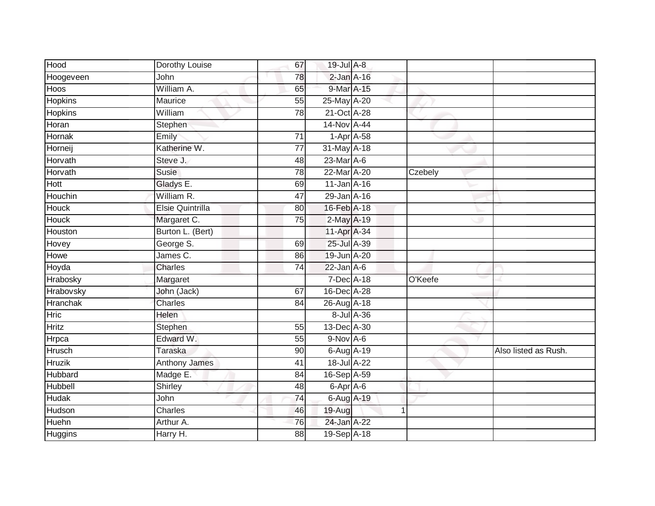| Hood            | Dorothy Louise       | 67              | 19-Jul A-8      |            |         |                      |
|-----------------|----------------------|-----------------|-----------------|------------|---------|----------------------|
| Hoogeveen       | John                 | 78              | $2$ -Jan $A-16$ |            |         |                      |
| Hoos            | William A.           | 65              | 9-Mar A-15      |            |         |                      |
| Hopkins         | Maurice              | 55              | 25-May A-20     |            |         |                      |
| <b>Hopkins</b>  | William              | $\overline{78}$ | 21-Oct A-28     |            |         |                      |
| Horan           | Stephen              |                 | 14-Nov A-44     |            |         |                      |
| Hornak          | Emily                | 71              | $1-Apr$ A-58    |            |         |                      |
| Horneij         | Katherine W.         | 77              | 31-May A-18     |            |         |                      |
| Horvath         | Steve J.             | 48              | 23-Mar A-6      |            |         |                      |
| Horvath         | <b>Susie</b>         | $\overline{78}$ | 22-Mar A-20     |            | Czebely |                      |
| Hott            | Gladys E.            | 69              | 11-Jan A-16     |            |         |                      |
| Houchin         | William R.           | 47              | 29-Jan A-16     |            |         |                      |
| Houck           | Elsie Quintrilla     | 80              | 16-Feb A-18     |            |         |                      |
| <b>Houck</b>    | Margaret C.          | 75              | 2-May A-19      |            |         |                      |
| Houston         | Burton L. (Bert)     |                 | 11-Apr A-34     |            |         |                      |
| Hovey           | George S.            | 69              | 25-Jul A-39     |            |         |                      |
| Howe            | James C.             | 86              | 19-Jun A-20     |            |         |                      |
| Hoyda           | <b>Charles</b>       | 74              | $22$ -Jan $A-6$ |            |         |                      |
| Hrabosky        | Margaret             |                 | 7-Dec A-18      |            | O'Keefe |                      |
| Hrabovsky       | John (Jack)          | 67              | 16-Dec A-28     |            |         |                      |
| <b>Hranchak</b> | <b>Charles</b>       | 84              | 26-Aug A-18     |            |         |                      |
| <b>Hric</b>     | Helen                |                 |                 | 8-Jul A-36 |         |                      |
| <b>Hritz</b>    | Stephen              | 55              | 13-Dec A-30     |            |         |                      |
| Hrpca           | Edward W.            | 55              | $9-Nov$ A-6     |            |         |                      |
| Hrusch          | <b>Taraska</b>       | 90              | 6-Aug A-19      |            |         | Also listed as Rush. |
| <b>Hruzik</b>   | <b>Anthony James</b> | 41              | 18-Jul A-22     |            |         |                      |
| Hubbard         | Madge E.             | 84              | 16-Sep A-59     |            |         |                      |
| Hubbell         | Shirley              | 48              | 6-Apr A-6       |            |         |                      |
| Hudak           | John                 | 74              | 6-Aug A-19      |            |         |                      |
| Hudson          | Charles              | 46              | 19-Aug          | 1          |         |                      |
| Huehn           | Arthur A.            | 76              | 24-Jan A-22     |            |         |                      |
| <b>Huggins</b>  | Harry H.             | 88              | 19-Sep A-18     |            |         |                      |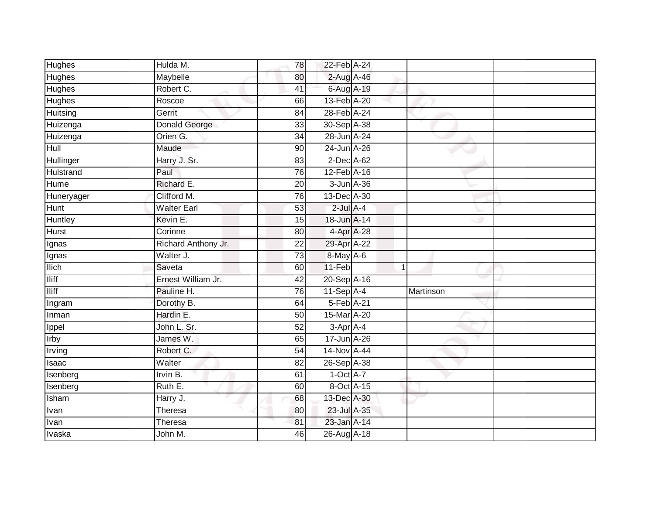| Hughes         | Hulda M.            | 78              | 22-Feb A-24    |                |
|----------------|---------------------|-----------------|----------------|----------------|
| <b>Hughes</b>  | Maybelle            | 80              | 2-Aug A-46     |                |
| <b>Hughes</b>  | Robert C.           | 41              | 6-Aug A-19     |                |
| Hughes         | Roscoe              | 66              | 13-Feb A-20    |                |
| Huitsing       | Gerrit              | $\overline{84}$ | 28-Feb A-24    |                |
| Huizenga       | Donald George       | 33              | 30-Sep A-38    |                |
| Huizenga       | Orien G.            | 34              | 28-Jun A-24    |                |
| Hull           | Maude               | 90              | 24-Jun A-26    |                |
| Hullinger      | Harry J. Sr.        | 83              | 2-Dec A-62     |                |
| Hulstrand      | Paul                | 76              | 12-Feb A-16    |                |
| Hume           | Richard E.          | 20              | 3-Jun A-36     |                |
| Huneryager     | Clifford M.         | 76              | 13-Dec A-30    |                |
| Hunt           | <b>Walter Earl</b>  | 53              | $2$ -Jul $A-4$ |                |
| <b>Huntley</b> | Kevin E.            | 15              | 18-Jun A-14    |                |
| <b>Hurst</b>   | Corinne             | 80              | 4-Apr A-28     |                |
| Ignas          | Richard Anthony Jr. | 22              | 29-Apr A-22    |                |
| Ignas          | Walter J.           | 73              | 8-May A-6      |                |
| <b>Ilich</b>   | Saveta              | 60              | $11-Feb$       | $\overline{1}$ |
| <b>Iliff</b>   | Ernest William Jr.  | 42              | 20-Sep A-16    |                |
| <b>Iliff</b>   | Pauline H.          | 76              | $11-Sep$ A-4   | Martinson      |
| Ingram         | Dorothy B.          | 64              | 5-Feb A-21     |                |
| Inman          | Hardin E.           | $\overline{50}$ | 15-Mar A-20    |                |
| Ippel          | John L. Sr.         | 52              | 3-Apr A-4      |                |
| Irby           | James W.            | 65              | 17-Jun A-26    |                |
| Irving         | Robert C.           | 54              | 14-Nov A-44    |                |
| Isaac          | Walter              | 82              | 26-Sep A-38    |                |
| Isenberg       | Irvin B.            | 61              | $1-Oct$ A-7    |                |
| Isenberg       | Ruth E.             | 60              | 8-Oct A-15     |                |
| Isham          | Harry J.            | 68              | 13-Dec A-30    |                |
| Ivan           | Theresa             | 80              | 23-Jul A-35    |                |
| Ivan           | Theresa             | 81              | 23-Jan A-14    |                |
| Ivaska         | John M.             | 46              | 26-Aug A-18    |                |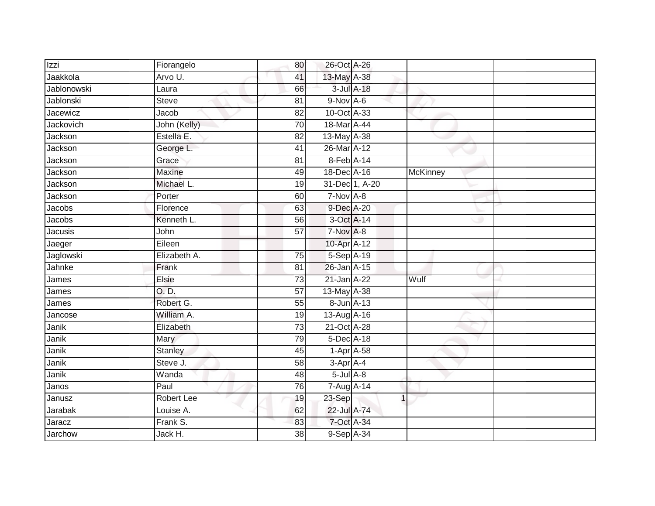| Izzi        | Fiorangelo        | 80              | 26-Oct A-26     |                |          |  |
|-------------|-------------------|-----------------|-----------------|----------------|----------|--|
| Jaakkola    | Arvo U.           | 41              | 13-May A-38     |                |          |  |
| Jablonowski | Laura             | 66              |                 | 3-Jul A-18     |          |  |
| Jablonski   | <b>Steve</b>      | 81              | 9-Nov A-6       |                |          |  |
| Jacewicz    | Jacob             | $\overline{82}$ | 10-Oct A-33     |                |          |  |
| Jackovich   | John (Kelly)      | 70              | 18-Mar A-44     |                |          |  |
| Jackson     | Estella E.        | 82              | 13-May A-38     |                |          |  |
| Jackson     | George L.         | 41              | 26-Mar A-12     |                |          |  |
| Jackson     | Grace             | 81              | 8-Feb A-14      |                |          |  |
| Jackson     | Maxine            | 49              | 18-Dec A-16     |                | McKinney |  |
| Jackson     | Michael L.        | 19              |                 | 31-Dec 1, A-20 |          |  |
| Jackson     | Porter            | 60              | 7-Nov A-8       |                |          |  |
| Jacobs      | Florence          | 63              | 9-Dec A-20      |                |          |  |
| Jacobs      | Kenneth L.        | 56              | 3-Oct A-14      |                |          |  |
| Jacusis     | John              | $\overline{57}$ | 7-Nov A-8       |                |          |  |
| Jaeger      | Eileen            |                 | 10-Apr A-12     |                |          |  |
| Jaglowski   | Elizabeth A.      | 75              | 5-Sep A-19      |                |          |  |
| Jahnke      | Frank             | 81              | 26-Jan A-15     |                |          |  |
| James       | Elsie             | 73              | 21-Jan A-22     |                | Wulf     |  |
| James       | O. D.             | 57              | 13-May A-38     |                |          |  |
| James       | Robert G.         | 55              | 8-Jun A-13      |                |          |  |
| Jancose     | William A.        | 19              | 13-Aug A-16     |                |          |  |
| Janik       | Elizabeth         | 73              | 21-Oct A-28     |                |          |  |
| Janik       | Mary              | 79              | 5-Dec A-18      |                |          |  |
| Janik       | <b>Stanley</b>    | 45              | $1-Apr$ A-58    |                |          |  |
| Janik       | Steve J.          | 58              | $3-Apr$ A-4     |                |          |  |
| Janik       | Wanda             | 48              | $5$ -Jul $A$ -8 |                |          |  |
| Janos       | Paul              | 76              | 7-Aug A-14      |                |          |  |
| Janusz      | <b>Robert Lee</b> | 19              | 23-Sep          | 1              |          |  |
| Jarabak     | Louise A.         | 62              | 22-Jul A-74     |                |          |  |
| Jaracz      | Frank S.          | 83              | 7-Oct A-34      |                |          |  |
| Jarchow     | Jack H.           | $\overline{38}$ | 9-Sep A-34      |                |          |  |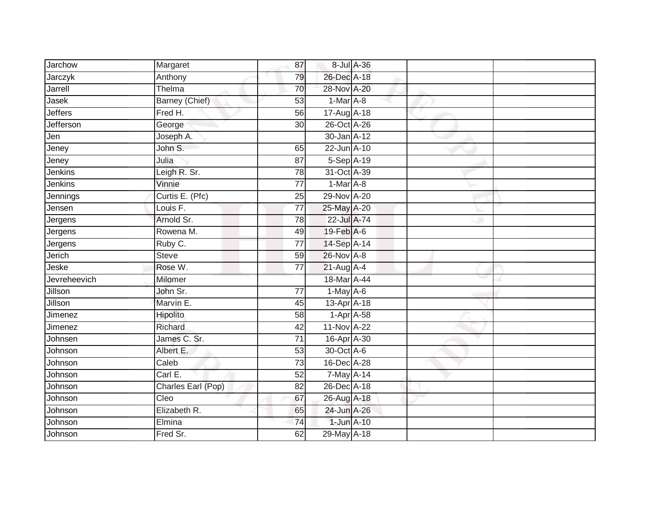| <b>Jarchow</b> | Margaret           | 87              | 8-Jul A-36   |  |  |
|----------------|--------------------|-----------------|--------------|--|--|
| Jarczyk        | Anthony            | 79              | 26-Dec A-18  |  |  |
| Jarrell        | Thelma             | 70              | 28-Nov A-20  |  |  |
| Jasek          | Barney (Chief)     | 53              | $1-Mar A-8$  |  |  |
| <b>Jeffers</b> | Fred H.            | 56              | 17-Aug A-18  |  |  |
| Jefferson      | George             | 30              | 26-Oct A-26  |  |  |
| Jen            | Joseph A.          |                 | 30-Jan A-12  |  |  |
| Jeney          | John S.            | 65              | 22-Jun A-10  |  |  |
| Jeney          | Julia              | 87              | $5-Sep$ A-19 |  |  |
| Jenkins        | Leigh R. Sr.       | 78              | 31-Oct A-39  |  |  |
| Jenkins        | Vinnie             | 77              | $1-Mar A-8$  |  |  |
| Jennings       | Curtis E. (Pfc)    | 25              | 29-Nov A-20  |  |  |
| Jensen         | Louis F.           | 77              | 25-May A-20  |  |  |
| Jergens        | Arnold Sr.         | 78              | 22-Jul A-74  |  |  |
| Jergens        | Rowena M.          | 49              | 19-Feb A-6   |  |  |
| Jergens        | Ruby C.            | 77              | 14-Sep A-14  |  |  |
| Jerich         | <b>Steve</b>       | 59              | 26-Nov A-8   |  |  |
| Jeske          | Rose W.            | 77              | 21-Aug A-4   |  |  |
| Jevreheevich   | Milomer            |                 | 18-Mar A-44  |  |  |
| <b>Jillson</b> | John Sr.           | $\overline{77}$ | $1-May$ A-6  |  |  |
| Jillson        | Marvin E.          | 45              | 13-Apr A-18  |  |  |
| Jimenez        | Hipolito           | 58              | $1-Apr$ A-58 |  |  |
| Jimenez        | Richard            | 42              | 11-Nov A-22  |  |  |
| Johnsen        | James C. Sr.       | 71              | 16-Apr A-30  |  |  |
| Johnson        | Albert E.          | 53              | 30-Oct A-6   |  |  |
| Johnson        | Caleb              | 73              | 16-Dec A-28  |  |  |
| Johnson        | Carl E.            | 52              | 7-May A-14   |  |  |
| Johnson        | Charles Earl (Pop) | 82              | 26-Dec A-18  |  |  |
| Johnson        | Cleo               | 67              | 26-Aug A-18  |  |  |
| Johnson        | Elizabeth R.       | 65              | 24-Jun A-26  |  |  |
| Johnson        | Elmina             | $\overline{74}$ | 1-Jun A-10   |  |  |
| Johnson        | Fred Sr.           | 62              | 29-May A-18  |  |  |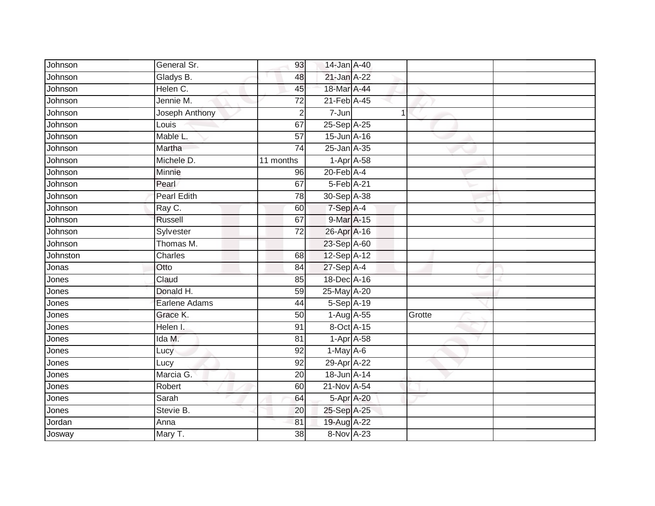| Johnson  | General Sr.        | 93              | 14-Jan A-40                |   |        |  |
|----------|--------------------|-----------------|----------------------------|---|--------|--|
| Johnson  | Gladys B.          | 48              | 21-Jan A-22                |   |        |  |
| Johnson  | Helen C.           | 45              | 18-Mar A-44                |   |        |  |
| Johnson  | Jennie M.          | 72              | 21-Feb A-45                |   |        |  |
| Johnson  | Joseph Anthony     | $\overline{2}$  | $7 - Jun$                  | 1 |        |  |
| Johnson  | Louis              | 67              | 25-Sep A-25                |   |        |  |
| Johnson  | Mable L.           | $\overline{57}$ | 15-Jun A-16                |   |        |  |
| Johnson  | Martha             | 74              | 25-Jan A-35                |   |        |  |
| Johnson  | Michele D.         | 11 months       | $1-Apr$ A-58               |   |        |  |
| Johnson  | Minnie             | 96              | $20$ -Feb $A$ -4           |   |        |  |
| Johnson  | Pearl              | 67              | 5-Feb A-21                 |   |        |  |
| Johnson  | <b>Pearl Edith</b> | 78              | 30-Sep A-38                |   |        |  |
| Johnson  | Ray C.             | 60              | 7-Sep A-4                  |   |        |  |
| Johnson  | Russell            | 67              | 9-Mar A-15                 |   |        |  |
| Johnson  | Sylvester          | $\overline{72}$ | 26-Apr A-16                |   |        |  |
| Johnson  | Thomas M.          |                 | 23-Sep A-60                |   |        |  |
| Johnston | Charles            | 68              | $12-Sep \overline{A} - 12$ |   |        |  |
| Jonas    | Otto               | 84              | 27-Sep A-4                 |   |        |  |
| Jones    | Claud              | 85              | 18-Dec A-16                |   |        |  |
| Jones    | Donald H.          | 59              | 25-May A-20                |   |        |  |
| Jones    | Earlene Adams      | 44              | 5-Sep A-19                 |   |        |  |
| Jones    | Grace K.           | $\overline{50}$ | 1-Aug A-55                 |   | Grotte |  |
| Jones    | Helen I.           | 91              | 8-Oct A-15                 |   |        |  |
| Jones    | Ida M.             | 81              | $1-Apr$ A-58               |   |        |  |
| Jones    | Lucy               | 92              | $1-May$ A-6                |   |        |  |
| Jones    | Lucy               | 92              | 29-Apr A-22                |   |        |  |
| Jones    | Marcia G.          | 20              | 18-Jun A-14                |   |        |  |
| Jones    | Robert             | 60              | 21-Nov A-54                |   |        |  |
| Jones    | Sarah              | 64              | 5-Apr A-20                 |   |        |  |
| Jones    | Stevie B.          | 20              | 25-Sep A-25                |   |        |  |
| Jordan   | Anna               | 81              | 19-Aug A-22                |   |        |  |
| Josway   | Mary T.            | $\overline{38}$ | 8-Nov A-23                 |   |        |  |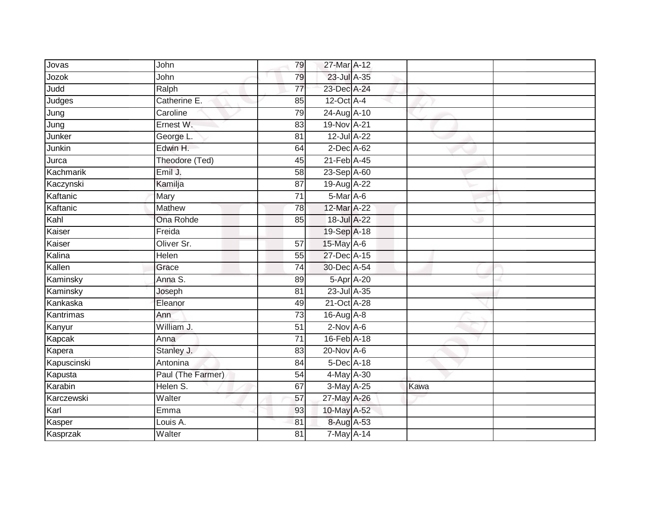| John              | 79              |  |                                                                                                                                                                                                                                                                                                                                                                                                                                                                                          |
|-------------------|-----------------|--|------------------------------------------------------------------------------------------------------------------------------------------------------------------------------------------------------------------------------------------------------------------------------------------------------------------------------------------------------------------------------------------------------------------------------------------------------------------------------------------|
| John              | 79              |  |                                                                                                                                                                                                                                                                                                                                                                                                                                                                                          |
| Ralph             | $\overline{77}$ |  |                                                                                                                                                                                                                                                                                                                                                                                                                                                                                          |
| Catherine E.      | 85              |  |                                                                                                                                                                                                                                                                                                                                                                                                                                                                                          |
| Caroline          | 79              |  |                                                                                                                                                                                                                                                                                                                                                                                                                                                                                          |
| Ernest W.         | 83              |  |                                                                                                                                                                                                                                                                                                                                                                                                                                                                                          |
| George L.         | 81              |  |                                                                                                                                                                                                                                                                                                                                                                                                                                                                                          |
| Edwin H.          | 64              |  |                                                                                                                                                                                                                                                                                                                                                                                                                                                                                          |
| Theodore (Ted)    | 45              |  |                                                                                                                                                                                                                                                                                                                                                                                                                                                                                          |
| Emil J.           | $\overline{58}$ |  |                                                                                                                                                                                                                                                                                                                                                                                                                                                                                          |
| Kamilja           | 87              |  |                                                                                                                                                                                                                                                                                                                                                                                                                                                                                          |
| Mary              | $\overline{71}$ |  |                                                                                                                                                                                                                                                                                                                                                                                                                                                                                          |
| Mathew            | 78              |  |                                                                                                                                                                                                                                                                                                                                                                                                                                                                                          |
| <b>Ona Rohde</b>  | 85              |  |                                                                                                                                                                                                                                                                                                                                                                                                                                                                                          |
| Freida            |                 |  |                                                                                                                                                                                                                                                                                                                                                                                                                                                                                          |
| Oliver Sr.        | 57              |  |                                                                                                                                                                                                                                                                                                                                                                                                                                                                                          |
| Helen             | $\overline{55}$ |  |                                                                                                                                                                                                                                                                                                                                                                                                                                                                                          |
| Grace             | 74              |  |                                                                                                                                                                                                                                                                                                                                                                                                                                                                                          |
| Anna S.           | 89              |  |                                                                                                                                                                                                                                                                                                                                                                                                                                                                                          |
| Joseph            | 81              |  |                                                                                                                                                                                                                                                                                                                                                                                                                                                                                          |
| Eleanor           | 49              |  |                                                                                                                                                                                                                                                                                                                                                                                                                                                                                          |
| Ann               | $\overline{73}$ |  |                                                                                                                                                                                                                                                                                                                                                                                                                                                                                          |
| William J.        | 51              |  |                                                                                                                                                                                                                                                                                                                                                                                                                                                                                          |
| Anna              | $\overline{71}$ |  |                                                                                                                                                                                                                                                                                                                                                                                                                                                                                          |
| Stanley J.        | 83              |  |                                                                                                                                                                                                                                                                                                                                                                                                                                                                                          |
| Antonina          | 84              |  |                                                                                                                                                                                                                                                                                                                                                                                                                                                                                          |
| Paul (The Farmer) | 54              |  |                                                                                                                                                                                                                                                                                                                                                                                                                                                                                          |
| Helen S.          | 67              |  | Kawa                                                                                                                                                                                                                                                                                                                                                                                                                                                                                     |
| Walter            | 57              |  |                                                                                                                                                                                                                                                                                                                                                                                                                                                                                          |
| Emma              | 93              |  |                                                                                                                                                                                                                                                                                                                                                                                                                                                                                          |
| Louis A.          | 81              |  |                                                                                                                                                                                                                                                                                                                                                                                                                                                                                          |
| Walter            | $\overline{81}$ |  |                                                                                                                                                                                                                                                                                                                                                                                                                                                                                          |
|                   |                 |  | 27-Mar A-12<br>23-Jul A-35<br>23-Dec A-24<br>$12$ -Oct $A-4$<br>24-Aug A-10<br>19-Nov A-21<br>12-Jul A-22<br>2-Dec A-62<br>21-Feb A-45<br>23-Sep A-60<br>19-Aug A-22<br>5-Mar A-6<br>12-Mar A-22<br>18-Jul A-22<br>19-Sep A-18<br>15-May A-6<br>27-Dec A-15<br>30-Dec A-54<br>5-Apr A-20<br>23-Jul A-35<br>21-Oct A-28<br>16-Aug A-8<br>$2$ -Nov $A$ -6<br>16-Feb A-18<br>20-Nov A-6<br>5-Dec A-18<br>4-May A-30<br>3-May A-25<br>27-May A-26<br>10-May A-52<br>8-Aug A-53<br>7-May A-14 |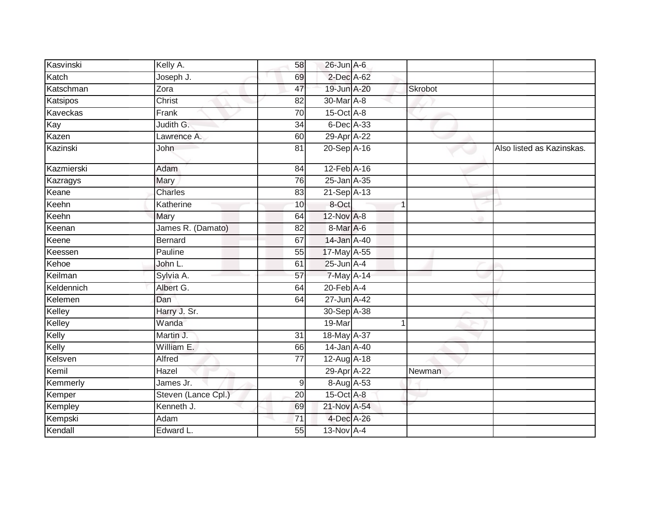| Kasvinski  | Kelly A.            | 58              | $26$ -Jun $A$ -6            |                      |                           |
|------------|---------------------|-----------------|-----------------------------|----------------------|---------------------------|
| Katch      | Joseph J.           | 69              | 2-Dec A-62                  |                      |                           |
| Katschman  | Zora                | 47              | 19-Jun A-20                 | Skrobot              |                           |
| Katsipos   | Christ              | 82              | 30-Mar A-8                  |                      |                           |
| Kaveckas   | Frank               | $\overline{70}$ | $15$ -Oct $\overline{A}$ -8 |                      |                           |
| Kay        | Judith G.           | 34              | 6-Dec A-33                  |                      |                           |
| Kazen      | Lawrence A.         | 60              | 29-Apr A-22                 |                      |                           |
| Kazinski   | John                | 81              | 20-Sep A-16                 |                      | Also listed as Kazinskas. |
| Kazmierski | Adam                | 84              | 12-Feb A-16                 |                      |                           |
| Kazragys   | <b>Mary</b>         | 76              | 25-Jan A-35                 |                      |                           |
| Keane      | <b>Charles</b>      | 83              | $21-Sep$ A-13               |                      |                           |
| Keehn      | Katherine           | 10              | 8-Oct                       | 1                    |                           |
| Keehn      | Mary                | 64              | 12-Nov A-8                  |                      |                           |
| Keenan     | James R. (Damato)   | 82              | 8-Mar A-6                   |                      |                           |
| Keene      | <b>Bernard</b>      | 67              | 14-Jan A-40                 |                      |                           |
| Keessen    | Pauline             | 55              | 17-May A-55                 |                      |                           |
| Kehoe      | John L.             | 61              | $25$ -Jun $A-4$             |                      |                           |
| Keilman    | Sylvia A.           | 57              | 7-May A-14                  |                      |                           |
| Keldennich | Albert G.           | 64              | $20$ -Feb $A$ -4            |                      |                           |
| Kelemen    | Dan                 | 64              | 27-Jun A-42                 |                      |                           |
| Kelley     | Harry J. Sr.        |                 | 30-Sep A-38                 |                      |                           |
| Kelley     | Wanda               |                 | 19-Mar                      | $\blacktriangleleft$ |                           |
| Kelly      | Martin J.           | 31              | 18-May A-37                 |                      |                           |
| Kelly      | William E.          | 66              | 14-Jan A-40                 |                      |                           |
| Kelsven    | Alfred              | $\overline{77}$ | 12-Aug A-18                 |                      |                           |
| Kemil      | Hazel               |                 | 29-Apr A-22                 | Newman               |                           |
| Kemmerly   | James Jr.           | 9               | 8-Aug A-53                  |                      |                           |
| Kemper     | Steven (Lance Cpl.) | 20              | 15-Oct A-8                  |                      |                           |
| Kempley    | Kenneth J.          | 69              | 21-Nov A-54                 |                      |                           |
| Kempski    | Adam                | 71              | 4-Dec A-26                  |                      |                           |
| Kendall    | Edward L.           | 55              | 13-Nov A-4                  |                      |                           |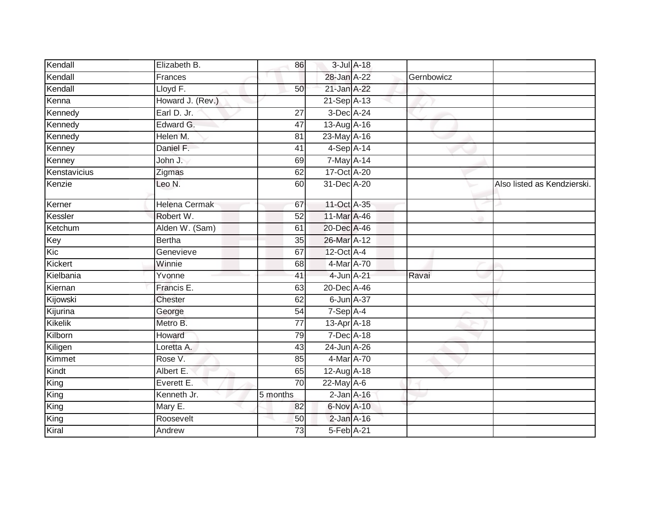| Kendall      | Elizabeth B.     | 86              |                   | 3-Jul A-18 |            |                             |
|--------------|------------------|-----------------|-------------------|------------|------------|-----------------------------|
| Kendall      | Frances          |                 | 28-Jan A-22       |            | Gernbowicz |                             |
| Kendall      | Lloyd F.         | 50              | 21-Jan A-22       |            |            |                             |
| Kenna        | Howard J. (Rev.) |                 | $21-Sep$ A-13     |            |            |                             |
| Kennedy      | Earl D. Jr.      | 27              | 3-Dec A-24        |            |            |                             |
| Kennedy      | Edward G.        | 47              | 13-Aug A-16       |            |            |                             |
| Kennedy      | Helen M.         | 81              | 23-May A-16       |            |            |                             |
| Kenney       | Daniel F.        | 41              | 4-Sep A-14        |            |            |                             |
| Kenney       | John J.          | 69              | 7-May A-14        |            |            |                             |
| Kenstavicius | Zigmas           | 62              | 17-Oct A-20       |            |            |                             |
| Kenzie       | Leo N.           | 60              | 31-Dec A-20       |            |            | Also listed as Kendzierski. |
| Kerner       | Helena Cermak    | 67              | 11-Oct A-35       |            |            |                             |
| Kessler      | Robert W.        | 52              | 11-Mar A-46       |            |            |                             |
| Ketchum      | Alden W. (Sam)   | 61              | 20-Dec A-46       |            |            |                             |
| Key          | <b>Bertha</b>    | $\overline{35}$ | 26-Mar A-12       |            |            |                             |
| Kic          | Genevieve        | 67              | 12-Oct A-4        |            |            |                             |
| Kickert      | Winnie           | 68              | 4-Mar A-70        |            |            |                             |
| Kielbania    | Yvonne           | 41              | 4-Jun A-21        |            | Ravai      |                             |
| Kiernan      | Francis E.       | 63              | 20-Dec A-46       |            |            |                             |
| Kijowski     | Chester          | 62              | 6-Jun A-37        |            |            |                             |
| Kijurina     | George           | 54              | 7-Sep A-4         |            |            |                             |
| Kikelik      | Metro B.         | $\overline{77}$ | $13$ -Apr $A$ -18 |            |            |                             |
| Kilborn      | Howard           | $\overline{79}$ | 7-Dec A-18        |            |            |                             |
| Kiligen      | Loretta A.       | 43              | 24-Jun A-26       |            |            |                             |
| Kimmet       | Rose V.          | 85              | 4-Mar A-70        |            |            |                             |
| Kindt        | Albert E.        | 65              | 12-Aug A-18       |            |            |                             |
| King         | Everett E.       | $\overline{70}$ | 22-May A-6        |            |            |                             |
| King         | Kenneth Jr.      | 5 months        | $2$ -Jan $A$ -16  |            |            |                             |
| King         | Mary E.          | 82              | 6-Nov A-10        |            |            |                             |
| King         | Roosevelt        | 50              | $2$ -Jan $A-16$   |            |            |                             |
| Kiral        | Andrew           | 73              | 5-Feb A-21        |            |            |                             |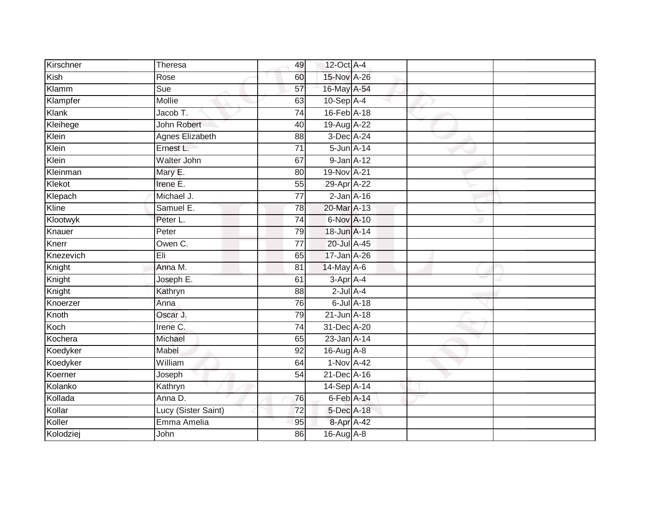| Kirschner | Theresa                | 49              | 12-Oct A-4         |                  |  |
|-----------|------------------------|-----------------|--------------------|------------------|--|
| Kish      | Rose                   | 60              | 15-Nov A-26        |                  |  |
| Klamm     | Sue                    | 57              | 16-May A-54        |                  |  |
| Klampfer  | Mollie                 | 63              | $10-Sep$ A-4       |                  |  |
| Klank     | Jacob T.               | $\overline{74}$ | 16-Feb A-18        |                  |  |
| Kleihege  | John Robert            | 40              | 19-Aug A-22        |                  |  |
| Klein     | <b>Agnes Elizabeth</b> | 88              | 3-Dec A-24         |                  |  |
| Klein     | Ernest L.              | $\overline{71}$ | $5 - Jun$ $A - 14$ |                  |  |
| Klein     | Walter John            | 67              | 9-Jan A-12         |                  |  |
| Kleinman  | Mary E.                | 80              | 19-Nov A-21        |                  |  |
| Klekot    | Irene E.               | 55              | 29-Apr A-22        |                  |  |
| Klepach   | Michael J.             | $\overline{77}$ | $2$ -Jan $A-16$    |                  |  |
| Kline     | Samuel E.              | 78              | 20-Mar A-13        |                  |  |
| Klootwyk  | Peter L.               | $\overline{74}$ | 6-Nov A-10         |                  |  |
| Knauer    | Peter                  | 79              | 18-Jun A-14        |                  |  |
| Knerr     | Owen C.                | $\overline{77}$ | 20-Jul A-45        |                  |  |
| Knezevich | Eli                    | 65              | 17-Jan A-26        |                  |  |
| Knight    | Anna M.                | 81              | 14-May A-6         |                  |  |
| Knight    | Joseph E.              | 61              | $3-Apr$ $A-4$      |                  |  |
| Knight    | Kathryn                | 88              | $2$ -Jul $A-4$     |                  |  |
| Knoerzer  | Anna                   | 76              |                    | $6$ -Jul $A$ -18 |  |
| Knoth     | Oscar J.               | 79              | 21-Jun A-18        |                  |  |
| Koch      | Irene C.               | 74              | 31-Dec A-20        |                  |  |
| Kochera   | Michael                | 65              | 23-Jan A-14        |                  |  |
| Koedyker  | Mabel                  | 92              | 16-Aug A-8         |                  |  |
| Koedyker  | William                | 64              | 1-Nov A-42         |                  |  |
| Koerner   | Joseph                 | 54              | 21-Dec A-16        |                  |  |
| Kolanko   | Kathryn                |                 | 14-Sep A-14        |                  |  |
| Kollada   | Anna D.                | 76              | 6-Feb A-14         |                  |  |
| Kollar    | Lucy (Sister Saint)    | 72              | 5-Dec A-18         |                  |  |
| Koller    | Emma Amelia            | 95              | 8-Apr A-42         |                  |  |
| Kolodziej | John                   | 86              | 16-Aug A-8         |                  |  |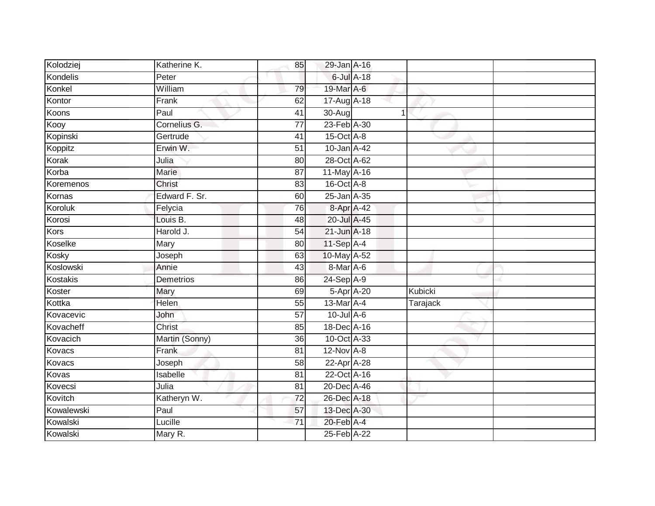| Kolodziej  | Katherine K.   | 85              | 29-Jan A-16      |   |          |  |
|------------|----------------|-----------------|------------------|---|----------|--|
| Kondelis   | Peter          |                 | 6-Jul A-18       |   |          |  |
| Konkel     | William        | 79              | 19-Mar A-6       |   |          |  |
| Kontor     | Frank          | 62              | 17-Aug A-18      |   |          |  |
| Koons      | Paul           | $\overline{41}$ | 30-Aug           | 1 |          |  |
| Kooy       | Cornelius G.   | $\overline{77}$ | 23-Feb A-30      |   |          |  |
| Kopinski   | Gertrude       | 41              | 15-Oct A-8       |   |          |  |
| Koppitz    | Erwin W.       | 51              | 10-Jan A-42      |   |          |  |
| Korak      | Julia          | 80              | 28-Oct A-62      |   |          |  |
| Korba      | Marie          | 87              | 11-May A-16      |   |          |  |
| Koremenos  | Christ         | 83              | $16$ -Oct $A$ -8 |   |          |  |
| Kornas     | Edward F. Sr.  | 60              | 25-Jan A-35      |   |          |  |
| Koroluk    | Felycia        | 76              | 8-Apr A-42       |   |          |  |
| Korosi     | Louis B.       | 48              | 20-Jul A-45      |   |          |  |
| Kors       | Harold J.      | $\overline{54}$ | 21-Jun A-18      |   |          |  |
| Koselke    | Mary           | 80              | 11-Sep A-4       |   |          |  |
| Kosky      | Joseph         | 63              | 10-May A-52      |   |          |  |
| Koslowski  | Annie          | 43              | 8-Mar A-6        |   |          |  |
| Kostakis   | Demetrios      | 86              | 24-Sep A-9       |   |          |  |
| Koster     | Mary           | 69              | 5-Apr A-20       |   | Kubicki  |  |
| Kottka     | Helen          | 55              | 13-Mar A-4       |   | Tarajack |  |
| Kovacevic  | John           | $\overline{57}$ | $10$ -Jul A-6    |   |          |  |
| Kovacheff  | <b>Christ</b>  | 85              | 18-Dec A-16      |   |          |  |
| Kovacich   | Martin (Sonny) | 36              | 10-Oct A-33      |   |          |  |
| Kovacs     | Frank          | 81              | 12-Nov A-8       |   |          |  |
| Kovacs     | Joseph         | 58              | 22-Apr A-28      |   |          |  |
| Kovas      | Isabelle       | 81              | 22-Oct A-16      |   |          |  |
| Kovecsi    | Julia          | 81              | 20-Dec A-46      |   |          |  |
| Kovitch    | Katheryn W.    | 72              | 26-Dec A-18      |   |          |  |
| Kowalewski | Paul           | 57              | 13-Dec A-30      |   |          |  |
| Kowalski   | Lucille        | 71              | 20-Feb A-4       |   |          |  |
| Kowalski   | Mary R.        |                 | 25-Feb A-22      |   |          |  |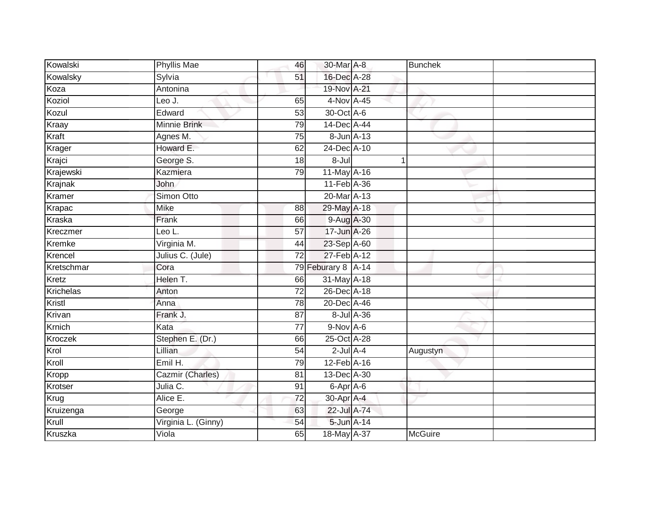| Kowalski         | <b>Phyllis Mae</b>  | 46              | 30-Mar A-8         |            | <b>Bunchek</b> |  |
|------------------|---------------------|-----------------|--------------------|------------|----------------|--|
| Kowalsky         | Sylvia              | 51              | 16-Dec A-28        |            |                |  |
| Koza             | Antonina            |                 | 19-Nov A-21        |            |                |  |
| Koziol           | Leo J.              | 65              | 4-Nov A-45         |            |                |  |
| Kozul            | Edward              | 53              | 30-Oct A-6         |            |                |  |
| Kraay            | Minnie Brink        | 79              | 14-Dec A-44        |            |                |  |
| Kraft            | Agnes M.            | 75              |                    | 8-Jun A-13 |                |  |
| Krager           | Howard E.           | 62              | 24-Dec A-10        |            |                |  |
| Krajci           | George S.           | 18              | $8 -$ Jul          |            |                |  |
| Krajewski        | Kazmiera            | 79              | 11-May A-16        |            |                |  |
| Krajnak          | John                |                 | 11-Feb A-36        |            |                |  |
| Kramer           | Simon Otto          |                 | 20-Mar A-13        |            |                |  |
| Krapac           | Mike                | 88              | 29-May A-18        |            |                |  |
| Kraska           | Frank               | 66              | 9-Aug A-30         |            |                |  |
| Kreczmer         | Leo L.              | 57              | 17-Jun A-26        |            |                |  |
| Kremke           | Virginia M.         | 44              | 23-Sep A-60        |            |                |  |
| Krencel          | Julius C. (Jule)    | 72              | 27-Feb A-12        |            |                |  |
| Kretschmar       | Cora                |                 | 79 Feburary 8 A-14 |            |                |  |
| Kretz            | Helen T.            | 66              | 31-May A-18        |            |                |  |
| <b>Krichelas</b> | Anton               | 72              | 26-Dec A-18        |            |                |  |
| Kristl           | Anna                | 78              | 20-Dec A-46        |            |                |  |
| Krivan           | Frank J.            | $\overline{87}$ |                    | 8-Jul A-36 |                |  |
| Krnich           | Kata                | 77              | $9-Nov$ A-6        |            |                |  |
| Kroczek          | Stephen E. (Dr.)    | 66              | 25-Oct A-28        |            |                |  |
| Krol             | Lillian             | 54              | $2$ -Jul $A-4$     |            | Augustyn       |  |
| Kroll            | Emil H.             | 79              | 12-Feb A-16        |            |                |  |
| Kropp            | Cazmir (Charles)    | $\overline{81}$ | 13-Dec A-30        |            |                |  |
| Krotser          | Julia C.            | 91              | 6-Apr A-6          |            |                |  |
| Krug             | Alice E.            | 72              | 30-Apr A-4         |            |                |  |
| Kruizenga        | George              | 63              | 22-Jul A-74        |            |                |  |
| Krull            | Virginia L. (Ginny) | 54              | 5-Jun A-14         |            |                |  |
| Kruszka          | Viola               | 65              | 18-May A-37        |            | <b>McGuire</b> |  |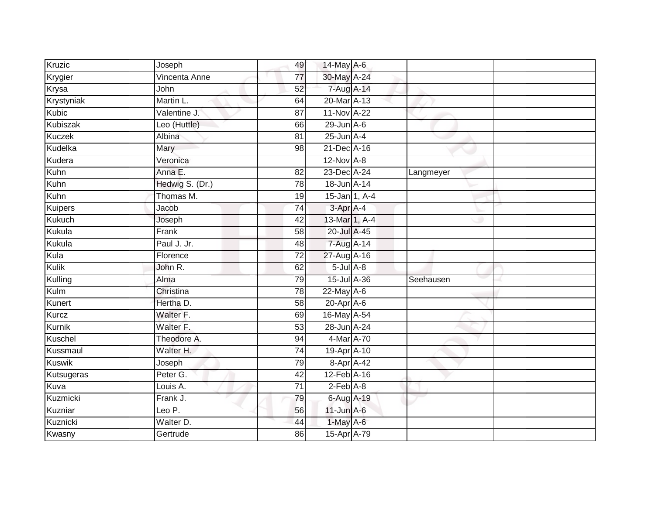| Kruzic          | Joseph          | 49              | 14-May A-6        |           |  |
|-----------------|-----------------|-----------------|-------------------|-----------|--|
| Krygier         | Vincenta Anne   | 77              | 30-May A-24       |           |  |
| Krysa           | John            | 52              | 7-Aug A-14        |           |  |
| Krystyniak      | Martin L.       | 64              | 20-Mar A-13       |           |  |
| <b>Kubic</b>    | Valentine J.    | $\overline{87}$ | 11-Nov A-22       |           |  |
| <b>Kubiszak</b> | Leo (Huttle)    | 66              | $29$ -Jun $A-6$   |           |  |
| <b>Kuczek</b>   | Albina          | 81              | $25$ -Jun $A-4$   |           |  |
| Kudelka         | Mary            | 98              | 21-Dec A-16       |           |  |
| Kudera          | Veronica        |                 | $12$ -Nov $A-8$   |           |  |
| Kuhn            | Anna E.         | 82              | 23-Dec A-24       | Langmeyer |  |
| Kuhn            | Hedwig S. (Dr.) | 78              | 18-Jun A-14       |           |  |
| Kuhn            | Thomas M.       | 19              | 15-Jan 1, A-4     |           |  |
| Kuipers         | Jacob           | 74              | 3-Apr A-4         |           |  |
| <b>Kukuch</b>   | Joseph          | 42              | 13-Mar 1, A-4     |           |  |
| Kukula          | Frank           | $\overline{58}$ | 20-Jul A-45       |           |  |
| Kukula          | Paul J. Jr.     | 48              | 7-Aug A-14        |           |  |
| Kula            | Florence        | $\overline{72}$ | 27-Aug A-16       |           |  |
| Kulik           | John R.         | 62              | $5 -$ Jul $A - 8$ |           |  |
| Kulling         | Alma            | 79              | 15-Jul A-36       | Seehausen |  |
| Kulm            | Christina       | $\overline{78}$ | $22$ -May $A-6$   |           |  |
| Kunert          | Hertha D.       | 58              | $20$ -Apr $A$ -6  |           |  |
| Kurcz           | Walter F.       | 69              | 16-May A-54       |           |  |
| Kurnik          | Walter F.       | 53              | 28-Jun A-24       |           |  |
| Kuschel         | Theodore A.     | 94              | 4-Mar A-70        |           |  |
| Kussmaul        | Walter H.       | 74              | 19-Apr A-10       |           |  |
| <b>Kuswik</b>   | Joseph          | 79              | 8-Apr A-42        |           |  |
| Kutsugeras      | Peter G.        | 42              | 12-Feb A-16       |           |  |
| Kuva            | Louis A.        | $\overline{71}$ | $2-Feb$ A-8       |           |  |
| Kuzmicki        | Frank J.        | 79              | 6-Aug A-19        |           |  |
| Kuzniar         | Leo $P$ .       | 56              | $11$ -Jun $A-6$   |           |  |
| Kuznicki        | Walter D.       | 44              | 1-May A-6         |           |  |
| Kwasny          | Gertrude        | 86              | 15-Apr A-79       |           |  |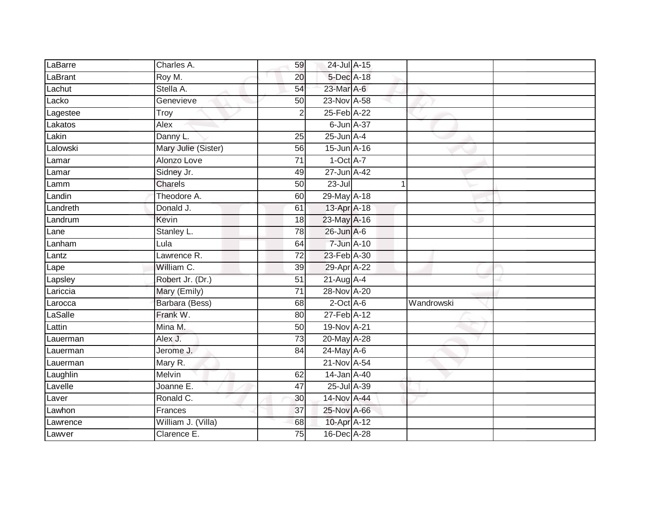| LaBarre  | Charles A.          | 59              | 24-Jul A-15     |             |            |  |
|----------|---------------------|-----------------|-----------------|-------------|------------|--|
| LaBrant  | Roy M.              | 20              | 5-Dec A-18      |             |            |  |
| Lachut   | Stella A.           | 54              | 23-Mar A-6      |             |            |  |
| Lacko    | Genevieve           | 50              | 23-Nov A-58     |             |            |  |
| Lagestee | Troy                | $\overline{2}$  | 25-Feb A-22     |             |            |  |
| Lakatos  | Alex                |                 | 6-Jun A-37      |             |            |  |
| Lakin    | Danny L.            | 25              | $25$ -Jun $A-4$ |             |            |  |
| Lalowski | Mary Julie (Sister) | 56              | 15-Jun A-16     |             |            |  |
| Lamar    | Alonzo Love         | $\overline{71}$ | $1-Oct$ A-7     |             |            |  |
| Lamar    | Sidney Jr.          | 49              | 27-Jun A-42     |             |            |  |
| Lamm     | Charels             | 50              | $23 -$ Jul      | $\mathbf 1$ |            |  |
| Landin   | Theodore A.         | 60              | 29-May A-18     |             |            |  |
| Landreth | Donald J.           | 61              | 13-Apr A-18     |             |            |  |
| Landrum  | Kevin               | 18              | 23-May A-16     |             |            |  |
| Lane     | Stanley L.          | 78              | 26-Jun A-6      |             |            |  |
| Lanham   | Lula                | 64              | 7-Jun A-10      |             |            |  |
| Lantz    | Lawrence R.         | $\overline{72}$ | 23-Feb A-30     |             |            |  |
| Lape     | William C.          | 39              | 29-Apr A-22     |             |            |  |
| Lapsley  | Robert Jr. (Dr.)    | 51              | $21-Aug$ A-4    |             |            |  |
| Lariccia | Mary (Emily)        | $\overline{71}$ | 28-Nov A-20     |             |            |  |
| Larocca  | Barbara (Bess)      | 68              | $2$ -Oct $A$ -6 |             | Wandrowski |  |
| LaSalle  | Frank W.            | 80              | 27-Feb A-12     |             |            |  |
| Lattin   | Mina M.             | 50              | 19-Nov A-21     |             |            |  |
| Lauerman | Alex J.             | 73              | 20-May A-28     |             |            |  |
| Lauerman | Jerome J.           | 84              | 24-May A-6      |             |            |  |
| Lauerman | Mary R.             |                 | 21-Nov A-54     |             |            |  |
| Laughlin | Melvin              | 62              | 14-Jan A-40     |             |            |  |
| Lavelle  | Joanne E.           | 47              | 25-Jul A-39     |             |            |  |
| Laver    | Ronald C.           | 30              | 14-Nov A-44     |             |            |  |
| Lawhon   | Frances             | 37              | 25-Nov A-66     |             |            |  |
| Lawrence | William J. (Villa)  | 68              | 10-Apr A-12     |             |            |  |
| Lawver   | Clarence E.         | $\overline{75}$ | 16-Dec A-28     |             |            |  |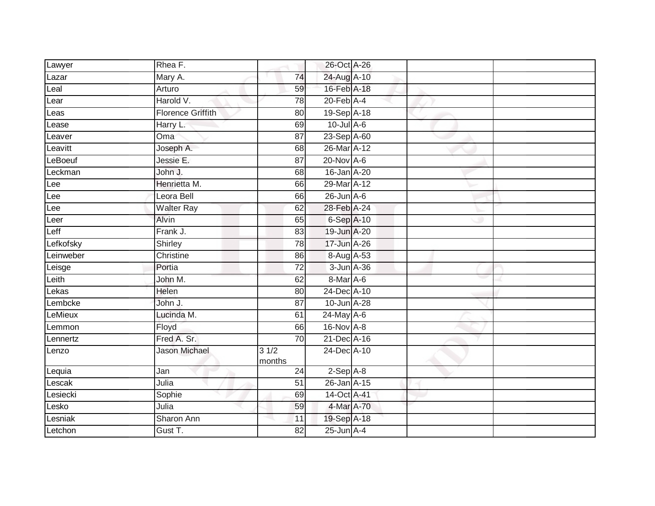| Lawyer    | Rhea F.                  |                | 26-Oct A-26      |  |  |
|-----------|--------------------------|----------------|------------------|--|--|
| Lazar     | Mary A.                  | 74             | 24-Aug A-10      |  |  |
| Leal      | Arturo                   | 59             | 16-Feb A-18      |  |  |
| Lear      | Harold V.                | 78             | $20$ -Feb $A$ -4 |  |  |
| Leas      | <b>Florence Griffith</b> | 80             | 19-Sep A-18      |  |  |
| Lease     | Harry L:                 | 69             | $10$ -Jul $A-6$  |  |  |
| Leaver    | Oma                      | 87             | 23-Sep A-60      |  |  |
| Leavitt   | Joseph A.                | 68             | 26-Mar A-12      |  |  |
| LeBoeuf   | Jessie E.                | 87             | $20$ -Nov $A-6$  |  |  |
| Leckman   | John J.                  | 68             | 16-Jan A-20      |  |  |
| Lee       | Henrietta M.             | 66             | 29-Mar A-12      |  |  |
| Lee       | Leora Bell               | 66             | $26$ -Jun $A-6$  |  |  |
| Lee       | <b>Walter Ray</b>        | 62             | 28-Feb A-24      |  |  |
| Leer      | Alvin                    | 65             | 6-Sep A-10       |  |  |
| Leff      | Frank J.                 | 83             | 19-Jun A-20      |  |  |
| Lefkofsky | Shirley                  | 78             | 17-Jun A-26      |  |  |
| Leinweber | Christine                | 86             | 8-Aug A-53       |  |  |
| Leisge    | Portia                   | 72             | 3-Jun A-36       |  |  |
| Leith     | John M.                  | 62             | $8-MarA-6$       |  |  |
| Lekas     | Helen                    | 80             | 24-Dec A-10      |  |  |
| Lembcke   | John J.                  | 87             | 10-Jun A-28      |  |  |
| LeMieux   | Lucinda M.               | 61             | 24-May A-6       |  |  |
| Lemmon    | Floyd                    | 66             | 16-Nov A-8       |  |  |
| Lennertz  | Fred A. Sr.              | 70             | 21-Dec A-16      |  |  |
| Lenzo     | <b>Jason Michael</b>     | 31/2<br>months | 24-Dec A-10      |  |  |
| Lequia    | Jan                      | 24             | $2-Sep$ $A-8$    |  |  |
| Lescak    | Julia                    | 51             | 26-Jan A-15      |  |  |
| Lesiecki  | Sophie                   | 69             | 14-Oct A-41      |  |  |
| Lesko     | Julia                    | 59             | 4-Mar A-70       |  |  |
| Lesniak   | Sharon Ann               | 11             | 19-Sep A-18      |  |  |
| Letchon   | Gust T.                  | 82             | $25$ -Jun $A-4$  |  |  |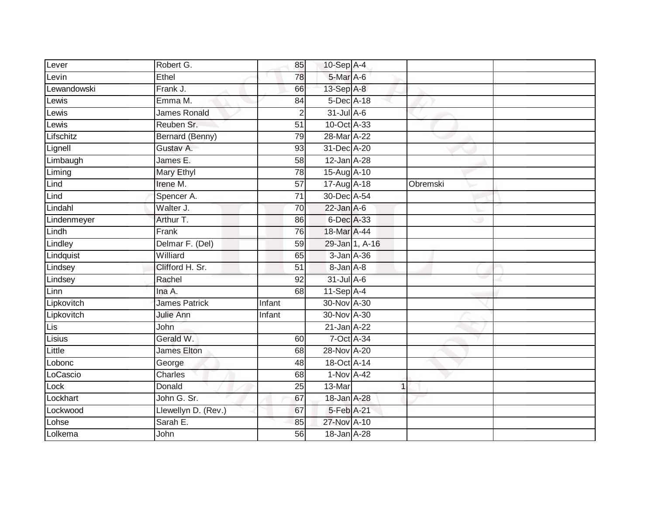| Lever                          | Robert G.            | 85              | 10-Sep A-4       |                |          |  |
|--------------------------------|----------------------|-----------------|------------------|----------------|----------|--|
| Levin                          | Ethel                | 78              | 5-Mar A-6        |                |          |  |
| Lewandowski                    | Frank J.             | 66              | 13-Sep A-8       |                |          |  |
| Lewis                          | Emma M.              | 84              | 5-Dec A-18       |                |          |  |
| Lewis                          | <b>James Ronald</b>  | $\overline{2}$  | $31$ -Jul $A-6$  |                |          |  |
| Lewis $\overline{\phantom{a}}$ | Reuben Sr.           | 51              | 10-Oct A-33      |                |          |  |
| Lifschitz                      | Bernard (Benny)      | 79              | 28-Mar A-22      |                |          |  |
| Lignell                        | Gustav A.            | 93              | 31-Dec A-20      |                |          |  |
| Limbaugh                       | James E.             | 58              | 12-Jan A-28      |                |          |  |
| Liming                         | Mary Ethyl           | 78              | 15-Aug A-10      |                |          |  |
| Lind                           | Irene M.             | 57              | 17-Aug A-18      |                | Obremski |  |
| Lind                           | Spencer A.           | 71              | 30-Dec A-54      |                |          |  |
| Lindahl                        | Walter J.            | 70              | $22$ -Jan A-6    |                |          |  |
| Lindenmeyer                    | Arthur T.            | 86              | 6-Dec A-33       |                |          |  |
| Lindh                          | Frank                | 76              | 18-Mar A-44      |                |          |  |
| Lindley                        | Delmar F. (Del)      | 59              |                  | 29-Jan 1, A-16 |          |  |
| Lindquist                      | Williard             | 65              | 3-Jan A-36       |                |          |  |
| Lindsey                        | Clifford H. Sr.      | 51              | 8-Jan A-8        |                |          |  |
| Lindsey                        | Rachel               | 92              | 31-Jul A-6       |                |          |  |
| Linn                           | Ina A.               | 68              | $11-Sep$ A-4     |                |          |  |
| Lipkovitch                     | <b>James Patrick</b> | Infant          | 30-Nov A-30      |                |          |  |
| Lipkovitch                     | Julie Ann            | Infant          | 30-Nov A-30      |                |          |  |
| Lis                            | John                 |                 | $21$ -Jan $A-22$ |                |          |  |
| Lisius                         | Gerald W.            | 60              | 7-Oct A-34       |                |          |  |
| Little                         | <b>James Elton</b>   | 68              | 28-Nov A-20      |                |          |  |
| Lobonc                         | George               | 48              | 18-Oct A-14      |                |          |  |
| LoCascio                       | Charles              | 68              | 1-Nov A-42       |                |          |  |
| Lock                           | Donald               | 25              | 13-Mar           | $\mathbf 1$    |          |  |
| Lockhart                       | John G. Sr.          | 67              | 18-Jan A-28      |                |          |  |
| Lockwood                       | Llewellyn D. (Rev.)  | 67              | 5-Feb A-21       |                |          |  |
| Lohse                          | Sarah E.             | 85              | 27-Nov A-10      |                |          |  |
| Lolkema                        | John                 | $\overline{56}$ | 18-Jan A-28      |                |          |  |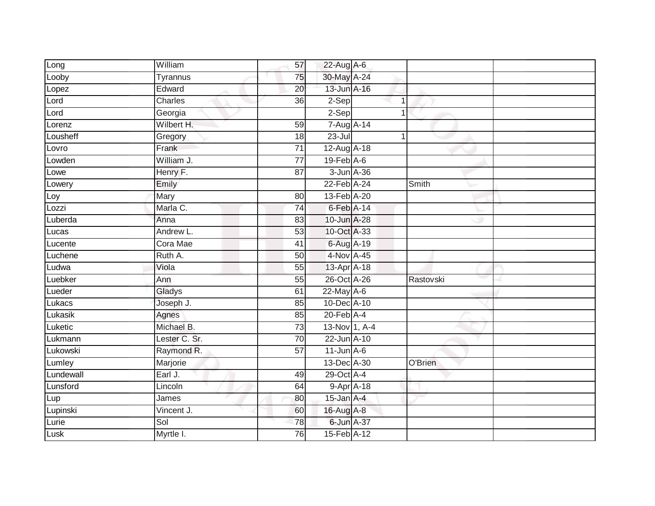| Long      | William       | 57              | 22-Aug A-6                  |            |           |  |
|-----------|---------------|-----------------|-----------------------------|------------|-----------|--|
| Looby     | Tyrannus      | 75              | 30-May A-24                 |            |           |  |
| Lopez     | Edward        | $\overline{20}$ | 13-Jun A-16                 |            |           |  |
| Lord      | Charles       | 36              | $2-Sep$                     |            |           |  |
| Lord      | Georgia       |                 | $2-Sep$                     |            |           |  |
| Lorenz    | Wilbert H.    | 59              | 7-Aug A-14                  |            |           |  |
| Lousheff  | Gregory       | 18              | $23 -$ Jul                  |            |           |  |
| Lovro     | Frank         | $\overline{71}$ | 12-Aug A-18                 |            |           |  |
| Lowden    | William J.    | $\overline{77}$ | $19$ -Feb $A$ -6            |            |           |  |
| Lowe      | Henry F.      | $\overline{87}$ | 3-Jun A-36                  |            |           |  |
| Lowery    | Emily         |                 | 22-Feb A-24                 |            | Smith     |  |
| Loy       | Mary          | 80              | 13-Feb A-20                 |            |           |  |
| Lozzi     | Marla C.      | 74              | 6-Feb A-14                  |            |           |  |
| Luberda   | Anna          | 83              | 10-Jun A-28                 |            |           |  |
| Lucas     | Andrew L.     | 53              | 10-Oct A-33                 |            |           |  |
| Lucente   | Cora Mae      | 41              | 6-Aug A-19                  |            |           |  |
| Luchene   | Ruth A.       | 50              | 4-Nov A-45                  |            |           |  |
| Ludwa     | Viola         | 55              | 13-Apr A-18                 |            |           |  |
| Luebker   | Ann           | 55              | 26-Oct A-26                 |            | Rastovski |  |
| Lueder    | Gladys        | 61              | $22$ -May $A-6$             |            |           |  |
| Lukacs    | Joseph J.     | 85              | 10-Dec A-10                 |            |           |  |
| Lukasik   | Agnes         | 85              | $20$ -Feb $\overline{A}$ -4 |            |           |  |
| Luketic   | Michael B.    | 73              | $13-Nov$ 1, A-4             |            |           |  |
| Lukmann   | Lester C. Sr. | 70              | 22-Jun A-10                 |            |           |  |
| Lukowski  | Raymond R.    | 57              | $11$ -Jun $A-6$             |            |           |  |
| Lumley    | Marjorie      |                 | 13-Dec A-30                 |            | O'Brien   |  |
| Lundewall | Earl J.       | 49              | 29-Oct A-4                  |            |           |  |
| Lunsford  | Lincoln       | 64              |                             | 9-Apr A-18 |           |  |
| Lup       | James         | 80              | $15$ -Jan $A-4$             |            |           |  |
| Lupinski  | Vincent J.    | 60              | 16-Aug A-8                  |            |           |  |
| Lurie     | Sol           | 78              | $6$ -Jun $A$ -37            |            |           |  |
| Lusk      | Myrtle I.     | 76              | 15-Feb A-12                 |            |           |  |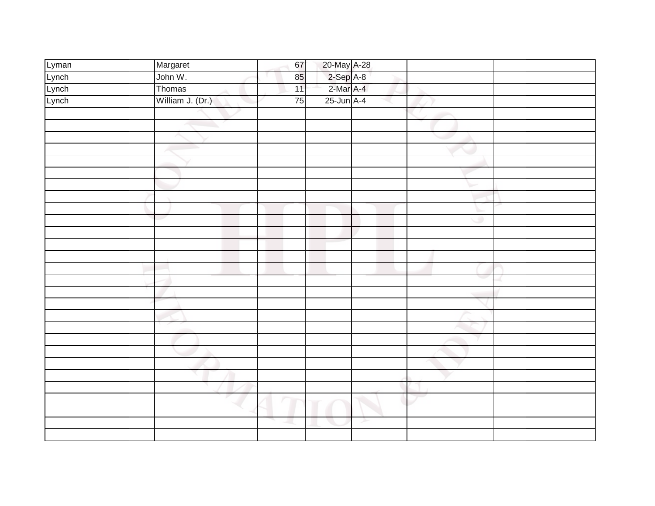| Lyman | Margaret         | 67 |                          |   |    |  |
|-------|------------------|----|--------------------------|---|----|--|
| Lynch | John W.          | 85 | 20-May A-28<br>2-Sep A-8 |   |    |  |
| Lynch | Thomas           | 11 | $2-Mar$ A-4              |   |    |  |
| Lynch | William J. (Dr.) | 75 | $25$ -Jun $A-4$          |   |    |  |
|       |                  |    |                          |   |    |  |
|       |                  |    |                          |   |    |  |
|       |                  |    |                          |   |    |  |
|       |                  |    |                          |   |    |  |
|       |                  |    |                          |   |    |  |
|       |                  |    |                          |   |    |  |
|       |                  |    |                          |   |    |  |
|       |                  |    |                          |   |    |  |
|       |                  |    |                          |   |    |  |
|       |                  |    |                          |   | o  |  |
|       |                  |    |                          |   |    |  |
|       |                  |    |                          |   |    |  |
|       |                  |    |                          |   |    |  |
|       |                  |    |                          |   |    |  |
|       |                  |    |                          |   | e. |  |
|       |                  |    |                          |   |    |  |
|       |                  |    |                          |   |    |  |
|       |                  |    |                          |   |    |  |
|       |                  |    |                          |   |    |  |
|       |                  |    |                          |   |    |  |
|       |                  |    |                          |   |    |  |
|       |                  |    |                          |   |    |  |
|       |                  |    |                          |   |    |  |
|       |                  |    |                          |   |    |  |
|       |                  |    |                          |   |    |  |
|       |                  |    |                          |   |    |  |
|       |                  |    |                          | ≻ |    |  |
|       |                  |    |                          |   |    |  |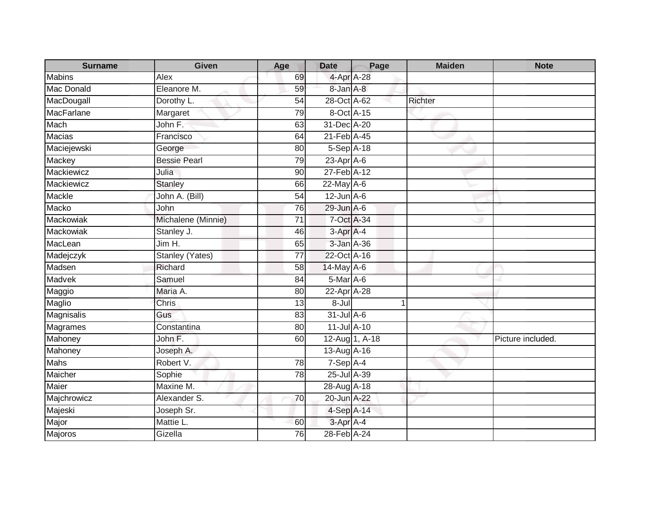| <b>Surname</b>    | <b>Given</b>           | Age             | <b>Date</b>      | Page           | <b>Maiden</b>  | <b>Note</b>       |
|-------------------|------------------------|-----------------|------------------|----------------|----------------|-------------------|
| <b>Mabins</b>     | Alex                   | 69              | 4-Apr A-28       |                |                |                   |
| Mac Donald        | Eleanore M.            | 59              | 8-Jan A-8        |                |                |                   |
| MacDougall        | Dorothy L.             | 54              | 28-Oct A-62      |                | <b>Richter</b> |                   |
| <b>MacFarlane</b> | Margaret               | 79              | 8-Oct A-15       |                |                |                   |
| Mach              | John F.                | 63              | 31-Dec A-20      |                |                |                   |
| <b>Macias</b>     | Francisco              | 64              | 21-Feb A-45      |                |                |                   |
| Maciejewski       | George                 | 80              | 5-Sep A-18       |                |                |                   |
| Mackey            | <b>Bessie Pearl</b>    | 79              | $23$ -Apr $A$ -6 |                |                |                   |
| Mackiewicz        | Julia                  | 90              | 27-Feb A-12      |                |                |                   |
| Mackiewicz        | <b>Stanley</b>         | 66              | $22$ -May $A-6$  |                |                |                   |
| Mackle            | John A. (Bill)         | 54              | $12$ -Jun $A$ -6 |                |                |                   |
| Macko             | John                   | 76              | 29-Jun A-6       |                |                |                   |
| Mackowiak         | Michalene (Minnie)     | $\overline{71}$ | 7-Oct A-34       |                |                |                   |
| Mackowiak         | Stanley J.             | 46              | 3-Apr A-4        |                |                |                   |
| MacLean           | Jim H.                 | 65              | 3-Jan A-36       |                |                |                   |
| Madejczyk         | <b>Stanley (Yates)</b> | $\overline{77}$ | 22-Oct A-16      |                |                |                   |
| Madsen            | Richard                | 58              | 14-May A-6       |                |                |                   |
| Madvek            | Samuel                 | 84              | 5-Mar A-6        |                |                |                   |
| Maggio            | Maria A.               | $\overline{80}$ | 22-Apr A-28      |                |                |                   |
| Maglio            | Chris                  | 13              | $8 -$ Jul        |                | 1              |                   |
| Magnisalis        | Gus                    | 83              | $31$ -Jul A-6    |                |                |                   |
| Magrames          | Constantina            | 80              | 11-Jul A-10      |                |                |                   |
| Mahoney           | John F.                | 60              |                  | 12-Aug 1, A-18 |                | Picture included. |
| Mahoney           | Joseph A.              |                 | 13-Aug A-16      |                |                |                   |
| Mahs              | Robert V.              | 78              | $7-SepA-4$       |                |                |                   |
| Maicher           | Sophie                 | 78              | 25-Jul A-39      |                |                |                   |
| Maier             | Maxine M.              |                 | 28-Aug A-18      |                |                |                   |
| Majchrowicz       | Alexander S.           | 70              | 20-Jun A-22      |                |                |                   |
| Majeski           | Joseph Sr.             |                 | 4-Sep A-14       |                |                |                   |
| Major             | <b>Mattie L</b>        | 60              | 3-Apr A-4        |                |                |                   |
| Majoros           | Gizella                | 76              | 28-Feb A-24      |                |                |                   |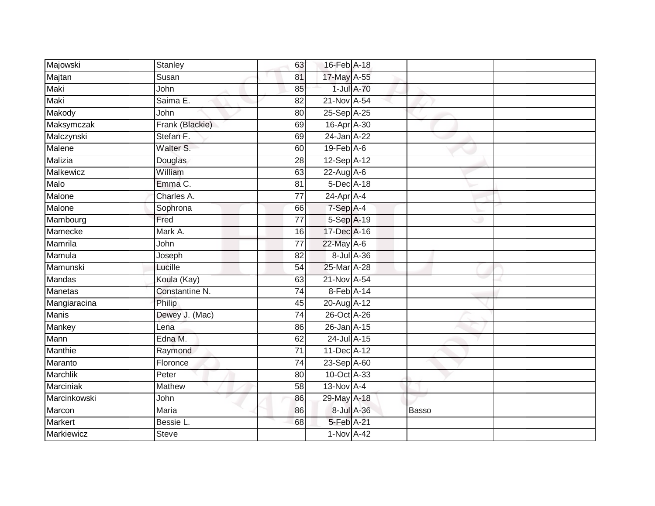| Majowski       | Stanley         | 63              | 16-Feb A-18      |              |  |
|----------------|-----------------|-----------------|------------------|--------------|--|
| Majtan         | Susan           | 81              | 17-May A-55      |              |  |
| Maki           | John            | 85              | 1-Jul A-70       |              |  |
| Maki           | Saima E.        | 82              | 21-Nov A-54      |              |  |
| Makody         | John            | $\overline{80}$ | 25-Sep A-25      |              |  |
| Maksymczak     | Frank (Blackie) | 69              | 16-Apr A-30      |              |  |
| Malczynski     | Stefan F.       | 69              | 24-Jan A-22      |              |  |
| <b>Malene</b>  | Walter S.       | 60              | $19$ -Feb $A$ -6 |              |  |
| Malizia        | Douglas         | 28              | 12-Sep A-12      |              |  |
| Malkewicz      | William         | 63              | 22-Aug A-6       |              |  |
| Malo           | Emma C.         | 81              | 5-Dec A-18       |              |  |
| Malone         | Charles A.      | 77              | 24-Apr A-4       |              |  |
| Malone         | Sophrona        | 66              | 7-Sep A-4        |              |  |
| Mambourg       | Fred            | 77              | 5-Sep A-19       |              |  |
| Mamecke        | Mark A.         | 16              | 17-Dec A-16      |              |  |
| Mamrila        | John            | 77              | 22-May A-6       |              |  |
| Mamula         | Joseph          | 82              | 8-Jul A-36       |              |  |
| Mamunski       | Lucille         | 54              | 25-Mar A-28      |              |  |
| Mandas         | Koula (Kay)     | 63              | $21$ -Nov $A-54$ |              |  |
| <b>Manetas</b> | Constantine N.  | 74              | 8-Feb A-14       |              |  |
| Mangiaracina   | Philip          | 45              | 20-Aug A-12      |              |  |
| <b>Manis</b>   | Dewey J. (Mac)  | $\overline{74}$ | 26-Oct A-26      |              |  |
| Mankey         | Lena            | 86              | 26-Jan A-15      |              |  |
| Mann           | Edna M.         | 62              | 24-Jul A-15      |              |  |
| Manthie        | Raymond         | 71              | 11-Dec A-12      |              |  |
| Maranto        | Floronce        | 74              | 23-Sep A-60      |              |  |
| Marchlik       | Peter           | 80              | 10-Oct A-33      |              |  |
| Marciniak      | Mathew          | 58              | $13-Nov$ A-4     |              |  |
| Marcinkowski   | John            | 86              | 29-May A-18      |              |  |
| Marcon         | Maria           | 86              | 8-Jul A-36       | <b>Basso</b> |  |
| Markert        | Bessie L.       | 68              | 5-Feb A-21       |              |  |
| Markiewicz     | <b>Steve</b>    |                 | 1-Nov A-42       |              |  |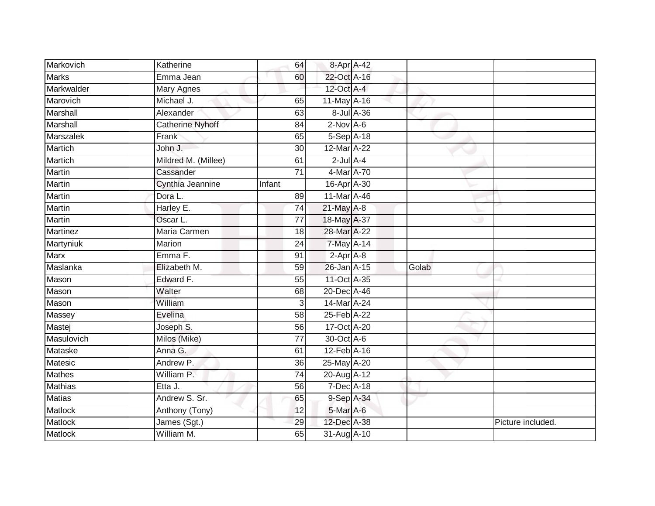| Markovich       | Katherine           | 64              | 8-Apr A-42       |            |       |                   |
|-----------------|---------------------|-----------------|------------------|------------|-------|-------------------|
| <b>Marks</b>    | Emma Jean           | 60              | 22-Oct A-16      |            |       |                   |
| Markwalder      | Mary Agnes          |                 | $12$ -Oct $A$ -4 |            |       |                   |
| Marovich        | Michael J.          | 65              | 11-May A-16      |            |       |                   |
| Marshall        | Alexander           | 63              |                  | 8-Jul A-36 |       |                   |
| Marshall        | Catherine Nyhoff    | 84              | $2$ -Nov $A-6$   |            |       |                   |
| Marszalek       | Frank               | 65              | 5-Sep A-18       |            |       |                   |
| Martich         | John J.             | 30              | 12-Mar A-22      |            |       |                   |
| <b>Martich</b>  | Mildred M. (Millee) | 61              | $2$ -Jul $A-4$   |            |       |                   |
| Martin          | Cassander           | 71              | 4-Mar A-70       |            |       |                   |
| Martin          | Cynthia Jeannine    | Infant          | 16-Apr A-30      |            |       |                   |
| Martin          | Dora L.             | 89              | 11-Mar A-46      |            |       |                   |
| Martin          | Harley E.           | 74              | $21$ -May $A-8$  |            |       |                   |
| Martin          | Oscar L.            | 77              | 18-May A-37      |            |       |                   |
| <b>Martinez</b> | Maria Carmen        | 18              | 28-Mar A-22      |            |       |                   |
| Martyniuk       | Marion              | 24              | 7-May A-14       |            |       |                   |
| Marx            | Emma F.             | 91              | $2-Apr$ A-8      |            |       |                   |
| Maslanka        | Elizabeth M.        | 59              | 26-Jan A-15      |            | Golab |                   |
| Mason           | Edward F.           | 55              | 11-Oct A-35      |            |       |                   |
| Mason           | Walter              | 68              | 20-Dec A-46      |            |       |                   |
| Mason           | William             | 3               | 14-Mar A-24      |            |       |                   |
| Massey          | Evelina             | 58              | 25-Feb A-22      |            |       |                   |
| Mastej          | Joseph S.           | 56              | 17-Oct A-20      |            |       |                   |
| Masulovich      | Milos (Mike)        | 77              | 30-Oct A-6       |            |       |                   |
| Mataske         | Anna G.             | 61              | 12-Feb A-16      |            |       |                   |
| Matesic         | Andrew P.           | 36              | 25-May A-20      |            |       |                   |
| <b>Mathes</b>   | William P.          | $\overline{74}$ | 20-Aug A-12      |            |       |                   |
| <b>Mathias</b>  | Etta J.             | 56              | 7-Dec A-18       |            |       |                   |
| <b>Matias</b>   | Andrew S. Sr.       | 65              | 9-Sep A-34       |            |       |                   |
| Matlock         | Anthony (Tony)      | 12              | 5-Mar A-6        |            |       |                   |
| Matlock         | James (Sgt.)        | 29              | 12-Dec A-38      |            |       | Picture included. |
| <b>Matlock</b>  | William M.          | 65              | 31-Aug A-10      |            |       |                   |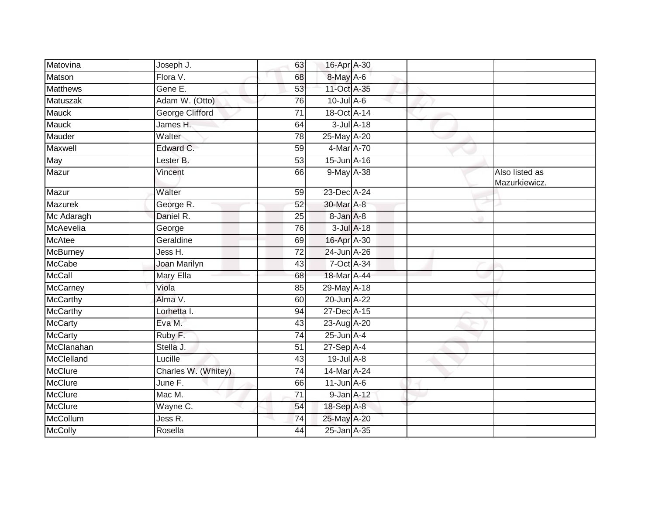| Matovina        | Joseph J.              | 63              | 16-Apr A-30      |  |                                 |
|-----------------|------------------------|-----------------|------------------|--|---------------------------------|
| Matson          | Flora V.               | 68              | 8-May A-6        |  |                                 |
| <b>Matthews</b> | Gene E.                | 53              | 11-Oct A-35      |  |                                 |
| Matuszak        | Adam W. (Otto)         | 76              | $10$ -Jul A-6    |  |                                 |
| <b>Mauck</b>    | <b>George Clifford</b> | $\overline{71}$ | 18-Oct A-14      |  |                                 |
| <b>Mauck</b>    | James H.               | 64              | 3-Jul A-18       |  |                                 |
| Mauder          | Walter                 | 78              | 25-May A-20      |  |                                 |
| Maxwell         | Edward C.              | 59              | 4-Mar A-70       |  |                                 |
| May             | Lester B.              | 53              | 15-Jun A-16      |  |                                 |
| Mazur           | Vincent                | 66              | 9-May A-38       |  | Also listed as<br>Mazurkiewicz. |
| Mazur           | Walter                 | 59              | 23-Dec A-24      |  |                                 |
| Mazurek         | George R.              | 52              | 30-Mar A-8       |  |                                 |
| Mc Adaragh      | Daniel R.              | $\overline{25}$ | 8-Jan A-8        |  |                                 |
| McAevelia       | George                 | 76              | $3$ -Jul $A$ -18 |  |                                 |
| <b>McAtee</b>   | Geraldine              | 69              | 16-Apr A-30      |  |                                 |
| <b>McBurney</b> | Jess H.                | 72              | 24-Jun A-26      |  |                                 |
| McCabe          | Joan Marilyn           | 43              | 7-Oct A-34       |  |                                 |
| <b>McCall</b>   | Mary Ella              | 68              | 18-Mar A-44      |  |                                 |
| <b>McCarney</b> | Viola                  | 85              | 29-May A-18      |  |                                 |
| <b>McCarthy</b> | Alma V.                | 60              | 20-Jun A-22      |  |                                 |
| <b>McCarthy</b> | Lorhetta I.            | 94              | 27-Dec A-15      |  |                                 |
| <b>McCarty</b>  | Eva M.                 | 43              | 23-Aug A-20      |  |                                 |
| <b>McCarty</b>  | Ruby F.                | 74              | $25$ -Jun $A-4$  |  |                                 |
| McClanahan      | Stella J.              | 51              | $27-Sep$ A-4     |  |                                 |
| McClelland      | Lucille                | 43              | $19$ -Jul $A-8$  |  |                                 |
| <b>McClure</b>  | Charles W. (Whitey)    | 74              | 14-Mar A-24      |  |                                 |
| McClure         | June F.                | 66              | $11$ -Jun $A$ -6 |  |                                 |
| McClure         | Mac M.                 | 71              | $9$ -Jan $A$ -12 |  |                                 |
| <b>McClure</b>  | Wayne C.               | 54              | 18-Sep A-8       |  |                                 |
| McCollum        | Jess R.                | 74              | 25-May A-20      |  |                                 |
| <b>McColly</b>  | Rosella                | 44              | 25-Jan A-35      |  |                                 |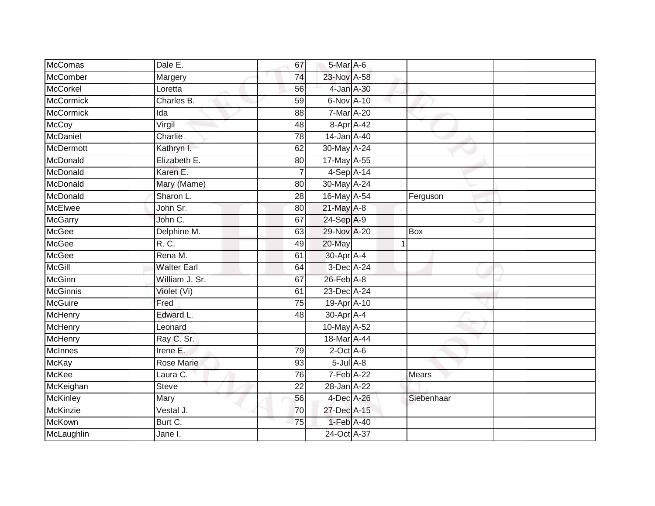| <b>McComas</b>   | Dale E.            | 67              | 5-Mar A-6       |            |  |
|------------------|--------------------|-----------------|-----------------|------------|--|
| McComber         | Margery            | 74              | 23-Nov A-58     |            |  |
| <b>McCorkel</b>  | Loretta            | 56              | 4-Jan A-30      |            |  |
| <b>McCormick</b> | Charles B.         | 59              | 6-Nov A-10      |            |  |
| <b>McCormick</b> | Ida                | 88              | 7-Mar A-20      |            |  |
| <b>McCoy</b>     | Virgil             | 48              | 8-Apr A-42      |            |  |
| McDaniel         | Charlie            | 78              | 14-Jan A-40     |            |  |
| <b>McDermott</b> | Kathryn I.         | 62              | 30-May A-24     |            |  |
| McDonald         | Elizabeth E.       | 80              | 17-May A-55     |            |  |
| McDonald         | Karen E.           |                 | 4-Sep A-14      |            |  |
| McDonald         | Mary (Mame)        | 80              | 30-May A-24     |            |  |
| McDonald         | Sharon L.          | 28              | 16-May A-54     | Ferguson   |  |
| <b>McElwee</b>   | John Sr.           | 80              | 21-May A-8      |            |  |
| <b>McGarry</b>   | John C.            | 67              | 24-Sep A-9      |            |  |
| <b>McGee</b>     | Delphine M.        | 63              | 29-Nov A-20     | <b>Box</b> |  |
| <b>McGee</b>     | R. C.              | 49              | 20-May          |            |  |
| <b>McGee</b>     | Rena M.            | 61              | 30-Apr A-4      |            |  |
| <b>McGill</b>    | <b>Walter Earl</b> | 64              | 3-Dec A-24      |            |  |
| <b>McGinn</b>    | William J. Sr.     | 67              | $26$ -Feb $A-8$ |            |  |
| <b>McGinnis</b>  | Violet (Vi)        | 61              | 23-Dec A-24     |            |  |
| <b>McGuire</b>   | Fred               | 75              | 19-Apr A-10     |            |  |
| <b>McHenry</b>   | Edward L.          | 48              | 30-Apr A-4      |            |  |
| <b>McHenry</b>   | Leonard            |                 | 10-May A-52     |            |  |
| McHenry          | Ray C. Sr.         |                 | 18-Mar A-44     |            |  |
| McInnes          | Irene E.           | 79              | $2$ -Oct A-6    |            |  |
| <b>McKay</b>     | <b>Rose Marie</b>  | 93              | $5$ -Jul $A$ -8 |            |  |
| <b>McKee</b>     | Laura C.           | 76              | 7-Feb A-22      | Mears      |  |
| McKeighan        | <b>Steve</b>       | 22              | 28-Jan A-22     |            |  |
| <b>McKinley</b>  | Mary               | 56              | $4$ -Dec A-26   | Siebenhaar |  |
| McKinzie         | Vestal J.          | 70              | 27-Dec A-15     |            |  |
| <b>McKown</b>    | Burt C.            | $\overline{75}$ | 1-Feb A-40      |            |  |
| McLaughlin       | Jane I.            |                 | 24-Oct A-37     |            |  |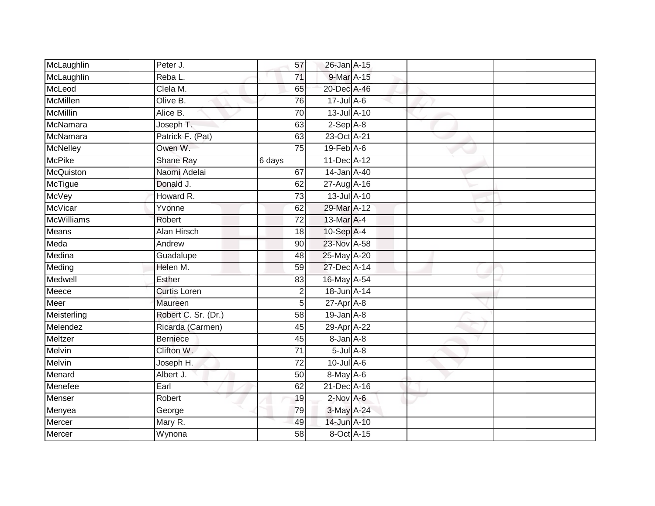| McLaughlin        | Peter J.            | 57              | 26-Jan A-15                 |  |  |
|-------------------|---------------------|-----------------|-----------------------------|--|--|
| McLaughlin        | Reba L.             | 71              | 9-Mar A-15                  |  |  |
| McLeod            | Clela M.            | 65              | 20-Dec A-46                 |  |  |
| McMillen          | Olive B.            | 76              | $17$ -Jul $A$ -6            |  |  |
| <b>McMillin</b>   | Alice B.            | $\overline{70}$ | 13-Jul A-10                 |  |  |
| McNamara          | Joseph T.           | 63              | $2-Sep$ $A-8$               |  |  |
| McNamara          | Patrick F. (Pat)    | 63              | 23-Oct A-21                 |  |  |
| McNelley          | Owen W.             | 75              | $19$ -Feb $\overline{A}$ -6 |  |  |
| <b>McPike</b>     | <b>Shane Ray</b>    | 6 days          | 11-Dec A-12                 |  |  |
| McQuiston         | Naomi Adelai        | 67              | 14-Jan A-40                 |  |  |
| McTigue           | Donald J.           | 62              | 27-Aug A-16                 |  |  |
| <b>McVey</b>      | Howard R.           | 73              | 13-Jul A-10                 |  |  |
| McVicar           | Yvonne              | 62              | 29-Mar A-12                 |  |  |
| <b>McWilliams</b> | Robert              | 72              | $13-MarA-4$                 |  |  |
| <b>Means</b>      | <b>Alan Hirsch</b>  | 18              | 10-Sep A-4                  |  |  |
| Meda              | Andrew              | 90              | 23-Nov A-58                 |  |  |
| Medina            | Guadalupe           | 48              | 25-May A-20                 |  |  |
| Meding            | Helen M.            | 59              | 27-Dec A-14                 |  |  |
| Medwell           | Esther              | 83              | 16-May A-54                 |  |  |
| Meece             | <b>Curtis Loren</b> | $\overline{2}$  | 18-Jun A-14                 |  |  |
| Meer              | Maureen             | 5               | $27$ -Apr $A$ -8            |  |  |
| Meisterling       | Robert C. Sr. (Dr.) | $\overline{58}$ | $19$ -Jan $A-8$             |  |  |
| Melendez          | Ricarda (Carmen)    | 45              | 29-Apr A-22                 |  |  |
| Meltzer           | <b>Berniece</b>     | 45              | 8-Jan A-8                   |  |  |
| Melvin            | Clifton W.          | 71              | $5$ -Jul $A$ -8             |  |  |
| <b>Melvin</b>     | Joseph H.           | 72              | $10$ -Jul A-6               |  |  |
| Menard            | Albert J.           | 50              | 8-May A-6                   |  |  |
| Menefee           | Earl                | 62              | 21-Dec A-16                 |  |  |
| <b>Menser</b>     | Robert              | 19              | $2-Nov$ A-6                 |  |  |
| Menyea            | George              | 79              | 3-May A-24                  |  |  |
| Mercer            | Mary R.             | 49              | 14-Jun A-10                 |  |  |
| Mercer            | Wynona              | $\overline{58}$ | 8-Oct A-15                  |  |  |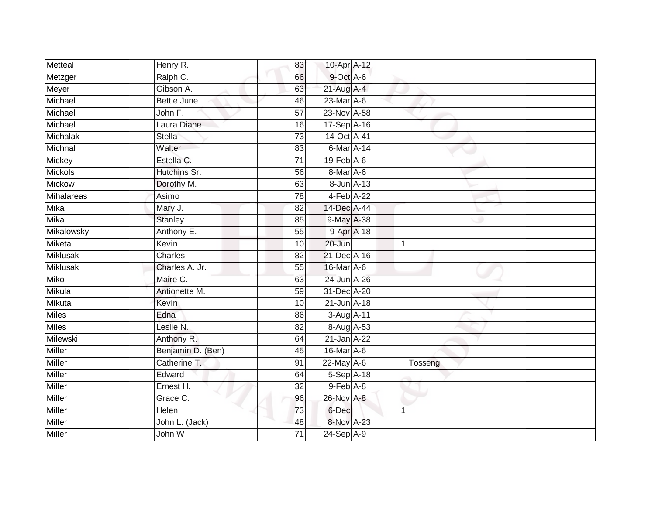| Metteal         | Henry R.           | 83              | 10-Apr A-12      |              |         |
|-----------------|--------------------|-----------------|------------------|--------------|---------|
| Metzger         | Ralph C.           | 66              | 9-Oct A-6        |              |         |
| Meyer           | Gibson A.          | 63              | $21$ -Aug $A-4$  |              |         |
| Michael         | <b>Bettie June</b> | 46              | 23-Mar A-6       |              |         |
| Michael         | John F.            | $\overline{57}$ | 23-Nov A-58      |              |         |
| Michael         | Laura Diane        | 16              | 17-Sep A-16      |              |         |
| Michalak        | <b>Stella</b>      | $\overline{73}$ | 14-Oct A-41      |              |         |
| Michnal         | Walter             | 83              | 6-Mar A-14       |              |         |
| Mickey          | Estella C.         | $\overline{71}$ | $19$ -Feb $A$ -6 |              |         |
| Mickols         | Hutchins Sr.       | 56              | $8$ -Mar $A$ -6  |              |         |
| Mickow          | Dorothy M.         | 63              | 8-Jun A-13       |              |         |
| Mihalareas      | Asimo              | 78              | 4-Feb A-22       |              |         |
| Mika            | Mary J.            | 82              | 14-Dec A-44      |              |         |
| Mika            | <b>Stanley</b>     | 85              | 9-May A-38       |              |         |
| Mikalowsky      | Anthony E.         | 55              | 9-Apr A-18       |              |         |
| Miketa          | Kevin              | 10              | 20-Jun           | $\mathbf 1$  |         |
| <b>Miklusak</b> | <b>Charles</b>     | $\overline{82}$ | 21-Dec A-16      |              |         |
| <b>Miklusak</b> | Charles A. Jr.     | 55              | 16-Mar A-6       |              |         |
| <b>Miko</b>     | Maire C.           | 63              | 24-Jun A-26      |              |         |
| <b>Mikula</b>   | Antionette M.      | $\overline{59}$ | 31-Dec A-20      |              |         |
| Mikuta          | Kevin              | 10              | 21-Jun A-18      |              |         |
| <b>Miles</b>    | Edna               | 86              | 3-Aug A-11       |              |         |
| <b>Miles</b>    | Leslie N.          | 82              | 8-Aug A-53       |              |         |
| Milewski        | Anthony R.         | 64              | 21-Jan A-22      |              |         |
| Miller          | Benjamin D. (Ben)  | 45              | 16-Mar A-6       |              |         |
| <b>Miller</b>   | Catherine T.       | 91              | 22-May A-6       |              | Tosseng |
| <b>Miller</b>   | Edward             | 64              | $5-Sep$ A-18     |              |         |
| Miller          | Ernest H.          | 32              | 9-Feb A-8        |              |         |
| Miller          | Grace C.           | 96              | 26-Nov A-8       |              |         |
| Miller          | Helen              | 73              | 6-Dec            | $\mathbf{1}$ |         |
| Miller          | John L. (Jack)     | 48              | 8-Nov A-23       |              |         |
| <b>Miller</b>   | John W.            | $\overline{71}$ | 24-Sep A-9       |              |         |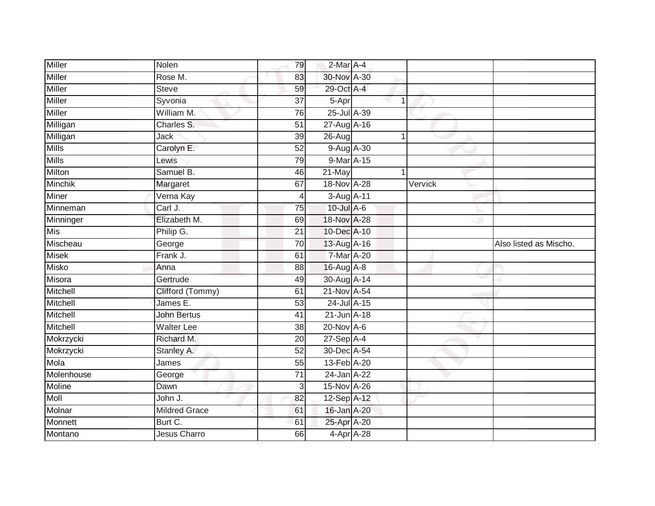| <b>Miller</b> | Nolen                | 79              | 2-Mar A-4       |                |         |                        |
|---------------|----------------------|-----------------|-----------------|----------------|---------|------------------------|
| <b>Miller</b> | Rose M.              | 83              | 30-Nov A-30     |                |         |                        |
| <b>Miller</b> | <b>Steve</b>         | 59              | 29-Oct A-4      |                |         |                        |
| Miller        | Syvonia              | 37              | 5-Apr           | 1              |         |                        |
| Miller        | William M.           | $\overline{76}$ | 25-Jul A-39     |                |         |                        |
| Milligan      | Charles S.           | 51              | 27-Aug A-16     |                |         |                        |
| Milligan      | Jack                 | 39              | $26 - Aug$      | $\overline{1}$ |         |                        |
| <b>Mills</b>  | Carolyn E.           | 52              | 9-Aug A-30      |                |         |                        |
| <b>Mills</b>  | Lewis                | 79              | 9-Mar A-15      |                |         |                        |
| Milton        | Samuel B.            | 46              | 21-May          | 1              |         |                        |
| Minchik       | Margaret             | 67              | 18-Nov A-28     |                | Vervick |                        |
| Miner         | Verna Kay            | 4               | 3-Aug A-11      |                |         |                        |
| Minneman      | Carl J.              | 75              | 10-Jul A-6      |                |         |                        |
| Minninger     | Elizabeth M.         | 69              | 18-Nov A-28     |                |         |                        |
| <b>Mis</b>    | Philip G.            | $\overline{21}$ | 10-Dec A-10     |                |         |                        |
| Mischeau      | George               | 70              | 13-Aug A-16     |                |         | Also listed as Mischo. |
| <b>Misek</b>  | Frank J.             | 61              | 7-Mar A-20      |                |         |                        |
| <b>Misko</b>  | Anna                 | 88              | 16-Aug A-8      |                |         |                        |
| Misora        | Gertrude             | 49              | 30-Aug A-14     |                |         |                        |
| Mitchell      | Clifford (Tommy)     | 61              | 21-Nov A-54     |                |         |                        |
| Mitchell      | James E.             | $\overline{53}$ | 24-Jul A-15     |                |         |                        |
| Mitchell      | <b>John Bertus</b>   | 41              | 21-Jun A-18     |                |         |                        |
| Mitchell      | <b>Walter Lee</b>    | 38              | $20$ -Nov $A-6$ |                |         |                        |
| Mokrzycki     | Richard M.           | 20              | $27-$ Sep $A-4$ |                |         |                        |
| Mokrzycki     | Stanley A.           | 52              | 30-Dec A-54     |                |         |                        |
| Mola          | James                | 55              | 13-Feb A-20     |                |         |                        |
| Molenhouse    | George               | $\overline{71}$ | 24-Jan A-22     |                |         |                        |
| Moline        | Dawn                 | 3               | 15-Nov A-26     |                |         |                        |
| Moll          | John J.              | 82              | 12-Sep A-12     |                |         |                        |
| Molnar        | <b>Mildred Grace</b> | 61              | 16-Jan A-20     |                |         |                        |
| Monnett       | Burt C.              | 61              | 25-Apr A-20     |                |         |                        |
| Montano       | <b>Jesus Charro</b>  | 66              | 4-Apr A-28      |                |         |                        |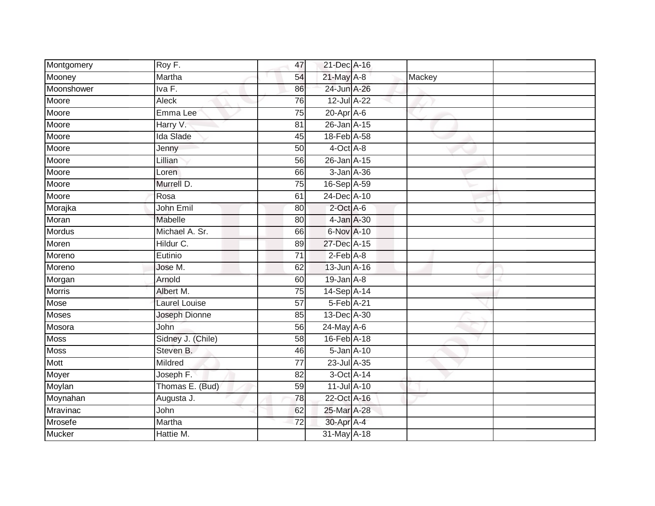| Montgomery    | Roy F.               | 47              | 21-Dec A-16        |        |  |
|---------------|----------------------|-----------------|--------------------|--------|--|
| Mooney        | Martha               | 54              | 21-May A-8         | Mackey |  |
| Moonshower    | IvaF.                | 86              | 24-Jun A-26        |        |  |
| Moore         | Aleck                | 76              | 12-Jul A-22        |        |  |
| Moore         | Emma Lee             | $\overline{75}$ | $20$ -Apr $A$ -6   |        |  |
| Moore         | Harry V.             | 81              | 26-Jan A-15        |        |  |
| Moore         | Ida Slade            | 45              | 18-Feb A-58        |        |  |
| Moore         | Jenny                | 50              | 4-Oct A-8          |        |  |
| Moore         | Lillian              | 56              | 26-Jan A-15        |        |  |
| Moore         | Loren                | 66              | 3-Jan A-36         |        |  |
| Moore         | Murrell D.           | 75              | 16-Sep A-59        |        |  |
| Moore         | Rosa                 | 61              | 24-Dec A-10        |        |  |
| Morajka       | John Emil            | 80              | $2$ -Oct $A$ -6    |        |  |
| Moran         | Mabelle              | 80              | 4-Jan A-30         |        |  |
| <b>Mordus</b> | Michael A. Sr.       | 66              | 6-Nov A-10         |        |  |
| Moren         | Hildur C.            | 89              | 27-Dec A-15        |        |  |
| Moreno        | Eutinio              | $\overline{71}$ | $2-Feb$ $A-8$      |        |  |
| Moreno        | Jose M.              | 62              | 13-Jun A-16        |        |  |
| Morgan        | Arnold               | 60              | $19$ -Jan $A-8$    |        |  |
| <b>Morris</b> | Albert M.            | 75              | 14-Sep A-14        |        |  |
| Mose          | <b>Laurel Louise</b> | $\overline{57}$ | 5-Feb A-21         |        |  |
| <b>Moses</b>  | Joseph Dionne        | 85              | 13-Dec A-30        |        |  |
| Mosora        | John                 | 56              | 24-May A-6         |        |  |
| <b>Moss</b>   | Sidney J. (Chile)    | 58              | 16-Feb A-18        |        |  |
| Moss          | Steven B.            | 46              | $5 - Jan$ $A - 10$ |        |  |
| Mott          | Mildred              | 77              | 23-Jul A-35        |        |  |
| Moyer         | Joseph F.            | 82              | 3-Oct A-14         |        |  |
| Moylan        | Thomas E. (Bud)      | 59              | 11-Jul A-10        |        |  |
| Moynahan      | Augusta J.           | 78              | 22-Oct A-16        |        |  |
| Mravinac      | John                 | 62              | 25-Mar A-28        |        |  |
| Mrosefe       | Martha               | 72              | 30-Apr A-4         |        |  |
| <b>Mucker</b> | Hattie M.            |                 | 31-May A-18        |        |  |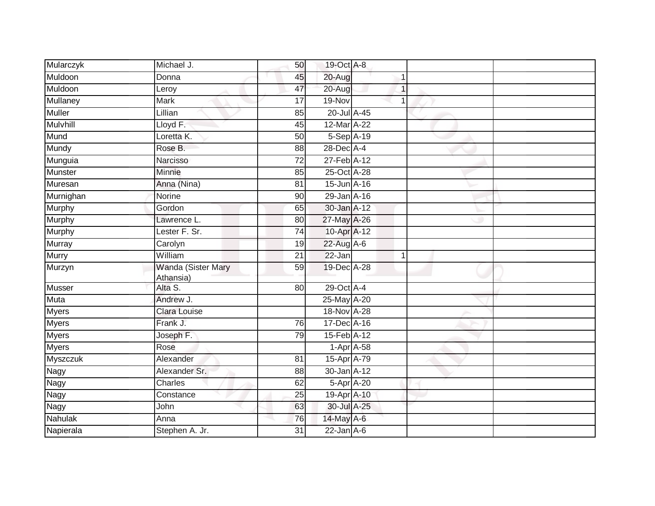| Mularczyk       | Michael J.                      | 50              | 19-Oct A-8        |             |  |
|-----------------|---------------------------------|-----------------|-------------------|-------------|--|
| Muldoon         | Donna                           | 45              | 20-Aug            | 1           |  |
| Muldoon         | Leroy                           | 47              | 20-Aug            | 1           |  |
| Mullaney        | Mark                            | 17              | 19-Nov            | 1           |  |
| <b>Muller</b>   | Lillian                         | 85              | 20-Jul A-45       |             |  |
| Mulvhill        | Lloyd F.                        | 45              | 12-Mar A-22       |             |  |
| Mund            | Loretta K.                      | 50              | 5-Sep A-19        |             |  |
| Mundy           | Rose B.                         | 88              | 28-Dec A-4        |             |  |
| Munguia         | Narcisso                        | 72              | 27-Feb A-12       |             |  |
| Munster         | Minnie                          | 85              | $25$ -Oct $A$ -28 |             |  |
| Muresan         | Anna (Nina)                     | 81              | 15-Jun A-16       |             |  |
| Murnighan       | Norine                          | 90              | 29-Jan A-16       |             |  |
| Murphy          | Gordon                          | 65              | $30 - Jan$ $A-12$ |             |  |
| Murphy          | Lawrence L.                     | 80              | 27-May A-26       |             |  |
| Murphy          | Lester F. Sr.                   | $\overline{74}$ | 10-Apr A-12       |             |  |
| <b>Murray</b>   | Carolyn                         | 19              | $22$ -Aug A-6     |             |  |
| <b>Murry</b>    | William                         | $\overline{21}$ | $22 - Jan$        | $\mathbf 1$ |  |
| Murzyn          | Wanda (Sister Mary<br>Athansia) | 59              | 19-Dec A-28       |             |  |
| Musser          | Alta S.                         | 80              | 29-Oct A-4        |             |  |
| <b>Muta</b>     | Andrew J.                       |                 | 25-May A-20       |             |  |
| <b>Myers</b>    | <b>Clara Louise</b>             |                 | 18-Nov A-28       |             |  |
| <b>Myers</b>    | Frank J.                        | 76              | 17-Dec A-16       |             |  |
| <b>Myers</b>    | Joseph F.                       | 79              | 15-Feb A-12       |             |  |
| <b>Myers</b>    | Rose                            |                 | $1-Apr$ A-58      |             |  |
| <b>Myszczuk</b> | Alexander                       | 81              | 15-Apr A-79       |             |  |
| Nagy            | Alexander Sr.                   | 88              | 30-Jan A-12       |             |  |
| Nagy            | Charles                         | 62              | 5-Apr A-20        |             |  |
| Nagy            | Constance                       | 25              | 19-Apr A-10       |             |  |
| Nagy            | John                            | 63              | 30-Jul A-25       |             |  |
| Nahulak         | Anna                            | 76              | 14-May A-6        |             |  |
| Napierala       | Stephen A. Jr.                  | 31              | $22$ -Jan $A-6$   |             |  |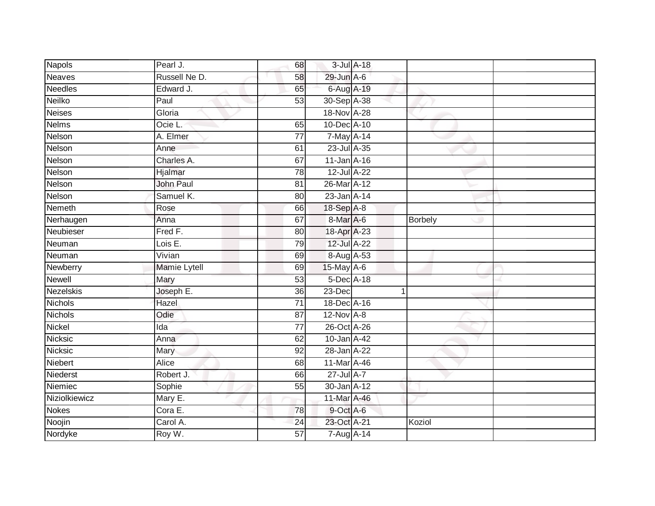| <b>Napols</b>    | Pearl J.         | 68              | 3-Jul A-18  |                |  |
|------------------|------------------|-----------------|-------------|----------------|--|
| <b>Neaves</b>    | Russell Ne D.    | 58              | 29-Jun A-6  |                |  |
| <b>Needles</b>   | Edward J.        | 65              | 6-Aug A-19  |                |  |
| Neilko           | Paul             | 53              | 30-Sep A-38 |                |  |
| <b>Neises</b>    | Gloria           |                 | 18-Nov A-28 |                |  |
| <b>Nelms</b>     | Ocie L.          | 65              | 10-Dec A-10 |                |  |
| Nelson           | A. Elmer         | $\overline{77}$ | 7-May A-14  |                |  |
| Nelson           | Anne             | 61              | 23-Jul A-35 |                |  |
| Nelson           | Charles A.       | 67              | 11-Jan A-16 |                |  |
| Nelson           | Hjalmar          | 78              | 12-Jul A-22 |                |  |
| Nelson           | <b>John Paul</b> | 81              | 26-Mar A-12 |                |  |
| Nelson           | Samuel K.        | 80              | 23-Jan A-14 |                |  |
| Nemeth           | Rose             | 66              | 18-Sep A-8  |                |  |
| Nerhaugen        | Anna             | 67              | 8-Mar A-6   | <b>Borbely</b> |  |
| Neubieser        | Fred F.          | 80              | 18-Apr A-23 |                |  |
| Neuman           | Lois E.          | 79              | 12-Jul A-22 |                |  |
| Neuman           | Vivian           | 69              | 8-Aug A-53  |                |  |
| Newberry         | Mamie Lytell     | 69              | 15-May A-6  |                |  |
| Newell           | Mary             | 53              | 5-Dec A-18  |                |  |
| <b>Nezelskis</b> | Joseph E.        | $\overline{36}$ | $23-Dec$    | 1              |  |
| <b>Nichols</b>   | Hazel            | $\overline{71}$ | 18-Dec A-16 |                |  |
| <b>Nichols</b>   | Odie             | 87              | 12-Nov A-8  |                |  |
| Nickel           | Ida              | 77              | 26-Oct A-26 |                |  |
| Nicksic          | Anna             | 62              | 10-Jan A-42 |                |  |
| Nicksic          | Mary             | 92              | 28-Jan A-22 |                |  |
| Niebert          | Alice            | 68              | 11-Mar A-46 |                |  |
| Niederst         | Robert J.        | 66              | 27-Jul A-7  |                |  |
| Niemiec          | Sophie           | 55              | 30-Jan A-12 |                |  |
| Niziolkiewicz    | Mary E.          |                 | 11-Mar A-46 |                |  |
| <b>Nokes</b>     | Cora E.          | 78              | 9-Oct A-6   |                |  |
| Noojin           | Carol A.         | 24              | 23-Oct A-21 | Koziol         |  |
| Nordyke          | Roy W.           | $\overline{57}$ | 7-Aug A-14  |                |  |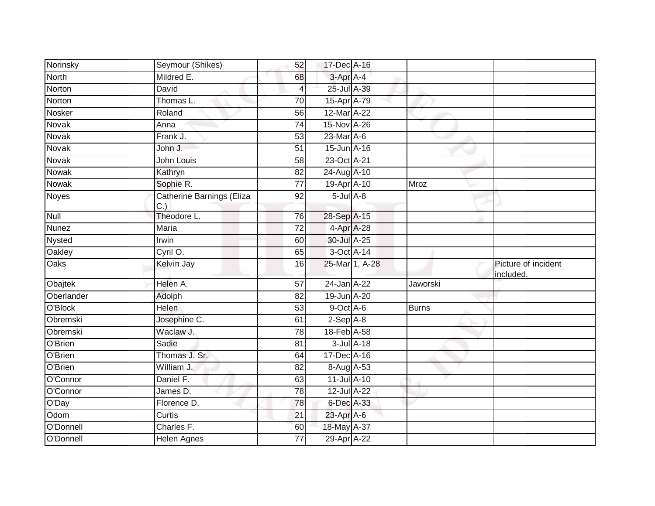| Norinsky      | Seymour (Shikes)                | 52              | 17-Dec A-16      |                |              |                                  |
|---------------|---------------------------------|-----------------|------------------|----------------|--------------|----------------------------------|
| North         | Mildred E.                      | 68              | $3-Apr$ A-4      |                |              |                                  |
| Norton        | David                           | 4               | 25-Jul A-39      |                |              |                                  |
| Norton        | Thomas L.                       | 70              | 15-Apr A-79      |                |              |                                  |
| Nosker        | Roland                          | 56              | 12-Mar A-22      |                |              |                                  |
| Novak         | Anna                            | $\overline{74}$ | 15-Nov A-26      |                |              |                                  |
| Novak         | Frank J.                        | 53              | $23$ -Mar $A$ -6 |                |              |                                  |
| Novak         | John J.                         | 51              | 15-Jun A-16      |                |              |                                  |
| Novak         | John Louis                      | 58              | 23-Oct A-21      |                |              |                                  |
| <b>Nowak</b>  | Kathryn                         | $\overline{82}$ | 24-Aug A-10      |                |              |                                  |
| Nowak         | Sophie R.                       | $\overline{77}$ | 19-Apr A-10      |                | Mroz         |                                  |
| <b>Noyes</b>  | Catherine Barnings (Eliza<br>C. | 92              | $5$ -Jul $A$ -8  |                |              |                                  |
| <b>Null</b>   | Theodore L.                     | 76              | 28-Sep A-15      |                |              |                                  |
| <b>Nunez</b>  | Maria                           | $\overline{72}$ | 4-Apr A-28       |                |              |                                  |
| <b>Nysted</b> | Irwin                           | 60              | 30-Jul A-25      |                |              |                                  |
| Oakley        | Cyril O.                        | 65              | 3-Oct A-14       |                |              |                                  |
| Oaks          | Kelvin Jay                      | 16              |                  | 25-Mar 1, A-28 |              | Picture of incident<br>included. |
| Obajtek       | Helen A.                        | $\overline{57}$ | 24-Jan A-22      |                | Jaworski     |                                  |
| Oberlander    | Adolph                          | 82              | 19-Jun A-20      |                |              |                                  |
| O'Block       | <b>Helen</b>                    | 53              | 9-Oct A-6        |                | <b>Burns</b> |                                  |
| Obremski      | Josephine C.                    | 61              | $2-Sep$ A-8      |                |              |                                  |
| Obremski      | Waclaw J.                       | $\overline{78}$ | 18-Feb A-58      |                |              |                                  |
| O'Brien       | Sadie                           | 81              | $3$ -Jul $A$ -18 |                |              |                                  |
| O'Brien       | Thomas J. Sr.                   | 64              | 17-Dec A-16      |                |              |                                  |
| O'Brien       | William J.                      | $\overline{82}$ | 8-Aug A-53       |                |              |                                  |
| O'Connor      | Daniel F.                       | 63              | 11-Jul A-10      |                |              |                                  |
| O'Connor      | James D.                        | $\overline{78}$ | 12-Jul A-22      |                |              |                                  |
| O'Day         | Florence D.                     | 78              | 6-Dec A-33       |                |              |                                  |
| Odom          | Curtis                          | 21              | 23-Apr A-6       |                |              |                                  |
| O'Donnell     | Charles F.                      | 60              | 18-May A-37      |                |              |                                  |
| O'Donnell     | Helen Agnes                     | 77              | 29-Apr A-22      |                |              |                                  |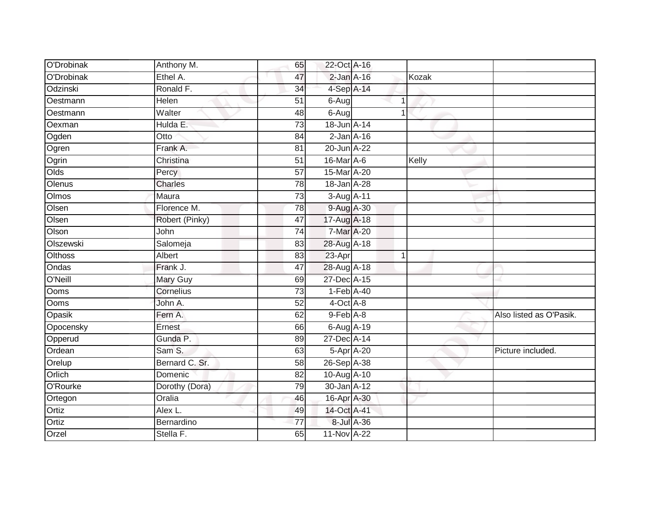| O'Drobinak   | Anthony M.     | 65              | 22-Oct A-16                 |            |                |                         |
|--------------|----------------|-----------------|-----------------------------|------------|----------------|-------------------------|
| O'Drobinak   | Ethel A.       | 47              | $2$ -Jan $A-16$             |            | Kozak          |                         |
| Odzinski     | Ronald F.      | $\overline{34}$ | 4-Sep A-14                  |            |                |                         |
| Oestmann     | Helen          | 51              | 6-Aug                       |            |                |                         |
| Oestmann     | Walter         | 48              | 6-Aug                       |            |                |                         |
| Oexman       | Hulda E.       | 73              | 18-Jun A-14                 |            |                |                         |
| Ogden        | Otto           | 84              | $2$ -Jan $A-16$             |            |                |                         |
| Ogren        | Frank A.       | 81              | 20-Jun A-22                 |            |                |                         |
| Ogrin        | Christina      | 51              | $16$ -Mar $\overline{A}$ -6 |            | Kelly          |                         |
| Olds         | Percy          | $\overline{57}$ | 15-Mar A-20                 |            |                |                         |
| Olenus       | Charles        | 78              | 18-Jan A-28                 |            |                |                         |
| <b>Olmos</b> | Maura          | $\overline{73}$ | 3-Aug A-11                  |            |                |                         |
| Olsen        | Florence M.    | 78              | 9-Aug A-30                  |            |                |                         |
| Olsen        | Robert (Pinky) | $\overline{47}$ | 17-Aug A-18                 |            |                |                         |
| Olson        | John           | $\overline{74}$ | 7-Mar A-20                  |            |                |                         |
| Olszewski    | Salomeja       | 83              | 28-Aug A-18                 |            |                |                         |
| Olthoss      | Albert         | 83              | $23-Apr$                    |            | $\overline{1}$ |                         |
| Ondas        | Frank J.       | 47              | 28-Aug A-18                 |            |                |                         |
| O'Neill      | Mary Guy       | 69              | 27-Dec A-15                 |            |                |                         |
| Ooms         | Cornelius      | $\overline{73}$ | $1-Feb$ A-40                |            |                |                         |
| Ooms         | John A.        | 52              | 4-Oct A-8                   |            |                |                         |
| Opasik       | Fern A.        | 62              | 9-Feb A-8                   |            |                | Also listed as O'Pasik. |
| Opocensky    | Ernest         | 66              | 6-Aug A-19                  |            |                |                         |
| Opperud      | Gunda P.       | 89              | 27-Dec A-14                 |            |                |                         |
| Ordean       | Sam S.         | 63              | 5-Apr A-20                  |            |                | Picture included.       |
| Orelup       | Bernard C. Sr. | 58              | 26-Sep A-38                 |            |                |                         |
| Orlich       | Domenic        | $\overline{82}$ | 10-Aug A-10                 |            |                |                         |
| O'Rourke     | Dorothy (Dora) | 79              | 30-Jan A-12                 |            |                |                         |
| Ortegon      | Oralia         | 46              | 16-Apr A-30                 |            |                |                         |
| Ortiz        | Alex L.        | 49              | 14-Oct A-41                 |            |                |                         |
| Ortiz        | Bernardino     | 77              |                             | 8-Jul A-36 |                |                         |
| Orzel        | Stella F.      | 65              | 11-Nov A-22                 |            |                |                         |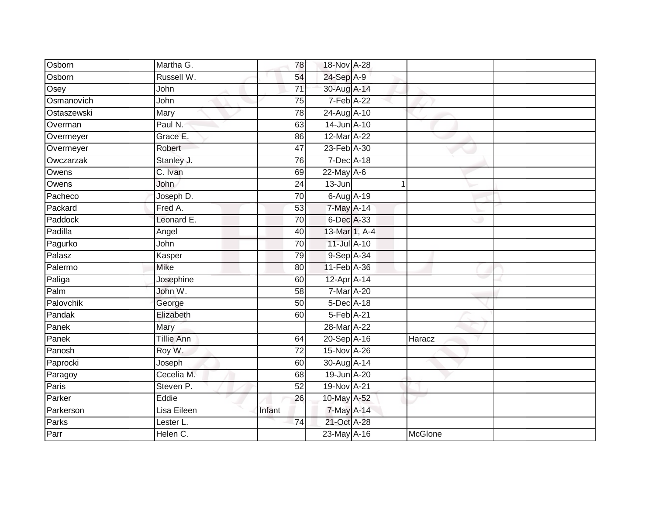| Osborn      | Martha G.   | 78              | 18-Nov A-28      |                |  |
|-------------|-------------|-----------------|------------------|----------------|--|
| Osborn      | Russell W.  | 54              | 24-Sep A-9       |                |  |
| Osey        | John        | $\overline{71}$ | 30-Aug A-14      |                |  |
| Osmanovich  | John        | 75              | $7-Feb$ $A-22$   |                |  |
| Ostaszewski | Mary        | 78              | 24-Aug A-10      |                |  |
| Overman     | Paul N.     | 63              | 14-Jun A-10      |                |  |
| Overmeyer   | Grace E.    | 86              | 12-Mar A-22      |                |  |
| Overmeyer   | Robert      | 47              | 23-Feb A-30      |                |  |
| Owczarzak   | Stanley J.  | 76              | 7-Dec A-18       |                |  |
| Owens       | C. Ivan     | 69              | $22$ -May $A-6$  |                |  |
| Owens       | John        | $\overline{24}$ | $13 - Jun$       | $\mathbf{1}$   |  |
| Pacheco     | Joseph D.   | 70              | $6$ -Aug $A$ -19 |                |  |
| Packard     | Fred A.     | 53              | 7-May A-14       |                |  |
| Paddock     | Leonard E.  | $\overline{70}$ | 6-Dec A-33       |                |  |
| Padilla     | Angel       | 40              | 13-Mar 1, A-4    |                |  |
| Pagurko     | John        | 70              | 11-Jul A-10      |                |  |
| Palasz      | Kasper      | $\overline{79}$ | 9-Sep A-34       |                |  |
| Palermo     | <b>Mike</b> | 80              | 11-Feb A-36      |                |  |
| Paliga      | Josephine   | 60              | 12-Apr A-14      |                |  |
| Palm        | John W.     | $\overline{58}$ | 7-Mar A-20       |                |  |
| Palovchik   | George      | 50              | 5-Dec A-18       |                |  |
| Pandak      | Elizabeth   | 60              | 5-Feb A-21       |                |  |
| Panek       | Mary        |                 | 28-Mar A-22      |                |  |
| Panek       | Tillie Ann  | 64              | 20-Sep A-16      | Haracz         |  |
| Panosh      | Roy W.      | $\overline{72}$ | 15-Nov A-26      |                |  |
| Paprocki    | Joseph      | 60              | 30-Aug A-14      |                |  |
| Paragoy     | Cecelia M.  | 68              | 19-Jun A-20      |                |  |
| Paris       | Steven P.   | 52              | 19-Nov A-21      |                |  |
| Parker      | Eddie       | 26              | 10-May A-52      |                |  |
| Parkerson   | Lisa Eileen | Infant          | 7-May A-14       |                |  |
| Parks       | Lester L.   | 74              | 21-Oct A-28      |                |  |
| Parr        | Helen C.    |                 | 23-May A-16      | <b>McGlone</b> |  |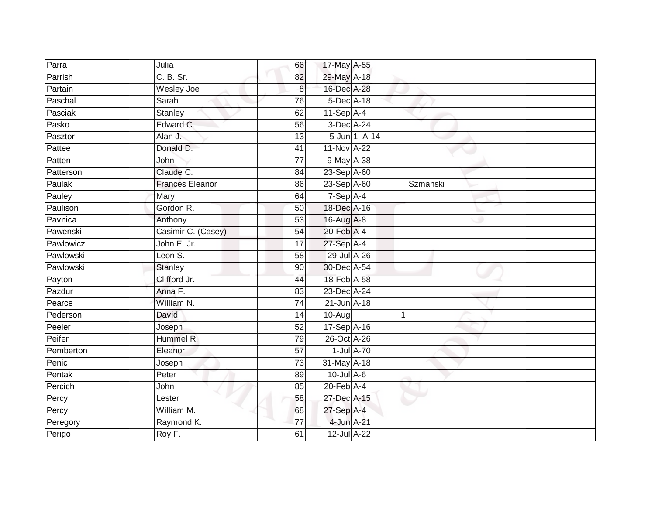| Parra     | Julia                  | 66              | 17-May A-55      |                  |          |  |
|-----------|------------------------|-----------------|------------------|------------------|----------|--|
| Parrish   | C. B. Sr.              | 82              | 29-May A-18      |                  |          |  |
| Partain   | <b>Wesley Joe</b>      | $\bf 8$         | 16-Dec A-28      |                  |          |  |
| Paschal   | Sarah                  | 76              | 5-Dec A-18       |                  |          |  |
| Pasciak   | <b>Stanley</b>         | 62              | $11-Sep$ A-4     |                  |          |  |
| Pasko     | Edward C.              | 56              | 3-Dec A-24       |                  |          |  |
| Pasztor   | Alan J.                | 13              |                  | 5-Jun 1, A-14    |          |  |
| Pattee    | Donald D.              | 41              | 11-Nov A-22      |                  |          |  |
| Patten    | John                   | 77              | 9-May A-38       |                  |          |  |
| Patterson | Claude C.              | 84              | 23-Sep A-60      |                  |          |  |
| Paulak    | <b>Frances Eleanor</b> | 86              | 23-Sep A-60      |                  | Szmanski |  |
| Pauley    | Mary                   | 64              | 7-Sep A-4        |                  |          |  |
| Paulison  | Gordon R.              | 50              | 18-Dec A-16      |                  |          |  |
| Pavnica   | Anthony                | 53              | 16-Aug A-8       |                  |          |  |
| Pawenski  | Casimir C. (Casey)     | 54              | 20-Feb A-4       |                  |          |  |
| Pawlowicz | John E. Jr.            | 17              | 27-Sep A-4       |                  |          |  |
| Pawlowski | Leon S.                | $\overline{58}$ | 29-Jul A-26      |                  |          |  |
| Pawlowski | <b>Stanley</b>         | 90              | 30-Dec A-54      |                  |          |  |
| Payton    | Clifford Jr.           | 44              | 18-Feb A-58      |                  |          |  |
| Pazdur    | Anna F.                | 83              | 23-Dec A-24      |                  |          |  |
| Pearce    | William N.             | 74              | 21-Jun A-18      |                  |          |  |
| Pederson  | David                  | 14              | $10-Aug$         |                  | 1        |  |
| Peeler    | Joseph                 | 52              | 17-Sep A-16      |                  |          |  |
| Peifer    | Hummel R.              | $\overline{79}$ | 26-Oct A-26      |                  |          |  |
| Pemberton | Eleanor                | $\overline{57}$ |                  | $1$ -Jul $A$ -70 |          |  |
| Penic     | Joseph                 | 73              | 31-May A-18      |                  |          |  |
| Pentak    | Peter                  | 89              | $10$ -Jul A-6    |                  |          |  |
| Percich   | John                   | 85              | $20$ -Feb $A$ -4 |                  |          |  |
| Percy     | Lester                 | 58              | 27-Dec A-15      |                  |          |  |
| Percy     | William M.             | 68              | 27-Sep A-4       |                  |          |  |
| Peregory  | Raymond K.             | 77              | 4-Jun A-21       |                  |          |  |
| Perigo    | Roy F.                 | 61              | 12-Jul A-22      |                  |          |  |
|           |                        |                 |                  |                  |          |  |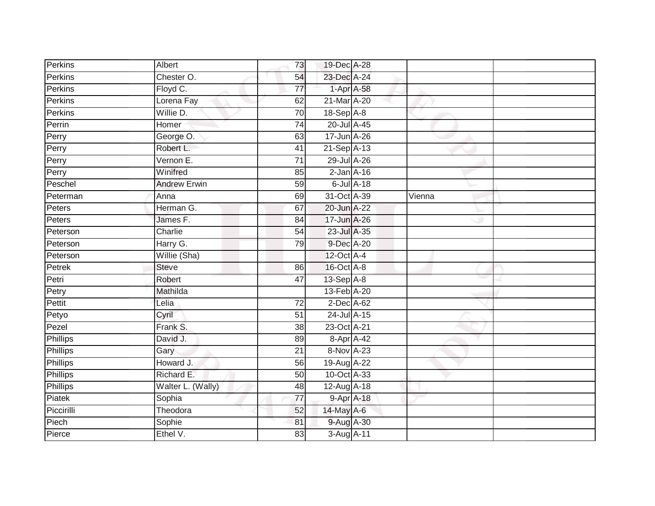| Perkins         | Albert              | 73              | 19-Dec A-28     |                 |        |  |
|-----------------|---------------------|-----------------|-----------------|-----------------|--------|--|
| Perkins         | Chester O.          | 54              | 23-Dec A-24     |                 |        |  |
| <b>Perkins</b>  | Floyd C.            | $\overline{77}$ |                 | 1-Apr A-58      |        |  |
| Perkins         | Lorena Fay          | 62              | 21-Mar A-20     |                 |        |  |
| <b>Perkins</b>  | Willie D.           | 70              | $18-Sep$ A-8    |                 |        |  |
| Perrin          | Homer               | $\overline{74}$ | 20-Jul A-45     |                 |        |  |
| Perry           | George O.           | 63              | 17-Jun A-26     |                 |        |  |
| Perry           | Robert L.           | 41              | 21-Sep A-13     |                 |        |  |
| Perry           | Vernon E.           | $\overline{71}$ | 29-Jul A-26     |                 |        |  |
| Perry           | Winifred            | 85              | $2$ -Jan $A-16$ |                 |        |  |
| Peschel         | <b>Andrew Erwin</b> | 59              |                 | $6$ -Jul $A-18$ |        |  |
| Peterman        | Anna                | 69              | 31-Oct A-39     |                 | Vienna |  |
| Peters          | Herman G.           | 67              | 20-Jun A-22     |                 |        |  |
| Peters          | James F.            | 84              | 17-Jun A-26     |                 |        |  |
| Peterson        | Charlie             | $\overline{54}$ | 23-Jul A-35     |                 |        |  |
| Peterson        | Harry G.            | 79              | 9-Dec A-20      |                 |        |  |
| Peterson        | Willie (Sha)        |                 | 12-Oct A-4      |                 |        |  |
| Petrek          | <b>Steve</b>        | 86              | 16-Oct A-8      |                 |        |  |
| Petri           | Robert              | 47              | 13-Sep A-8      |                 |        |  |
| Petry           | Mathilda            |                 | 13-Feb A-20     |                 |        |  |
| Pettit          | Lelia               | 72              | 2-Dec A-62      |                 |        |  |
| Petyo           | Cyril               | $\overline{51}$ | 24-Jul A-15     |                 |        |  |
| Pezel           | Frank S.            | 38              | 23-Oct A-21     |                 |        |  |
| Phillips        | David J.            | 89              | 8-Apr A-42      |                 |        |  |
| Phillips        | Gary                | 21              | 8-Nov A-23      |                 |        |  |
| <b>Phillips</b> | Howard J.           | 56              | 19-Aug A-22     |                 |        |  |
| <b>Phillips</b> | Richard E.          | 50              | 10-Oct A-33     |                 |        |  |
| Phillips        | Walter L. (Wally)   | 48              | 12-Aug A-18     |                 |        |  |
| Piatek          | Sophia              | $\overline{77}$ | 9-Apr A-18      |                 |        |  |
| Piccirilli      | Theodora            | 52              | 14-May A-6      |                 |        |  |
| Piech           | Sophie              | 81              | 9-Aug A-30      |                 |        |  |
| Pierce          | Ethel V.            | 83              | 3-Aug A-11      |                 |        |  |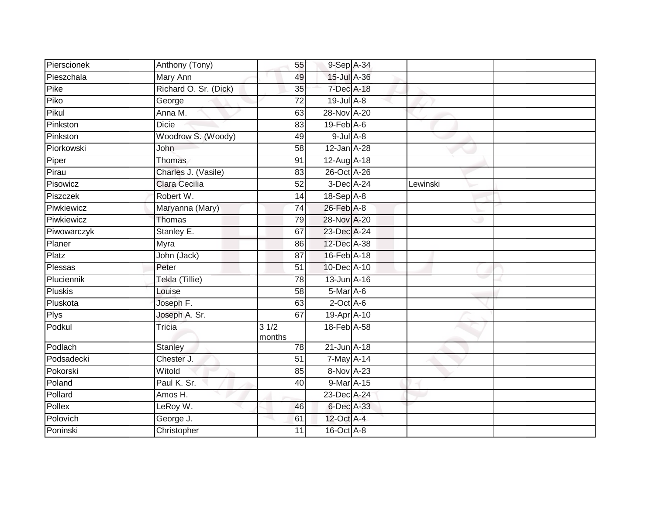| Pierscionek    | Anthony (Tony)        | 55              | 9-Sep A-34        |          |  |
|----------------|-----------------------|-----------------|-------------------|----------|--|
| Pieszchala     | Mary Ann              | 49              | $15$ -Jul $A$ -36 |          |  |
| Pike           | Richard O. Sr. (Dick) | 35              | 7-Dec A-18        |          |  |
| Piko           | George                | 72              | $19$ -Jul $A-8$   |          |  |
| Pikul          | Anna M.               | 63              | 28-Nov A-20       |          |  |
| Pinkston       | <b>Dicie</b>          | 83              | $19$ -Feb $A$ -6  |          |  |
| Pinkston       | Woodrow S. (Woody)    | 49              | $9$ -Jul $A$ -8   |          |  |
| Piorkowski     | John                  | 58              | 12-Jan A-28       |          |  |
| Piper          | <b>Thomas</b>         | 91              | 12-Aug A-18       |          |  |
| Pirau          | Charles J. (Vasile)   | 83              | 26-Oct A-26       |          |  |
| Pisowicz       | Clara Cecilia         | 52              | 3-Dec A-24        | Lewinski |  |
| Piszczek       | Robert W.             | 14              | $18-Sep$ A-8      |          |  |
| Piwkiewicz     | Maryanna (Mary)       | 74              | 26-Feb A-8        |          |  |
| Piwkiewicz     | Thomas                | 79              | 28-Nov A-20       |          |  |
| Piwowarczyk    | Stanley E.            | 67              | 23-Dec A-24       |          |  |
| Planer         | Myra                  | 86              | 12-Dec A-38       |          |  |
| Platz          | John (Jack)           | 87              | 16-Feb A-18       |          |  |
| Plessas        | Peter                 | 51              | 10-Dec A-10       |          |  |
| Pluciennik     | Tekla (Tillie)        | 78              | 13-Jun A-16       |          |  |
| <b>Pluskis</b> | Louise                | 58              | 5-Mar A-6         |          |  |
| Pluskota       | Joseph F.             | 63              | $2$ -Oct $A$ -6   |          |  |
| <b>Plys</b>    | Joseph A. Sr.         | 67              | 19-Apr A-10       |          |  |
| Podkul         | Tricia                | 31/2<br>months  | 18-Feb A-58       |          |  |
| Podlach        | <b>Stanley</b>        | 78              | 21-Jun A-18       |          |  |
| Podsadecki     | Chester J.            | $\overline{51}$ | 7-May A-14        |          |  |
| Pokorski       | Witold                | 85              | 8-Nov A-23        |          |  |
| Poland         | Paul K. Sr.           | 40              | 9-Mar A-15        |          |  |
| Pollard        | Amos H.               |                 | 23-Dec A-24       |          |  |
| Pollex         | LeRoy W.              | 46              | 6-Dec A-33        |          |  |
| Polovich       | George J.             | 61              | 12-Oct A-4        |          |  |
| Poninski       | Christopher           | 11              | 16-Oct A-8        |          |  |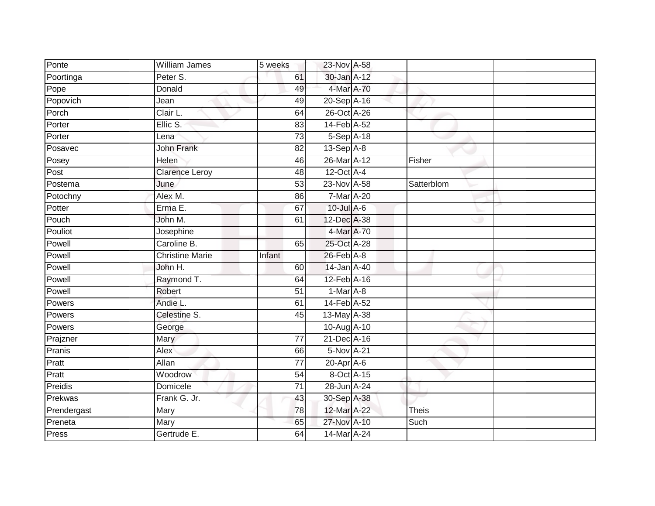| Ponte       | William James          | 5 weeks         | 23-Nov A-58            |            |  |
|-------------|------------------------|-----------------|------------------------|------------|--|
| Poortinga   | Peter S.               | 61              | 30-Jan A-12            |            |  |
| Pope        | Donald                 | 49              | 4-Mar A-70             |            |  |
| Popovich    | Jean                   | 49              | 20-Sep A-16            |            |  |
| Porch       | Clair L.               | 64              | 26-Oct A-26            |            |  |
| Porter      | Ellic S.               | 83              | 14-Feb A-52            |            |  |
| Porter      | Lena                   | $\overline{73}$ | $5-Sep\overline{A-18}$ |            |  |
| Posavec     | <b>John Frank</b>      | 82              | 13-Sep A-8             |            |  |
| Posey       | Helen                  | 46              | 26-Mar A-12            | Fisher     |  |
| Post        | <b>Clarence Leroy</b>  | 48              | 12-Oct A-4             |            |  |
| Postema     | June                   | 53              | 23-Nov A-58            | Satterblom |  |
| Potochny    | Alex M.                | 86              | 7-Mar A-20             |            |  |
| Potter      | Erma E.                | 67              | 10-Jul A-6             |            |  |
| Pouch       | John M.                | 61              | 12-Dec A-38            |            |  |
| Pouliot     | Josephine              |                 | 4-Mar A-70             |            |  |
| Powell      | Caroline B.            | 65              | 25-Oct A-28            |            |  |
| Powell      | <b>Christine Marie</b> | Infant          | $26$ -Feb $A$ -8       |            |  |
| Powell      | John H.                | 60              | 14-Jan A-40            |            |  |
| Powell      | Raymond T.             | 64              | 12-Feb A-16            |            |  |
| Powell      | Robert                 | $\overline{51}$ | $1-Mar A-8$            |            |  |
| Powers      | Andie L.               | 61              | 14-Feb A-52            |            |  |
| Powers      | Celestine S.           | 45              | 13-May A-38            |            |  |
| Powers      | George                 |                 | 10-Aug A-10            |            |  |
| Prajzner    | Mary                   | 77              | 21-Dec A-16            |            |  |
| Pranis      | Alex                   | 66              | 5-Nov A-21             |            |  |
| Pratt       | Allan                  | $\overline{77}$ | 20-Apr A-6             |            |  |
| Pratt       | Woodrow                | 54              | 8-Oct A-15             |            |  |
| Preidis     | Domicele               | 71              | 28-Jun A-24            |            |  |
| Prekwas     | Frank G. Jr.           | 43              | 30-Sep A-38            |            |  |
| Prendergast | Mary                   | 78              | 12-Mar A-22            | Theis      |  |
| Preneta     | Mary                   | 65              | 27-Nov A-10            | Such       |  |
| Press       | Gertrude E.            | 64              | 14-Mar A-24            |            |  |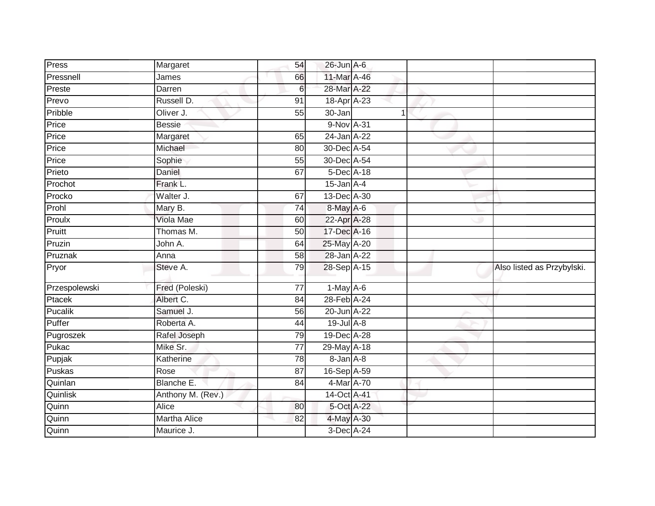| Press          | Margaret            | 54 | $26$ -Jun $A$ -6 |   |                            |
|----------------|---------------------|----|------------------|---|----------------------------|
| Pressnell      | James               | 66 | 11-Mar A-46      |   |                            |
| Preste         | Darren              | 6  | 28-Mar A-22      |   |                            |
| Prevo          | Russell D.          | 91 | 18-Apr A-23      |   |                            |
| Pribble        | Oliver J.           | 55 | 30-Jan           | 1 |                            |
| Price          | <b>Bessie</b>       |    | 9-Nov A-31       |   |                            |
| Price          | Margaret            | 65 | 24-Jan A-22      |   |                            |
| Price          | Michael             | 80 | 30-Dec A-54      |   |                            |
| Price          | Sophie              | 55 | 30-Dec A-54      |   |                            |
| Prieto         | Daniel              | 67 | 5-Dec A-18       |   |                            |
| Prochot        | Frank L.            |    | $15$ -Jan $A-4$  |   |                            |
| Procko         | Walter J.           | 67 | 13-Dec A-30      |   |                            |
| Prohl          | Mary B.             | 74 | 8-May A-6        |   |                            |
| Proulx         | <b>Viola Mae</b>    | 60 | 22-Apr A-28      |   |                            |
| Pruitt         | Thomas M.           | 50 | 17-Dec A-16      |   |                            |
| Pruzin         | John A.             | 64 | 25-May A-20      |   |                            |
| Pruznak        | Anna                | 58 | 28-Jan A-22      |   |                            |
| Pryor          | Steve A.            | 79 | 28-Sep A-15      |   | Also listed as Przybylski. |
| Przespolewski  | Fred (Poleski)      | 77 | $1-May$ A-6      |   |                            |
| Ptacek         | Albert C.           | 84 | 28-Feb A-24      |   |                            |
| <b>Pucalik</b> | Samuel J.           | 56 | 20-Jun A-22      |   |                            |
| Puffer         | Roberta A.          | 44 | $19$ -Jul $A-8$  |   |                            |
| Pugroszek      | Rafel Joseph        | 79 | 19-Dec A-28      |   |                            |
| Pukac          | Mike Sr.            | 77 | 29-May A-18      |   |                            |
| Pupjak         | Katherine           | 78 | 8-Jan A-8        |   |                            |
| Puskas         | Rose                | 87 | 16-Sep A-59      |   |                            |
| Quinlan        | Blanche E.          | 84 | 4-Mar A-70       |   |                            |
| Quinlisk       | Anthony M. (Rev.)   |    | 14-Oct A-41      |   |                            |
| Quinn          | Alice               | 80 | 5-Oct A-22       |   |                            |
| Quinn          | <b>Martha Alice</b> | 82 | 4-May A-30       |   |                            |
| Quinn          | Maurice J.          |    | $3$ -Dec $A$ -24 |   |                            |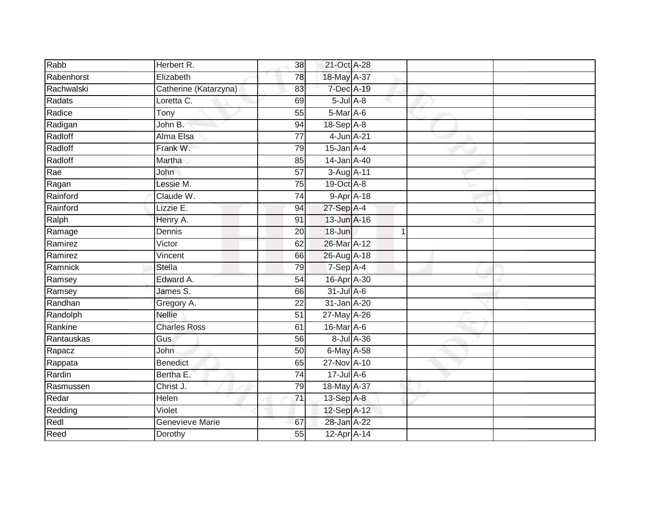| Rabb       | Herbert R.              | 38              | 21-Oct A-28                 |            |  |
|------------|-------------------------|-----------------|-----------------------------|------------|--|
| Rabenhorst | Elizabeth               | 78              | 18-May A-37                 |            |  |
| Rachwalski | Catherine (Katarzyna)   | 83              | 7-Dec A-19                  |            |  |
| Radats     | Loretta C.              | 69              | $5$ -Jul $A$ -8             |            |  |
| Radice     | $\overline{\text{Top}}$ | $\overline{55}$ | 5-Mar A-6                   |            |  |
| Radigan    | John B.                 | 94              | 18-Sep A-8                  |            |  |
| Radloff    | Alma Elsa               | 77              | 4-Jun A-21                  |            |  |
| Radloff    | Frank W.                | 79              | $15$ -Jan $A-4$             |            |  |
| Radloff    | Martha                  | 85              | 14-Jan A-40                 |            |  |
| Rae        | John.                   | 57              | 3-Aug A-11                  |            |  |
| Ragan      | Lessie M.               | 75              | 19-Oct A-8                  |            |  |
| Rainford   | Claude W.               | 74              | $9-AprA-18$                 |            |  |
| Rainford   | Lizzie E.               | 94              | $27-Sep$ A-4                |            |  |
| Ralph      | Henry A.                | 91              | 13-Jun A-16                 |            |  |
| Ramage     | Dennis                  | 20              | 18-Jun                      | 1          |  |
| Ramirez    | Victor                  | 62              | 26-Mar A-12                 |            |  |
| Ramirez    | Vincent                 | 66              | 26-Aug A-18                 |            |  |
| Ramnick    | <b>Stella</b>           | 79              | 7-Sep A-4                   |            |  |
| Ramsey     | Edward A.               | 54              | 16-Apr A-30                 |            |  |
| Ramsey     | James S.                | 66              | $31$ -Jul A-6               |            |  |
| Randhan    | Gregory A.              | 22              | 31-Jan A-20                 |            |  |
| Randolph   | <b>Nellie</b>           | $\overline{51}$ | 27-May A-26                 |            |  |
| Rankine    | <b>Charles Ross</b>     | 61              | $16$ -Mar $\overline{A}$ -6 |            |  |
| Rantauskas | Gus                     | 56              |                             | 8-Jul A-36 |  |
| Rapacz     | John                    | 50              | $6$ -May $A$ -58            |            |  |
| Rappata    | Benedict                | 65              | 27-Nov A-10                 |            |  |
| Rardin     | Bertha E.               | 74              | $17 -$ Jul A-6              |            |  |
| Rasmussen  | Christ J.               | 79              | 18-May A-37                 |            |  |
| Redar      | Helen                   | 71              | 13-Sep A-8                  |            |  |
| Redding    | Violet                  |                 | 12-Sep A-12                 |            |  |
| Redl       | Genevieve Marie         | 67              | 28-Jan A-22                 |            |  |
| Reed       | Dorothy                 | $\overline{55}$ | 12-Apr A-14                 |            |  |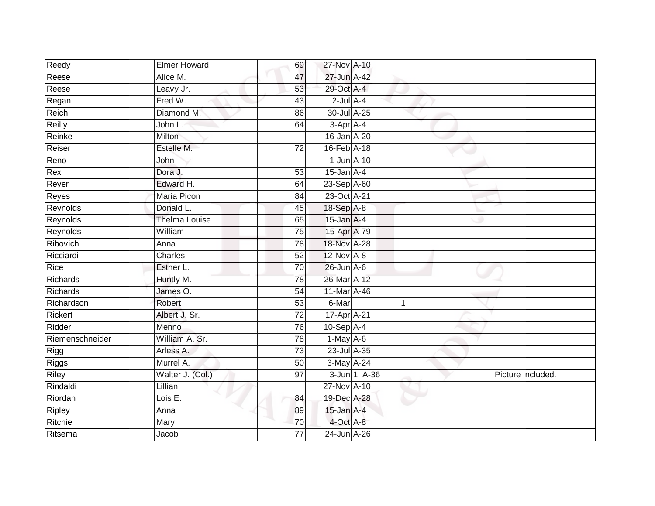| Reedy           | <b>Elmer Howard</b>  | 69              | 27-Nov A-10      |               |   |                   |
|-----------------|----------------------|-----------------|------------------|---------------|---|-------------------|
| Reese           | Alice M.             | 47              | 27-Jun A-42      |               |   |                   |
| Reese           | Leavy Jr.            | 53              | 29-Oct A-4       |               |   |                   |
| Regan           | Fred W.              | 43              | $2$ -Jul $A-4$   |               |   |                   |
| Reich           | Diamond M.           | 86              | 30-Jul A-25      |               |   |                   |
| Reilly          | John L.              | 64              | 3-Apr A-4        |               |   |                   |
| Reinke          | Milton               |                 | 16-Jan A-20      |               |   |                   |
| Reiser          | Estelle M.           | $\overline{72}$ | 16-Feb A-18      |               |   |                   |
| Reno            | John                 |                 | $1$ -Jun $A-10$  |               |   |                   |
| Rex             | Dora J.              | 53              | $15$ -Jan $A-4$  |               |   |                   |
| Reyer           | Edward H.            | 64              | 23-Sep A-60      |               |   |                   |
| Reyes           | <b>Maria Picon</b>   | 84              | 23-Oct A-21      |               |   |                   |
| Reynolds        | Donald L.            | 45              | 18-Sep A-8       |               |   |                   |
| Reynolds        | <b>Thelma Louise</b> | 65              | $15$ -Jan $A-4$  |               |   |                   |
| Reynolds        | William              | $\overline{75}$ | 15-Apr A-79      |               |   |                   |
| Ribovich        | Anna                 | 78              | 18-Nov A-28      |               |   |                   |
| Ricciardi       | Charles              | $\overline{52}$ | 12-Nov A-8       |               |   |                   |
| Rice            | Esther L.            | 70              | $26$ -Jun $A$ -6 |               |   |                   |
| Richards        | Huntly M.            | 78              | 26-Mar A-12      |               |   |                   |
| <b>Richards</b> | James O.             | 54              | 11-Mar A-46      |               |   |                   |
| Richardson      | Robert               | 53              | 6-Mar            |               | 1 |                   |
| <b>Rickert</b>  | Albert J. Sr.        | $\overline{72}$ | 17-Apr A-21      |               |   |                   |
| Ridder          | Menno                | 76              | $10-Sep$ A-4     |               |   |                   |
| Riemenschneider | William A. Sr.       | 78              | 1-May A-6        |               |   |                   |
| Rigg            | Arless A.            | 73              | 23-Jul A-35      |               |   |                   |
| Riggs           | Murrel A.            | 50              | 3-May A-24       |               |   |                   |
| <b>Riley</b>    | Walter J. (Col.)     | 97              |                  | 3-Jun 1, A-36 |   | Picture included. |
| Rindaldi        | Lillian              |                 | 27-Nov A-10      |               |   |                   |
| Riordan         | Lois E.              | 84              | 19-Dec A-28      |               |   |                   |
| Ripley          | Anna                 | 89              | 15-Jan A-4       |               |   |                   |
| Ritchie         | Mary                 | 70              | 4-Oct A-8        |               |   |                   |
| Ritsema         | Jacob                | $\overline{77}$ | 24-Jun A-26      |               |   |                   |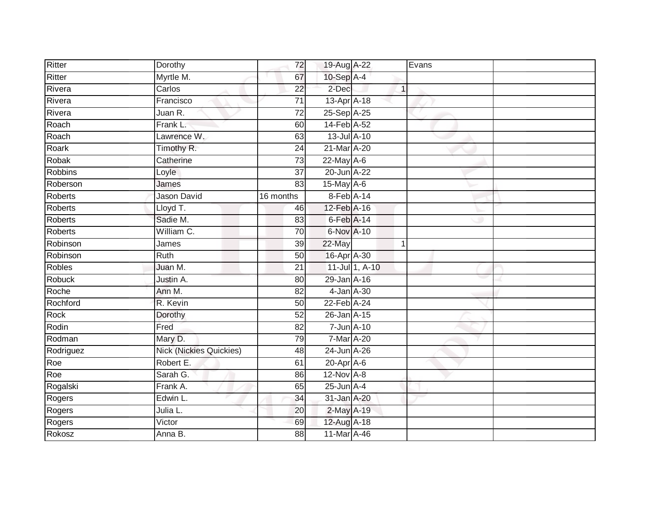| Ritter         | Dorothy                        | 72              | 19-Aug A-22      |                |                | Evans |  |
|----------------|--------------------------------|-----------------|------------------|----------------|----------------|-------|--|
| Ritter         | Myrtle M.                      | 67              | 10-Sep A-4       |                |                |       |  |
| Rivera         | Carlos                         | $\overline{22}$ | 2-Dec            |                | $\overline{1}$ |       |  |
| Rivera         | Francisco                      | $\overline{71}$ | 13-Apr A-18      |                |                |       |  |
| Rivera         | Juan R.                        | $\overline{72}$ | 25-Sep A-25      |                |                |       |  |
| Roach          | Frank L.                       | 60              | 14-Feb A-52      |                |                |       |  |
| Roach          | Lawrence W.                    | 63              | 13-Jul A-10      |                |                |       |  |
| Roark          | Timothy R.                     | 24              | 21-Mar A-20      |                |                |       |  |
| Robak          | Catherine                      | $\overline{73}$ | 22-May A-6       |                |                |       |  |
| <b>Robbins</b> | Loyle                          | $\overline{37}$ | 20-Jun A-22      |                |                |       |  |
| Roberson       | James                          | 83              | $15$ -May $A-6$  |                |                |       |  |
| Roberts        | Jason David                    | 16 months       | 8-Feb A-14       |                |                |       |  |
| Roberts        | Lloyd T.                       | 46              | 12-Feb A-16      |                |                |       |  |
| <b>Roberts</b> | Sadie M.                       | 83              | $6$ -Feb $A$ -14 |                |                |       |  |
| Roberts        | William C.                     | $\overline{70}$ | 6-Nov A-10       |                |                |       |  |
| Robinson       | James                          | 39              | 22-May           |                | $\mathbf{1}$   |       |  |
| Robinson       | <b>Ruth</b>                    | 50              | 16-Apr A-30      |                |                |       |  |
| <b>Robles</b>  | Juan M.                        | 21              |                  | 11-Jul 1, A-10 |                |       |  |
| Robuck         | Justin A.                      | 80              | 29-Jan A-16      |                |                |       |  |
| Roche          | Ann M.                         | $\overline{82}$ | 4-Jan A-30       |                |                |       |  |
| Rochford       | R. Kevin                       | 50              | 22-Feb A-24      |                |                |       |  |
| <b>Rock</b>    | Dorothy                        | 52              | 26-Jan A-15      |                |                |       |  |
| Rodin          | Fred                           | $\overline{82}$ | 7-Jun A-10       |                |                |       |  |
| Rodman         | Mary D.                        | $\overline{79}$ | 7-Mar A-20       |                |                |       |  |
| Rodriguez      | <b>Nick (Nickies Quickies)</b> | 48              | 24-Jun A-26      |                |                |       |  |
| Roe            | Robert E.                      | 61              | 20-Apr A-6       |                |                |       |  |
| Roe            | Sarah G.                       | 86              | $12$ -Nov $A-8$  |                |                |       |  |
| Rogalski       | Frank A.                       | 65              | $25$ -Jun $A-4$  |                |                |       |  |
| Rogers         | Edwin L.                       | 34              | 31-Jan A-20      |                |                |       |  |
| Rogers         | Julia L.                       | 20              | 2-May A-19       |                |                |       |  |
| Rogers         | Victor                         | 69              | 12-Aug A-18      |                |                |       |  |
| Rokosz         | Anna B.                        | 88              | 11-Mar A-46      |                |                |       |  |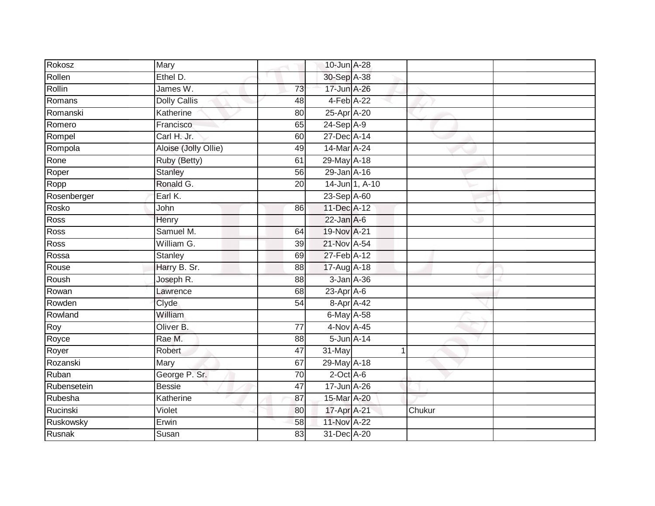| Rokosz      | Mary                 |                 | 10-Jun A-28      |        |  |
|-------------|----------------------|-----------------|------------------|--------|--|
| Rollen      | Ethel D.             |                 | 30-Sep A-38      |        |  |
| Rollin      | James W.             | 73              | 17-Jun A-26      |        |  |
| Romans      | <b>Dolly Callis</b>  | 48              | 4-Feb A-22       |        |  |
| Romanski    | Katherine            | $\overline{80}$ | 25-Apr A-20      |        |  |
| Romero      | Francisco            | 65              | 24-Sep A-9       |        |  |
| Rompel      | Carl H. Jr.          | 60              | 27-Dec A-14      |        |  |
| Rompola     | Aloise (Jolly Ollie) | 49              | 14-Mar A-24      |        |  |
| Rone        | Ruby (Betty)         | 61              | 29-May A-18      |        |  |
| Roper       | <b>Stanley</b>       | 56              | 29-Jan A-16      |        |  |
| Ropp        | Ronald G.            | 20              | 14-Jun 1, A-10   |        |  |
| Rosenberger | Earl K.              |                 | 23-Sep A-60      |        |  |
| Rosko       | John                 | 86              | 11-Dec A-12      |        |  |
| Ross        | Henry                |                 | $22$ -Jan A-6    |        |  |
| Ross        | Samuel M.            | 64              | 19-Nov A-21      |        |  |
| Ross        | William G.           | 39              | 21-Nov A-54      |        |  |
| Rossa       | Stanley              | 69              | 27-Feb A-12      |        |  |
| Rouse       | Harry B. Sr.         | 88              | 17-Aug A-18      |        |  |
| Roush       | Joseph R.            | 88              | 3-Jan A-36       |        |  |
| Rowan       | Lawrence             | 68              | $23$ -Apr $A$ -6 |        |  |
| Rowden      | Clyde                | 54              | 8-Apr A-42       |        |  |
| Rowland     | William              |                 | 6-May A-58       |        |  |
| Roy         | Oliver B.            | 77              | 4-Nov A-45       |        |  |
| Royce       | Rae M.               | 88              | 5-Jun A-14       |        |  |
| Royer       | Robert               | 47              | 31-May           |        |  |
| Rozanski    | Mary                 | 67              | 29-May A-18      |        |  |
| Ruban       | George P. Sr.        | 70              | $2$ -Oct $A$ -6  |        |  |
| Rubensetein | <b>Bessie</b>        | 47              | 17-Jun A-26      |        |  |
| Rubesha     | Katherine            | 87              | 15-Mar A-20      |        |  |
| Rucinski    | Violet               | 80              | 17-Apr A-21      | Chukur |  |
| Ruskowsky   | Erwin                | 58              | 11-Nov A-22      |        |  |
| Rusnak      | Susan                | $\overline{83}$ | 31-Dec A-20      |        |  |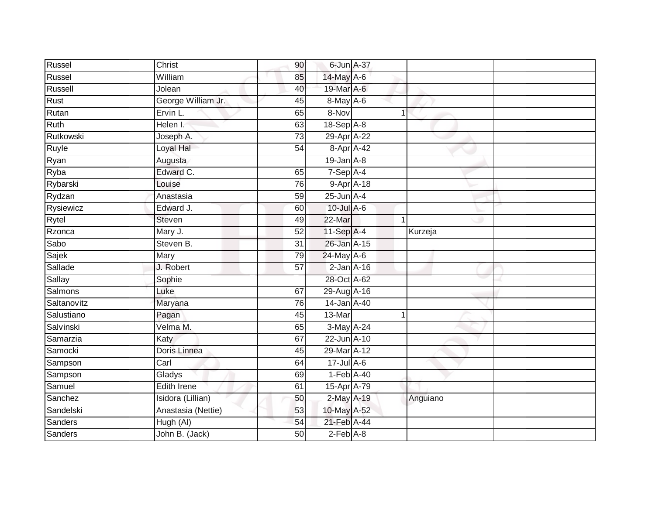| Russel      | Christ             | 90              | 6-Jun A-37             |          |  |
|-------------|--------------------|-----------------|------------------------|----------|--|
| Russel      | William            | 85              | 14-May A-6             |          |  |
| Russell     | Jolean             | 40              | 19-Mar A-6             |          |  |
| Rust        | George William Jr. | 45              | 8-May A-6              |          |  |
| Rutan       | Ervin L.           | 65              | 8-Nov                  |          |  |
| Ruth        | Helen I.           | 63              | 18-Sep A-8             |          |  |
| Rutkowski   | Joseph A.          | 73              | 29-Apr <sup>A-22</sup> |          |  |
| Ruyle       | Loyal Hal          | 54              | 8-Apr A-42             |          |  |
| Ryan        | Augusta            |                 | $19$ -Jan $A-8$        |          |  |
| Ryba        | Edward C.          | 65              | $7-Sep$ A-4            |          |  |
| Rybarski    | Louise             | 76              | $9 - Apr$ $A - 18$     |          |  |
| Rydzan      | Anastasia          | 59              | $25$ -Jun $A-4$        |          |  |
| Rysiewicz   | Edward J.          | 60              | 10-Jul A-6             |          |  |
| Rytel       | <b>Steven</b>      | 49              | 22-Mar                 |          |  |
| Rzonca      | Mary J.            | $\overline{52}$ | 11-Sep A-4             | Kurzeja  |  |
| Sabo        | Steven B.          | $\overline{31}$ | 26-Jan A-15            |          |  |
| Sajek       | Mary               | 79              | 24-May A-6             |          |  |
| Sallade     | J. Robert          | 57              | $2$ -Jan $A-16$        |          |  |
| Sallay      | Sophie             |                 | 28-Oct A-62            |          |  |
| Salmons     | Luke               | 67              | 29-Aug A-16            |          |  |
| Saltanovitz | Maryana            | 76              | $14$ -Jan $A$ -40      |          |  |
| Salustiano  | Pagan              | 45              | $13-Mar$               |          |  |
| Salvinski   | Velma M.           | 65              | 3-May A-24             |          |  |
| Samarzia    | Katy               | 67              | 22-Jun A-10            |          |  |
| Samocki     | Doris Linnea       | 45              | 29-Mar A-12            |          |  |
| Sampson     | Carl               | 64              | $17 -$ Jul A-6         |          |  |
| Sampson     | Gladys             | 69              | $1-Feb$ A-40           |          |  |
| Samuel      | <b>Edith Irene</b> | 61              | 15-Apr A-79            |          |  |
| Sanchez     | Isidora (Lillian)  | 50              | 2-May A-19             | Anguiano |  |
| Sandelski   | Anastasia (Nettie) | 53              | 10-May A-52            |          |  |
| Sanders     | Hugh (AI)          | 54              | 21-Feb A-44            |          |  |
| Sanders     | John B. (Jack)     | 50              | $2-Feb$ $A-8$          |          |  |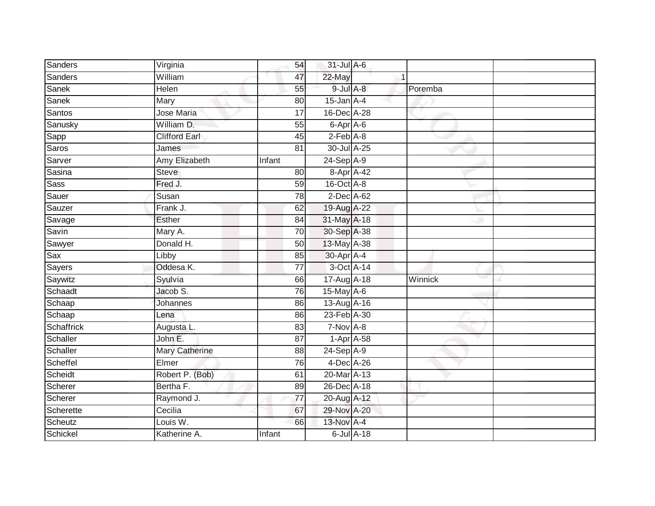| Sanders         | Virginia             | 54              | 31-Jul A-6      |                  |         |  |
|-----------------|----------------------|-----------------|-----------------|------------------|---------|--|
| Sanders         | William              | 47              | 22-May          |                  |         |  |
| Sanek           | <b>Helen</b>         | 55              | $9$ -Jul A-8    |                  | Poremba |  |
| Sanek           | Mary                 | 80              | $15$ -Jan $A-4$ |                  |         |  |
| Santos          | Jose Maria           | $\overline{17}$ | 16-Dec A-28     |                  |         |  |
| Sanusky         | William D.           | 55              | 6-Apr A-6       |                  |         |  |
| Sapp            | <b>Clifford Earl</b> | 45              | $2-Feb$ A-8     |                  |         |  |
| Saros           | James                | 81              | 30-Jul A-25     |                  |         |  |
| Sarver          | Amy Elizabeth        | Infant          | 24-Sep A-9      |                  |         |  |
| Sasina          | <b>Steve</b>         | 80              | 8-Apr A-42      |                  |         |  |
| <b>Sass</b>     | Fred J.              | 59              | $16$ -Oct $A-8$ |                  |         |  |
| Sauer           | Susan                | 78              | 2-Dec A-62      |                  |         |  |
| Sauzer          | Frank J.             | 62              | 19-Aug A-22     |                  |         |  |
| Savage          | <b>Esther</b>        | 84              | 31-May A-18     |                  |         |  |
| Savin           | Mary A.              | $\overline{70}$ | 30-Sep A-38     |                  |         |  |
| Sawyer          | Donald H.            | 50              | 13-May A-38     |                  |         |  |
| Sax             | Libby                | 85              | 30-Apr A-4      |                  |         |  |
| <b>Sayers</b>   | Oddesa K.            | 77              | 3-Oct A-14      |                  |         |  |
| Saywitz         | Syulvia              | 66              | 17-Aug A-18     |                  | Winnick |  |
| Schaadt         | Jacob S.             | 76              | 15-May A-6      |                  |         |  |
| Schaap          | Johannes             | 86              | 13-Aug A-16     |                  |         |  |
| Schaap          | Lena                 | 86              | 23-Feb A-30     |                  |         |  |
| Schaffrick      | Augusta L.           | 83              | $7-Nov$ A-8     |                  |         |  |
| Schaller        | John E.              | 87              | $1-Apr$ A-58    |                  |         |  |
| <b>Schaller</b> | Mary Catherine       | 88              | 24-Sep A-9      |                  |         |  |
| Scheffel        | Elmer                | 76              | $4$ -Dec A-26   |                  |         |  |
| Scheidt         | Robert P. (Bob)      | 61              | 20-Mar A-13     |                  |         |  |
| Scherer         | Bertha F.            | 89              | 26-Dec A-18     |                  |         |  |
| Scherer         | Raymond J.           | 77              | 20-Aug A-12     |                  |         |  |
| Scherette       | Cecilia              | 67              | 29-Nov A-20     |                  |         |  |
| Scheutz         | Louis W.             | 66              | 13-Nov A-4      |                  |         |  |
| Schickel        | Katherine A.         | Infant          |                 | $6$ -Jul $A$ -18 |         |  |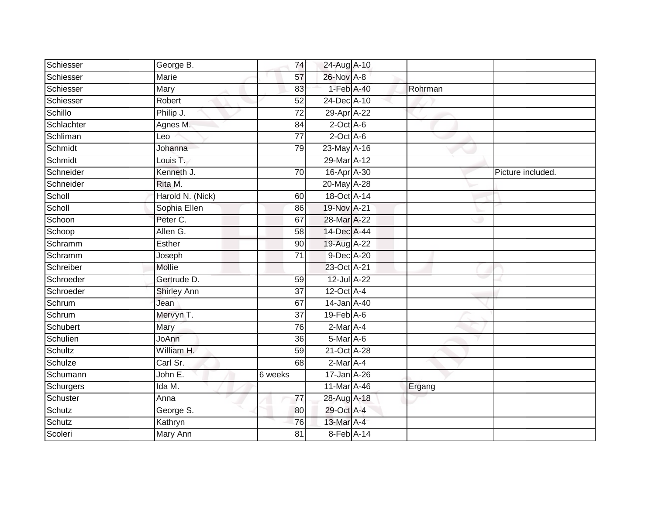| Schiesser      | George B.          | 74              | 24-Aug A-10                 |         |                   |
|----------------|--------------------|-----------------|-----------------------------|---------|-------------------|
| Schiesser      | Marie              | 57              | 26-Nov A-8                  |         |                   |
| Schiesser      | <b>Mary</b>        | 83              | 1-Feb A-40                  | Rohrman |                   |
| Schiesser      | Robert             | 52              | 24-Dec A-10                 |         |                   |
| Schillo        | Philip J.          | $\overline{72}$ | 29-Apr A-22                 |         |                   |
| Schlachter     | Agnes M.           | 84              | $2$ -Oct $A$ -6             |         |                   |
| Schliman       | Leo                | $\overline{77}$ | $2$ -Oct $A$ -6             |         |                   |
| Schmidt        | Johanna            | 79              | 23-May A-16                 |         |                   |
| Schmidt        | Louis T.           |                 | 29-Mar A-12                 |         |                   |
| Schneider      | Kenneth J.         | 70              | 16-Apr A-30                 |         | Picture included. |
| Schneider      | Rita M.            |                 | 20-May A-28                 |         |                   |
| Scholl         | Harold N. (Nick)   | 60              | 18-Oct A-14                 |         |                   |
| Scholl         | Sophia Ellen       | 86              | 19-Nov A-21                 |         |                   |
| Schoon         | Peter C.           | 67              | 28-Mar A-22                 |         |                   |
| Schoop         | Allen G.           | $\overline{58}$ | 14-Dec A-44                 |         |                   |
| Schramm        | Esther             | 90              | 19-Aug A-22                 |         |                   |
| Schramm        | Joseph             | 71              | 9-Dec A-20                  |         |                   |
| Schreiber      | Mollie             |                 | 23-Oct A-21                 |         |                   |
| Schroeder      | Gertrude D.        | 59              | 12-Jul A-22                 |         |                   |
| Schroeder      | <b>Shirley Ann</b> | 37              | $12$ -Oct $A$ -4            |         |                   |
| Schrum         | Jean               | 67              | 14-Jan A-40                 |         |                   |
| Schrum         | Mervyn T.          | $\overline{37}$ | $19$ -Feb $\overline{A}$ -6 |         |                   |
| Schubert       | Mary               | 76              | 2-Mar A-4                   |         |                   |
| Schulien       | JoAnn              | 36              | 5-Mar A-6                   |         |                   |
| <b>Schultz</b> | William H.         | 59              | 21-Oct A-28                 |         |                   |
| Schulze        | Carl Sr.           | 68              | $2$ -Mar $A$ -4             |         |                   |
| Schumann       | John E.            | 6 weeks         | 17-Jan A-26                 |         |                   |
| Schurgers      | Ida M.             |                 | 11-Mar A-46                 | Ergang  |                   |
| Schuster       | Anna               | 77              | 28-Aug A-18                 |         |                   |
| Schutz         | George S.          | 80              | 29-Oct A-4                  |         |                   |
| Schutz         | Kathryn            | 76              | 13-Mar A-4                  |         |                   |
| Scoleri        | Mary Ann           | $\overline{81}$ | 8-Feb A-14                  |         |                   |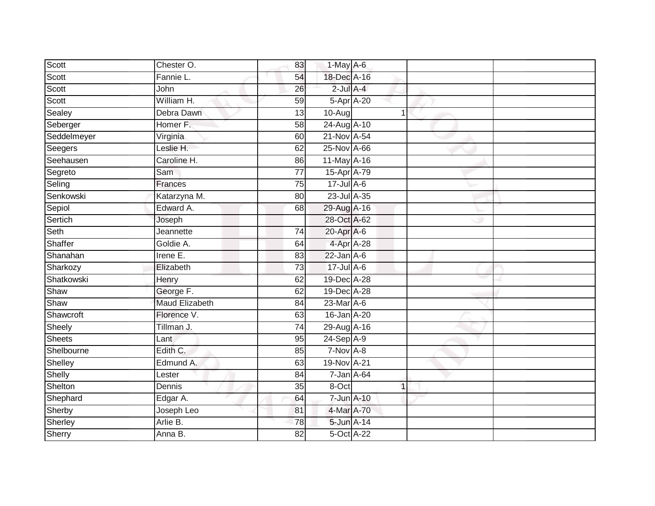| Scott         | Chester O.            | 83              | 1-May A-6       |  |  |
|---------------|-----------------------|-----------------|-----------------|--|--|
| Scott         | Fannie L.             | 54              | 18-Dec A-16     |  |  |
| Scott         | John                  | $\overline{26}$ | $2$ -Jul $A-4$  |  |  |
| Scott         | William H.            | 59              | 5-Apr A-20      |  |  |
| Sealey        | Debra Dawn            | 13              | 10-Aug          |  |  |
| Seberger      | Homer F.              | 58              | 24-Aug A-10     |  |  |
| Seddelmeyer   | Virginia              | 60              | 21-Nov A-54     |  |  |
| Seegers       | Leslie H.             | 62              | 25-Nov A-66     |  |  |
| Seehausen     | Caroline H.           | 86              | 11-May A-16     |  |  |
| Segreto       | Sam                   | $\overline{77}$ | 15-Apr A-79     |  |  |
| Seling        | Frances               | 75              | 17-Jul A-6      |  |  |
| Senkowski     | Katarzyna M.          | 80              | 23-Jul A-35     |  |  |
| Sepiol        | Edward A.             | 68              | 29-Aug A-16     |  |  |
| Sertich       | Joseph                |                 | 28-Oct A-62     |  |  |
| Seth          | Jeannette             | 74              | 20-Apr A-6      |  |  |
| Shaffer       | Goldie A.             | 64              | 4-Apr A-28      |  |  |
| Shanahan      | Irene $E$ .           | 83              | $22$ -Jan $A-6$ |  |  |
| Sharkozy      | Elizabeth             | 73              | $17$ -Jul A-6   |  |  |
| Shatkowski    | Henry                 | 62              | 19-Dec A-28     |  |  |
| Shaw          | George F.             | 62              | 19-Dec A-28     |  |  |
| Shaw          | <b>Maud Elizabeth</b> | 84              | 23-Mar A-6      |  |  |
| Shawcroft     | Florence V.           | 63              | 16-Jan A-20     |  |  |
| Sheely        | Tillman J.            | 74              | 29-Aug A-16     |  |  |
| <b>Sheets</b> | Lant                  | 95              | $24-Sep$ A-9    |  |  |
| Shelbourne    | Edith C.              | 85              | 7-Nov A-8       |  |  |
| Shelley       | Edmund A.             | 63              | 19-Nov A-21     |  |  |
| Shelly        | Lester                | $\overline{84}$ | 7-Jan A-64      |  |  |
| Shelton       | Dennis                | 35              | 8-Oct           |  |  |
| Shephard      | Edgar A.              | 64              | 7-Jun A-10      |  |  |
| Sherby        | Joseph Leo            | 81              | 4-Mar A-70      |  |  |
| Sherley       | Arlie B.              | 78              | 5-Jun A-14      |  |  |
| Sherry        | Anna B.               | 82              | 5-Oct A-22      |  |  |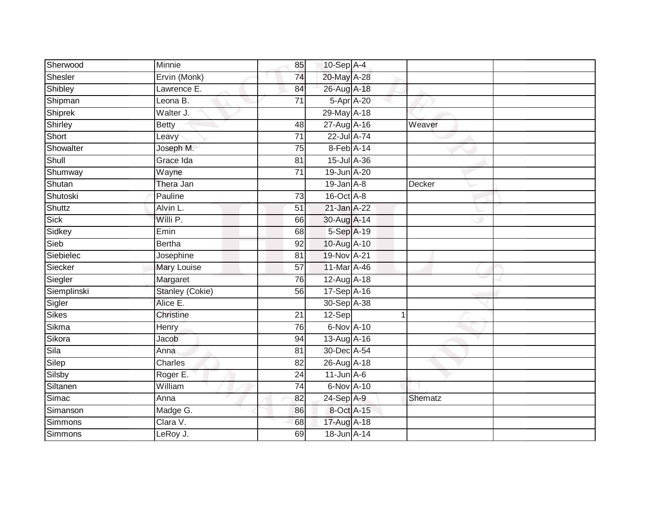| Sherwood       | Minnie                 | 85              | $10-Sep$ A-4     |    |         |  |
|----------------|------------------------|-----------------|------------------|----|---------|--|
| Shesler        | Ervin (Monk)           | 74              | 20-May A-28      |    |         |  |
| Shibley        | Lawrence E.            | 84              | 26-Aug A-18      |    |         |  |
| Shipman        | Leona B.               | 71              | 5-Apr A-20       |    |         |  |
| Shiprek        | Walter J.              |                 | 29-May A-18      |    |         |  |
| Shirley        | <b>Betty</b>           | 48              | 27-Aug A-16      |    | Weaver  |  |
| Short          | Leavy                  | $\overline{71}$ | 22-Jul A-74      |    |         |  |
| Showalter      | Joseph M.              | 75              | 8-Feb A-14       |    |         |  |
| Shull          | Grace Ida              | 81              | 15-Jul A-36      |    |         |  |
| Shumway        | Wayne                  | 71              | 19-Jun A-20      |    |         |  |
| Shutan         | Thera Jan              |                 | $19$ -Jan $A-8$  |    | Decker  |  |
| Shutoski       | Pauline                | 73              | 16-Oct A-8       |    |         |  |
| Shuttz         | Alvin L.               | 51              | 21-Jan A-22      |    |         |  |
| Sick           | Willi P.               | 66              | 30-Aug A-14      |    |         |  |
| Sidkey         | Emin                   | 68              | 5-Sep A-19       |    |         |  |
| Sieb           | <b>Bertha</b>          | 92              | 10-Aug A-10      |    |         |  |
| Siebielec      | Josephine              | $\overline{81}$ | 19-Nov A-21      |    |         |  |
| Siecker        | <b>Mary Louise</b>     | 57              | 11-Mar A-46      |    |         |  |
| Siegler        | Margaret               | 76              | 12-Aug A-18      |    |         |  |
| Siemplinski    | <b>Stanley (Cokie)</b> | $\overline{56}$ | 17-Sep A-16      |    |         |  |
| Sigler         | Alice E.               |                 | 30-Sep A-38      |    |         |  |
| Sikes          | Christine              | 21              | 12-Sep           | -1 |         |  |
| Sikma          | Henry                  | 76              | 6-Nov A-10       |    |         |  |
| Sikora         | Jacob                  | 94              | 13-Aug A-16      |    |         |  |
| Sila           | Anna                   | 81              | 30-Dec A-54      |    |         |  |
| Silep          | Charles                | 82              | 26-Aug A-18      |    |         |  |
| Silsby         | Roger E.               | $\overline{24}$ | $11$ -Jun $A$ -6 |    |         |  |
| Siltanen       | William                | $\overline{74}$ | 6-Nov A-10       |    |         |  |
| Simac          | Anna                   | 82              | 24-Sep A-9       |    | Shematz |  |
| Simanson       | Madge G.               | 86              | 8-Oct A-15       |    |         |  |
| <b>Simmons</b> | Clara V.               | 68              | 17-Aug A-18      |    |         |  |
| Simmons        | LeRoy J.               | 69              | 18-Jun A-14      |    |         |  |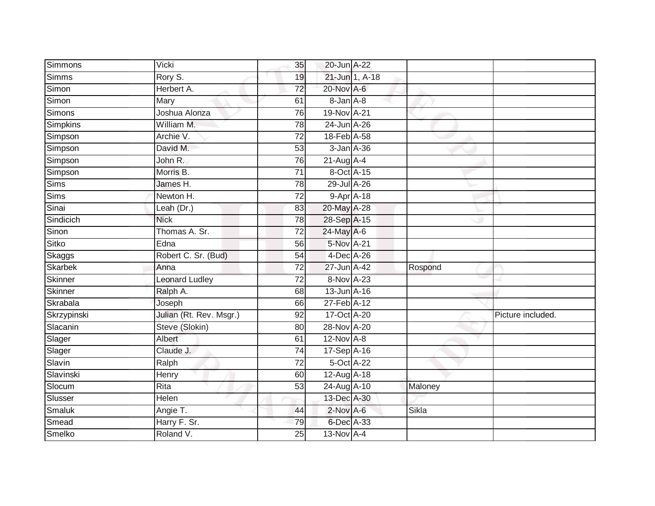| Simmons        | Vicki                   | 35              | 20-Jun A-22     |                |         |                   |
|----------------|-------------------------|-----------------|-----------------|----------------|---------|-------------------|
| Simms          | Rory S.                 | 19              |                 | 21-Jun 1, A-18 |         |                   |
| Simon          | Herbert A.              | $\overline{72}$ | 20-Nov A-6      |                |         |                   |
| Simon          | Mary                    | 61              | 8-Jan A-8       |                |         |                   |
| Simons         | Joshua Alonza           | 76              | 19-Nov A-21     |                |         |                   |
| Simpkins       | William M.              | 78              | 24-Jun A-26     |                |         |                   |
| Simpson        | Archie V.               | $\overline{72}$ | 18-Feb A-58     |                |         |                   |
| Simpson        | David M.                | 53              | 3-Jan A-36      |                |         |                   |
| Simpson        | John R.                 | 76              | $21-Aug$ A-4    |                |         |                   |
| Simpson        | Morris B.               | $\overline{71}$ | 8-Oct A-15      |                |         |                   |
| <b>Sims</b>    | James H.                | 78              | 29-Jul A-26     |                |         |                   |
| <b>Sims</b>    | Newton H.               | $\overline{72}$ | 9-Apr A-18      |                |         |                   |
| Sinai          | Leah (Dr.)              | 83              | 20-May A-28     |                |         |                   |
| Sindicich      | <b>Nick</b>             | 78              | 28-Sep A-15     |                |         |                   |
| Sinon          | Thomas A. Sr.           | $\overline{72}$ | 24-May A-6      |                |         |                   |
| <b>Sitko</b>   | Edna                    | 56              | 5-Nov A-21      |                |         |                   |
| Skaggs         | Robert C. Sr. (Bud)     | 54              | 4-Dec A-26      |                |         |                   |
| <b>Skarbek</b> | Anna                    | 72              | 27-Jun A-42     |                | Rospond |                   |
| Skinner        | <b>Leonard Ludley</b>   | 72              | 8-Nov A-23      |                |         |                   |
| <b>Skinner</b> | Ralph A.                | 68              | 13-Jun A-16     |                |         |                   |
| Skrabala       | Joseph                  | 66              | 27-Feb A-12     |                |         |                   |
| Skrzypinski    | Julian (Rt. Rev. Msgr.) | 92              | 17-Oct A-20     |                |         | Picture included. |
| Slacanin       | Steve (Slokin)          | 80              | 28-Nov A-20     |                |         |                   |
| Slager         | Albert                  | 61              | $12$ -Nov $A-8$ |                |         |                   |
| Slager         | Claude J.               | 74              | 17-Sep A-16     |                |         |                   |
| Slavin         | Ralph                   | 72              | 5-Oct A-22      |                |         |                   |
| Slavinski      | Henry                   | 60              | 12-Aug A-18     |                |         |                   |
| Slocum         | Rita                    | 53              | 24-Aug A-10     |                | Maloney |                   |
| Slusser        | Helen                   |                 | 13-Dec A-30     |                |         |                   |
| Smaluk         | Angie T.                | 44              | $2$ -Nov A-6    |                | Sikla   |                   |
| Smead          | Harry F. Sr.            | 79              | 6-Dec A-33      |                |         |                   |
| Smelko         | Roland V.               | $\overline{25}$ | $13-Nov$ A-4    |                |         |                   |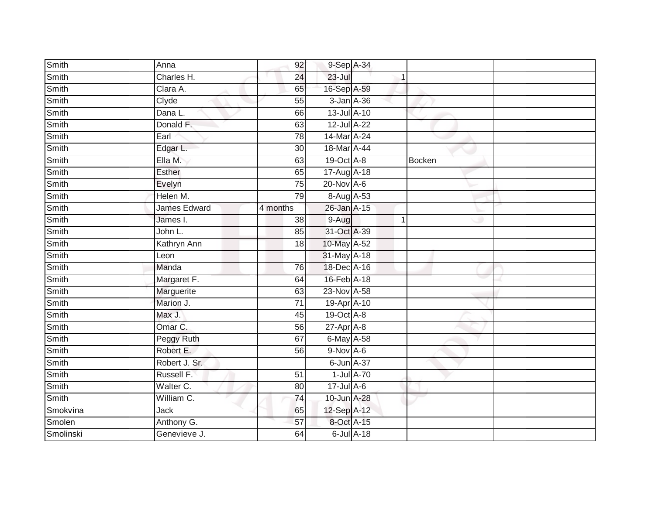| Smith     | Anna                | 92              | 9-Sep A-34       |                  |             |        |  |
|-----------|---------------------|-----------------|------------------|------------------|-------------|--------|--|
| Smith     | Charles H.          | 24              | 23-Jul           |                  |             |        |  |
| Smith     | Clara A.            | 65              | 16-Sep A-59      |                  |             |        |  |
| Smith     | Clyde               | 55              | 3-Jan A-36       |                  |             |        |  |
| Smith     | Dana L.             | 66              | 13-Jul A-10      |                  |             |        |  |
| Smith     | Donald F.           | 63              | 12-Jul A-22      |                  |             |        |  |
| Smith     | Earl                | 78              | 14-Mar A-24      |                  |             |        |  |
| Smith     | Edgar L.            | 30              | 18-Mar A-44      |                  |             |        |  |
| Smith     | Ella M.             | 63              | 19-Oct A-8       |                  |             | Bocken |  |
| Smith     | Esther              | 65              | 17-Aug A-18      |                  |             |        |  |
| Smith     | Evelyn              | 75              | 20-Nov A-6       |                  |             |        |  |
| Smith     | Helen M.            | 79              | 8-Aug A-53       |                  |             |        |  |
| Smith     | <b>James Edward</b> | 4 months        | 26-Jan A-15      |                  |             |        |  |
| Smith     | James I.            | 38              | $9-Aug$          |                  | $\mathbf 1$ |        |  |
| Smith     | John L.             | 85              | 31-Oct A-39      |                  |             |        |  |
| Smith     | Kathryn Ann         | 18              | 10-May A-52      |                  |             |        |  |
| Smith     | Leon                |                 | 31-May A-18      |                  |             |        |  |
| Smith     | Manda               | 76              | 18-Dec A-16      |                  |             |        |  |
| Smith     | Margaret F.         | 64              | 16-Feb A-18      |                  |             |        |  |
| Smith     | Marguerite          | 63              | 23-Nov A-58      |                  |             |        |  |
| Smith     | Marion J.           | $\overline{71}$ | 19-Apr A-10      |                  |             |        |  |
| Smith     | Max J.              | 45              | 19-Oct A-8       |                  |             |        |  |
| Smith     | Omar C.             | 56              | $27$ -Apr $A$ -8 |                  |             |        |  |
| Smith     | Peggy Ruth          | 67              | 6-May A-58       |                  |             |        |  |
| Smith     | Robert E.           | 56              | $9-Nov$ A-6      |                  |             |        |  |
| Smith     | Robert J. Sr.       |                 | 6-Jun A-37       |                  |             |        |  |
| Smith     | Russell F.          | $\overline{51}$ |                  | $1$ -Jul $A$ -70 |             |        |  |
| Smith     | Walter C.           | 80              | $17$ -Jul $A$ -6 |                  |             |        |  |
| Smith     | William C.          | 74              | 10-Jun A-28      |                  |             |        |  |
| Smokvina  | Jack                | 65              | 12-Sep A-12      |                  |             |        |  |
| Smolen    | Anthony G.          | 57              | 8-Oct A-15       |                  |             |        |  |
| Smolinski | Genevieve J.        | 64              |                  | $6$ -Jul $A$ -18 |             |        |  |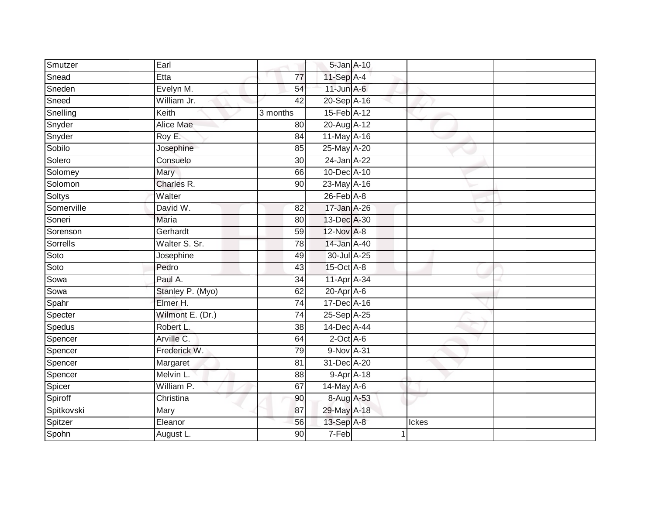| Smutzer    | Earl             |                 |                   | 5-Jan A-10 |       |  |
|------------|------------------|-----------------|-------------------|------------|-------|--|
| Snead      | Etta             | 77              | 11-Sep A-4        |            |       |  |
| Sneden     | Evelyn M.        | 54              | $11$ -Jun $A - 6$ |            |       |  |
| Sneed      | William Jr.      | 42              | 20-Sep A-16       |            |       |  |
| Snelling   | Keith            | 3 months        | 15-Feb A-12       |            |       |  |
| Snyder     | Alice Mae        | 80              | 20-Aug A-12       |            |       |  |
| Snyder     | Roy E.           | 84              | 11-May A-16       |            |       |  |
| Sobilo     | Josephine        | 85              | 25-May A-20       |            |       |  |
| Solero     | Consuelo         | 30              | 24-Jan A-22       |            |       |  |
| Solomey    | Mary             | 66              | 10-Dec A-10       |            |       |  |
| Solomon    | Charles R.       | 90              | 23-May A-16       |            |       |  |
| Soltys     | Walter           |                 | $26$ -Feb $A-8$   |            |       |  |
| Somerville | David W.         | 82              | 17-Jan A-26       |            |       |  |
| Soneri     | Maria            | 80              | 13-Dec A-30       |            |       |  |
| Sorenson   | Gerhardt         | 59              | 12-Nov A-8        |            |       |  |
| Sorrells   | Walter S. Sr.    | 78              | 14-Jan A-40       |            |       |  |
| Soto       | Josephine        | 49              | 30-Jul A-25       |            |       |  |
| Soto       | Pedro            | 43              | 15-Oct A-8        |            |       |  |
| Sowa       | Paul A.          | 34              | 11-Apr A-34       |            |       |  |
| Sowa       | Stanley P. (Myo) | 62              | $20$ -Apr $A$ -6  |            |       |  |
| Spahr      | Elmer H.         | 74              | 17-Dec A-16       |            |       |  |
| Specter    | Wilmont E. (Dr.) | $\overline{74}$ | 25-Sep A-25       |            |       |  |
| Spedus     | Robert L.        | 38              | 14-Dec A-44       |            |       |  |
| Spencer    | Arville C.       | 64              | $2$ -Oct $A$ -6   |            |       |  |
| Spencer    | Frederick W.     | 79              | 9-Nov A-31        |            |       |  |
| Spencer    | Margaret         | 81              | 31-Dec A-20       |            |       |  |
| Spencer    | Melvin L.        | $\overline{88}$ |                   | 9-Apr A-18 |       |  |
| Spicer     | William P.       | 67              | $14$ -May $A$ -6  |            |       |  |
| Spiroff    | Christina        | 90              | 8-Aug A-53        |            |       |  |
| Spitkovski | Mary             | 87              | 29-May A-18       |            |       |  |
| Spitzer    | Eleanor          | 56              | 13-Sep A-8        |            | Ickes |  |
| Spohn      | August L.        | 90              | 7-Feb             |            |       |  |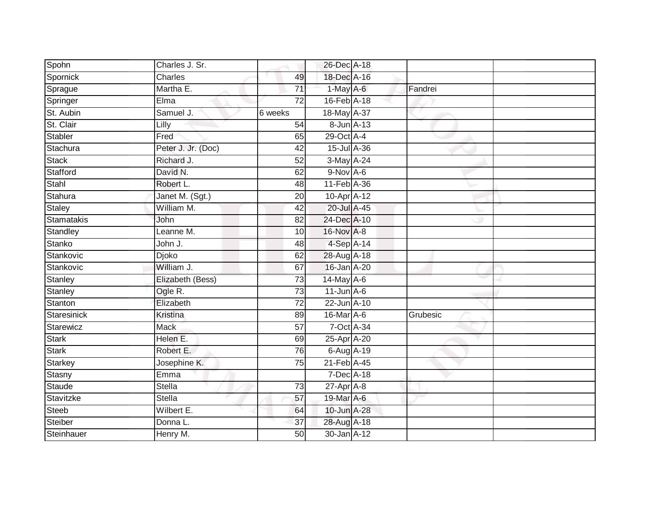| Spohn          | Charles J. Sr.     |                 | 26-Dec A-18            |          |  |
|----------------|--------------------|-----------------|------------------------|----------|--|
| Spornick       | Charles            | 49              | 18-Dec A-16            |          |  |
| Sprague        | Martha E.          | $\overline{71}$ | $1-May$ A-6            | Fandrei  |  |
| Springer       | Elma               | 72              | 16-Feb A-18            |          |  |
| St. Aubin      | Samuel J.          | 6 weeks         | 18-May A-37            |          |  |
| St. Clair      | Lilly              | 54              | 8-Jun A-13             |          |  |
| <b>Stabler</b> | Fred               | 65              | 29-Oct A-4             |          |  |
| Stachura       | Peter J. Jr. (Doc) | 42              | 15-Jul A-36            |          |  |
| <b>Stack</b>   | Richard J.         | 52              | 3-May A-24             |          |  |
| Stafford       | David N.           | 62              | $9-Nov$ A-6            |          |  |
| Stahl          | Robert L.          | 48              | 11-Feb A-36            |          |  |
| Stahura        | Janet M. (Sgt.)    | 20              | 10-Apr A-12            |          |  |
| Staley         | William M.         | 42              | 20-Jul A-45            |          |  |
| Stamatakis     | John               | 82              | 24-Dec A-10            |          |  |
| Standley       | Leanne M.          | 10              | 16-Nov A-8             |          |  |
| Stanko         | John J.            | 48              | 4-Sep A-14             |          |  |
| Stankovic      | Djoko              | 62              | 28-Aug A-18            |          |  |
| Stankovic      | William J.         | 67              | 16-Jan A-20            |          |  |
| Stanley        | Elizabeth (Bess)   | 73              | $14$ -May A-6          |          |  |
| Stanley        | Ogle R.            | 73              | $11$ -Jun $A-6$        |          |  |
| Stanton        | Elizabeth          | $\overline{72}$ | 22-Jun A-10            |          |  |
| Staresinick    | Kristina           | 89              | 16-Mar A-6             | Grubesic |  |
| Starewicz      | <b>Mack</b>        | 57              | 7-Oct A-34             |          |  |
| <b>Stark</b>   | Helen E.           | 69              | 25-Apr <sup>A-20</sup> |          |  |
| <b>Stark</b>   | Robert E.          | 76              | 6-Aug A-19             |          |  |
| Starkey        | Josephine K.       | 75              | 21-Feb A-45            |          |  |
| Stasny         | Emma               |                 | 7-Dec A-18             |          |  |
| Staude         | <b>Stella</b>      | 73              | $27$ -Apr $A$ -8       |          |  |
| Stavitzke      | <b>Stella</b>      | 57              | 19-Mar A-6             |          |  |
| <b>Steeb</b>   | Wilbert E.         | 64              | 10-Jun A-28            |          |  |
| Steiber        | Donna L.           | 37              | 28-Aug A-18            |          |  |
| Steinhauer     | Henry M.           | $\overline{50}$ | 30-Jan A-12            |          |  |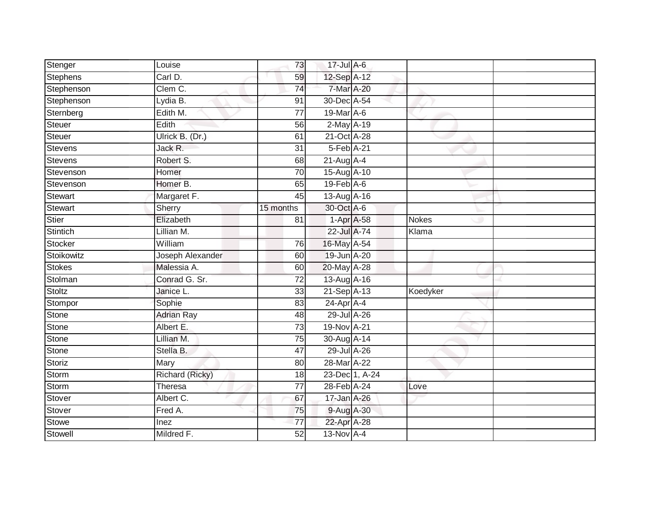| Stenger        | Louise                 | 73              | 17-Jul A-6       |                |              |  |
|----------------|------------------------|-----------------|------------------|----------------|--------------|--|
| Stephens       | Carl D.                | 59              | 12-Sep A-12      |                |              |  |
| Stephenson     | Clem C.                | $\overline{74}$ | 7-Mar A-20       |                |              |  |
| Stephenson     | Lydia B.               | 91              | 30-Dec A-54      |                |              |  |
| Sternberg      | Edith M.               | $\overline{77}$ | 19-Mar A-6       |                |              |  |
| Steuer         | Edith                  | 56              | 2-May A-19       |                |              |  |
| Steuer         | Ulrick B. (Dr.)        | 61              | 21-Oct A-28      |                |              |  |
| <b>Stevens</b> | Jack R.                | 31              | 5-Feb A-21       |                |              |  |
| <b>Stevens</b> | Robert S.              | 68              | 21-Aug A-4       |                |              |  |
| Stevenson      | Homer                  | 70              | 15-Aug A-10      |                |              |  |
| Stevenson      | Homer B.               | 65              | $19$ -Feb $A$ -6 |                |              |  |
| <b>Stewart</b> | Margaret F.            | 45              | 13-Aug A-16      |                |              |  |
| <b>Stewart</b> | Sherry                 | 15 months       | 30-Oct A-6       |                |              |  |
| <b>Stier</b>   | Elizabeth              | 81              | 1-Apr A-58       |                | <b>Nokes</b> |  |
| Stintich       | Lillian M.             |                 | 22-Jul A-74      |                | Klama        |  |
| Stocker        | William                | 76              | 16-May A-54      |                |              |  |
| Stoikowitz     | Joseph Alexander       | 60              | 19-Jun A-20      |                |              |  |
| <b>Stokes</b>  | Malessia A.            | 60              | 20-May A-28      |                |              |  |
| Stolman        | Conrad G. Sr.          | 72              | 13-Aug A-16      |                |              |  |
| Stoltz         | Janice L.              | 33              | 21-Sep A-13      |                | Koedyker     |  |
| Stompor        | Sophie                 | 83              | $24$ -Apr $A$ -4 |                |              |  |
| <b>Stone</b>   | <b>Adrian Ray</b>      | $\overline{48}$ | 29-Jul A-26      |                |              |  |
| Stone          | Albert E.              | 73              | 19-Nov A-21      |                |              |  |
| Stone          | Lillian M.             | 75              | 30-Aug A-14      |                |              |  |
| Stone          | Stella B.              | 47              | 29-Jul A-26      |                |              |  |
| Storiz         | Mary                   | 80              | 28-Mar A-22      |                |              |  |
| Storm          | <b>Richard (Ricky)</b> | 18              |                  | 23-Dec 1, A-24 |              |  |
| Storm          | Theresa                | 77              | 28-Feb A-24      |                | Love         |  |
| Stover         | Albert C.              | 67              | 17-Jan A-26      |                |              |  |
| Stover         | Fred A.                | 75              | 9-Aug A-30       |                |              |  |
| Stowe          | Inez                   | 77              | 22-Apr A-28      |                |              |  |
| Stowell        | Mildred F.             | 52              | $13-Nov$ A-4     |                |              |  |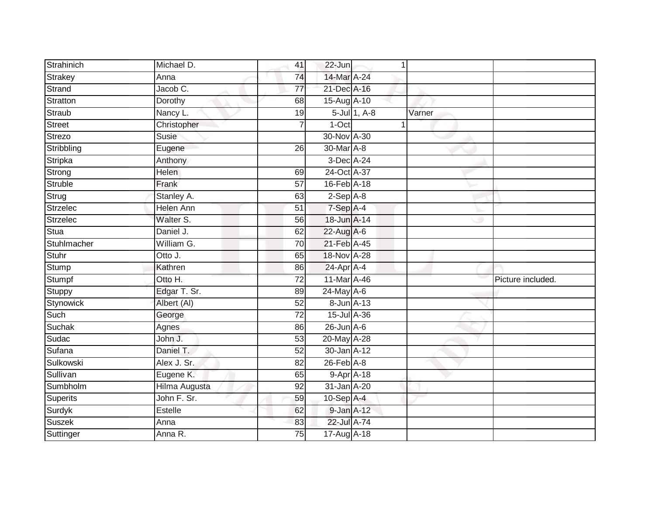| Strahinich      | Michael D.    | 41              | 22-Jun           | 1               |        |                   |
|-----------------|---------------|-----------------|------------------|-----------------|--------|-------------------|
| Strakey         | Anna          | 74              | 14-Mar A-24      |                 |        |                   |
| Strand          | Jacob C.      | $\overline{77}$ | 21-Dec A-16      |                 |        |                   |
| Stratton        | Dorothy       | 68              | 15-Aug A-10      |                 |        |                   |
| Straub          | Nancy L.      | $\overline{19}$ |                  | $5$ -Jul 1, A-8 | Varner |                   |
| <b>Street</b>   | Christopher   | $\overline{7}$  | 1-Oct            | 1               |        |                   |
| Strezo          | Susie         |                 | 30-Nov A-30      |                 |        |                   |
| Stribbling      | Eugene        | 26              | 30-Mar A-8       |                 |        |                   |
| Stripka         | Anthony       |                 | 3-Dec A-24       |                 |        |                   |
| Strong          | <b>Helen</b>  | 69              | 24-Oct A-37      |                 |        |                   |
| Struble         | Frank         | 57              | 16-Feb A-18      |                 |        |                   |
| Strug           | Stanley A.    | 63              | $2-Sep$ $A-8$    |                 |        |                   |
| <b>Strzelec</b> | Helen Ann     | 51              | 7-Sep A-4        |                 |        |                   |
| Strzelec        | Walter S.     | 56              | 18-Jun A-14      |                 |        |                   |
| Stua            | Daniel J.     | 62              | 22-Aug A-6       |                 |        |                   |
| Stuhlmacher     | William G.    | 70              | 21-Feb A-45      |                 |        |                   |
| <b>Stuhr</b>    | Otto J.       | 65              | 18-Nov A-28      |                 |        |                   |
| Stump           | Kathren       | 86              | 24-Apr A-4       |                 |        |                   |
| Stumpf          | Otto H.       | $\overline{72}$ | 11-Mar A-46      |                 |        | Picture included. |
| Stuppy          | Edgar T. Sr.  | 89              | $24$ -May A-6    |                 |        |                   |
| Stynowick       | Albert (AI)   | 52              | 8-Jun A-13       |                 |        |                   |
| Such            | George        | 72              | 15-Jul A-36      |                 |        |                   |
| Suchak          | Agnes         | 86              | $26$ -Jun $A$ -6 |                 |        |                   |
| Sudac           | John J.       | 53              | 20-May A-28      |                 |        |                   |
| Sufana          | Daniel T.     | 52              | $30 - Jan$ A-12  |                 |        |                   |
| Sulkowski       | Alex J. Sr.   | 82              | $26$ -Feb $A$ -8 |                 |        |                   |
| Sullivan        | Eugene K.     | 65              | 9-Apr A-18       |                 |        |                   |
| Sumbholm        | Hilma Augusta | 92              | 31-Jan A-20      |                 |        |                   |
| Superits        | John F. Sr.   | 59              | 10-Sep A-4       |                 |        |                   |
| Surdyk          | Estelle       | 62              | 9-Jan A-12       |                 |        |                   |
| Suszek          | Anna          | 83              | 22-Jul A-74      |                 |        |                   |
| Suttinger       | Anna R.       | $\overline{75}$ | 17-Aug A-18      |                 |        |                   |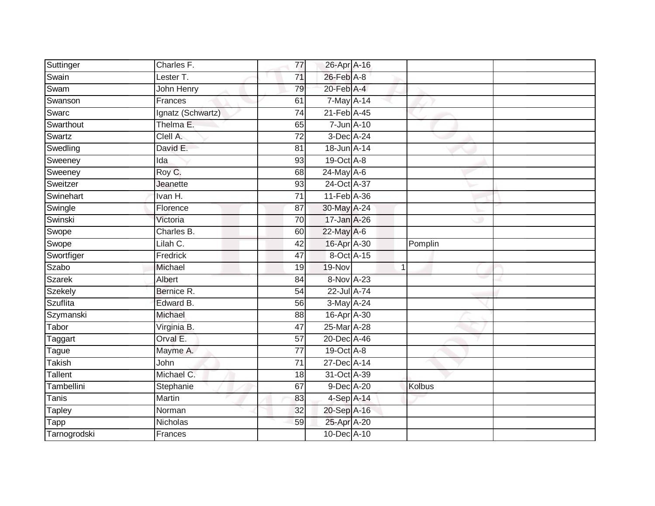| Suttinger      | Charles F.        | 77              | 26-Apr A-16                  |                |               |  |
|----------------|-------------------|-----------------|------------------------------|----------------|---------------|--|
| Swain          | Lester T.         | 71              | $26$ -Feb $A-8$              |                |               |  |
| Swam           | John Henry        | 79              | $20$ -Feb $\overline{A}$ -4  |                |               |  |
| Swanson        | Frances           | 61              | $7$ -May $A-14$              |                |               |  |
| Swarc          | Ignatz (Schwartz) | $\overline{74}$ | 21-Feb A-45                  |                |               |  |
| Swarthout      | Thelma E.         | 65              | 7-Jun A-10                   |                |               |  |
| Swartz         | Clell A.          | 72              | 3-Dec A-24                   |                |               |  |
| Swedling       | David E.          | 81              | 18-Jun A-14                  |                |               |  |
| Sweeney        | Ida               | 93              | 19-Oct A-8                   |                |               |  |
| Sweeney        | Roy C.            | 68              | $24$ -May A-6                |                |               |  |
| Sweitzer       | Jeanette          | 93              | 24-Oct A-37                  |                |               |  |
| Swinehart      | Ivan H.           | 71              | 11-Feb A-36                  |                |               |  |
| Swingle        | Florence          | 87              | 30-May A-24                  |                |               |  |
| Swinski        | Victoria          | 70              | 17-Jan A-26                  |                |               |  |
| Swope          | Charles B.        | 60              | 22-May A-6                   |                |               |  |
| Swope          | Lilah C.          | 42              | 16-Apr A-30                  |                | Pomplin       |  |
| Swortfiger     | Fredrick          | 47              | 8-Oct A-15                   |                |               |  |
| Szabo          | Michael           | 19              | $19-Nov$                     | $\overline{1}$ |               |  |
| Szarek         | Albert            | 84              | 8-Nov A-23                   |                |               |  |
| <b>Szekely</b> | Bernice R.        | 54              | 22-Jul A-74                  |                |               |  |
| Szuflita       | Edward B.         | 56              | 3-May A-24                   |                |               |  |
| Szymanski      | Michael           | 88              | 16-Apr A-30                  |                |               |  |
| Tabor          | Virginia B.       | 47              | $25$ -Mar $\overline{A}$ -28 |                |               |  |
| Taggart        | Orval E.          | 57              | 20-Dec A-46                  |                |               |  |
| Tague          | Mayme A.          | 77              | 19-Oct A-8                   |                |               |  |
| Takish         | John              | 71              | 27-Dec A-14                  |                |               |  |
| Tallent        | Michael C.        | 18              | 31-Oct A-39                  |                |               |  |
| Tambellini     | Stephanie         | 67              | 9-Dec A-20                   |                | <b>Kolbus</b> |  |
| Tanis          | Martin            | 83              | $4-Sep$ A-14                 |                |               |  |
| Tapley         | Norman            | 32              | 20-Sep A-16                  |                |               |  |
| <b>Tapp</b>    | Nicholas          | 59              | 25-Apr A-20                  |                |               |  |
| Tarnogrodski   | Frances           |                 | 10-Dec A-10                  |                |               |  |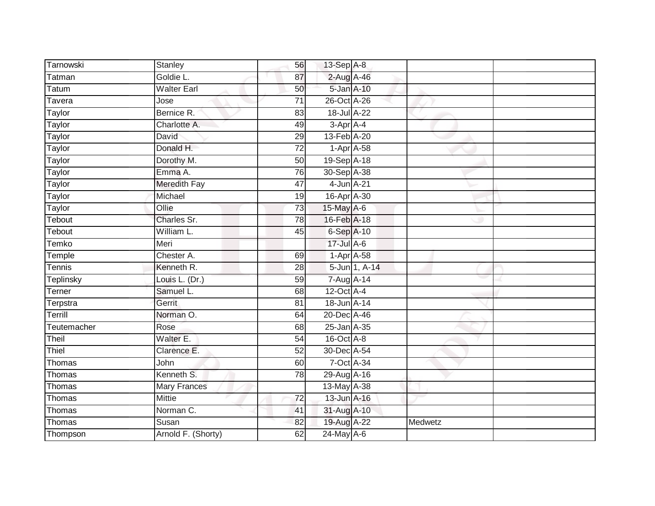| Tarnowski     | Stanley            | 56              | 13-Sep A-8                 |               |         |  |
|---------------|--------------------|-----------------|----------------------------|---------------|---------|--|
| Tatman        | Goldie L.          | 87              | 2-Aug A-46                 |               |         |  |
| Tatum         | <b>Walter Earl</b> | 50              | 5-Jan A-10                 |               |         |  |
| Tavera        | Jose               | 71              | 26-Oct A-26                |               |         |  |
| Taylor        | Bernice R.         | $\overline{83}$ | 18-Jul A-22                |               |         |  |
| Taylor        | Charlotte A.       | 49              | 3-Apr A-4                  |               |         |  |
| Taylor        | David              | 29              | 13-Feb A-20                |               |         |  |
| Taylor        | Donald H.          | 72              | $1-Apr$ $A-58$             |               |         |  |
| Taylor        | Dorothy M.         | 50              | 19-Sep A-18                |               |         |  |
| <b>Taylor</b> | Emma A.            | 76              | 30-Sep A-38                |               |         |  |
| Taylor        | Meredith Fay       | 47              | $4$ -Jun $A$ -21           |               |         |  |
| Taylor        | Michael            | 19              | 16-Apr A-30                |               |         |  |
| Taylor        | Ollie              | 73              | 15-May A-6                 |               |         |  |
| Tebout        | Charles Sr.        | 78              | 16-Feb A-18                |               |         |  |
| Tebout        | William L.         | 45              | 6-Sep A-10                 |               |         |  |
| Temko         | Meri               |                 | 17-Jul A-6                 |               |         |  |
| Temple        | Chester A.         | 69              | $1-Apr$ A-58               |               |         |  |
| Tennis        | Kenneth R.         | 28              |                            | 5-Jun 1, A-14 |         |  |
| Teplinsky     | Louis L. (Dr.)     | 59              | 7-Aug A-14                 |               |         |  |
| Terner        | Samuel L.          | 68              | $12$ -Oct $\overline{A-4}$ |               |         |  |
| Terpstra      | Gerrit             | 81              | 18-Jun A-14                |               |         |  |
| Terrill       | Norman O.          | 64              | 20-Dec A-46                |               |         |  |
| Teutemacher   | Rose               | 68              | 25-Jan A-35                |               |         |  |
| Theil         | Walter E.          | 54              | 16-Oct A-8                 |               |         |  |
| Thiel         | Clarence E.        | 52              | 30-Dec A-54                |               |         |  |
| Thomas        | John               | 60              | 7-Oct A-34                 |               |         |  |
| Thomas        | Kenneth S.         | 78              | 29-Aug A-16                |               |         |  |
| Thomas        | Mary Frances       |                 | 13-May A-38                |               |         |  |
| Thomas        | <b>Mittie</b>      | 72              | 13-Jun A-16                |               |         |  |
| Thomas        | Norman C.          | 41              | 31-Aug A-10                |               |         |  |
| Thomas        | Susan              | 82              | 19-Aug A-22                |               | Medwetz |  |
| Thompson      | Arnold F. (Shorty) | 62              | $24$ -May $A$ -6           |               |         |  |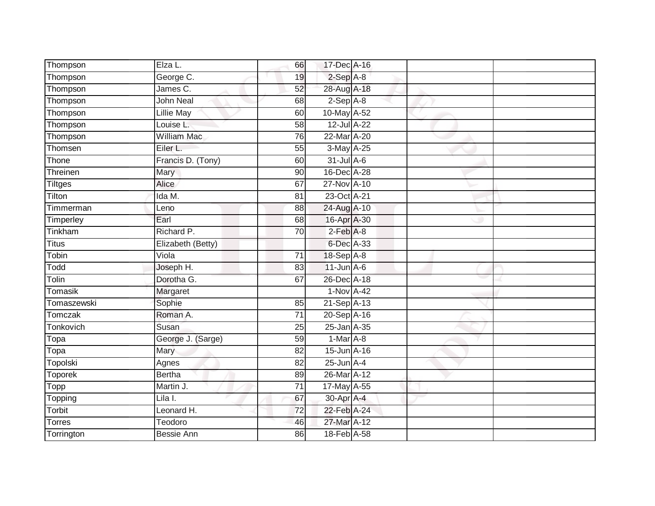| Thompson       | Elza L.            | 66              | 17-Dec A-16     |  |  |
|----------------|--------------------|-----------------|-----------------|--|--|
| Thompson       | George C.          | 19              | $2-Sep$ A-8     |  |  |
| Thompson       | James C.           | 52              | 28-Aug A-18     |  |  |
| Thompson       | <b>John Neal</b>   | 68              | $2-Sep$ A-8     |  |  |
| Thompson       | <b>Lillie May</b>  | 60              | 10-May A-52     |  |  |
| Thompson       | Louise L.          | 58              | 12-Jul A-22     |  |  |
| Thompson       | <b>William Mac</b> | $\overline{76}$ | 22-Mar A-20     |  |  |
| Thomsen        | Eiler L.           | 55              | 3-May A-25      |  |  |
| Thone          | Francis D. (Tony)  | 60              | $31$ -Jul $A-6$ |  |  |
| Threinen       | <b>Mary</b>        | 90              | 16-Dec A-28     |  |  |
| Tiltges        | <b>Alice</b>       | 67              | 27-Nov A-10     |  |  |
| Tilton         | Ida M.             | 81              | 23-Oct A-21     |  |  |
| Timmerman      | Leno               | 88              | 24-Aug A-10     |  |  |
| Timperley      | Earl               | 68              | 16-Apr A-30     |  |  |
| Tinkham        | Richard P.         | $\overline{70}$ | $2-Feb$ $A-8$   |  |  |
| <b>Titus</b>   | Elizabeth (Betty)  |                 | 6-Dec A-33      |  |  |
| Tobin          | Viola              | $\overline{71}$ | 18-Sep A-8      |  |  |
| Todd           | Joseph H.          | 83              | $11$ -Jun $A-6$ |  |  |
| Tolin          | Dorotha G.         | 67              | 26-Dec A-18     |  |  |
| Tomasik        | Margaret           |                 | 1-Nov A-42      |  |  |
| Tomaszewski    | Sophie             | 85              | 21-Sep A-13     |  |  |
| Tomczak        | Roman A.           | $\overline{71}$ | 20-Sep A-16     |  |  |
| Tonkovich      | Susan              | 25              | 25-Jan A-35     |  |  |
| Topa           | George J. (Sarge)  | 59              | $1-Mar$ A-8     |  |  |
| Topa           | Mary               | 82              | 15-Jun A-16     |  |  |
| Topolski       | Agnes              | 82              | $25$ -Jun $A-4$ |  |  |
| <b>Toporek</b> | <b>Bertha</b>      | 89              | 26-Mar A-12     |  |  |
| Topp           | Martin J.          | 71              | 17-May A-55     |  |  |
| Topping        | Lila I.            | 67              | 30-Apr A-4      |  |  |
| Torbit         | Leonard H.         | 72              | 22-Feb A-24     |  |  |
| Torres         | Teodoro            | 46              | 27-Mar A-12     |  |  |
| Torrington     | <b>Bessie Ann</b>  | 86              | 18-Feb A-58     |  |  |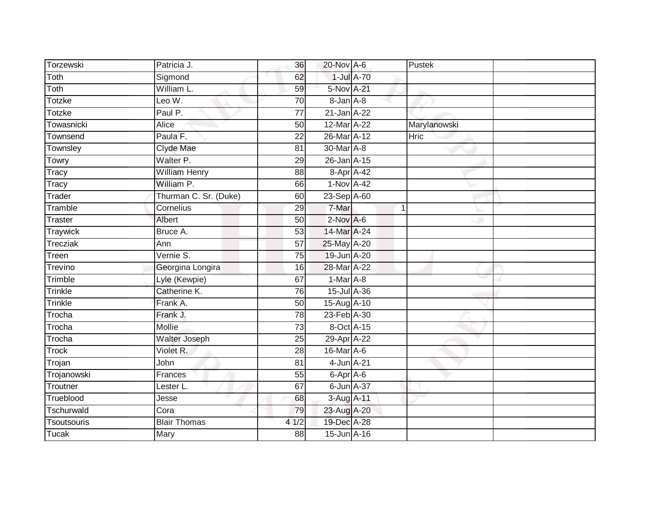| Torzewski       | Patricia J.           | 36              | 20-Nov A-6       |                | Pustek       |
|-----------------|-----------------------|-----------------|------------------|----------------|--------------|
| Toth            | Sigmond               | 62              | 1-Jul A-70       |                |              |
| Toth            | William L.            | 59              | 5-Nov A-21       |                |              |
| Totzke          | Leo W.                | 70              | 8-Jan A-8        |                |              |
| <b>Totzke</b>   | Paul P.               | $\overline{77}$ | $21$ -Jan $A-22$ |                |              |
| Towasnicki      | Alice                 | 50              | 12-Mar A-22      |                | Marylanowski |
| Townsend        | Paula F.              | $\overline{22}$ | 26-Mar A-12      |                | Hric         |
| Townsley        | Clyde Mae             | 81              | 30-Mar A-8       |                |              |
| Towry           | Walter P.             | 29              | 26-Jan A-15      |                |              |
| Tracy           | <b>William Henry</b>  | 88              | 8-Apr A-42       |                |              |
| Tracy           | William P.            | 66              | 1-Nov A-42       |                |              |
| Trader          | Thurman C. Sr. (Duke) | 60              | 23-Sep A-60      |                |              |
| Tramble         | Cornelius             | 29              | 7-Mar            | $\overline{1}$ |              |
| Traster         | Albert                | 50              | $2$ -Nov $A-6$   |                |              |
| <b>Traywick</b> | Bruce A.              | $\overline{53}$ | 14-Mar A-24      |                |              |
| Trecziak        | Ann                   | 57              | 25-May A-20      |                |              |
| Treen           | Vernie S.             | 75              | 19-Jun A-20      |                |              |
| Trevino         | Georgina Longira      | 16              | 28-Mar A-22      |                |              |
| Trimble         | Lyle (Kewpie)         | 67              | 1-Mar A-8        |                |              |
| Trinkle         | Catherine K.          | 76              | 15-Jul A-36      |                |              |
| Trinkle         | Frank A.              | 50              | 15-Aug A-10      |                |              |
| Trocha          | Frank J.              | 78              | 23-Feb A-30      |                |              |
| Trocha          | Mollie                | 73              | 8-Oct A-15       |                |              |
| Trocha          | Walter Joseph         | 25              | 29-Apr A-22      |                |              |
| <b>Trock</b>    | Violet R.             | 28              | 16-Mar A-6       |                |              |
| Trojan          | John                  | 81              | 4-Jun A-21       |                |              |
| Trojanowski     | Frances               | 55              | 6-Apr A-6        |                |              |
| Troutner        | Lester L.             | 67              | 6-Jun A-37       |                |              |
| Trueblood       | Jesse                 | 68              | 3-Aug A-11       |                |              |
| Tschurwald      | Cora                  | 79              | 23-Aug A-20      |                |              |
| Tsoutsouris     | <b>Blair Thomas</b>   | 41/2            | 19-Dec A-28      |                |              |
| <b>Tucak</b>    | Mary                  | 88              | 15-Jun A-16      |                |              |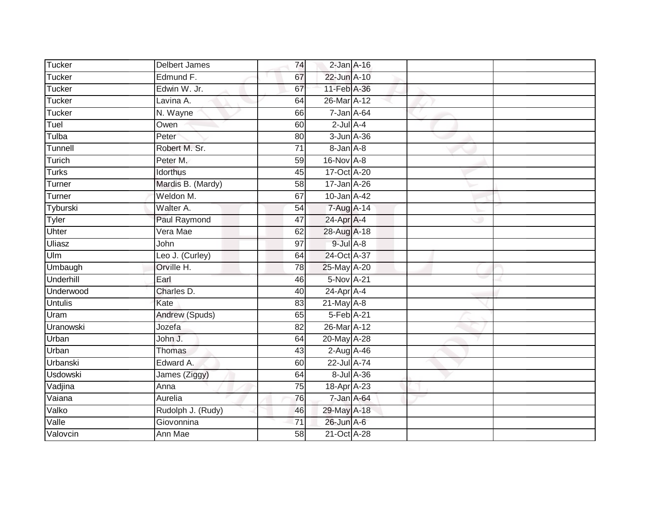| Tucker           | <b>Delbert James</b>  | 74              | $2$ -Jan $A-16$  |            |  |
|------------------|-----------------------|-----------------|------------------|------------|--|
| Tucker           | Edmund F.             | 67              | 22-Jun A-10      |            |  |
| Tucker           | Edwin W. Jr.          | 67              | 11-Feb A-36      |            |  |
| Tucker           | Lavina A.             | 64              | 26-Mar A-12      |            |  |
| Tucker           | N. Wayne              | 66              | $7 - Jan A - 64$ |            |  |
| Tuel             | Owen                  | 60              | $2$ -Jul $A-4$   |            |  |
| Tulba            | Peter                 | 80              | $3 - Jun A - 36$ |            |  |
| Tunnell          | Robert M. Sr.         | $\overline{71}$ | 8-Jan A-8        |            |  |
| Turich           | Peter M.              | 59              | 16-Nov A-8       |            |  |
| <b>Turks</b>     | Idorthus              | 45              | 17-Oct A-20      |            |  |
| Turner           | Mardis B. (Mardy)     | 58              | 17-Jan A-26      |            |  |
| Turner           | Weldon M.             | 67              | 10-Jan A-42      |            |  |
| Tyburski         | Walter A.             | 54              | 7-Aug A-14       |            |  |
| Tyler            | <b>Paul Raymond</b>   | $\overline{47}$ | 24-Apr A-4       |            |  |
| Uhter            | Vera Mae              | 62              | 28-Aug A-18      |            |  |
| <b>Uliasz</b>    | John                  | $\overline{97}$ | $9$ -Jul $A$ -8  |            |  |
| Ulm              | Leo J. (Curley)       | 64              | 24-Oct A-37      |            |  |
| Umbaugh          | Orville H.            | 78              | 25-May A-20      |            |  |
| Underhill        | Earl                  | 46              | 5-Nov A-21       |            |  |
| Underwood        | Charles D.            | 40              | $24$ -Apr $A$ -4 |            |  |
| <b>Untulis</b>   | Kate                  | 83              | $21$ -May $A-8$  |            |  |
| Uram             | <b>Andrew (Spuds)</b> | 65              | 5-Feb A-21       |            |  |
| <b>Uranowski</b> | Jozefa                | 82              | 26-Mar A-12      |            |  |
| Urban            | John J.               | 64              | 20-May A-28      |            |  |
| Urban            | <b>Thomas</b>         | 43              | 2-Aug A-46       |            |  |
| Urbanski         | Edward A.             | 60              | 22-Jul A-74      |            |  |
| <b>Usdowski</b>  | James (Ziggy)         | 64              |                  | 8-Jul A-36 |  |
| Vadjina          | Anna                  | 75              | 18-Apr A-23      |            |  |
| Vaiana           | Aurelia               | 76              | 7-Jan A-64       |            |  |
| Valko            | Rudolph J. (Rudy)     | 46              | 29-May A-18      |            |  |
| Valle            | Giovonnina            | 71              | 26-Jun A-6       |            |  |
| Valovcin         | Ann Mae               | 58              | 21-Oct A-28      |            |  |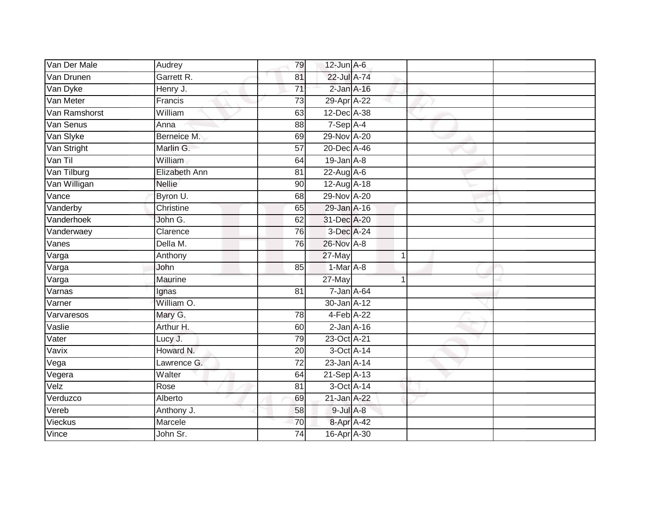| Van Der Male  | Audrey        | 79              | $12$ -Jun $A-6$  |   |  |
|---------------|---------------|-----------------|------------------|---|--|
| Van Drunen    | Garrett R.    | 81              | 22-Jul A-74      |   |  |
| Van Dyke      | Henry J.      | $\overline{71}$ | $2$ -Jan $A-16$  |   |  |
| Van Meter     | Francis       | 73              | 29-Apr A-22      |   |  |
| Van Ramshorst | William       | 63              | 12-Dec A-38      |   |  |
| Van Senus     | Anna          | 88              | $7-SepA-4$       |   |  |
| Van Slyke     | Berneice M.   | 69              | 29-Nov A-20      |   |  |
| Van Stright   | Marlin G.     | 57              | 20-Dec A-46      |   |  |
| Van Til       | William       | 64              | $19$ -Jan $A-8$  |   |  |
| Van Tilburg   | Elizabeth Ann | 81              | 22-Aug A-6       |   |  |
| Van Willigan  | <b>Nellie</b> | 90              | $12-Aug$ A-18    |   |  |
| Vance         | Byron U.      | 68              | 29-Nov A-20      |   |  |
| Vanderby      | Christine     | 65              | 29-Jan A-16      |   |  |
| Vanderhoek    | John G.       | 62              | 31-Dec A-20      |   |  |
| Vanderwaey    | Clarence      | 76              | 3-Dec A-24       |   |  |
| Vanes         | Della M.      | 76              | 26-Nov A-8       |   |  |
| Varga         | Anthony       |                 | 27-May           | 1 |  |
| Varga         | John          | 85              | 1-Mar A-8        |   |  |
| Varga         | Maurine       |                 | 27-May           |   |  |
| Varnas        | Ignas         | $\overline{81}$ | $7 - Jan A - 64$ |   |  |
| Varner        | William O.    |                 | 30-Jan A-12      |   |  |
| Varvaresos    | Mary G.       | 78              | 4-Feb A-22       |   |  |
| Vaslie        | Arthur H.     | 60              | $2$ -Jan $A-16$  |   |  |
| Vater         | Lucy J.       | 79              | 23-Oct A-21      |   |  |
| Vavix         | Howard N.     | 20              | 3-Oct A-14       |   |  |
| Vega          | Lawrence G.   | 72              | 23-Jan A-14      |   |  |
| Vegera        | Walter        | 64              | 21-Sep A-13      |   |  |
| Velz          | Rose          | 81              | 3-Oct A-14       |   |  |
| Verduzco      | Alberto       | 69              | 21-Jan A-22      |   |  |
| Vereb         | Anthony J.    | 58              | $9$ -Jul $A$ -8  |   |  |
| Vieckus       | Marcele       | $\overline{70}$ | 8-Apr A-42       |   |  |
| Vince         | John Sr.      | $\overline{74}$ | 16-Apr A-30      |   |  |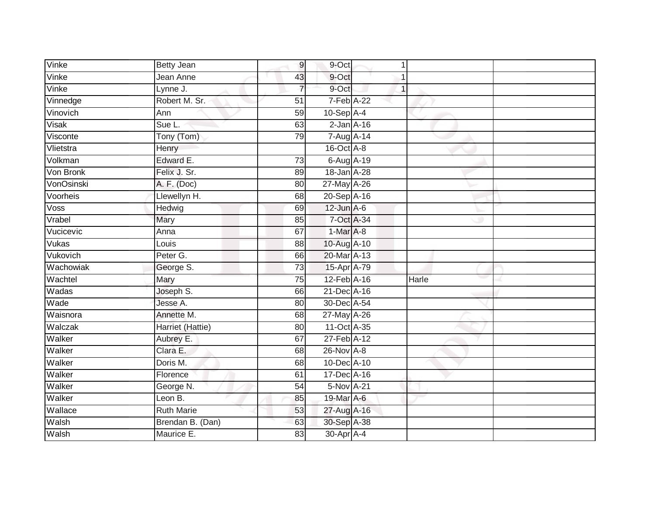| Vinke      | <b>Betty Jean</b> | 9               | 9-Oct            | 1            |       |  |
|------------|-------------------|-----------------|------------------|--------------|-------|--|
| Vinke      | Jean Anne         | 43              | 9-Oct            |              |       |  |
| Vinke      | Lynne J.          | 7               | 9-Oct            | $\mathbf{1}$ |       |  |
| Vinnedge   | Robert M. Sr.     | 51              | 7-Feb A-22       |              |       |  |
| Vinovich   | Ann               | 59              | $10-Sep$ A-4     |              |       |  |
| Visak      | Sue L.            | 63              | $2$ -Jan $A-16$  |              |       |  |
| Visconte   | Tony (Tom)        | 79              | 7-Aug A-14       |              |       |  |
| Vlietstra  | Henry             |                 | $16$ -Oct $A$ -8 |              |       |  |
| Volkman    | Edward E.         | $\overline{73}$ | 6-Aug A-19       |              |       |  |
| Von Bronk  | Felix J. Sr.      | 89              | 18-Jan A-28      |              |       |  |
| VonOsinski | A. F. (Doc)       | 80              | 27-May A-26      |              |       |  |
| Voorheis   | Llewellyn H.      | 68              | 20-Sep A-16      |              |       |  |
| Voss       | Hedwig            | 69              | $12$ -Jun $A-6$  |              |       |  |
| Vrabel     | Mary              | 85              | 7-Oct A-34       |              |       |  |
| Vucicevic  | Anna              | 67              | $1-Mar A-8$      |              |       |  |
| Vukas      | Louis             | 88              | 10-Aug A-10      |              |       |  |
| Vukovich   | Peter G.          | 66              | 20-Mar A-13      |              |       |  |
| Wachowiak  | George S.         | $\overline{73}$ | 15-Apr A-79      |              |       |  |
| Wachtel    | Mary              | $\overline{75}$ | 12-Feb A-16      |              | Harle |  |
| Wadas      | Joseph S.         | 66              | 21-Dec A-16      |              |       |  |
| Wade       | Jesse A.          | 80              | 30-Dec A-54      |              |       |  |
| Waisnora   | Annette M.        | 68              | 27-May A-26      |              |       |  |
| Walczak    | Harriet (Hattie)  | 80              | 11-Oct A-35      |              |       |  |
| Walker     | Aubrey E.         | 67              | 27-Feb A-12      |              |       |  |
| Walker     | Clara E.          | 68              | 26-Nov A-8       |              |       |  |
| Walker     | Doris M.          | 68              | 10-Dec A-10      |              |       |  |
| Walker     | Florence          | 61              | 17-Dec A-16      |              |       |  |
| Walker     | George N.         | 54              | 5-Nov A-21       |              |       |  |
| Walker     | Leon B.           | 85              | 19-Mar A-6       |              |       |  |
| Wallace    | <b>Ruth Marie</b> | 53              | 27-Aug A-16      |              |       |  |
| Walsh      | Brendan B. (Dan)  | 63              | 30-Sep A-38      |              |       |  |
| Walsh      | Maurice E.        | $\overline{83}$ | 30-Apr A-4       |              |       |  |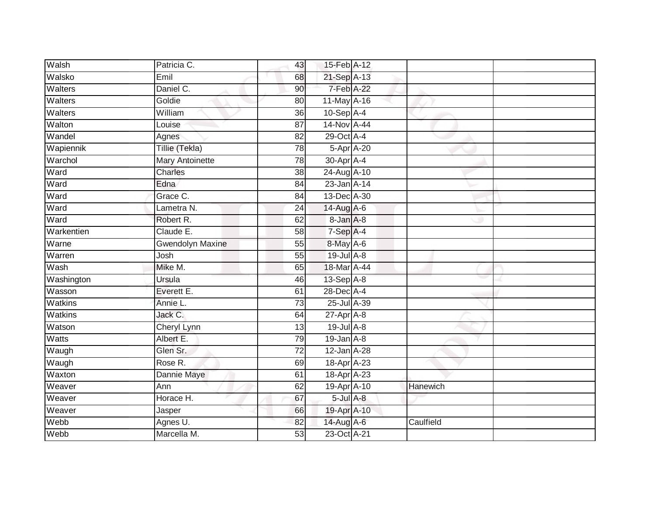| Walsh          | Patricia C.             | 43              | 15-Feb A-12            |            |           |  |
|----------------|-------------------------|-----------------|------------------------|------------|-----------|--|
| Walsko         | Emil                    | 68              | 21-Sep A-13            |            |           |  |
| <b>Walters</b> | Daniel C.               | 90              | 7-Feb A-22             |            |           |  |
| Walters        | Goldie                  | 80              | $11$ -May $A-16$       |            |           |  |
| Walters        | William                 | 36              | $10-Sep$ A-4           |            |           |  |
| Walton         | Louise                  | 87              | 14-Nov A-44            |            |           |  |
| Wandel         | Agnes                   | 82              | 29-Oct A-4             |            |           |  |
| Wapiennik      | Tillie (Tekla)          | 78              |                        | 5-Apr A-20 |           |  |
| Warchol        | Mary Antoinette         | 78              | 30-Apr A-4             |            |           |  |
| Ward           | Charles                 | 38              | 24-Aug A-10            |            |           |  |
| Ward           | Edna                    | $\overline{84}$ | 23-Jan A-14            |            |           |  |
| Ward           | Grace C.                | 84              | 13-Dec A-30            |            |           |  |
| Ward           | Lametra N.              | 24              | 14-Aug A-6             |            |           |  |
| Ward           | Robert R.               | 62              | 8-Jan A-8              |            |           |  |
| Warkentien     | Claude E.               | $\overline{58}$ | 7-Sep A-4              |            |           |  |
| Warne          | <b>Gwendolyn Maxine</b> | 55              | 8-May A-6              |            |           |  |
| Warren         | Josh                    | 55              | 19-Jul A-8             |            |           |  |
| Wash           | Mike M.                 | 65              | 18-Mar A-44            |            |           |  |
| Washington     | Ursula                  | 46              | 13-Sep A-8             |            |           |  |
| Wasson         | Everett E.              | 61              | 28-Dec A-4             |            |           |  |
| <b>Watkins</b> | Annie L.                | 73              | 25-Jul A-39            |            |           |  |
| <b>Watkins</b> | Jack C.                 | 64              | $27$ -Apr $A$ -8       |            |           |  |
| Watson         | Cheryl Lynn             | 13              | 19-Jul A-8             |            |           |  |
| Watts          | Albert E.               | 79              | $19$ -Jan $A-8$        |            |           |  |
| Waugh          | Glen Sr.                | 72              | $12$ -Jan A-28         |            |           |  |
| Waugh          | Rose R.                 | 69              | 18-Apr <sub>A-23</sub> |            |           |  |
| Waxton         | Dannie Maye             | 61              | 18-Apr A-23            |            |           |  |
| Weaver         | Ann                     | 62              | 19-Apr A-10            |            | Hanewich  |  |
| Weaver         | Horace H.               | 67              | $5$ -Jul $A$ -8        |            |           |  |
| Weaver         | Jasper                  | 66              | 19-Apr A-10            |            |           |  |
| Webb           | Agnes U.                | 82              | 14-Aug A-6             |            | Caulfield |  |
| Webb           | Marcella M.             | 53              | 23-Oct A-21            |            |           |  |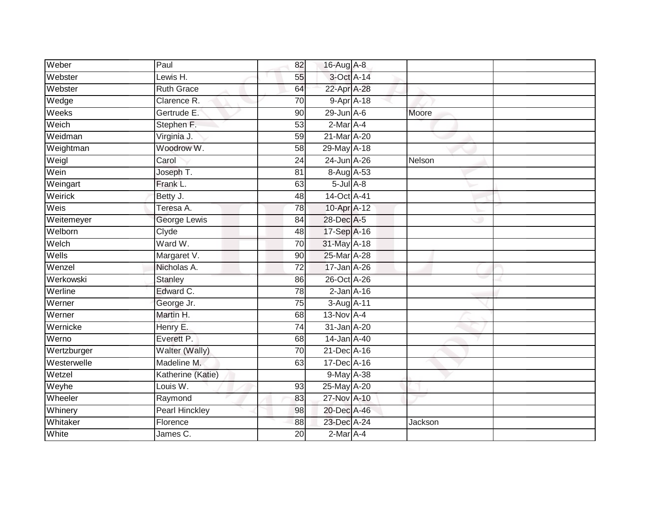| Weber       | Paul                  | 82              | 16-Aug A-8       |         |  |
|-------------|-----------------------|-----------------|------------------|---------|--|
| Webster     | Lewis H.              | 55              | 3-Oct A-14       |         |  |
| Webster     | <b>Ruth Grace</b>     | 64              | 22-Apr A-28      |         |  |
| Wedge       | Clarence R.           | 70              | $9 - Apr$ $A-18$ |         |  |
| Weeks       | Gertrude E.           | $\overline{90}$ | $29$ -Jun $A-6$  | Moore   |  |
| Weich       | Stephen F.            | 53              | $2$ -Mar $A$ -4  |         |  |
| Weidman     | Virginia J.           | 59              | 21-Mar A-20      |         |  |
| Weightman   | Woodrow W.            | 58              | 29-May A-18      |         |  |
| Weigl       | Carol                 | 24              | 24-Jun A-26      | Nelson  |  |
| Wein        | Joseph T.             | 81              | 8-Aug A-53       |         |  |
| Weingart    | Frank L.              | 63              | $5$ -Jul $A$ -8  |         |  |
| Weirick     | Betty J.              | 48              | 14-Oct A-41      |         |  |
| Weis        | Teresa A.             | 78              | 10-Apr A-12      |         |  |
| Weitemeyer  | George Lewis          | 84              | 28-Dec A-5       |         |  |
| Welborn     | Clyde                 | 48              | 17-Sep A-16      |         |  |
| Welch       | Ward W.               | 70              | 31-May A-18      |         |  |
| Wells       | Margaret V.           | 90              | 25-Mar A-28      |         |  |
| Wenzel      | Nicholas A.           | 72              | 17-Jan A-26      |         |  |
| Werkowski   | Stanley               | 86              | 26-Oct A-26      |         |  |
| Werline     | Edward C.             | 78              | $2$ -Jan $A-16$  |         |  |
| Werner      | George Jr.            | 75              | 3-Aug A-11       |         |  |
| Werner      | Martin H.             | 68              | $13-Nov$ A-4     |         |  |
| Wernicke    | Henry E.              | 74              | 31-Jan A-20      |         |  |
| Werno       | Everett P.            | 68              | 14-Jan A-40      |         |  |
| Wertzburger | Walter (Wally)        | 70              | 21-Dec A-16      |         |  |
| Westerwelle | Madeline M.           | 63              | 17-Dec A-16      |         |  |
| Wetzel      | Katherine (Katie)     |                 | 9-May A-38       |         |  |
| Weyhe       | Louis W.              | 93              | 25-May A-20      |         |  |
| Wheeler     | Raymond               | 83              | 27-Nov A-10      |         |  |
| Whinery     | <b>Pearl Hinckley</b> | 98              | 20-Dec A-46      |         |  |
| Whitaker    | Florence              | 88              | 23-Dec A-24      | Jackson |  |
| White       | James C.              | 20              | $2-Mar$ A-4      |         |  |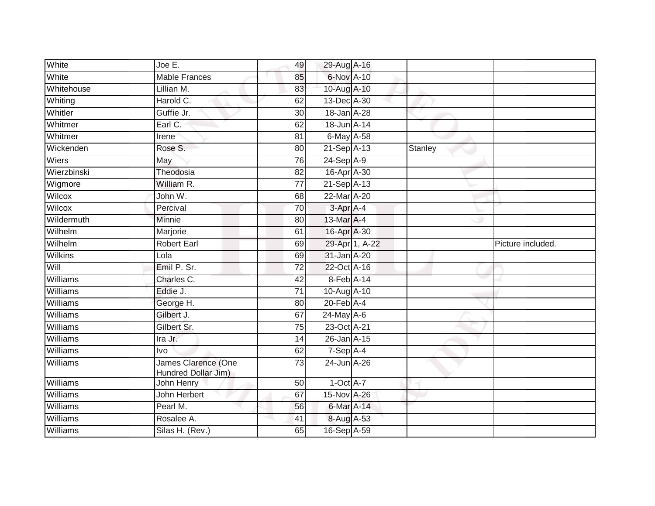| White           | Joe E.                                     | 49              | 29-Aug A-16      |                |         |                   |
|-----------------|--------------------------------------------|-----------------|------------------|----------------|---------|-------------------|
| White           | <b>Mable Frances</b>                       | 85              | 6-Nov A-10       |                |         |                   |
| Whitehouse      | Lillian M.                                 | 83              | 10-Aug A-10      |                |         |                   |
| Whiting         | Harold C.                                  | 62              | 13-Dec A-30      |                |         |                   |
| Whitler         | Guffie Jr.                                 | 30              | 18-Jan A-28      |                |         |                   |
| Whitmer         | Earl C.                                    | 62              | 18-Jun A-14      |                |         |                   |
| Whitmer         | Irene                                      | 81              | $6$ -May $A$ -58 |                |         |                   |
| Wickenden       | Rose S.                                    | 80              | 21-Sep A-13      |                | Stanley |                   |
| Wiers           | May                                        | 76              | 24-Sep A-9       |                |         |                   |
| Wierzbinski     | Theodosia                                  | $\overline{82}$ | 16-Apr A-30      |                |         |                   |
| Wigmore         | William R.                                 | $\overline{77}$ | 21-Sep A-13      |                |         |                   |
| Wilcox          | John W.                                    | 68              | 22-Mar A-20      |                |         |                   |
| Wilcox          | Percival                                   | 70              | 3-Apr A-4        |                |         |                   |
| Wildermuth      | Minnie                                     | 80              | 13-Mar A-4       |                |         |                   |
| Wilhelm         | Marjorie                                   | 61              | 16-Apr A-30      |                |         |                   |
| Wilhelm         | <b>Robert Earl</b>                         | 69              |                  | 29-Apr 1, A-22 |         | Picture included. |
| <b>Wilkins</b>  | Lola                                       | 69              | 31-Jan A-20      |                |         |                   |
| Will            | Emil P. Sr.                                | $\overline{72}$ | 22-Oct A-16      |                |         |                   |
| Williams        | Charles C.                                 | 42              | 8-Feb A-14       |                |         |                   |
| Williams        | Eddie J.                                   | $\overline{71}$ | 10-Aug A-10      |                |         |                   |
| Williams        | George H.                                  | 80              | $20$ -Feb $A$ -4 |                |         |                   |
| <b>Williams</b> | Gilbert J.                                 | 67              | $24$ -May A-6    |                |         |                   |
| Williams        | Gilbert Sr.                                | 75              | 23-Oct A-21      |                |         |                   |
| Williams        | Ira Jr.                                    | 14              | 26-Jan A-15      |                |         |                   |
| Williams        | <b>Ivo</b>                                 | 62              | 7-Sep A-4        |                |         |                   |
| Williams        | James Clarence (One<br>Hundred Dollar Jim) | 73              | 24-Jun A-26      |                |         |                   |
| Williams        | John Henry                                 | 50              | $1-Oct$ A-7      |                |         |                   |
| Williams        | John Herbert                               | 67              | 15-Nov A-26      |                |         |                   |
| Williams        | Pearl M.                                   | 56              | 6-Mar A-14       |                |         |                   |
| Williams        | Rosalee A.                                 | 41              | 8-Aug A-53       |                |         |                   |
| Williams        | Silas H. (Rev.)                            | 65              | 16-Sep A-59      |                |         |                   |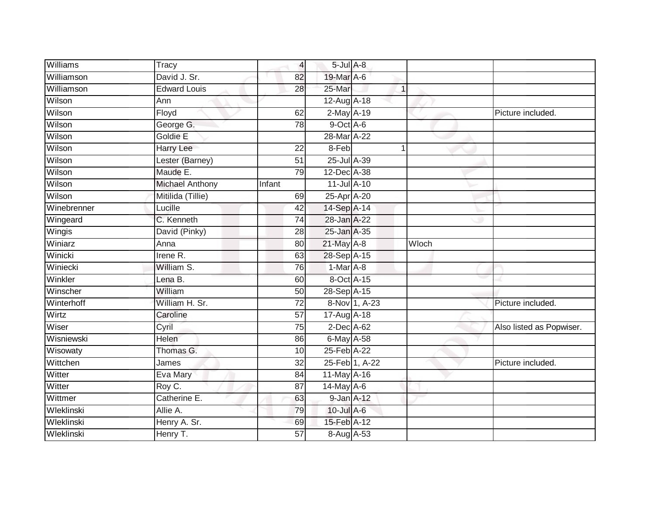| Williams    | $\overline{T}$ racy    | $\overline{4}$  | $5$ -Jul $A$ -8        |                |       |                          |
|-------------|------------------------|-----------------|------------------------|----------------|-------|--------------------------|
| Williamson  | David J. Sr.           | 82              | 19-Mar A-6             |                |       |                          |
| Williamson  | <b>Edward Louis</b>    | 28              | 25-Mar                 | $\mathbf{1}$   |       |                          |
| Wilson      | Ann                    |                 | 12-Aug A-18            |                |       |                          |
| Wilson      | Floyd                  | 62              | 2-May A-19             |                |       | Picture included.        |
| Wilson      | George G.              | 78              | 9-Oct A-6              |                |       |                          |
| Wilson      | Goldie E               |                 | 28-Mar A-22            |                |       |                          |
| Wilson      | Harry Lee              | $\overline{22}$ | 8-Feb                  | 1              |       |                          |
| Wilson      | Lester (Barney)        | 51              | 25-Jul A-39            |                |       |                          |
| Wilson      | Maude E.               | 79              | 12-Dec A-38            |                |       |                          |
| Wilson      | <b>Michael Anthony</b> | Infant          | $11$ -Jul A-10         |                |       |                          |
| Wilson      | Mitilida (Tillie)      | 69              | 25-Apr <sup>A-20</sup> |                |       |                          |
| Winebrenner | Lucille                | 42              | 14-Sep A-14            |                |       |                          |
| Wingeard    | C. Kenneth             | 74              | 28-Jan A-22            |                |       |                          |
| Wingis      | David (Pinky)          | 28              | 25-Jan A-35            |                |       |                          |
| Winiarz     | Anna                   | 80              | 21-May A-8             |                | Wloch |                          |
| Winicki     | Irene R.               | 63              | 28-Sep A-15            |                |       |                          |
| Winiecki    | William S.             | 76              | 1-Mar A-8              |                |       |                          |
| Winkler     | Lena B.                | 60              | 8-Oct A-15             |                |       |                          |
| Winscher    | William                | $\overline{50}$ | 28-Sep A-15            |                |       |                          |
| Winterhoff  | William H. Sr.         | $\overline{72}$ |                        | 8-Nov 1, A-23  |       | Picture included.        |
| Wirtz       | Caroline               | $\overline{57}$ | 17-Aug A-18            |                |       |                          |
| Wiser       | Cyril                  | 75              | $2$ -Dec $A$ -62       |                |       | Also listed as Popwiser. |
| Wisniewski  | Helen                  | 86              | 6-May A-58             |                |       |                          |
| Wisowaty    | Thomas G.              | 10              | 25-Feb A-22            |                |       |                          |
| Wittchen    | James                  | 32              |                        | 25-Feb 1, A-22 |       | Picture included.        |
| Witter      | Eva Mary               | 84              | 11-May A-16            |                |       |                          |
| Witter      | Roy C.                 | 87              | $14$ -May A-6          |                |       |                          |
| Wittmer     | Catherine E.           | 63              | 9-Jan A-12             |                |       |                          |
| Wleklinski  | Allie A.               | 79              | $10$ -Jul A-6          |                |       |                          |
| Wleklinski  | Henry A. Sr.           | 69              | 15-Feb A-12            |                |       |                          |
| Wleklinski  | Henry T.               | $\overline{57}$ | 8-Aug A-53             |                |       |                          |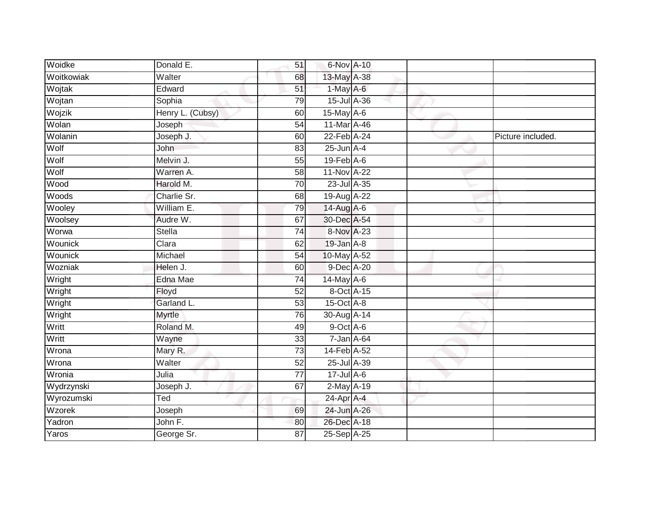| Woidke     | Donald E.        | 51              | 6-Nov A-10       |  |                   |
|------------|------------------|-----------------|------------------|--|-------------------|
| Woitkowiak | Walter           | 68              | 13-May A-38      |  |                   |
| Wojtak     | Edward           | 51              | $1$ -May $A$ -6  |  |                   |
| Wojtan     | Sophia           | 79              | 15-Jul A-36      |  |                   |
| Wojzik     | Henry L. (Cubsy) | 60              | 15-May A-6       |  |                   |
| Wolan      | Joseph           | 54              | 11-Mar A-46      |  |                   |
| Wolanin    | Joseph J.        | 60              | 22-Feb A-24      |  | Picture included. |
| Wolf       | John             | 83              | $25$ -Jun $A-4$  |  |                   |
| Wolf       | Melvin J.        | 55              | $19$ -Feb $A$ -6 |  |                   |
| Wolf       | Warren A.        | 58              | 11-Nov A-22      |  |                   |
| Wood       | Harold M.        | 70              | 23-Jul A-35      |  |                   |
| Woods      | Charlie Sr.      | 68              | 19-Aug A-22      |  |                   |
| Wooley     | William E.       | 79              | 14-Aug A-6       |  |                   |
| Woolsey    | Audre W.         | 67              | 30-Dec A-54      |  |                   |
| Worwa      | <b>Stella</b>    | $\overline{74}$ | 8-Nov A-23       |  |                   |
| Wounick    | Clara            | 62              | $19$ -Jan $A-8$  |  |                   |
| Wounick    | Michael          | $\overline{54}$ | 10-May A-52      |  |                   |
| Wozniak    | Helen J.         | 60              | 9-Dec A-20       |  |                   |
| Wright     | Edna Mae         | $\overline{74}$ | 14-May A-6       |  |                   |
| Wright     | Floyd            | $\overline{52}$ | 8-Oct A-15       |  |                   |
| Wright     | Garland L.       | 53              | $15$ -Oct $A-8$  |  |                   |
| Wright     | Myrtle           | 76              | 30-Aug A-14      |  |                   |
| Writt      | Roland M.        | 49              | $9$ -Oct $A$ -6  |  |                   |
| Writt      | Wayne            | 33              | 7-Jan A-64       |  |                   |
| Wrona      | Mary R.          | 73              | 14-Feb A-52      |  |                   |
| Wrona      | Walter           | 52              | 25-Jul A-39      |  |                   |
| Wronia     | Julia            | $\overline{77}$ | $17$ -Jul $A$ -6 |  |                   |
| Wydrzynski | Joseph J.        | 67              | 2-May A-19       |  |                   |
| Wyrozumski | Ted              |                 | 24-Apr A-4       |  |                   |
| Wzorek     | Joseph           | 69              | 24-Jun A-26      |  |                   |
| Yadron     | John F.          | 80              | 26-Dec A-18      |  |                   |
| Yaros      | George Sr.       | $\overline{87}$ | 25-Sep A-25      |  |                   |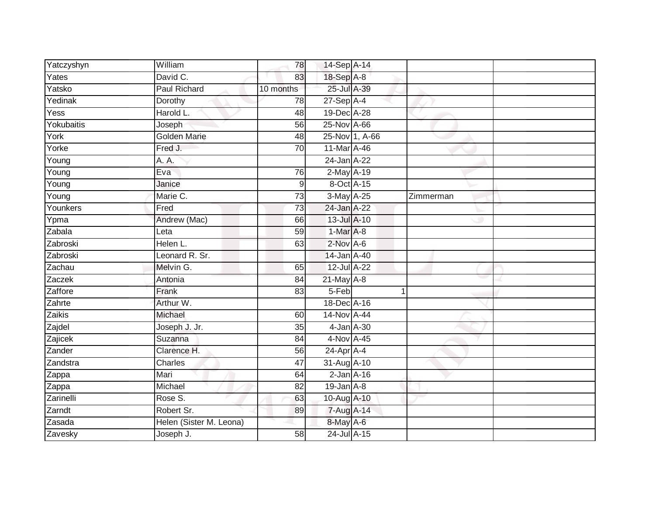| Yatczyshyn          | William                 | 78              | 14-Sep A-14      |                |           |  |
|---------------------|-------------------------|-----------------|------------------|----------------|-----------|--|
| Yates               | David C.                | 83              | 18-Sep A-8       |                |           |  |
| Yatsko              | <b>Paul Richard</b>     | 10 months       | 25-Jul A-39      |                |           |  |
| Yedinak             | Dorothy                 | 78              | $27-Sep$ A-4     |                |           |  |
| Yess                | Harold L.               | 48              | 19-Dec A-28      |                |           |  |
| Yokubaitis          | Joseph                  | 56              | 25-Nov A-66      |                |           |  |
| York                | Golden Marie            | 48              |                  | 25-Nov 1, A-66 |           |  |
| Yorke               | Fred J.                 | 70              | 11-Mar A-46      |                |           |  |
| $\overline{Y}$ oung | A. A.                   |                 | 24-Jan A-22      |                |           |  |
| Young               | Eva                     | 76              | 2-May A-19       |                |           |  |
| Young               | Janice                  | $\mathsf 9$     | 8-Oct A-15       |                |           |  |
| Young               | Marie C.                | 73              | 3-May A-25       |                | Zimmerman |  |
| Younkers            | Fred                    | 73              | 24-Jan A-22      |                |           |  |
| Ypma                | Andrew (Mac)            | 66              | 13-Jul A-10      |                |           |  |
| Zabala              | Leta                    | 59              | 1-Mar A-8        |                |           |  |
| Zabroski            | Helen L.                | 63              | 2-Nov A-6        |                |           |  |
| Zabroski            | Leonard R. Sr.          |                 | 14-Jan A-40      |                |           |  |
| Zachau              | Melvin G.               | 65              | 12-Jul A-22      |                |           |  |
| Zaczek              | Antonia                 | 84              | $21$ -May $A-8$  |                |           |  |
| Zaffore             | Frank                   | 83              | 5-Feb            |                |           |  |
| Zahrte              | Arthur W.               |                 | 18-Dec A-16      |                |           |  |
| Zaikis              | Michael                 | 60              | 14-Nov A-44      |                |           |  |
| Zajdel              | Joseph J. Jr.           | 35              | 4-Jan A-30       |                |           |  |
| Zajicek             | Suzanna                 | 84              | 4-Nov A-45       |                |           |  |
| Zander              | Clarence H.             | 56              | $24$ -Apr $A$ -4 |                |           |  |
| Zandstra            | Charles                 | 47              | 31-Aug A-10      |                |           |  |
| Zappa               | Mari                    | 64              | $2$ -Jan $A-16$  |                |           |  |
| Zappa               | Michael                 | 82              | $19$ -Jan $A$ -8 |                |           |  |
| Zarinelli           | Rose S.                 | 63              | 10-Aug A-10      |                |           |  |
| Zarndt              | Robert Sr.              | 89              | 7-Aug A-14       |                |           |  |
| Zasada              | Helen (Sister M. Leona) |                 | 8-May A-6        |                |           |  |
| Zavesky             | Joseph J.               | $\overline{58}$ | 24-Jul A-15      |                |           |  |